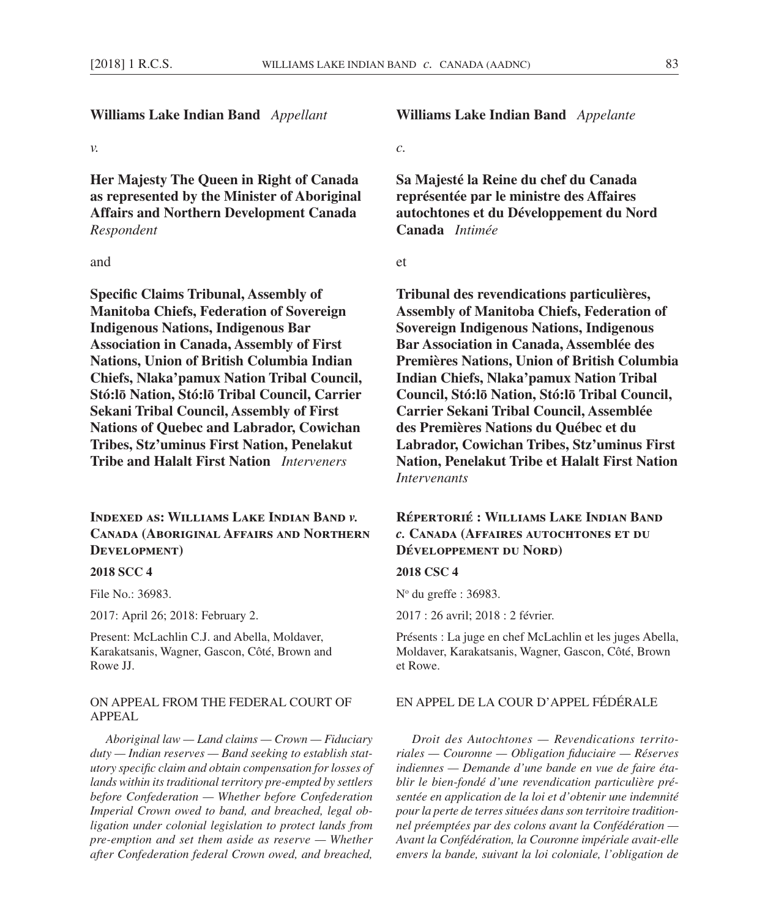# **Williams Lake Indian Band** *Appellant*

#### *v.*

**Her Majesty The Queen in Right of Canada as represented by the Minister of Aboriginal Affairs and Northern Development Canada** *Respondent*

### and

**Specific Claims Tribunal, Assembly of Manitoba Chiefs, Federation of Sovereign Indigenous Nations, Indigenous Bar Association in Canada, Assembly of First Nations, Union of British Columbia Indian Chiefs, Nlaka'pamux Nation Tribal Council, Stó:lō Nation, Stó:lō Tribal Council, Carrier Sekani Tribal Council, Assembly of First Nations of Quebec and Labrador, Cowichan Tribes, Stz'uminus First Nation, Penelakut Tribe and Halalt First Nation** *Interveners*

# **Indexed as: Williams Lake Indian Band** *v.* **Canada (Aboriginal Affairs and Northern Development)**

## **2018 SCC 4**

File No.: 36983.

2017: April 26; 2018: February 2.

Present: McLachlin C.J. and Abella, Moldaver, Karakatsanis, Wagner, Gascon, Côté, Brown and Rowe JJ.

# ON APPEAL FROM THE FEDERAL COURT OF APPEAL

*Aboriginal law — Land claims — Crown — Fiduciary duty — Indian reserves — Band seeking to establish statutory specific claim and obtain compensation for losses of lands within its traditional territory pre- empted by settlers before Confederation — Whether before Confederation Imperial Crown owed to band, and breached, legal obligation under colonial legislation to protect lands from pre- emption and set them aside as reserve — Whether after Confederation federal Crown owed, and breached,* 

**Williams Lake Indian Band** *Appelante*

*c.*

**Sa Majesté la Reine du chef du Canada représentée par le ministre des Affaires autochtones et du Développement du Nord Canada** *Intimée*

et

**Tribunal des revendications particulières, Assembly of Manitoba Chiefs, Federation of Sovereign Indigenous Nations, Indigenous Bar Association in Canada, Assemblée des Premières Nations, Union of British Columbia Indian Chiefs, Nlaka'pamux Nation Tribal Council, Stó:lō Nation, Stó:lō Tribal Council, Carrier Sekani Tribal Council, Assemblée des Premières Nations du Québec et du Labrador, Cowichan Tribes, Stz'uminus First Nation, Penelakut Tribe et Halalt First Nation** *Intervenants*

# **Répertorié : Williams Lake Indian Band**  *c.* **Canada (Affaires autochtones et du Développement du Nord)**

# **2018 CSC 4**

No du greffe : 36983.

2017 : 26 avril; 2018 : 2 février.

Présents : La juge en chef McLachlin et les juges Abella, Moldaver, Karakatsanis, Wagner, Gascon, Côté, Brown et Rowe.

# EN APPEL DE LA COUR D'APPEL FÉDÉRALE

*Droit des Autochtones — Revendications territo* $riales - Couronne - Obligation fiduciaire - Réserves$ *indiennes — Demande d'une bande en vue de faire établir le bien- fondé d'une revendication particulière présentée en application de la loi et d'obtenir une indemnité pour la perte de terres situées dans son territoire traditionnel préemptées par des colons avant la Confédération — Avant la Confédération, la Couronne impériale avait- elle envers la bande, suivant la loi coloniale, l'obligation de*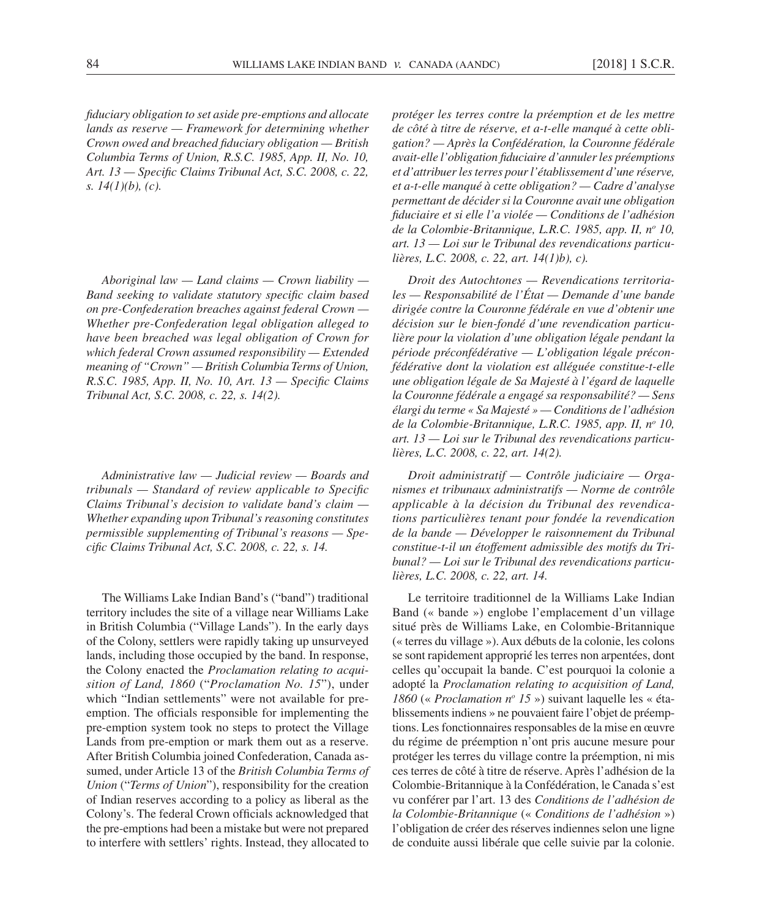*fi duciary obligation to set aside pre- emptions and allocate lands as reserve — Framework for determining whether Crown owed and breached fiduciary obligation — British Columbia Terms of Union, R.S.C. 1985, App. II, No. 10,*  Art. 13 — Specific Claims Tribunal Act, S.C. 2008, c. 22, *s. 14(1)(b), (c).*

*Aboriginal law — Land claims — Crown liability —*  Band seeking to validate statutory specific claim based *on pre- Confederation breaches against federal Crown — Whether pre- Confederation legal obligation alleged to have been breached was legal obligation of Crown for which federal Crown assumed responsibility — Extended meaning of "Crown" — British Columbia Terms of Union, R.S.C. 1985, App. II, No. 10, Art. 13 — Specific Claims Tribunal Act, S.C. 2008, c. 22, s. 14(2).*

*Administrative law — Judicial review — Boards and tribunals — Standard of review applicable to Specific Claims Tribunal's decision to validate band's claim — Whether expanding upon Tribunal's reasoning constitutes permissible supplementing of Tribunal's reasons — Specific Claims Tribunal Act, S.C. 2008, c. 22, s. 14.* 

The Williams Lake Indian Band's ("band") traditional territory includes the site of a village near Williams Lake in British Columbia ("Village Lands"). In the early days of the Colony, settlers were rapidly taking up unsurveyed lands, including those occupied by the band. In response, the Colony enacted the *Proclamation relating to acquisition of Land, 1860* ("*Proclamation No. 15*"), under which "Indian settlements" were not available for preemption. The officials responsible for implementing the pre- emption system took no steps to protect the Village Lands from pre-emption or mark them out as a reserve. After British Columbia joined Confederation, Canada assumed, under Article 13 of the *British Columbia Terms of Union* ("*Terms of Union*"), responsibility for the creation of Indian reserves according to a policy as liberal as the Colony's. The federal Crown officials acknowledged that the pre- emptions had been a mistake but were not prepared to interfere with settlers' rights. Instead, they allocated to

*protéger les terres contre la préemption et de les mettre de côté à titre de réserve, et a-t-elle manqué à cette obligation? — Après la Confédération, la Couronne fédérale avait- elle l'obligation fi duciaire d'annuler les préemptions et d'attribuer les terres pour l'établissement d'une réserve, et a-t-elle manqué à cette obligation? — Cadre d'analyse permettant de décider si la Couronne avait une obligation fi duciaire et si elle l'a violée — Conditions de l'adhésion de la Colombie- Britannique, L.R.C. 1985, app. II, no 10, art. 13 — Loi sur le Tribunal des revendications particulières, L.C. 2008, c. 22, art. 14(1)b), c).*

*Droit des Autochtones — Revendications territoriales — Responsabilité de l'État — Demande d'une bande dirigée contre la Couronne fédérale en vue d'obtenir une décision sur le bien- fondé d'une revendication particulière pour la violation d'une obligation légale pendant la période préconfédérative — L'obligation légale préconfédérative dont la violation est alléguée constitue-t-elle une obligation légale de Sa Majesté à l'égard de laquelle la Couronne fédérale a engagé sa responsabilité? — Sens élargi du terme « Sa Majesté » — Conditions de l'adhésion de la Colombie- Britannique, L.R.C. 1985, app. II, no 10, art. 13 — Loi sur le Tribunal des revendications particulières, L.C. 2008, c. 22, art. 14(2).*

*Droit administratif — Contrôle judiciaire — Organismes et tribunaux administratifs — Norme de contrôle applicable à la décision du Tribunal des revendications particulières tenant pour fondée la revendication de la bande — Développer le raisonnement du Tribunal constitue-t-il un étoffement admissible des motifs du Tribunal? — Loi sur le Tribunal des revendications particulières, L.C. 2008, c. 22, art. 14.*

Le territoire traditionnel de la Williams Lake Indian Band (« bande ») englobe l'emplacement d'un village situé près de Williams Lake, en Colombie- Britannique (« terres du village »). Aux débuts de la colonie, les colons se sont rapidement approprié les terres non arpentées, dont celles qu'occupait la bande. C'est pourquoi la colonie a adopté la *Proclamation relating to acquisition of Land, 1860* (« *Proclamation n<sup>o</sup> 15* ») suivant laquelle les « établissements indiens » ne pouvaient faire l'objet de préemptions. Les fonctionnaires responsables de la mise en œuvre du régime de préemption n'ont pris aucune mesure pour protéger les terres du village contre la préemption, ni mis ces terres de côté à titre de réserve. Après l'adhésion de la Colombie- Britannique à la Confédération, le Canada s'est vu conférer par l'art. 13 des *Conditions de l'adhésion de la Colombie- Britannique* (« *Conditions de l'adhésion* ») l'obligation de créer des réserves indiennes selon une ligne de conduite aussi libérale que celle suivie par la colonie.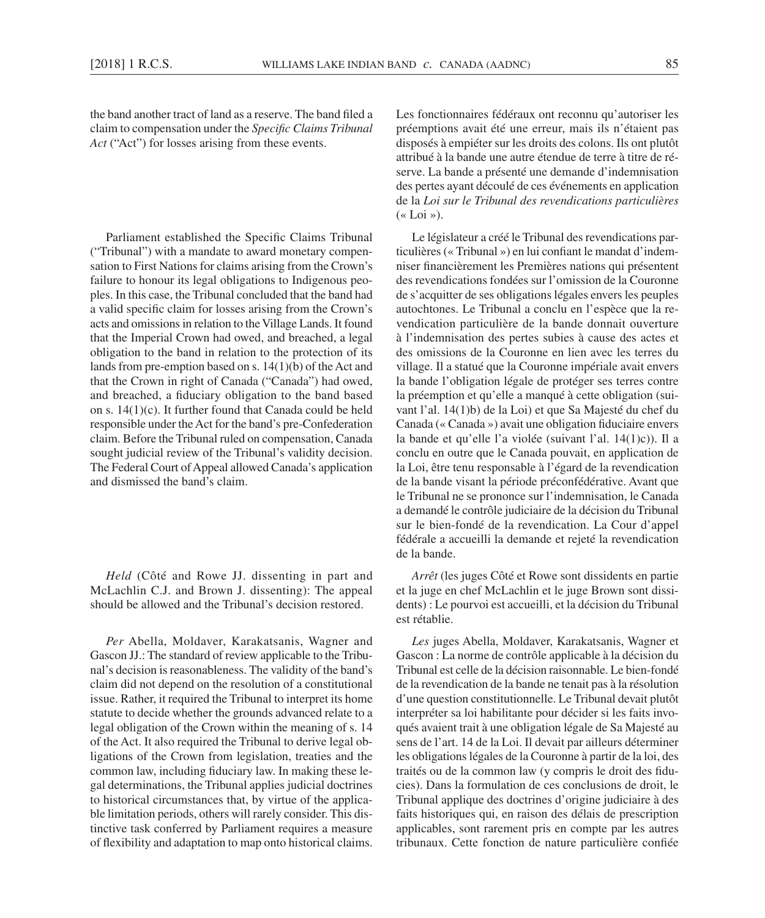the band another tract of land as a reserve. The band filed a claim to compensation under the *Specific Claims Tribunal Act* ("Act") for losses arising from these events.

Parliament established the Specific Claims Tribunal ("Tribunal") with a mandate to award monetary compensation to First Nations for claims arising from the Crown's failure to honour its legal obligations to Indigenous peoples. In this case, the Tribunal concluded that the band had a valid specific claim for losses arising from the Crown's acts and omissions in relation to the Village Lands. It found that the Imperial Crown had owed, and breached, a legal obligation to the band in relation to the protection of its lands from pre-emption based on s.  $14(1)(b)$  of the Act and that the Crown in right of Canada ("Canada") had owed, and breached, a fiduciary obligation to the band based on s. 14(1)(c). It further found that Canada could be held responsible under the Act for the band's pre- Confederation claim. Before the Tribunal ruled on compensation, Canada sought judicial review of the Tribunal's validity decision. The Federal Court of Appeal allowed Canada's application and dismissed the band's claim.

*Held* (Côté and Rowe JJ. dissenting in part and McLachlin C.J. and Brown J. dissenting): The appeal should be allowed and the Tribunal's decision restored.

*Per* Abella, Moldaver, Karakatsanis, Wagner and Gascon JJ.: The standard of review applicable to the Tribunal's decision is reasonableness. The validity of the band's claim did not depend on the resolution of a constitutional issue. Rather, it required the Tribunal to interpret its home statute to decide whether the grounds advanced relate to a legal obligation of the Crown within the meaning of s. 14 of the Act. It also required the Tribunal to derive legal obligations of the Crown from legislation, treaties and the common law, including fiduciary law. In making these legal determinations, the Tribunal applies judicial doctrines to historical circumstances that, by virtue of the applicable limitation periods, others will rarely consider. This distinctive task conferred by Parliament requires a measure of flexibility and adaptation to map onto historical claims.

Les fonctionnaires fédéraux ont reconnu qu'autoriser les préemptions avait été une erreur, mais ils n'étaient pas disposés à empiéter sur les droits des colons. Ils ont plutôt attribué à la bande une autre étendue de terre à titre de réserve. La bande a présenté une demande d'indemnisation des pertes ayant découlé de ces événements en application de la *Loi sur le Tribunal des revendications particulières*  $(\times$  Loi »).

Le législateur a créé le Tribunal des revendications particulières (« Tribunal ») en lui confiant le mandat d'indemniser financièrement les Premières nations qui présentent des revendications fondées sur l'omission de la Couronne de s'acquitter de ses obligations légales envers les peuples autochtones. Le Tribunal a conclu en l'espèce que la revendication particulière de la bande donnait ouverture à l'indemnisation des pertes subies à cause des actes et des omissions de la Couronne en lien avec les terres du village. Il a statué que la Couronne impériale avait envers la bande l'obligation légale de protéger ses terres contre la préemption et qu'elle a manqué à cette obligation (suivant l'al. 14(1)b) de la Loi) et que Sa Majesté du chef du Canada (« Canada ») avait une obligation fiduciaire envers la bande et qu'elle l'a violée (suivant l'al. 14(1)c)). Il a conclu en outre que le Canada pouvait, en application de la Loi, être tenu responsable à l'égard de la revendication de la bande visant la période préconfédérative. Avant que le Tribunal ne se prononce sur l'indemnisation, le Canada a demandé le contrôle judiciaire de la décision du Tribunal sur le bien- fondé de la revendication. La Cour d'appel fédérale a accueilli la demande et rejeté la revendication de la bande.

*Arrêt* (les juges Côté et Rowe sont dissidents en partie et la juge en chef McLachlin et le juge Brown sont dissidents) : Le pourvoi est accueilli, et la décision du Tribunal est rétablie.

*Les* juges Abella, Moldaver, Karakatsanis, Wagner et Gascon : La norme de contrôle applicable à la décision du Tribunal est celle de la décision raisonnable. Le bien- fondé de la revendication de la bande ne tenait pas à la résolution d'une question constitutionnelle. Le Tribunal devait plutôt interpréter sa loi habilitante pour décider si les faits invoqués avaient trait à une obligation légale de Sa Majesté au sens de l'art. 14 de la Loi. Il devait par ailleurs déterminer les obligations légales de la Couronne à partir de la loi, des traités ou de la common law (y compris le droit des fiducies). Dans la formulation de ces conclusions de droit, le Tribunal applique des doctrines d'origine judiciaire à des faits historiques qui, en raison des délais de prescription applicables, sont rarement pris en compte par les autres tribunaux. Cette fonction de nature particulière confiée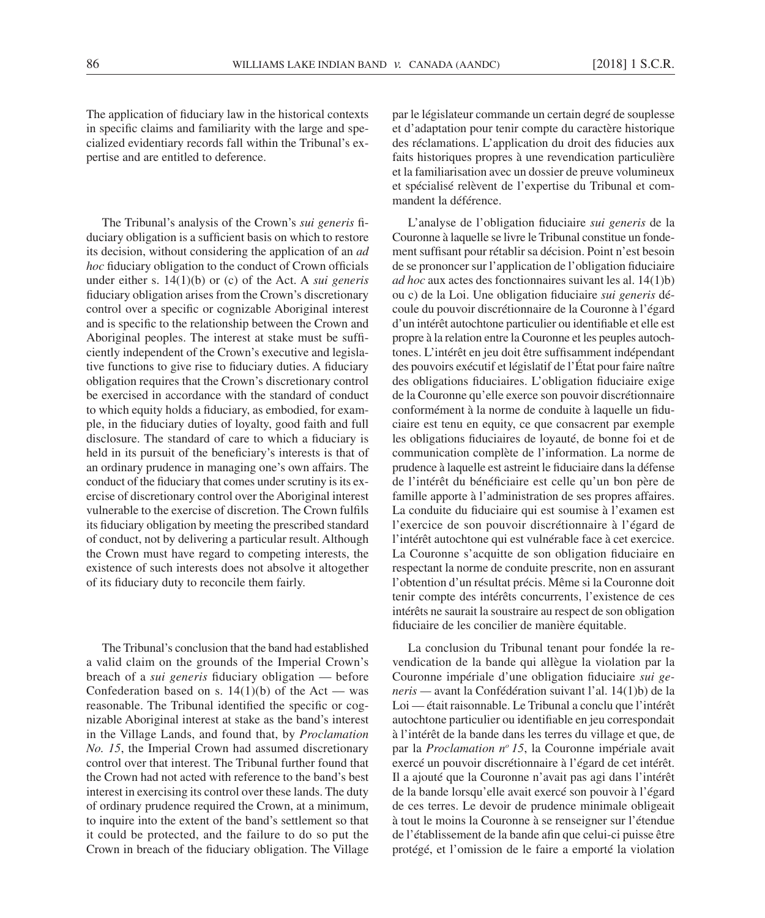The application of fiduciary law in the historical contexts in specific claims and familiarity with the large and specialized evidentiary records fall within the Tribunal's expertise and are entitled to deference.

The Tribunal's analysis of the Crown's *sui generis* fiduciary obligation is a sufficient basis on which to restore its decision, without considering the application of an *ad hoc* fiduciary obligation to the conduct of Crown officials under either s. 14(1)(b) or (c) of the Act. A *sui generis* fiduciary obligation arises from the Crown's discretionary control over a specific or cognizable Aboriginal interest and is specific to the relationship between the Crown and Aboriginal peoples. The interest at stake must be sufficiently independent of the Crown's executive and legislative functions to give rise to fiduciary duties. A fiduciary obligation requires that the Crown's discretionary control be exercised in accordance with the standard of conduct to which equity holds a fiduciary, as embodied, for example, in the fiduciary duties of loyalty, good faith and full disclosure. The standard of care to which a fiduciary is held in its pursuit of the beneficiary's interests is that of an ordinary prudence in managing one's own affairs. The conduct of the fiduciary that comes under scrutiny is its exercise of discretionary control over the Aboriginal interest vulnerable to the exercise of discretion. The Crown fulfils its fiduciary obligation by meeting the prescribed standard of conduct, not by delivering a particular result. Although the Crown must have regard to competing interests, the existence of such interests does not absolve it altogether of its fiduciary duty to reconcile them fairly.

The Tribunal's conclusion that the band had established a valid claim on the grounds of the Imperial Crown's breach of a *sui generis* fiduciary obligation — before Confederation based on s.  $14(1)(b)$  of the Act — was reasonable. The Tribunal identified the specific or cognizable Aboriginal interest at stake as the band's interest in the Village Lands, and found that, by *Proclamation No. 15*, the Imperial Crown had assumed discretionary control over that interest. The Tribunal further found that the Crown had not acted with reference to the band's best interest in exercising its control over these lands. The duty of ordinary prudence required the Crown, at a minimum, to inquire into the extent of the band's settlement so that it could be protected, and the failure to do so put the Crown in breach of the fiduciary obligation. The Village par le législateur commande un certain degré de souplesse et d'adaptation pour tenir compte du caractère historique des réclamations. L'application du droit des fiducies aux faits historiques propres à une revendication particulière et la familiarisation avec un dossier de preuve volumineux et spécialisé relèvent de l'expertise du Tribunal et commandent la déférence.

L'analyse de l'obligation fiduciaire sui generis de la Couronne à laquelle se livre le Tribunal constitue un fondement suffisant pour rétablir sa décision. Point n'est besoin de se prononcer sur l'application de l'obligation fiduciaire *ad hoc* aux actes des fonctionnaires suivant les al. 14(1)b) ou c) de la Loi. Une obligation fiduciaire *sui generis* découle du pouvoir discrétionnaire de la Couronne à l'égard d'un intérêt autochtone particulier ou identifiable et elle est propre à la relation entre la Couronne et les peuples autochtones. L'intérêt en jeu doit être suffisamment indépendant des pouvoirs exécutif et législatif de l'État pour faire naître des obligations fiduciaires. L'obligation fiduciaire exige de la Couronne qu'elle exerce son pouvoir discrétionnaire conformément à la norme de conduite à laquelle un fiduciaire est tenu en equity, ce que consacrent par exemple les obligations fiduciaires de loyauté, de bonne foi et de communication complète de l'information. La norme de prudence à laquelle est astreint le fiduciaire dans la défense de l'intérêt du bénéficiaire est celle qu'un bon père de famille apporte à l'administration de ses propres affaires. La conduite du fiduciaire qui est soumise à l'examen est l'exercice de son pouvoir discrétionnaire à l'égard de l'intérêt autochtone qui est vulnérable face à cet exercice. La Couronne s'acquitte de son obligation fiduciaire en respectant la norme de conduite prescrite, non en assurant l'obtention d'un résultat précis. Même si la Couronne doit tenir compte des intérêts concurrents, l'existence de ces intérêts ne saurait la soustraire au respect de son obligation fiduciaire de les concilier de manière équitable.

La conclusion du Tribunal tenant pour fondée la revendication de la bande qui allègue la violation par la Couronne impériale d'une obligation fiduciaire *sui generis —* avant la Confédération suivant l'al. 14(1)b) de la Loi — était raisonnable. Le Tribunal a conclu que l'intérêt autochtone particulier ou identifiable en jeu correspondait à l'intérêt de la bande dans les terres du village et que, de par la *Proclamation nº 15*, la Couronne impériale avait exercé un pouvoir discrétionnaire à l'égard de cet intérêt. Il a ajouté que la Couronne n'avait pas agi dans l'intérêt de la bande lorsqu'elle avait exercé son pouvoir à l'égard de ces terres. Le devoir de prudence minimale obligeait à tout le moins la Couronne à se renseigner sur l'étendue de l'établissement de la bande afin que celui-ci puisse être protégé, et l'omission de le faire a emporté la violation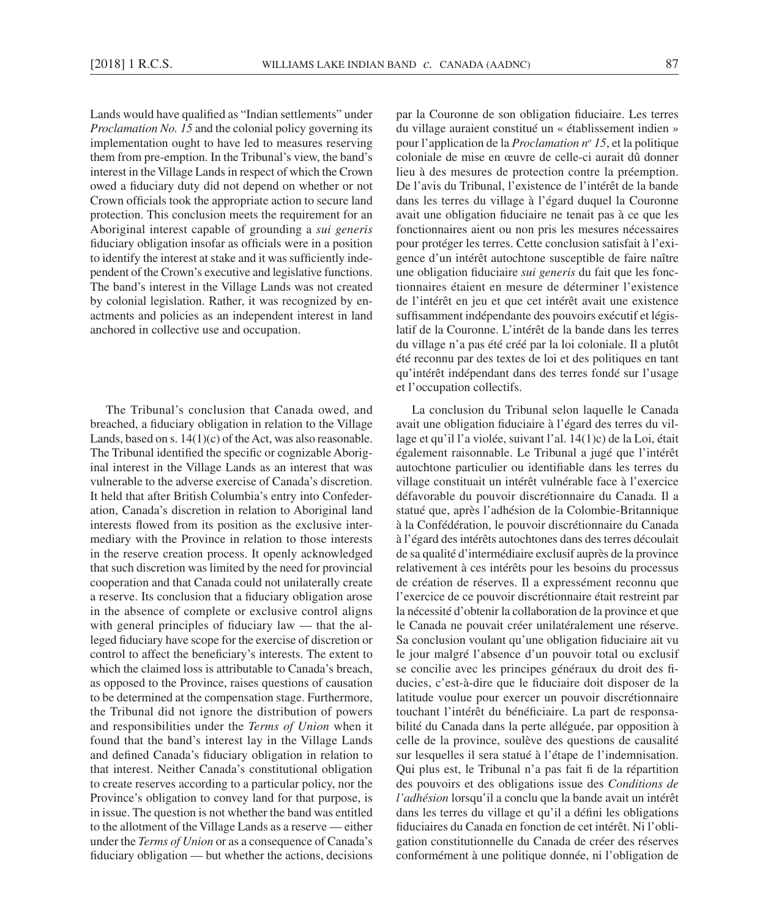Lands would have qualified as "Indian settlements" under *Proclamation No. 15* and the colonial policy governing its implementation ought to have led to measures reserving them from pre-emption. In the Tribunal's view, the band's interest in the Village Lands in respect of which the Crown owed a fiduciary duty did not depend on whether or not Crown officials took the appropriate action to secure land protection. This conclusion meets the requirement for an Aboriginal interest capable of grounding a *sui generis* fiduciary obligation insofar as officials were in a position to identify the interest at stake and it was sufficiently independent of the Crown's executive and legislative functions. The band's interest in the Village Lands was not created by colonial legislation. Rather, it was recognized by enactments and policies as an independent interest in land anchored in collective use and occupation.

The Tribunal's conclusion that Canada owed, and breached, a fiduciary obligation in relation to the Village Lands, based on s. 14(1)(c) of the Act, was also reasonable. The Tribunal identified the specific or cognizable Aboriginal interest in the Village Lands as an interest that was vulnerable to the adverse exercise of Canada's discretion. It held that after British Columbia's entry into Confederation, Canada's discretion in relation to Aboriginal land interests flowed from its position as the exclusive intermediary with the Province in relation to those interests in the reserve creation process. It openly acknowledged that such discretion was limited by the need for provincial cooperation and that Canada could not unilaterally create a reserve. Its conclusion that a fiduciary obligation arose in the absence of complete or exclusive control aligns with general principles of fiduciary law  $-$  that the alleged fiduciary have scope for the exercise of discretion or control to affect the beneficiary's interests. The extent to which the claimed loss is attributable to Canada's breach, as opposed to the Province, raises questions of causation to be determined at the compensation stage. Furthermore, the Tribunal did not ignore the distribution of powers and responsibilities under the *Terms of Union* when it found that the band's interest lay in the Village Lands and defined Canada's fiduciary obligation in relation to that interest. Neither Canada's constitutional obligation to create reserves according to a particular policy, nor the Province's obligation to convey land for that purpose, is in issue. The question is not whether the band was entitled to the allotment of the Village Lands as a reserve — either under the *Terms of Union* or as a consequence of Canada's fiduciary obligation — but whether the actions, decisions

par la Couronne de son obligation fiduciaire. Les terres du village auraient constitué un « établissement indien » pour l'application de la *Proclamation no 15*, et la politique coloniale de mise en œuvre de celle-ci aurait dû donner lieu à des mesures de protection contre la préemption. De l'avis du Tribunal, l'existence de l'intérêt de la bande dans les terres du village à l'égard duquel la Couronne avait une obligation fiduciaire ne tenait pas à ce que les fonctionnaires aient ou non pris les mesures nécessaires pour protéger les terres. Cette conclusion satisfait à l'exigence d'un intérêt autochtone susceptible de faire naître une obligation fiduciaire *sui generis* du fait que les fonctionnaires étaient en mesure de déterminer l'existence de l'intérêt en jeu et que cet intérêt avait une existence suffisamment indépendante des pouvoirs exécutif et législatif de la Couronne. L'intérêt de la bande dans les terres du village n'a pas été créé par la loi coloniale. Il a plutôt été reconnu par des textes de loi et des politiques en tant qu'intérêt indépendant dans des terres fondé sur l'usage et l'occupation collectifs.

La conclusion du Tribunal selon laquelle le Canada avait une obligation fiduciaire à l'égard des terres du village et qu'il l'a violée, suivant l'al. 14(1)c) de la Loi, était également raisonnable. Le Tribunal a jugé que l'intérêt autochtone particulier ou identifiable dans les terres du village constituait un intérêt vulnérable face à l'exercice défavorable du pouvoir discrétionnaire du Canada. Il a statué que, après l'adhésion de la Colombie- Britannique à la Confédération, le pouvoir discrétionnaire du Canada à l'égard des intérêts autochtones dans des terres découlait de sa qualité d'intermédiaire exclusif auprès de la province relativement à ces intérêts pour les besoins du processus de création de réserves. Il a expressément reconnu que l'exercice de ce pouvoir discrétionnaire était restreint par la nécessité d'obtenir la collaboration de la province et que le Canada ne pouvait créer unilatéralement une réserve. Sa conclusion voulant qu'une obligation fiduciaire ait vu le jour malgré l'absence d'un pouvoir total ou exclusif se concilie avec les principes généraux du droit des fiducies, c'est-à-dire que le fiduciaire doit disposer de la latitude voulue pour exercer un pouvoir discrétionnaire touchant l'intérêt du bénéficiaire. La part de responsabilité du Canada dans la perte alléguée, par opposition à celle de la province, soulève des questions de causalité sur lesquelles il sera statué à l'étape de l'indemnisation. Qui plus est, le Tribunal n'a pas fait fi de la répartition des pouvoirs et des obligations issue des *Conditions de l'adhésion* lorsqu'il a conclu que la bande avait un intérêt dans les terres du village et qu'il a défini les obligations fi duciaires du Canada en fonction de cet intérêt. Ni l'obligation constitutionnelle du Canada de créer des réserves conformément à une politique donnée, ni l'obligation de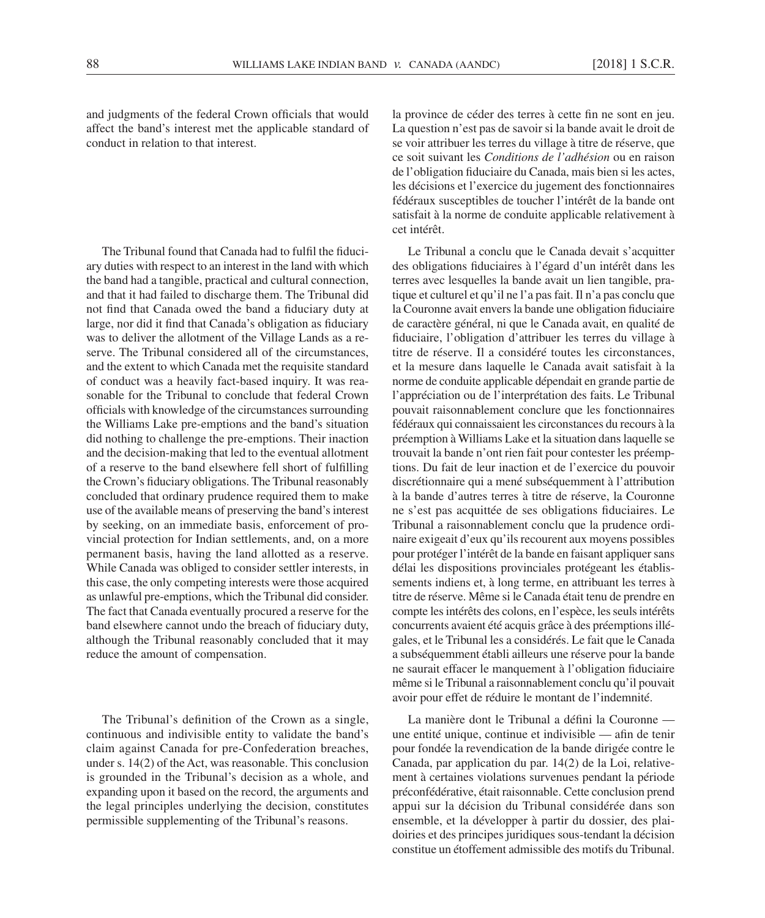and judgments of the federal Crown officials that would affect the band's interest met the applicable standard of conduct in relation to that interest.

The Tribunal found that Canada had to fulfil the fiduciary duties with respect to an interest in the land with which the band had a tangible, practical and cultural connection, and that it had failed to discharge them. The Tribunal did not find that Canada owed the band a fiduciary duty at large, nor did it find that Canada's obligation as fiduciary was to deliver the allotment of the Village Lands as a reserve. The Tribunal considered all of the circumstances, and the extent to which Canada met the requisite standard of conduct was a heavily fact- based inquiry. It was reasonable for the Tribunal to conclude that federal Crown officials with knowledge of the circumstances surrounding the Williams Lake pre-emptions and the band's situation did nothing to challenge the pre-emptions. Their inaction and the decision- making that led to the eventual allotment of a reserve to the band elsewhere fell short of fulfilling the Crown's fiduciary obligations. The Tribunal reasonably concluded that ordinary prudence required them to make use of the available means of preserving the band's interest by seeking, on an immediate basis, enforcement of provincial protection for Indian settlements, and, on a more permanent basis, having the land allotted as a reserve. While Canada was obliged to consider settler interests, in this case, the only competing interests were those acquired as unlawful pre-emptions, which the Tribunal did consider. The fact that Canada eventually procured a reserve for the band elsewhere cannot undo the breach of fiduciary duty, although the Tribunal reasonably concluded that it may reduce the amount of compensation.

The Tribunal's definition of the Crown as a single, continuous and indivisible entity to validate the band's claim against Canada for pre-Confederation breaches, under s. 14(2) of the Act, was reasonable. This conclusion is grounded in the Tribunal's decision as a whole, and expanding upon it based on the record, the arguments and the legal principles underlying the decision, constitutes permissible supplementing of the Tribunal's reasons.

la province de céder des terres à cette fin ne sont en jeu. La question n'est pas de savoir si la bande avait le droit de se voir attribuer les terres du village à titre de réserve, que ce soit suivant les *Conditions de l'adhésion* ou en raison de l'obligation fiduciaire du Canada, mais bien si les actes, les décisions et l'exercice du jugement des fonctionnaires fédéraux susceptibles de toucher l'intérêt de la bande ont satisfait à la norme de conduite applicable relativement à cet intérêt.

Le Tribunal a conclu que le Canada devait s'acquitter des obligations fiduciaires à l'égard d'un intérêt dans les terres avec lesquelles la bande avait un lien tangible, pratique et culturel et qu'il ne l'a pas fait. Il n'a pas conclu que la Couronne avait envers la bande une obligation fiduciaire de caractère général, ni que le Canada avait, en qualité de fiduciaire, l'obligation d'attribuer les terres du village à titre de réserve. Il a considéré toutes les circonstances, et la mesure dans laquelle le Canada avait satisfait à la norme de conduite applicable dépendait en grande partie de l'appréciation ou de l'interprétation des faits. Le Tribunal pouvait raisonnablement conclure que les fonctionnaires fédéraux qui connaissaient les circonstances du recours à la préemption à Williams Lake et la situation dans laquelle se trouvait la bande n'ont rien fait pour contester les préemptions. Du fait de leur inaction et de l'exercice du pouvoir discrétionnaire qui a mené subséquemment à l'attribution à la bande d'autres terres à titre de réserve, la Couronne ne s'est pas acquittée de ses obligations fiduciaires. Le Tribunal a raisonnablement conclu que la prudence ordinaire exigeait d'eux qu'ils recourent aux moyens possibles pour protéger l'intérêt de la bande en faisant appliquer sans délai les dispositions provinciales protégeant les établissements indiens et, à long terme, en attribuant les terres à titre de réserve. Même si le Canada était tenu de prendre en compte les intérêts des colons, en l'espèce, les seuls intérêts concurrents avaient été acquis grâce à des préemptions illégales, et le Tribunal les a considérés. Le fait que le Canada a subséquemment établi ailleurs une réserve pour la bande ne saurait effacer le manquement à l'obligation fiduciaire même si le Tribunal a raisonnablement conclu qu'il pouvait avoir pour effet de réduire le montant de l'indemnité.

La manière dont le Tribunal a défini la Couronne une entité unique, continue et indivisible — afin de tenir pour fondée la revendication de la bande dirigée contre le Canada, par application du par. 14(2) de la Loi, relativement à certaines violations survenues pendant la période préconfédérative, était raisonnable. Cette conclusion prend appui sur la décision du Tribunal considérée dans son ensemble, et la développer à partir du dossier, des plaidoiries et des principes juridiques sous- tendant la décision constitue un étoffement admissible des motifs du Tribunal.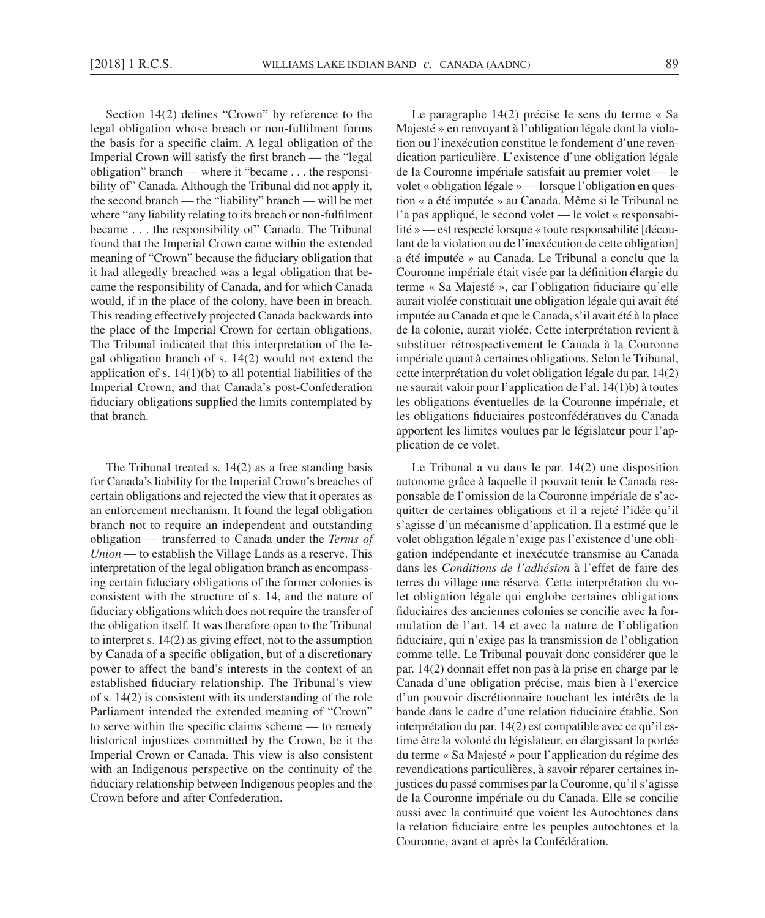Section  $14(2)$  defines "Crown" by reference to the legal obligation whose breach or non-fulfilment forms the basis for a specific claim. A legal obligation of the Imperial Crown will satisfy the first branch — the "legal" obligation" branch — where it "became . . . the responsibility of" Canada. Although the Tribunal did not apply it, the second branch — the "liability" branch — will be met where "any liability relating to its breach or non-fulfilment became . . . the responsibility of" Canada. The Tribunal found that the Imperial Crown came within the extended meaning of "Crown" because the fiduciary obligation that it had allegedly breached was a legal obligation that became the responsibility of Canada, and for which Canada would, if in the place of the colony, have been in breach. This reading effectively projected Canada backwards into the place of the Imperial Crown for certain obligations. The Tribunal indicated that this interpretation of the legal obligation branch of s. 14(2) would not extend the application of s.  $14(1)(b)$  to all potential liabilities of the Imperial Crown, and that Canada's post-Confederation fiduciary obligations supplied the limits contemplated by that branch.

The Tribunal treated s. 14(2) as a free standing basis for Canada's liability for the Imperial Crown's breaches of certain obligations and rejected the view that it operates as an enforcement mechanism. It found the legal obligation branch not to require an independent and outstanding obligation — transferred to Canada under the *Terms of Union* — to establish the Village Lands as a reserve. This interpretation of the legal obligation branch as encompassing certain fiduciary obligations of the former colonies is consistent with the structure of s. 14, and the nature of fiduciary obligations which does not require the transfer of the obligation itself. It was therefore open to the Tribunal to interpret s. 14(2) as giving effect, not to the assumption by Canada of a specific obligation, but of a discretionary power to affect the band's interests in the context of an established fiduciary relationship. The Tribunal's view of s. 14(2) is consistent with its understanding of the role Parliament intended the extended meaning of "Crown" to serve within the specific claims scheme — to remedy historical injustices committed by the Crown, be it the Imperial Crown or Canada. This view is also consistent with an Indigenous perspective on the continuity of the fiduciary relationship between Indigenous peoples and the Crown before and after Confederation.

Le paragraphe 14(2) précise le sens du terme « Sa Majesté » en renvoyant à l'obligation légale dont la violation ou l'inexécution constitue le fondement d'une revendication particulière. L'existence d'une obligation légale de la Couronne impériale satisfait au premier volet — le volet « obligation légale » — lorsque l'obligation en question « a été imputée » au Canada. Même si le Tribunal ne l'a pas appliqué, le second volet — le volet « responsabilité » — est respecté lorsque « toute responsabilité [découlant de la violation ou de l'inexécution de cette obligation] a été imputée » au Canada. Le Tribunal a conclu que la Couronne impériale était visée par la définition élargie du terme « Sa Majesté », car l'obligation fiduciaire qu'elle aurait violée constituait une obligation légale qui avait été imputée au Canada et que le Canada, s'il avait été à la place de la colonie, aurait violée. Cette interprétation revient à substituer rétrospectivement le Canada à la Couronne impériale quant à certaines obligations. Selon le Tribunal, cette interprétation du volet obligation légale du par. 14(2) ne saurait valoir pour l'application de l'al. 14(1)b) à toutes les obligations éventuelles de la Couronne impériale, et les obligations fiduciaires postconfédératives du Canada apportent les limites voulues par le législateur pour l'application de ce volet.

Le Tribunal a vu dans le par. 14(2) une disposition autonome grâce à laquelle il pouvait tenir le Canada responsable de l'omission de la Couronne impériale de s'acquitter de certaines obligations et il a rejeté l'idée qu'il s'agisse d'un mécanisme d'application. Il a estimé que le volet obligation légale n'exige pas l'existence d'une obligation indépendante et inexécutée transmise au Canada dans les *Conditions de l'adhésion* à l'effet de faire des terres du village une réserve. Cette interprétation du volet obligation légale qui englobe certaines obligations fi duciaires des anciennes colonies se concilie avec la formulation de l'art. 14 et avec la nature de l'obligation fi duciaire, qui n'exige pas la transmission de l'obligation comme telle. Le Tribunal pouvait donc considérer que le par. 14(2) donnait effet non pas à la prise en charge par le Canada d'une obligation précise, mais bien à l'exercice d'un pouvoir discrétionnaire touchant les intérêts de la bande dans le cadre d'une relation fiduciaire établie. Son interprétation du par. 14(2) est compatible avec ce qu'il estime être la volonté du législateur, en élargissant la portée du terme « Sa Majesté » pour l'application du régime des revendications particulières, à savoir réparer certaines injustices du passé commises par la Couronne, qu'il s'agisse de la Couronne impériale ou du Canada. Elle se concilie aussi avec la continuité que voient les Autochtones dans la relation fiduciaire entre les peuples autochtones et la Couronne, avant et après la Confédération.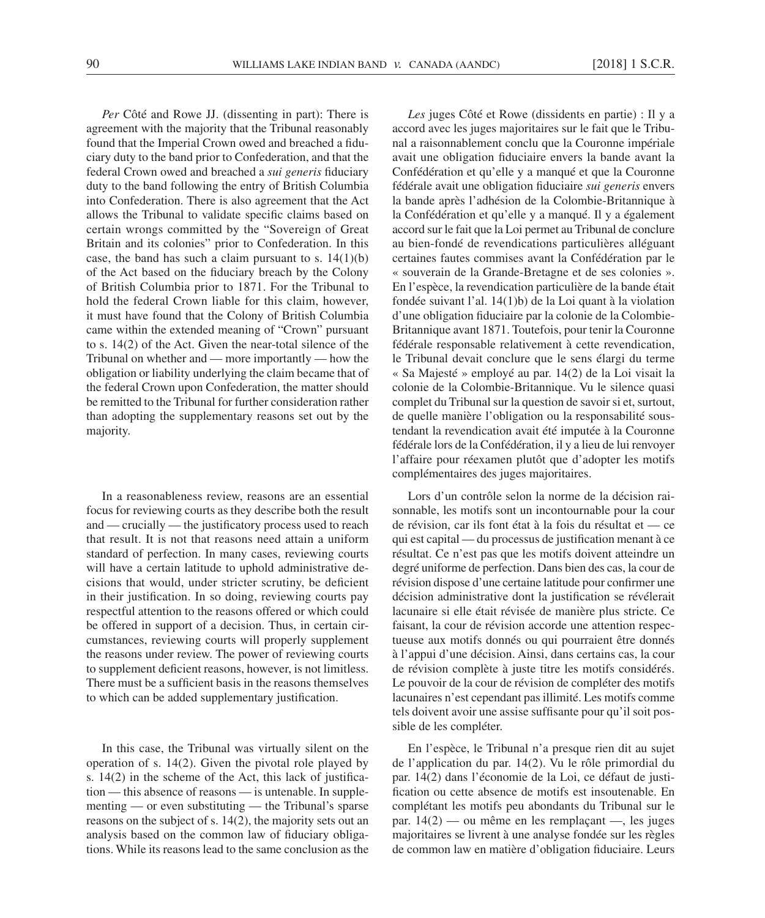*Per* Côté and Rowe JJ. (dissenting in part): There is agreement with the majority that the Tribunal reasonably found that the Imperial Crown owed and breached a fiduciary duty to the band prior to Confederation, and that the federal Crown owed and breached a *sui generis* fiduciary duty to the band following the entry of British Columbia into Confederation. There is also agreement that the Act allows the Tribunal to validate specific claims based on certain wrongs committed by the "Sovereign of Great Britain and its colonies" prior to Confederation. In this case, the band has such a claim pursuant to s.  $14(1)(b)$ of the Act based on the fiduciary breach by the Colony of British Columbia prior to 1871. For the Tribunal to hold the federal Crown liable for this claim, however, it must have found that the Colony of British Columbia came within the extended meaning of "Crown" pursuant to s. 14(2) of the Act. Given the near- total silence of the Tribunal on whether and — more importantly — how the obligation or liability underlying the claim became that of the federal Crown upon Confederation, the matter should be remitted to the Tribunal for further consideration rather than adopting the supplementary reasons set out by the majority.

In a reasonableness review, reasons are an essential focus for reviewing courts as they describe both the result and — crucially — the justificatory process used to reach that result. It is not that reasons need attain a uniform standard of perfection. In many cases, reviewing courts will have a certain latitude to uphold administrative decisions that would, under stricter scrutiny, be deficient in their justification. In so doing, reviewing courts pay respectful attention to the reasons offered or which could be offered in support of a decision. Thus, in certain circumstances, reviewing courts will properly supplement the reasons under review. The power of reviewing courts to supplement deficient reasons, however, is not limitless. There must be a sufficient basis in the reasons themselves to which can be added supplementary justification.

In this case, the Tribunal was virtually silent on the operation of s. 14(2). Given the pivotal role played by s.  $14(2)$  in the scheme of the Act, this lack of justification — this absence of reasons — is untenable. In supplementing — or even substituting — the Tribunal's sparse reasons on the subject of s. 14(2), the majority sets out an analysis based on the common law of fiduciary obligations. While its reasons lead to the same conclusion as the

*Les* juges Côté et Rowe (dissidents en partie) : Il y a accord avec les juges majoritaires sur le fait que le Tribunal a raisonnablement conclu que la Couronne impériale avait une obligation fiduciaire envers la bande avant la Confédération et qu'elle y a manqué et que la Couronne fédérale avait une obligation fiduciaire *sui generis* envers la bande après l'adhésion de la Colombie- Britannique à la Confédération et qu'elle y a manqué. Il y a également accord sur le fait que la Loi permet au Tribunal de conclure au bien- fondé de revendications particulières alléguant certaines fautes commises avant la Confédération par le « souverain de la Grande- Bretagne et de ses colonies ». En l'espèce, la revendication particulière de la bande était fondée suivant l'al. 14(1)b) de la Loi quant à la violation d'une obligation fiduciaire par la colonie de la Colombie-Britannique avant 1871. Toutefois, pour tenir la Couronne fédérale responsable relativement à cette revendication, le Tribunal devait conclure que le sens élargi du terme « Sa Majesté » employé au par. 14(2) de la Loi visait la colonie de la Colombie- Britannique. Vu le silence quasi complet du Tribunal sur la question de savoir si et, surtout, de quelle manière l'obligation ou la responsabilité soustendant la revendication avait été imputée à la Couronne fédérale lors de la Confédération, il y a lieu de lui renvoyer l'affaire pour réexamen plutôt que d'adopter les motifs complémentaires des juges majoritaires.

Lors d'un contrôle selon la norme de la décision raisonnable, les motifs sont un incontournable pour la cour de révision, car ils font état à la fois du résultat et — ce qui est capital — du processus de justification menant à ce résultat. Ce n'est pas que les motifs doivent atteindre un degré uniforme de perfection. Dans bien des cas, la cour de révision dispose d'une certaine latitude pour confirmer une décision administrative dont la justification se révélerait lacunaire si elle était révisée de manière plus stricte. Ce faisant, la cour de révision accorde une attention respectueuse aux motifs donnés ou qui pourraient être donnés à l'appui d'une décision. Ainsi, dans certains cas, la cour de révision complète à juste titre les motifs considérés. Le pouvoir de la cour de révision de compléter des motifs lacunaires n'est cependant pas illimité. Les motifs comme tels doivent avoir une assise suffisante pour qu'il soit possible de les compléter.

En l'espèce, le Tribunal n'a presque rien dit au sujet de l'application du par. 14(2). Vu le rôle primordial du par. 14(2) dans l'économie de la Loi, ce défaut de justification ou cette absence de motifs est insoutenable. En complétant les motifs peu abondants du Tribunal sur le par. 14(2) — ou même en les remplaçant —, les juges majoritaires se livrent à une analyse fondée sur les règles de common law en matière d'obligation fiduciaire. Leurs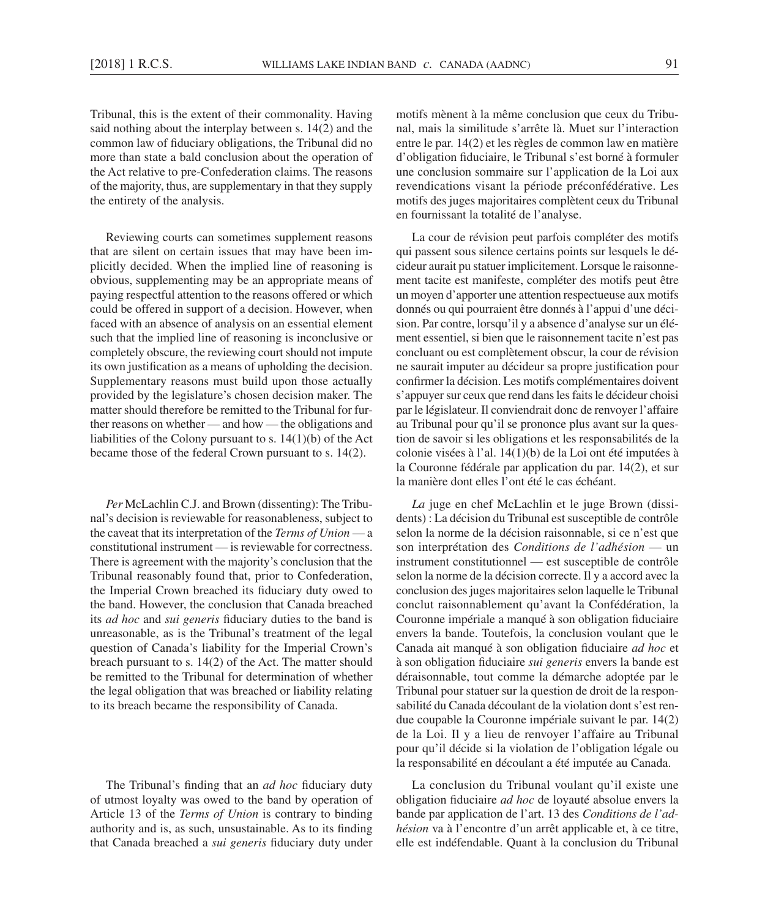Tribunal, this is the extent of their commonality. Having said nothing about the interplay between s. 14(2) and the common law of fiduciary obligations, the Tribunal did no more than state a bald conclusion about the operation of the Act relative to pre-Confederation claims. The reasons of the majority, thus, are supplementary in that they supply the entirety of the analysis.

Reviewing courts can sometimes supplement reasons that are silent on certain issues that may have been implicitly decided. When the implied line of reasoning is obvious, supplementing may be an appropriate means of paying respectful attention to the reasons offered or which could be offered in support of a decision. However, when faced with an absence of analysis on an essential element such that the implied line of reasoning is inconclusive or completely obscure, the reviewing court should not impute its own justification as a means of upholding the decision. Supplementary reasons must build upon those actually provided by the legislature's chosen decision maker. The matter should therefore be remitted to the Tribunal for further reasons on whether — and how — the obligations and liabilities of the Colony pursuant to s. 14(1)(b) of the Act became those of the federal Crown pursuant to s. 14(2).

*Per* McLachlin C.J. and Brown (dissenting): The Tribunal's decision is reviewable for reasonableness, subject to the caveat that its interpretation of the *Terms of Union* — a constitutional instrument — is reviewable for correctness. There is agreement with the majority's conclusion that the Tribunal reasonably found that, prior to Confederation, the Imperial Crown breached its fiduciary duty owed to the band. However, the conclusion that Canada breached its *ad hoc* and *sui generis* fiduciary duties to the band is unreasonable, as is the Tribunal's treatment of the legal question of Canada's liability for the Imperial Crown's breach pursuant to s. 14(2) of the Act. The matter should be remitted to the Tribunal for determination of whether the legal obligation that was breached or liability relating to its breach became the responsibility of Canada.

The Tribunal's finding that an *ad hoc* fiduciary duty of utmost loyalty was owed to the band by operation of Article 13 of the *Terms of Union* is contrary to binding authority and is, as such, unsustainable. As to its finding that Canada breached a *sui generis* fiduciary duty under

motifs mènent à la même conclusion que ceux du Tribunal, mais la similitude s'arrête là. Muet sur l'interaction entre le par. 14(2) et les règles de common law en matière d'obligation fiduciaire, le Tribunal s'est borné à formuler une conclusion sommaire sur l'application de la Loi aux revendications visant la période préconfédérative. Les motifs des juges majoritaires complètent ceux du Tribunal en fournissant la totalité de l'analyse.

La cour de révision peut parfois compléter des motifs qui passent sous silence certains points sur lesquels le décideur aurait pu statuer implicitement. Lorsque le raisonnement tacite est manifeste, compléter des motifs peut être un moyen d'apporter une attention respectueuse aux motifs donnés ou qui pourraient être donnés à l'appui d'une décision. Par contre, lorsqu'il y a absence d'analyse sur un élément essentiel, si bien que le raisonnement tacite n'est pas concluant ou est complètement obscur, la cour de révision ne saurait imputer au décideur sa propre justification pour confirmer la décision. Les motifs complémentaires doivent s'appuyer sur ceux que rend dans les faits le décideur choisi par le législateur. Il conviendrait donc de renvoyer l'affaire au Tribunal pour qu'il se prononce plus avant sur la question de savoir si les obligations et les responsabilités de la colonie visées à l'al. 14(1)(b) de la Loi ont été imputées à la Couronne fédérale par application du par. 14(2), et sur la manière dont elles l'ont été le cas échéant.

*La* juge en chef McLachlin et le juge Brown (dissidents) : La décision du Tribunal est susceptible de contrôle selon la norme de la décision raisonnable, si ce n'est que son interprétation des *Conditions de l'adhésion* — un instrument constitutionnel — est susceptible de contrôle selon la norme de la décision correcte. Il y a accord avec la conclusion des juges majoritaires selon laquelle le Tribunal conclut raisonnablement qu'avant la Confédération, la Couronne impériale a manqué à son obligation fiduciaire envers la bande. Toutefois, la conclusion voulant que le Canada ait manqué à son obligation fiduciaire *ad hoc* et à son obligation fiduciaire *sui generis* envers la bande est déraisonnable, tout comme la démarche adoptée par le Tribunal pour statuer sur la question de droit de la responsabilité du Canada découlant de la violation dont s'est rendue coupable la Couronne impériale suivant le par. 14(2) de la Loi. Il y a lieu de renvoyer l'affaire au Tribunal pour qu'il décide si la violation de l'obligation légale ou la responsabilité en découlant a été imputée au Canada.

La conclusion du Tribunal voulant qu'il existe une obligation fiduciaire *ad hoc* de loyauté absolue envers la bande par application de l'art. 13 des *Conditions de l'adhésion* va à l'encontre d'un arrêt applicable et, à ce titre, elle est indéfendable. Quant à la conclusion du Tribunal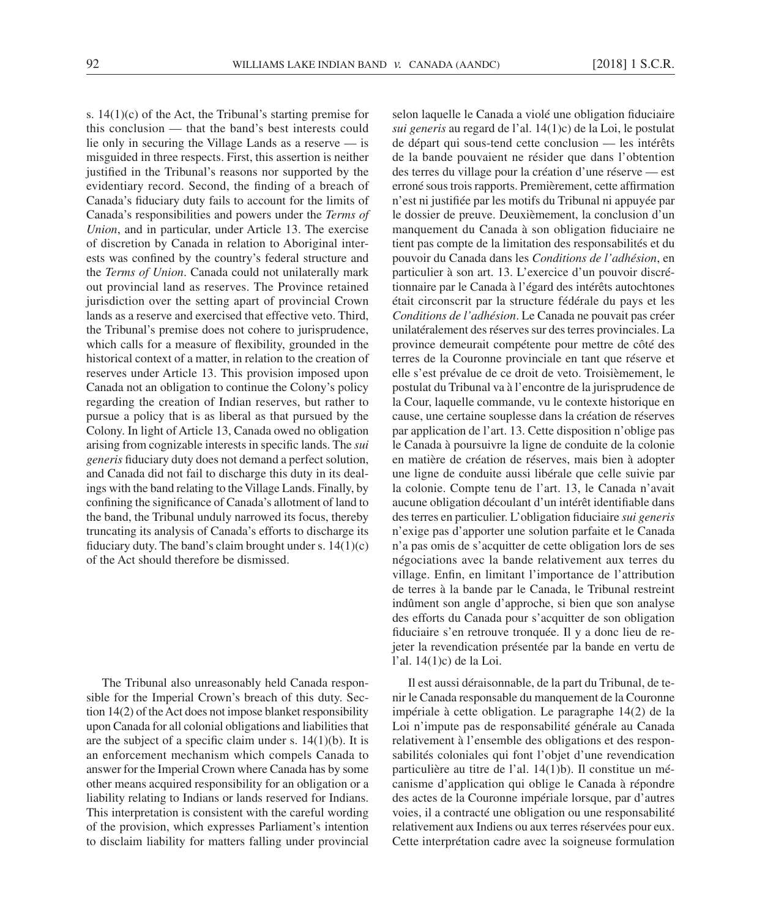s. 14(1)(c) of the Act, the Tribunal's starting premise for this conclusion — that the band's best interests could lie only in securing the Village Lands as a reserve — is misguided in three respects. First, this assertion is neither justified in the Tribunal's reasons nor supported by the evidentiary record. Second, the finding of a breach of Canada's fiduciary duty fails to account for the limits of Canada's responsibilities and powers under the *Terms of Union*, and in particular, under Article 13. The exercise of discretion by Canada in relation to Aboriginal interests was confined by the country's federal structure and the *Terms of Union*. Canada could not unilaterally mark out provincial land as reserves. The Province retained jurisdiction over the setting apart of provincial Crown lands as a reserve and exercised that effective veto. Third, the Tribunal's premise does not cohere to jurisprudence, which calls for a measure of flexibility, grounded in the historical context of a matter, in relation to the creation of reserves under Article 13. This provision imposed upon Canada not an obligation to continue the Colony's policy regarding the creation of Indian reserves, but rather to pursue a policy that is as liberal as that pursued by the Colony. In light of Article 13, Canada owed no obligation arising from cognizable interests in specific lands. The *sui* generis fiduciary duty does not demand a perfect solution, and Canada did not fail to discharge this duty in its dealings with the band relating to the Village Lands. Finally, by confining the significance of Canada's allotment of land to the band, the Tribunal unduly narrowed its focus, thereby truncating its analysis of Canada's efforts to discharge its fiduciary duty. The band's claim brought under s.  $14(1)(c)$ of the Act should therefore be dismissed.

The Tribunal also unreasonably held Canada responsible for the Imperial Crown's breach of this duty. Section 14(2) of the Act does not impose blanket responsibility upon Canada for all colonial obligations and liabilities that are the subject of a specific claim under s.  $14(1)(b)$ . It is an enforcement mechanism which compels Canada to answer for the Imperial Crown where Canada has by some other means acquired responsibility for an obligation or a liability relating to Indians or lands reserved for Indians. This interpretation is consistent with the careful wording of the provision, which expresses Parliament's intention to disclaim liability for matters falling under provincial

selon laquelle le Canada a violé une obligation fiduciaire *sui generis* au regard de l'al. 14(1)c) de la Loi, le postulat de départ qui sous- tend cette conclusion — les intérêts de la bande pouvaient ne résider que dans l'obtention des terres du village pour la création d'une réserve — est erroné sous trois rapports. Premièrement, cette affirmation n'est ni justifiée par les motifs du Tribunal ni appuyée par le dossier de preuve. Deuxièmement, la conclusion d'un manquement du Canada à son obligation fiduciaire ne tient pas compte de la limitation des responsabilités et du pouvoir du Canada dans les *Conditions de l'adhésion*, en particulier à son art. 13. L'exercice d'un pouvoir discrétionnaire par le Canada à l'égard des intérêts autochtones était circonscrit par la structure fédérale du pays et les *Conditions de l'adhésion*. Le Canada ne pouvait pas créer unilatéralement des réserves sur des terres provinciales. La province demeurait compétente pour mettre de côté des terres de la Couronne provinciale en tant que réserve et elle s'est prévalue de ce droit de veto. Troisièmement, le postulat du Tribunal va à l'encontre de la jurisprudence de la Cour, laquelle commande, vu le contexte historique en cause, une certaine souplesse dans la création de réserves par application de l'art. 13. Cette disposition n'oblige pas le Canada à poursuivre la ligne de conduite de la colonie en matière de création de réserves, mais bien à adopter une ligne de conduite aussi libérale que celle suivie par la colonie. Compte tenu de l'art. 13, le Canada n'avait aucune obligation découlant d'un intérêt identifiable dans des terres en particulier. L'obligation fiduciaire *sui generis* n'exige pas d'apporter une solution parfaite et le Canada n'a pas omis de s'acquitter de cette obligation lors de ses négociations avec la bande relativement aux terres du village. Enfin, en limitant l'importance de l'attribution de terres à la bande par le Canada, le Tribunal restreint indûment son angle d'approche, si bien que son analyse des efforts du Canada pour s'acquitter de son obligation fiduciaire s'en retrouve tronquée. Il y a donc lieu de rejeter la revendication présentée par la bande en vertu de l'al. 14(1)c) de la Loi.

Il est aussi déraisonnable, de la part du Tribunal, de tenir le Canada responsable du manquement de la Couronne impériale à cette obligation. Le paragraphe 14(2) de la Loi n'impute pas de responsabilité générale au Canada relativement à l'ensemble des obligations et des responsabilités coloniales qui font l'objet d'une revendication particulière au titre de l'al. 14(1)b). Il constitue un mécanisme d'application qui oblige le Canada à répondre des actes de la Couronne impériale lorsque, par d'autres voies, il a contracté une obligation ou une responsabilité relativement aux Indiens ou aux terres réservées pour eux. Cette interprétation cadre avec la soigneuse formulation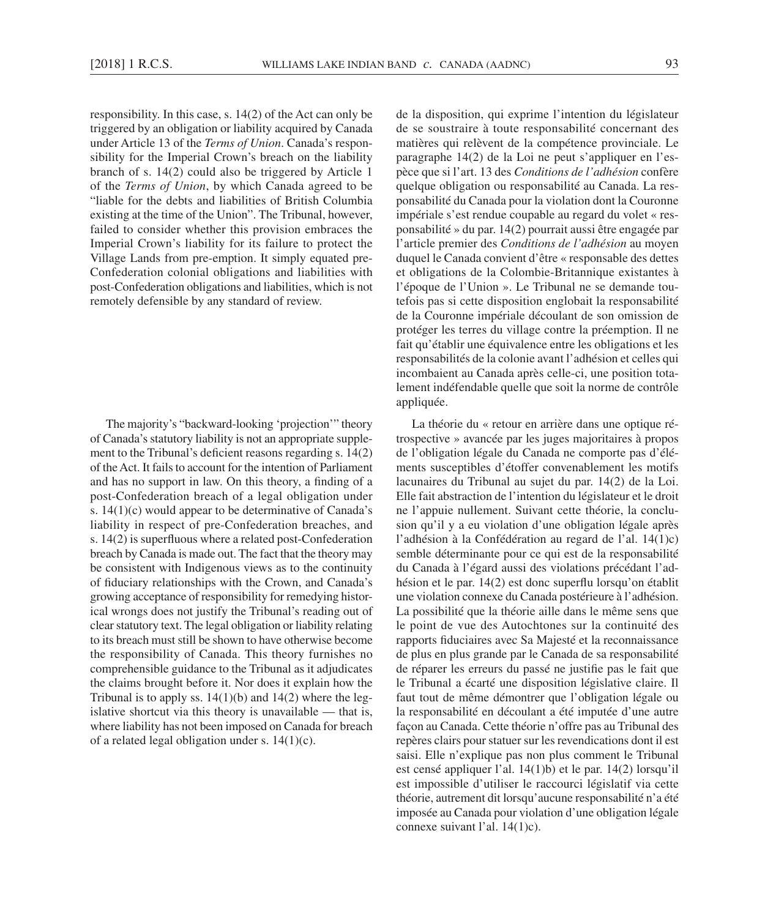responsibility. In this case, s. 14(2) of the Act can only be triggered by an obligation or liability acquired by Canada under Article 13 of the *Terms of Union*. Canada's responsibility for the Imperial Crown's breach on the liability branch of s. 14(2) could also be triggered by Article 1 of the *Terms of Union*, by which Canada agreed to be "liable for the debts and liabilities of British Columbia existing at the time of the Union". The Tribunal, however, failed to consider whether this provision embraces the Imperial Crown's liability for its failure to protect the Village Lands from pre-emption. It simply equated pre-Confederation colonial obligations and liabilities with post- Confederation obligations and liabilities, which is not remotely defensible by any standard of review.

The majority's "backward- looking 'projection'" theory of Canada's statutory liability is not an appropriate supplement to the Tribunal's deficient reasons regarding  $s. 14(2)$ of the Act. It fails to account for the intention of Parliament and has no support in law. On this theory, a finding of a post- Confederation breach of a legal obligation under s. 14(1)(c) would appear to be determinative of Canada's liability in respect of pre-Confederation breaches, and s.  $14(2)$  is superfluous where a related post-Confederation breach by Canada is made out. The fact that the theory may be consistent with Indigenous views as to the continuity of fiduciary relationships with the Crown, and Canada's growing acceptance of responsibility for remedying historical wrongs does not justify the Tribunal's reading out of clear statutory text. The legal obligation or liability relating to its breach must still be shown to have otherwise become the responsibility of Canada. This theory furnishes no comprehensible guidance to the Tribunal as it adjudicates the claims brought before it. Nor does it explain how the Tribunal is to apply ss.  $14(1)(b)$  and  $14(2)$  where the legislative shortcut via this theory is unavailable — that is, where liability has not been imposed on Canada for breach of a related legal obligation under s. 14(1)(c).

de la disposition, qui exprime l'intention du législateur de se soustraire à toute responsabilité concernant des matières qui relèvent de la compétence provinciale. Le paragraphe 14(2) de la Loi ne peut s'appliquer en l'espèce que si l'art. 13 des *Conditions de l'adhésion* confère quelque obligation ou responsabilité au Canada. La responsabilité du Canada pour la violation dont la Couronne impériale s'est rendue coupable au regard du volet « responsabilité » du par. 14(2) pourrait aussi être engagée par l'article premier des *Conditions de l'adhésion* au moyen duquel le Canada convient d'être « responsable des dettes et obligations de la Colombie- Britannique existantes à l'époque de l'Union ». Le Tribunal ne se demande toutefois pas si cette disposition englobait la responsabilité de la Couronne impériale découlant de son omission de protéger les terres du village contre la préemption. Il ne fait qu'établir une équivalence entre les obligations et les responsabilités de la colonie avant l'adhésion et celles qui incombaient au Canada après celle-ci, une position totalement indéfendable quelle que soit la norme de contrôle appliquée.

La théorie du « retour en arrière dans une optique rétrospective » avancée par les juges majoritaires à propos de l'obligation légale du Canada ne comporte pas d'éléments susceptibles d'étoffer convenablement les motifs lacunaires du Tribunal au sujet du par. 14(2) de la Loi. Elle fait abstraction de l'intention du législateur et le droit ne l'appuie nullement. Suivant cette théorie, la conclusion qu'il y a eu violation d'une obligation légale après l'adhésion à la Confédération au regard de l'al. 14(1)c) semble déterminante pour ce qui est de la responsabilité du Canada à l'égard aussi des violations précédant l'adhésion et le par. 14(2) est donc superflu lorsqu'on établit une violation connexe du Canada postérieure à l'adhésion. La possibilité que la théorie aille dans le même sens que le point de vue des Autochtones sur la continuité des rapports fiduciaires avec Sa Majesté et la reconnaissance de plus en plus grande par le Canada de sa responsabilité de réparer les erreurs du passé ne justifie pas le fait que le Tribunal a écarté une disposition législative claire. Il faut tout de même démontrer que l'obligation légale ou la responsabilité en découlant a été imputée d'une autre façon au Canada. Cette théorie n'offre pas au Tribunal des repères clairs pour statuer sur les revendications dont il est saisi. Elle n'explique pas non plus comment le Tribunal est censé appliquer l'al. 14(1)b) et le par. 14(2) lorsqu'il est impossible d'utiliser le raccourci législatif via cette théorie, autrement dit lorsqu'aucune responsabilité n'a été imposée au Canada pour violation d'une obligation légale connexe suivant l'al. 14(1)c).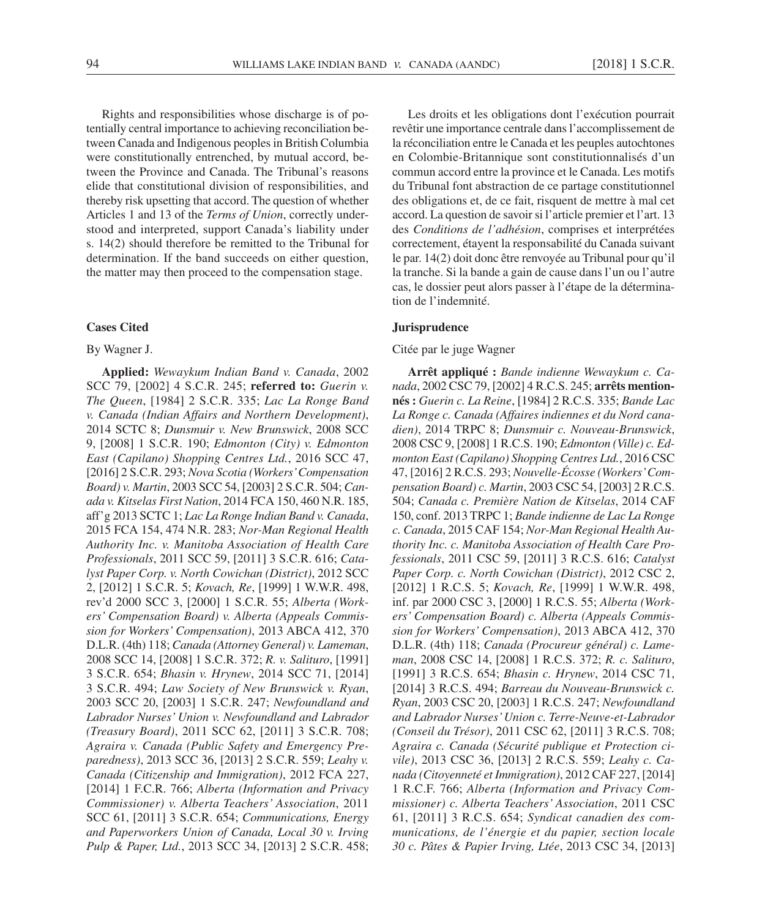Rights and responsibilities whose discharge is of potentially central importance to achieving reconciliation between Canada and Indigenous peoples in British Columbia were constitutionally entrenched, by mutual accord, between the Province and Canada. The Tribunal's reasons elide that constitutional division of responsibilities, and thereby risk upsetting that accord. The question of whether Articles 1 and 13 of the *Terms of Union*, correctly understood and interpreted, support Canada's liability under s. 14(2) should therefore be remitted to the Tribunal for determination. If the band succeeds on either question, the matter may then proceed to the compensation stage.

#### **Cases Cited**

# By Wagner J.

**Applied:** *Wewaykum Indian Band v. Canada*, 2002 SCC 79, [2002] 4 S.C.R. 245; **referred to:** *Guerin v. The Queen*, [1984] 2 S.C.R. 335; *Lac La Ronge Band v. Canada (Indian Affairs and Northern Development)*, 2014 SCTC 8; *Dunsmuir v. New Brunswick*, 2008 SCC 9, [2008] 1 S.C.R. 190; *Edmonton (City) v. Edmonton East (Capilano) Shopping Centres Ltd.*, 2016 SCC 47, [2016] 2 S.C.R. 293; *Nova Scotia (Workers' Compensation Board) v. Martin*, 2003 SCC 54, [2003] 2 S.C.R. 504; *Canada v. Kitselas First Nation*, 2014 FCA 150, 460 N.R. 185, aff'g 2013 SCTC 1; *Lac La Ronge Indian Band v. Canada*, 2015 FCA 154, 474 N.R. 283; *Nor- Man Regional Health Authority Inc. v. Manitoba Association of Health Care Professionals*, 2011 SCC 59, [2011] 3 S.C.R. 616; *Catalyst Paper Corp. v. North Cowichan (District)*, 2012 SCC 2, [2012] 1 S.C.R. 5; *Kovach, Re*, [1999] 1 W.W.R. 498, rev'd 2000 SCC 3, [2000] 1 S.C.R. 55; *Alberta (Workers' Compensation Board) v. Alberta (Appeals Commission for Workers' Compensation)*, 2013 ABCA 412, 370 D.L.R. (4th) 118; *Canada (Attorney General) v. Lameman*, 2008 SCC 14, [2008] 1 S.C.R. 372; *R. v. Salituro*, [1991] 3 S.C.R. 654; *Bhasin v. Hrynew*, 2014 SCC 71, [2014] 3 S.C.R. 494; *Law Society of New Brunswick v. Ryan*, 2003 SCC 20, [2003] 1 S.C.R. 247; *Newfoundland and Labrador Nurses' Union v. Newfoundland and Labrador (Treasury Board)*, 2011 SCC 62, [2011] 3 S.C.R. 708; *Agraira v. Canada (Public Safety and Emergency Preparedness)*, 2013 SCC 36, [2013] 2 S.C.R. 559; *Leahy v. Canada (Citizenship and Immigration)*, 2012 FCA 227, [2014] 1 F.C.R. 766; *Alberta (Information and Privacy Commissioner) v. Alberta Teachers' Association*, 2011 SCC 61, [2011] 3 S.C.R. 654; *Communications, Energy and Paperworkers Union of Canada, Local 30 v. Irving Pulp & Paper, Ltd.*, 2013 SCC 34, [2013] 2 S.C.R. 458;

Les droits et les obligations dont l'exécution pourrait revêtir une importance centrale dans l'accomplissement de la réconciliation entre le Canada et les peuples autochtones en Colombie- Britannique sont constitutionnalisés d'un commun accord entre la province et le Canada. Les motifs du Tribunal font abstraction de ce partage constitutionnel des obligations et, de ce fait, risquent de mettre à mal cet accord. La question de savoir si l'article premier et l'art. 13 des *Conditions de l'adhésion*, comprises et interprétées correctement, étayent la responsabilité du Canada suivant le par. 14(2) doit donc être renvoyée au Tribunal pour qu'il la tranche. Si la bande a gain de cause dans l'un ou l'autre cas, le dossier peut alors passer à l'étape de la détermination de l'indemnité.

#### **Jurisprudence**

## Citée par le juge Wagner

**Arrêt appliqué :** *Bande indienne Wewaykum c. Canada*, 2002 CSC 79, [2002] 4 R.C.S. 245; **arrêts mentionnés :** *Guerin c. La Reine*, [1984] 2 R.C.S. 335; *Bande Lac La Ronge c. Canada (Affaires indiennes et du Nord canadien)*, 2014 TRPC 8; *Dunsmuir c. Nouveau- Brunswick*, 2008 CSC 9, [2008] 1 R.C.S. 190; *Edmonton (Ville) c. Edmonton East (Capilano) Shopping Centres Ltd.*, 2016 CSC 47, [2016] 2 R.C.S. 293; *Nouvelle- Écosse (Workers' Compensation Board) c. Martin*, 2003 CSC 54, [2003] 2 R.C.S. 504; *Canada c. Première Nation de Kitselas*, 2014 CAF 150, conf. 2013 TRPC 1; *Bande indienne de Lac La Ronge c. Canada*, 2015 CAF 154; *Nor- Man Regional Health Authority Inc. c. Manitoba Association of Health Care Professionals*, 2011 CSC 59, [2011] 3 R.C.S. 616; *Catalyst Paper Corp. c. North Cowichan (District)*, 2012 CSC 2, [2012] 1 R.C.S. 5; *Kovach, Re*, [1999] 1 W.W.R. 498, inf. par 2000 CSC 3, [2000] 1 R.C.S. 55; *Alberta (Workers' Compensation Board) c. Alberta (Appeals Commission for Workers' Compensation)*, 2013 ABCA 412, 370 D.L.R. (4th) 118; *Canada (Procureur général) c. Lameman*, 2008 CSC 14, [2008] 1 R.C.S. 372; *R. c. Salituro*, [1991] 3 R.C.S. 654; *Bhasin c. Hrynew*, 2014 CSC 71, [2014] 3 R.C.S. 494; *Barreau du Nouveau- Brunswick c. Ryan*, 2003 CSC 20, [2003] 1 R.C.S. 247; *Newfoundland and Labrador Nurses' Union c. Terre- Neuve-et- Labrador (Conseil du Trésor)*, 2011 CSC 62, [2011] 3 R.C.S. 708; *Agraira c. Canada (Sécurité publique et Protection civile)*, 2013 CSC 36, [2013] 2 R.C.S. 559; *Leahy c. Canada (Citoyenneté et Immigration)*, 2012 CAF 227, [2014] 1 R.C.F. 766; *Alberta (Information and Privacy Commissioner) c. Alberta Teachers' Association*, 2011 CSC 61, [2011] 3 R.C.S. 654; *Syndicat canadien des communications, de l'énergie et du papier, section locale 30 c. Pâtes & Papier Irving, Ltée*, 2013 CSC 34, [2013]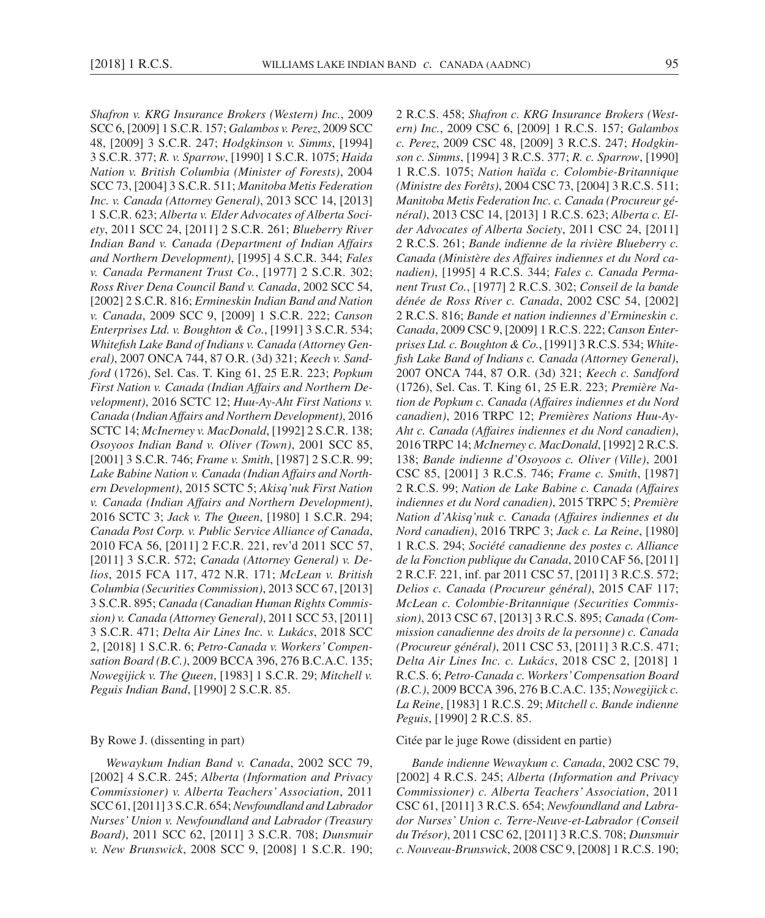*Shafron v. KRG Insurance Brokers (Western) Inc.*, 2009 SCC 6, [2009] 1 S.C.R. 157; *Galambos v. Perez*, 2009 SCC 48, [2009] 3 S.C.R. 247; *Hodgkinson v. Simms*, [1994] 3 S.C.R. 377; *R. v. Sparrow*, [1990] 1 S.C.R. 1075; *Haida Nation v. British Columbia (Minister of Forests)*, 2004 SCC 73, [2004] 3 S.C.R. 511; *Manitoba Metis Federation Inc. v. Canada (Attorney General)*, 2013 SCC 14, [2013] 1 S.C.R. 623; *Alberta v. Elder Advocates of Alberta Society*, 2011 SCC 24, [2011] 2 S.C.R. 261; *Blueberry River Indian Band v. Canada (Department of Indian Affairs and Northern Development)*, [1995] 4 S.C.R. 344; *Fales v. Canada Permanent Trust Co.*, [1977] 2 S.C.R. 302; *Ross River Dena Council Band v. Canada*, 2002 SCC 54, [2002] 2 S.C.R. 816; *Ermineskin Indian Band and Nation v. Canada*, 2009 SCC 9, [2009] 1 S.C.R. 222; *Canson Enterprises Ltd. v. Boughton & Co.*, [1991] 3 S.C.R. 534; *Whitefish Lake Band of Indians v. Canada (Attorney General)*, 2007 ONCA 744, 87 O.R. (3d) 321; *Keech v. Sandford* (1726), Sel. Cas. T. King 61, 25 E.R. 223; *Popkum First Nation v. Canada (Indian Affairs and Northern Development)*, 2016 SCTC 12; *Huu-Ay- Aht First Nations v. Canada (Indian Affairs and Northern Development)*, 2016 SCTC 14; *McInerney v. MacDonald*, [1992] 2 S.C.R. 138; *Osoyoos Indian Band v. Oliver (Town)*, 2001 SCC 85, [2001] 3 S.C.R. 746; *Frame v. Smith*, [1987] 2 S.C.R. 99; *Lake Babine Nation v. Canada (Indian Affairs and Northern Development)*, 2015 SCTC 5; *Akisq'nuk First Nation v. Canada (Indian Affairs and Northern Development)*, 2016 SCTC 3; *Jack v. The Queen*, [1980] 1 S.C.R. 294; *Canada Post Corp. v. Public Service Alliance of Canada*, 2010 FCA 56, [2011] 2 F.C.R. 221, rev'd 2011 SCC 57, [2011] 3 S.C.R. 572; *Canada (Attorney General) v. Delios*, 2015 FCA 117, 472 N.R. 171; *McLean v. British Columbia (Securities Commission)*, 2013 SCC 67, [2013] 3 S.C.R. 895; *Canada (Canadian Human Rights Commission) v. Canada (Attorney General)*, 2011 SCC 53, [2011] 3 S.C.R. 471; *Delta Air Lines Inc. v. Lukács*, 2018 SCC 2, [2018] 1 S.C.R. 6; *Petro- Canada v. Workers' Compensation Board (B.C.)*, 2009 BCCA 396, 276 B.C.A.C. 135; *Nowegijick v. The Queen*, [1983] 1 S.C.R. 29; *Mitchell v. Peguis Indian Band*, [1990] 2 S.C.R. 85.

### By Rowe J. (dissenting in part)

*Wewaykum Indian Band v. Canada*, 2002 SCC 79, [2002] 4 S.C.R. 245; *Alberta (Information and Privacy Commissioner) v. Alberta Teachers' Association*, 2011 SCC 61, [2011] 3 S.C.R. 654; *Newfoundland and Labrador Nurses' Union v. Newfoundland and Labrador (Treasury Board)*, 2011 SCC 62, [2011] 3 S.C.R. 708; *Dunsmuir v. New Brunswick*, 2008 SCC 9, [2008] 1 S.C.R. 190;

2 R.C.S. 458; *Shafron c. KRG Insurance Brokers (Western) Inc.*, 2009 CSC 6, [2009] 1 R.C.S. 157; *Galambos c. Perez*, 2009 CSC 48, [2009] 3 R.C.S. 247; *Hodgkinson c. Simms*, [1994] 3 R.C.S. 377; *R. c. Sparrow*, [1990] 1 R.C.S. 1075; *Nation haïda c. Colombie- Britannique (Ministre des Forêts)*, 2004 CSC 73, [2004] 3 R.C.S. 511; *Manitoba Metis Federation Inc. c. Canada (Procureur général)*, 2013 CSC 14, [2013] 1 R.C.S. 623; *Alberta c. Elder Advocates of Alberta Society*, 2011 CSC 24, [2011] 2 R.C.S. 261; *Bande indienne de la rivière Blueberry c. Canada (Ministère des Affaires indiennes et du Nord canadien)*, [1995] 4 R.C.S. 344; *Fales c. Canada Permanent Trust Co.*, [1977] 2 R.C.S. 302; *Conseil de la bande dénée de Ross River c. Canada*, 2002 CSC 54, [2002] 2 R.C.S. 816; *Bande et nation indiennes d'Ermineskin c. Canada*, 2009 CSC 9, [2009] 1 R.C.S. 222; *Canson Enterprises Ltd. c. Boughton & Co.*, [1991] 3 R.C.S. 534; *Whitefi sh Lake Band of Indians c. Canada (Attorney General)*, 2007 ONCA 744, 87 O.R. (3d) 321; *Keech c. Sandford* (1726), Sel. Cas. T. King 61, 25 E.R. 223; *Première Nation de Popkum c. Canada (Affaires indiennes et du Nord canadien)*, 2016 TRPC 12; *Premières Nations Huu-Ay-Aht c. Canada (Affaires indiennes et du Nord canadien)*, 2016 TRPC 14; *McInerney c. MacDonald*, [1992] 2 R.C.S. 138; *Bande indienne d'Osoyoos c. Oliver (Ville)*, 2001 CSC 85, [2001] 3 R.C.S. 746; *Frame c. Smith*, [1987] 2 R.C.S. 99; *Nation de Lake Babine c. Canada (Affaires indiennes et du Nord canadien)*, 2015 TRPC 5; *Première Nation d'Akisq'nuk c. Canada (Affaires indiennes et du Nord canadien)*, 2016 TRPC 3; *Jack c. La Reine*, [1980] 1 R.C.S. 294; *Société canadienne des postes c. Alliance de la Fonction publique du Canada*, 2010 CAF 56, [2011] 2 R.C.F. 221, inf. par 2011 CSC 57, [2011] 3 R.C.S. 572; *Delios c. Canada (Procureur général)*, 2015 CAF 117; *McLean c. Colombie- Britannique (Securities Commission)*, 2013 CSC 67, [2013] 3 R.C.S. 895; *Canada (Commission canadienne des droits de la personne) c. Canada (Procureur général)*, 2011 CSC 53, [2011] 3 R.C.S. 471; *Delta Air Lines Inc. c. Lukács*, 2018 CSC 2, [2018] 1 R.C.S. 6; *Petro- Canada c. Workers' Compensation Board (B.C.)*, 2009 BCCA 396, 276 B.C.A.C. 135; *Nowegijick c. La Reine*, [1983] 1 R.C.S. 29; *Mitchell c. Bande indienne Peguis*, [1990] 2 R.C.S. 85.

#### Citée par le juge Rowe (dissident en partie)

*Bande indienne Wewaykum c. Canada*, 2002 CSC 79, [2002] 4 R.C.S. 245; *Alberta (Information and Privacy Commissioner) c. Alberta Teachers' Association*, 2011 CSC 61, [2011] 3 R.C.S. 654; *Newfoundland and Labrador Nurses' Union c. Terre- Neuve-et- Labrador (Conseil du Trésor)*, 2011 CSC 62, [2011] 3 R.C.S. 708; *Dunsmuir c. Nouveau- Brunswick*, 2008 CSC 9, [2008] 1 R.C.S. 190;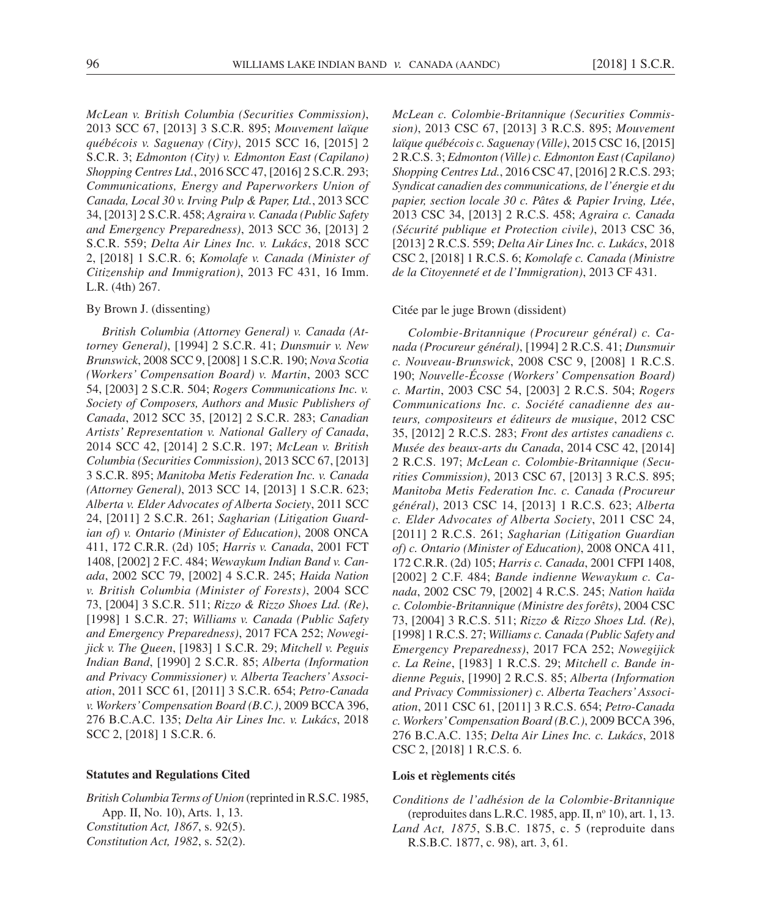*McLean v. British Columbia (Securities Commission)*, 2013 SCC 67, [2013] 3 S.C.R. 895; *Mouvement laïque québécois v. Saguenay (City)*, 2015 SCC 16, [2015] 2 S.C.R. 3; *Edmonton (City) v. Edmonton East (Capilano) Shopping Centres Ltd.*, 2016 SCC 47, [2016] 2 S.C.R. 293; *Communications, Energy and Paperworkers Union of Canada, Local 30 v. Irving Pulp & Paper, Ltd.*, 2013 SCC 34, [2013] 2 S.C.R. 458; *Agraira v. Canada (Public Safety and Emergency Preparedness)*, 2013 SCC 36, [2013] 2 S.C.R. 559; *Delta Air Lines Inc. v. Lukács*, 2018 SCC 2, [2018] 1 S.C.R. 6; *Komolafe v. Canada (Minister of Citizenship and Immigration)*, 2013 FC 431, 16 Imm. L.R. (4th) 267.

### By Brown J. (dissenting)

*British Columbia (Attorney General) v. Canada (Attorney General)*, [1994] 2 S.C.R. 41; *Dunsmuir v. New Brunswick*, 2008 SCC 9, [2008] 1 S.C.R. 190; *Nova Scotia (Workers' Compensation Board) v. Martin*, 2003 SCC 54, [2003] 2 S.C.R. 504; *Rogers Communications Inc. v. Society of Composers, Authors and Music Publishers of Canada*, 2012 SCC 35, [2012] 2 S.C.R. 283; *Canadian Artists' Representation v. National Gallery of Canada*, 2014 SCC 42, [2014] 2 S.C.R. 197; *McLean v. British Columbia (Securities Commission)*, 2013 SCC 67, [2013] 3 S.C.R. 895; *Manitoba Metis Federation Inc. v. Canada (Attorney General)*, 2013 SCC 14, [2013] 1 S.C.R. 623; *Alberta v. Elder Advocates of Alberta Society*, 2011 SCC 24, [2011] 2 S.C.R. 261; *Sagharian (Litigation Guardian of) v. Ontario (Minister of Education)*, 2008 ONCA 411, 172 C.R.R. (2d) 105; *Harris v. Canada*, 2001 FCT 1408, [2002] 2 F.C. 484; *Wewaykum Indian Band v. Canada*, 2002 SCC 79, [2002] 4 S.C.R. 245; *Haida Nation v. British Columbia (Minister of Forests)*, 2004 SCC 73, [2004] 3 S.C.R. 511; *Rizzo & Rizzo Shoes Ltd. (Re)*, [1998] 1 S.C.R. 27; *Williams v. Canada (Public Safety and Emergency Preparedness)*, 2017 FCA 252; *Nowegijick v. The Queen*, [1983] 1 S.C.R. 29; *Mitchell v. Peguis Indian Band*, [1990] 2 S.C.R. 85; *Alberta (Information and Privacy Commissioner) v. Alberta Teachers' Association*, 2011 SCC 61, [2011] 3 S.C.R. 654; *Petro- Canada v. Workers' Compensation Board (B.C.)*, 2009 BCCA 396, 276 B.C.A.C. 135; *Delta Air Lines Inc. v. Lukács*, 2018 SCC 2, [2018] 1 S.C.R. 6.

#### **Statutes and Regulations Cited**

*British Columbia Terms of Union* (reprinted in R.S.C. 1985, App. II, No. 10), Arts. 1, 13.

*Constitution Act, 1867*, s. 92(5). *Constitution Act, 1982*, s. 52(2). *McLean c. Colombie- Britannique (Securities Commission)*, 2013 CSC 67, [2013] 3 R.C.S. 895; *Mouvement laïque québécois c. Saguenay (Ville)*, 2015 CSC 16, [2015] 2 R.C.S. 3; *Edmonton (Ville) c. Edmonton East (Capilano) Shopping Centres Ltd.*, 2016 CSC 47, [2016] 2 R.C.S. 293; *Syndicat canadien des communications, de l'énergie et du papier, section locale 30 c. Pâtes & Papier Irving, Ltée*, 2013 CSC 34, [2013] 2 R.C.S. 458; *Agraira c. Canada (Sécurité publique et Protection civile)*, 2013 CSC 36, [2013] 2 R.C.S. 559; *Delta Air Lines Inc. c. Lukács*, 2018 CSC 2, [2018] 1 R.C.S. 6; *Komolafe c. Canada (Ministre de la Citoyenneté et de l'Immigration)*, 2013 CF 431.

#### Citée par le juge Brown (dissident)

*Colombie- Britannique (Procureur général) c. Canada (Procureur général)*, [1994] 2 R.C.S. 41; *Dunsmuir c. Nouveau- Brunswick*, 2008 CSC 9, [2008] 1 R.C.S. 190; *Nouvelle- Écosse (Workers' Compensation Board) c. Martin*, 2003 CSC 54, [2003] 2 R.C.S. 504; *Rogers Communications Inc. c. Société canadienne des auteurs, compositeurs et éditeurs de musique*, 2012 CSC 35, [2012] 2 R.C.S. 283; *Front des artistes canadiens c. Musée des beaux- arts du Canada*, 2014 CSC 42, [2014] 2 R.C.S. 197; *McLean c. Colombie- Britannique (Securities Commission)*, 2013 CSC 67, [2013] 3 R.C.S. 895; *Manitoba Metis Federation Inc. c. Canada (Procureur général)*, 2013 CSC 14, [2013] 1 R.C.S. 623; *Alberta c. Elder Advocates of Alberta Society*, 2011 CSC 24, [2011] 2 R.C.S. 261; *Sagharian (Litigation Guardian of) c. Ontario (Minister of Education)*, 2008 ONCA 411, 172 C.R.R. (2d) 105; *Harris c. Canada*, 2001 CFPI 1408, [2002] 2 C.F. 484; *Bande indienne Wewaykum c. Canada*, 2002 CSC 79, [2002] 4 R.C.S. 245; *Nation haïda c. Colombie- Britannique (Ministre des forêts)*, 2004 CSC 73, [2004] 3 R.C.S. 511; *Rizzo & Rizzo Shoes Ltd. (Re)*, [1998] 1 R.C.S. 27; *Williams c. Canada (Public Safety and Emergency Preparedness)*, 2017 FCA 252; *Nowegijick c. La Reine*, [1983] 1 R.C.S. 29; *Mitchell c. Bande indienne Peguis*, [1990] 2 R.C.S. 85; *Alberta (Information and Privacy Commissioner) c. Alberta Teachers' Association*, 2011 CSC 61, [2011] 3 R.C.S. 654; *Petro- Canada c. Workers' Compensation Board (B.C.)*, 2009 BCCA 396, 276 B.C.A.C. 135; *Delta Air Lines Inc. c. Lukács*, 2018 CSC 2, [2018] 1 R.C.S. 6.

#### **Lois et règlements cités**

*Conditions de l'adhésion de la Colombie- Britannique* (reproduites dans L.R.C. 1985, app. II, nº 10), art. 1, 13.

*Land Act, 1875*, S.B.C. 1875, c. 5 (reproduite dans R.S.B.C. 1877, c. 98), art. 3, 61.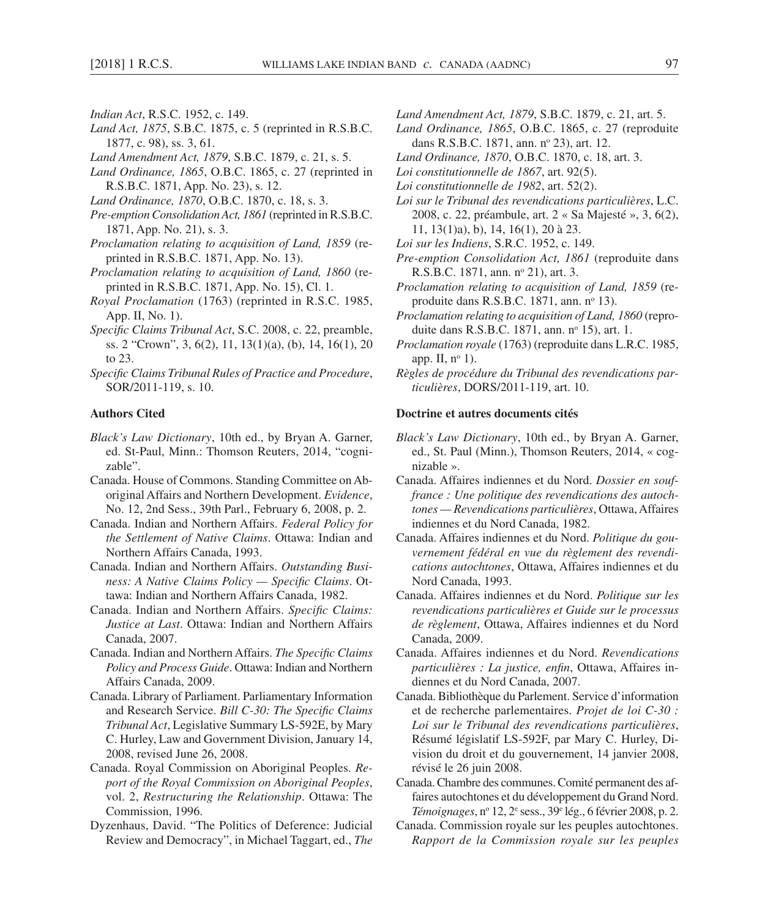- *Indian Act*, R.S.C. 1952, c. 149.
- *Land Act, 1875*, S.B.C. 1875, c. 5 (reprinted in R.S.B.C. 1877, c. 98), ss. 3, 61.
- *Land Amendment Act, 1879*, S.B.C. 1879, c. 21, s. 5.
- *Land Ordinance, 1865*, O.B.C. 1865, c. 27 (reprinted in R.S.B.C. 1871, App. No. 23), s. 12.
- *Land Ordinance, 1870*, O.B.C. 1870, c. 18, s. 3.
- *Pre- emption Consolidation Act, 1861* (reprinted in R.S.B.C. 1871, App. No. 21), s. 3.
- *Proclamation relating to acquisition of Land, 1859* (reprinted in R.S.B.C. 1871, App. No. 13).
- *Proclamation relating to acquisition of Land, 1860* (reprinted in R.S.B.C. 1871, App. No. 15), Cl. 1.
- *Royal Proclamation* (1763) (reprinted in R.S.C. 1985, App. II, No. 1).
- *Specific Claims Tribunal Act*, S.C. 2008, c. 22, preamble, ss. 2 "Crown", 3, 6(2), 11, 13(1)(a), (b), 14, 16(1), 20 to 23.
- Specific Claims Tribunal Rules of Practice and Procedure, SOR/2011-119, s. 10.

#### **Authors Cited**

- *Black's Law Dictionary*, 10th ed., by Bryan A. Garner, ed. St-Paul, Minn.: Thomson Reuters, 2014, "cognizable".
- Canada. House of Commons. Standing Committee on Aboriginal Affairs and Northern Development. *Evidence*, No. 12, 2nd Sess., 39th Parl., February 6, 2008, p. 2.
- Canada. Indian and Northern Affairs. *Federal Policy for the Settlement of Native Claims*. Ottawa: Indian and Northern Affairs Canada, 1993.
- Canada. Indian and Northern Affairs. *Outstanding Business: A Native Claims Policy — Specific Claims. Ot*tawa: Indian and Northern Affairs Canada, 1982.
- Canada. Indian and Northern Affairs. *Specific Claims: Justice at Last*. Ottawa: Indian and Northern Affairs Canada, 2007.
- Canada. Indian and Northern Affairs. *The Specific Claims Policy and Process Guide*. Ottawa: Indian and Northern Affairs Canada, 2009.
- Canada. Library of Parliament. Parliamentary Information and Research Service. *Bill C-30: The Specific Claims Tribunal Act*, Legislative Summary LS-592E, by Mary C. Hurley, Law and Government Division, January 14, 2008, revised June 26, 2008.
- Canada. Royal Commission on Aboriginal Peoples. *Report of the Royal Commission on Aboriginal Peoples*, vol. 2, *Restructuring the Relationship*. Ottawa: The Commission, 1996.
- Dyzenhaus, David. "The Politics of Deference: Judicial Review and Democracy", in Michael Taggart, ed., *The*
- *Land Amendment Act, 1879*, S.B.C. 1879, c. 21, art. 5.
- *Land Ordinance, 1865*, O.B.C. 1865, c. 27 (reproduite dans R.S.B.C. 1871, ann. nº 23), art. 12.
- *Land Ordinance, 1870*, O.B.C. 1870, c. 18, art. 3.
- *Loi constitutionnelle de 1867*, art. 92(5).
- *Loi constitutionnelle de 1982*, art. 52(2).
- *Loi sur le Tribunal des revendications particulières*, L.C. 2008, c. 22, préambule, art. 2 « Sa Majesté », 3, 6(2), 11, 13(1)a), b), 14, 16(1), 20 à 23.
- *Loi sur les Indiens*, S.R.C. 1952, c. 149.
- *Pre- emption Consolidation Act, 1861* (reproduite dans R.S.B.C. 1871, ann. nº 21), art. 3.
- *Proclamation relating to acquisition of Land, 1859* (reproduite dans R.S.B.C. 1871, ann. nº 13).
- *Proclamation relating to acquisition of Land, 1860* (reproduite dans R.S.B.C. 1871, ann. nº 15), art. 1.
- *Proclamation royale* (1763) (reproduite dans L.R.C. 1985, app. II, nº 1).
- *Règles de procédure du Tribunal des revendications particulières*, DORS/2011-119, art. 10.

#### **Doctrine et autres documents cités**

- *Black's Law Dictionary*, 10th ed., by Bryan A. Garner, ed., St. Paul (Minn.), Thomson Reuters, 2014, « cognizable ».
- Canada. Affaires indiennes et du Nord. *Dossier en souffrance : Une politique des revendications des autochtones — Revendications particulières*, Ottawa, Affaires indiennes et du Nord Canada, 1982.
- Canada. Affaires indiennes et du Nord. *Politique du gouvernement fédéral en vue du règlement des revendications autochtones*, Ottawa, Affaires indiennes et du Nord Canada, 1993.
- Canada. Affaires indiennes et du Nord. *Politique sur les revendications particulières et Guide sur le processus de règlement*, Ottawa, Affaires indiennes et du Nord Canada, 2009.
- Canada. Affaires indiennes et du Nord. *Revendications particulières : La justice, enfin, Ottawa, Affaires in*diennes et du Nord Canada, 2007.
- Canada. Bibliothèque du Parlement. Service d'information et de recherche parlementaires. *Projet de loi C-30 : Loi sur le Tribunal des revendications particulières*, Résumé législatif LS- 592F, par Mary C. Hurley, Division du droit et du gouvernement, 14 janvier 2008, révisé le 26 juin 2008.
- Canada. Chambre des communes. Comité permanent des affaires autochtones et du développement du Grand Nord. Témoignages, nº 12, 2<sup>e</sup> sess., 39<sup>e</sup> lég., 6 février 2008, p. 2.
- Canada. Commission royale sur les peuples autochtones. *Rapport de la Commission royale sur les peuples*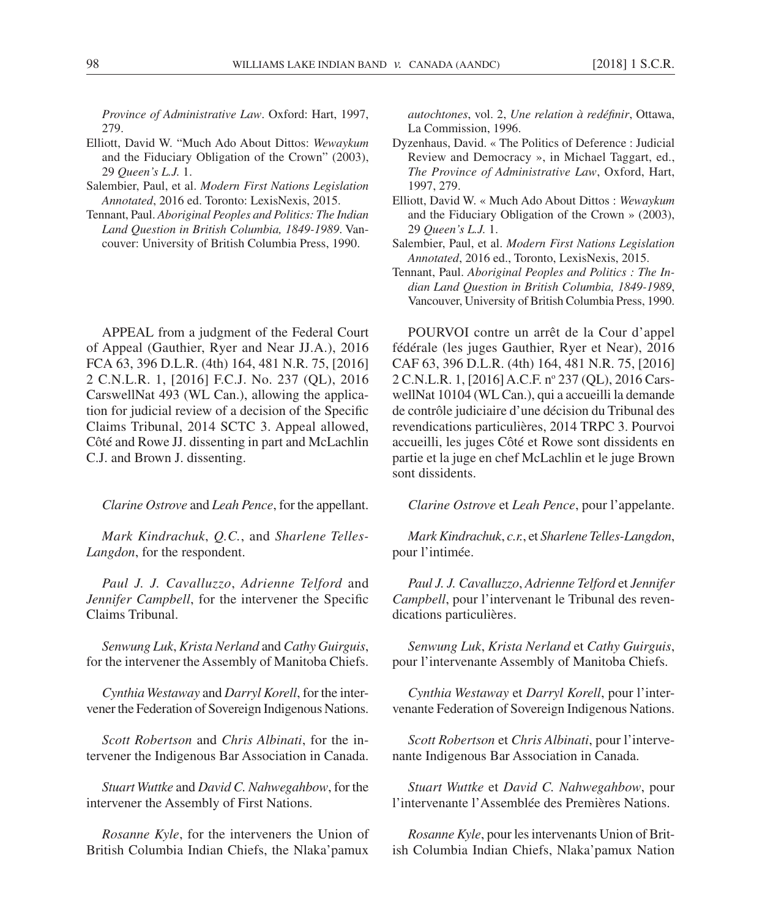*Province of Administrative Law*. Oxford: Hart, 1997, 279.

- Elliott, David W. "Much Ado About Dittos: *Wewaykum* and the Fiduciary Obligation of the Crown" (2003), 29 *Queen's L.J.* 1.
- Salembier, Paul, et al. *Modern First Nations Legislation Annotated*, 2016 ed. Toronto: LexisNexis, 2015.
- Tennant, Paul. *Aboriginal Peoples and Politics: The Indian Land Question in British Columbia, 1849-1989*. Vancouver: University of British Columbia Press, 1990.

APPEAL from a judgment of the Federal Court of Appeal (Gauthier, Ryer and Near JJ.A.), 2016 FCA 63, 396 D.L.R. (4th) 164, 481 N.R. 75, [2016] 2 C.N.L.R. 1, [2016] F.C.J. No. 237 (QL), 2016 CarswellNat 493 (WL Can.), allowing the application for judicial review of a decision of the Specific Claims Tribunal, 2014 SCTC 3. Appeal allowed, Côté and Rowe JJ. dissenting in part and McLachlin C.J. and Brown J. dissenting.

*Clarine Ostrove* and *Leah Pence*, for the appellant.

*Mark Kindrachuk*, *Q.C.*, and *Sharlene Telles-Langdon*, for the respondent.

*Paul J. J. Cavalluzzo*, *Adrienne Telford* and *Jennifer Campbell*, for the intervener the Specific Claims Tribunal.

*Senwung Luk*, *Krista Nerland* and *Cathy Guirguis*, for the intervener the Assembly of Manitoba Chiefs.

*Cynthia Westaway* and *Darryl Korell*, for the intervener the Federation of Sovereign Indigenous Nations.

*Scott Robertson* and *Chris Albinati*, for the intervener the Indigenous Bar Association in Canada.

*Stuart Wuttke* and *David C. Nahwegahbow*, for the intervener the Assembly of First Nations.

*Rosanne Kyle*, for the interveners the Union of British Columbia Indian Chiefs, the Nlaka'pamux

*autochtones*, vol. 2, *Une relation à redéfinir*, Ottawa, La Commission, 1996.

- Dyzenhaus, David. « The Politics of Deference : Judicial Review and Democracy », in Michael Taggart, ed., *The Province of Administrative Law*, Oxford, Hart, 1997, 279.
- Elliott, David W. « Much Ado About Dittos : *Wewaykum* and the Fiduciary Obligation of the Crown » (2003), 29 *Queen's L.J.* 1.
- Salembier, Paul, et al. *Modern First Nations Legislation Annotated*, 2016 ed., Toronto, LexisNexis, 2015.
- Tennant, Paul. *Aboriginal Peoples and Politics : The Indian Land Question in British Columbia, 1849-1989*, Vancouver, University of British Columbia Press, 1990.

POURVOI contre un arrêt de la Cour d'appel fédérale (les juges Gauthier, Ryer et Near), 2016 CAF 63, 396 D.L.R. (4th) 164, 481 N.R. 75, [2016] 2 C.N.L.R. 1, [2016] A.C.F. n° 237 (QL), 2016 CarswellNat 10104 (WL Can.), qui a accueilli la demande de contrôle judiciaire d'une décision du Tribunal des revendications particulières, 2014 TRPC 3. Pourvoi accueilli, les juges Côté et Rowe sont dissidents en partie et la juge en chef McLachlin et le juge Brown sont dissidents.

*Clarine Ostrove* et *Leah Pence*, pour l'appelante.

*Mark Kindrachuk*, *c.r.*, et *Sharlene Telles- Langdon*, pour l'intimée.

*Paul J. J. Cavalluzzo*, *Adrienne Telford* et *Jennifer Campbell*, pour l'intervenant le Tribunal des revendications particulières.

*Senwung Luk*, *Krista Nerland* et *Cathy Guirguis*, pour l'intervenante Assembly of Manitoba Chiefs.

*Cynthia Westaway* et *Darryl Korell*, pour l'intervenante Federation of Sovereign Indigenous Nations.

*Scott Robertson* et *Chris Albinati*, pour l'intervenante Indigenous Bar Association in Canada.

*Stuart Wuttke* et *David C. Nahwegahbow*, pour l'intervenante l'Assemblée des Premières Nations.

*Rosanne Kyle*, pour les intervenants Union of British Columbia Indian Chiefs, Nlaka'pamux Nation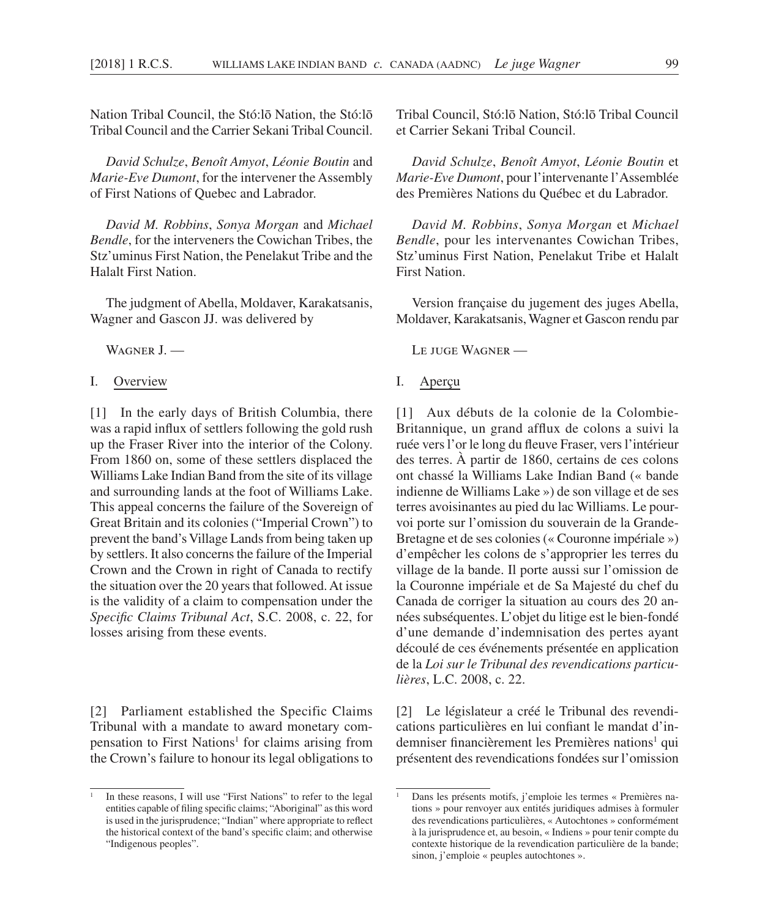Nation Tribal Council, the Stó:lō Nation, the Stó:lō Tribal Council and the Carrier Sekani Tribal Council.

*David Schulze*, *Benoît Amyot*, *Léonie Boutin* and *Marie- Eve Dumont*, for the intervener the Assembly of First Nations of Quebec and Labrador.

*David M. Robbins*, *Sonya Morgan* and *Michael Bendle*, for the interveners the Cowichan Tribes, the Stz'uminus First Nation, the Penelakut Tribe and the Halalt First Nation.

The judgment of Abella, Moldaver, Karakatsanis, Wagner and Gascon JJ. was delivered by

WAGNER J.

### I. Overview

[1] In the early days of British Columbia, there was a rapid influx of settlers following the gold rush up the Fraser River into the interior of the Colony. From 1860 on, some of these settlers displaced the Williams Lake Indian Band from the site of its village and surrounding lands at the foot of Williams Lake. This appeal concerns the failure of the Sovereign of Great Britain and its colonies ("Imperial Crown") to prevent the band's Village Lands from being taken up by settlers. It also concerns the failure of the Imperial Crown and the Crown in right of Canada to rectify the situation over the 20 years that followed. At issue is the validity of a claim to compensation under the *Specific Claims Tribunal Act*, S.C. 2008, c. 22, for losses arising from these events.

[2] Parliament established the Specific Claims Tribunal with a mandate to award monetary compensation to First Nations<sup>1</sup> for claims arising from the Crown's failure to honour its legal obligations to

Tribal Council, Stó:lō Nation, Stó:lō Tribal Council et Carrier Sekani Tribal Council.

*David Schulze*, *Benoît Amyot*, *Léonie Boutin* et *Marie- Eve Dumont*, pour l'intervenante l'Assemblée des Premières Nations du Québec et du Labrador.

*David M. Robbins*, *Sonya Morgan* et *Michael Bendle*, pour les intervenantes Cowichan Tribes, Stz'uminus First Nation, Penelakut Tribe et Halalt First Nation.

Version française du jugement des juges Abella, Moldaver, Karakatsanis, Wagner et Gascon rendu par

Le juge Wagner —

## I. Aperçu

[1] Aux débuts de la colonie de la Colombie-Britannique, un grand afflux de colons a suivi la ruée vers l'or le long du fleuve Fraser, vers l'intérieur des terres. À partir de 1860, certains de ces colons ont chassé la Williams Lake Indian Band (« bande indienne de Williams Lake ») de son village et de ses terres avoisinantes au pied du lac Williams. Le pourvoi porte sur l'omission du souverain de la Grande-Bretagne et de ses colonies (« Couronne impériale ») d'empêcher les colons de s'approprier les terres du village de la bande. Il porte aussi sur l'omission de la Couronne impériale et de Sa Majesté du chef du Canada de corriger la situation au cours des 20 années subséquentes. L'objet du litige est le bien- fondé d'une demande d'indemnisation des pertes ayant découlé de ces événements présentée en application de la *Loi sur le Tribunal des revendications particulières*, L.C. 2008, c. 22.

[2] Le législateur a créé le Tribunal des revendications particulières en lui confiant le mandat d'indemniser financièrement les Premières nations<sup>1</sup> qui présentent des revendications fondées sur l'omission

<sup>1</sup> In these reasons, I will use "First Nations" to refer to the legal entities capable of filing specific claims; "Aboriginal" as this word is used in the jurisprudence; "Indian" where appropriate to reflect the historical context of the band's specific claim; and otherwise "Indigenous peoples".

<sup>1</sup> Dans les présents motifs, j'emploie les termes « Premières nations » pour renvoyer aux entités juridiques admises à formuler des revendications particulières, « Autochtones » conformément à la jurisprudence et, au besoin, « Indiens » pour tenir compte du contexte historique de la revendication particulière de la bande; sinon, j'emploie « peuples autochtones ».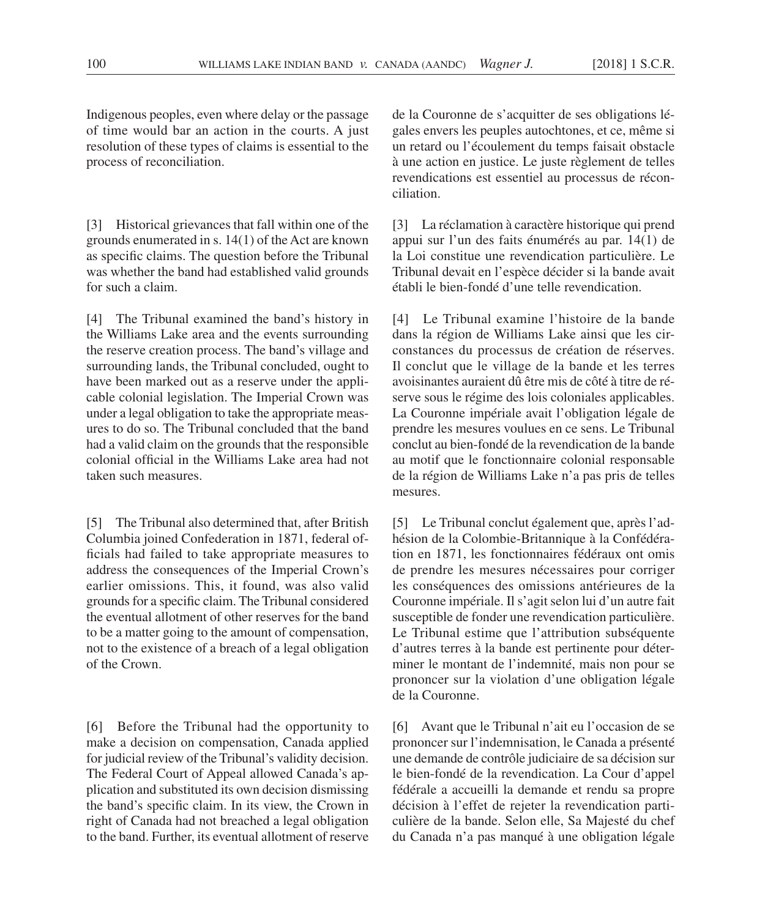Indigenous peoples, even where delay or the passage of time would bar an action in the courts. A just resolution of these types of claims is essential to the process of reconciliation.

[3] Historical grievances that fall within one of the grounds enumerated in s. 14(1) of the Act are known as specific claims. The question before the Tribunal was whether the band had established valid grounds for such a claim.

[4] The Tribunal examined the band's history in the Williams Lake area and the events surrounding the reserve creation process. The band's village and surrounding lands, the Tribunal concluded, ought to have been marked out as a reserve under the applicable colonial legislation. The Imperial Crown was under a legal obligation to take the appropriate measures to do so. The Tribunal concluded that the band had a valid claim on the grounds that the responsible colonial official in the Williams Lake area had not taken such measures.

[5] The Tribunal also determined that, after British Columbia joined Confederation in 1871, federal officials had failed to take appropriate measures to address the consequences of the Imperial Crown's earlier omissions. This, it found, was also valid grounds for a specific claim. The Tribunal considered the eventual allotment of other reserves for the band to be a matter going to the amount of compensation, not to the existence of a breach of a legal obligation of the Crown.

[6] Before the Tribunal had the opportunity to make a decision on compensation, Canada applied for judicial review of the Tribunal's validity decision. The Federal Court of Appeal allowed Canada's application and substituted its own decision dismissing the band's specific claim. In its view, the Crown in right of Canada had not breached a legal obligation to the band. Further, its eventual allotment of reserve

de la Couronne de s'acquitter de ses obligations légales envers les peuples autochtones, et ce, même si un retard ou l'écoulement du temps faisait obstacle à une action en justice. Le juste règlement de telles revendications est essentiel au processus de réconciliation.

[3] La réclamation à caractère historique qui prend appui sur l'un des faits énumérés au par. 14(1) de la Loi constitue une revendication particulière. Le Tribunal devait en l'espèce décider si la bande avait établi le bien- fondé d'une telle revendication.

[4] Le Tribunal examine l'histoire de la bande dans la région de Williams Lake ainsi que les circonstances du processus de création de réserves. Il conclut que le village de la bande et les terres avoisinantes auraient dû être mis de côté à titre de réserve sous le régime des lois coloniales applicables. La Couronne impériale avait l'obligation légale de prendre les mesures voulues en ce sens. Le Tribunal conclut au bien- fondé de la revendication de la bande au motif que le fonctionnaire colonial responsable de la région de Williams Lake n'a pas pris de telles mesures.

[5] Le Tribunal conclut également que, après l'adhésion de la Colombie- Britannique à la Confédération en 1871, les fonctionnaires fédéraux ont omis de prendre les mesures nécessaires pour corriger les conséquences des omissions antérieures de la Couronne impériale. Il s'agit selon lui d'un autre fait susceptible de fonder une revendication particulière. Le Tribunal estime que l'attribution subséquente d'autres terres à la bande est pertinente pour déterminer le montant de l'indemnité, mais non pour se prononcer sur la violation d'une obligation légale de la Couronne.

[6] Avant que le Tribunal n'ait eu l'occasion de se prononcer sur l'indemnisation, le Canada a présenté une demande de contrôle judiciaire de sa décision sur le bien- fondé de la revendication. La Cour d'appel fédérale a accueilli la demande et rendu sa propre décision à l'effet de rejeter la revendication particulière de la bande. Selon elle, Sa Majesté du chef du Canada n'a pas manqué à une obligation légale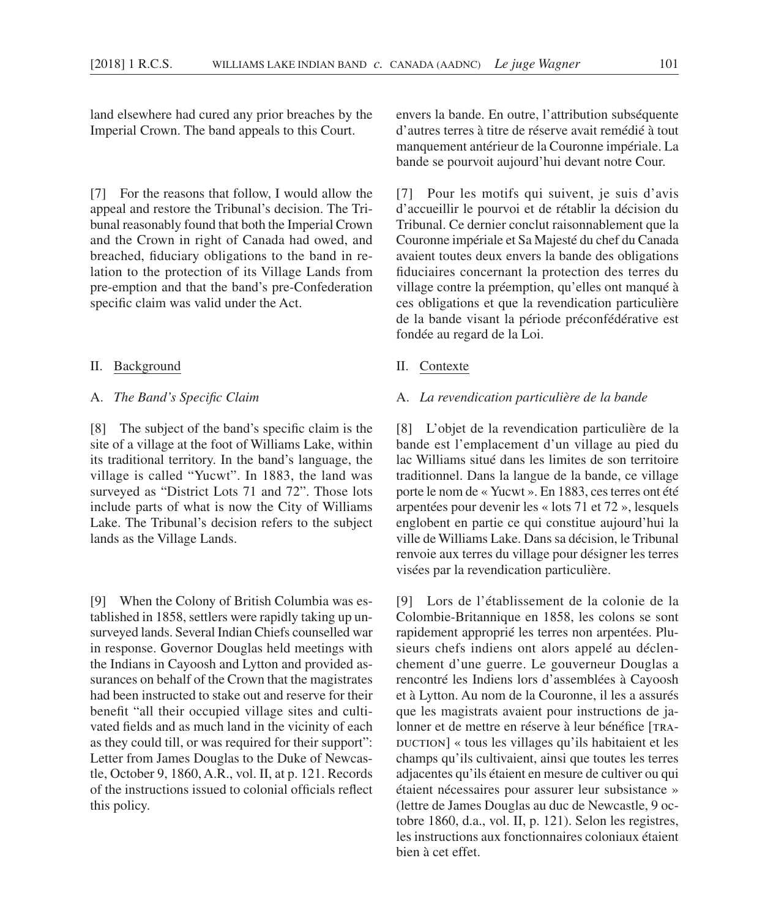land elsewhere had cured any prior breaches by the Imperial Crown. The band appeals to this Court.

[7] For the reasons that follow, I would allow the appeal and restore the Tribunal's decision. The Tribunal reasonably found that both the Imperial Crown and the Crown in right of Canada had owed, and breached, fiduciary obligations to the band in relation to the protection of its Village Lands from pre-emption and that the band's pre-Confederation specific claim was valid under the Act.

# II. Background

# A. *The Band's Specific Claim*

[8] The subject of the band's specific claim is the site of a village at the foot of Williams Lake, within its traditional territory. In the band's language, the village is called "Yucwt". In 1883, the land was surveyed as "District Lots 71 and 72". Those lots include parts of what is now the City of Williams Lake. The Tribunal's decision refers to the subject lands as the Village Lands.

[9] When the Colony of British Columbia was established in 1858, settlers were rapidly taking up unsurveyed lands. Several Indian Chiefs counselled war in response. Governor Douglas held meetings with the Indians in Cayoosh and Lytton and provided assurances on behalf of the Crown that the magistrates had been instructed to stake out and reserve for their benefit "all their occupied village sites and cultivated fields and as much land in the vicinity of each as they could till, or was required for their support": Letter from James Douglas to the Duke of Newcastle, October 9, 1860, A.R., vol. II, at p. 121. Records of the instructions issued to colonial officials reflect this policy.

envers la bande. En outre, l'attribution subséquente d'autres terres à titre de réserve avait remédié à tout manquement antérieur de la Couronne impériale. La bande se pourvoit aujourd'hui devant notre Cour.

[7] Pour les motifs qui suivent, je suis d'avis d'accueillir le pourvoi et de rétablir la décision du Tribunal. Ce dernier conclut raisonnablement que la Couronne impériale et Sa Majesté du chef du Canada avaient toutes deux envers la bande des obligations fiduciaires concernant la protection des terres du village contre la préemption, qu'elles ont manqué à ces obligations et que la revendication particulière de la bande visant la période préconfédérative est fondée au regard de la Loi.

# II. Contexte

## A. *La revendication particulière de la bande*

[8] L'objet de la revendication particulière de la bande est l'emplacement d'un village au pied du lac Williams situé dans les limites de son territoire traditionnel. Dans la langue de la bande, ce village porte le nom de « Yucwt ». En 1883, ces terres ont été arpentées pour devenir les « lots 71 et 72 », lesquels englobent en partie ce qui constitue aujourd'hui la ville de Williams Lake. Dans sa décision, le Tribunal renvoie aux terres du village pour désigner les terres visées par la revendication particulière.

[9] Lors de l'établissement de la colonie de la Colombie- Britannique en 1858, les colons se sont rapidement approprié les terres non arpentées. Plusieurs chefs indiens ont alors appelé au déclenchement d'une guerre. Le gouverneur Douglas a rencontré les Indiens lors d'assemblées à Cayoosh et à Lytton. Au nom de la Couronne, il les a assurés que les magistrats avaient pour instructions de jalonner et de mettre en réserve à leur bénéfice [TRA-DUCTION] « tous les villages qu'ils habitaient et les champs qu'ils cultivaient, ainsi que toutes les terres adjacentes qu'ils étaient en mesure de cultiver ou qui étaient nécessaires pour assurer leur subsistance » (lettre de James Douglas au duc de Newcastle, 9 octobre 1860, d.a., vol. II, p. 121). Selon les registres, les instructions aux fonctionnaires coloniaux étaient bien à cet effet.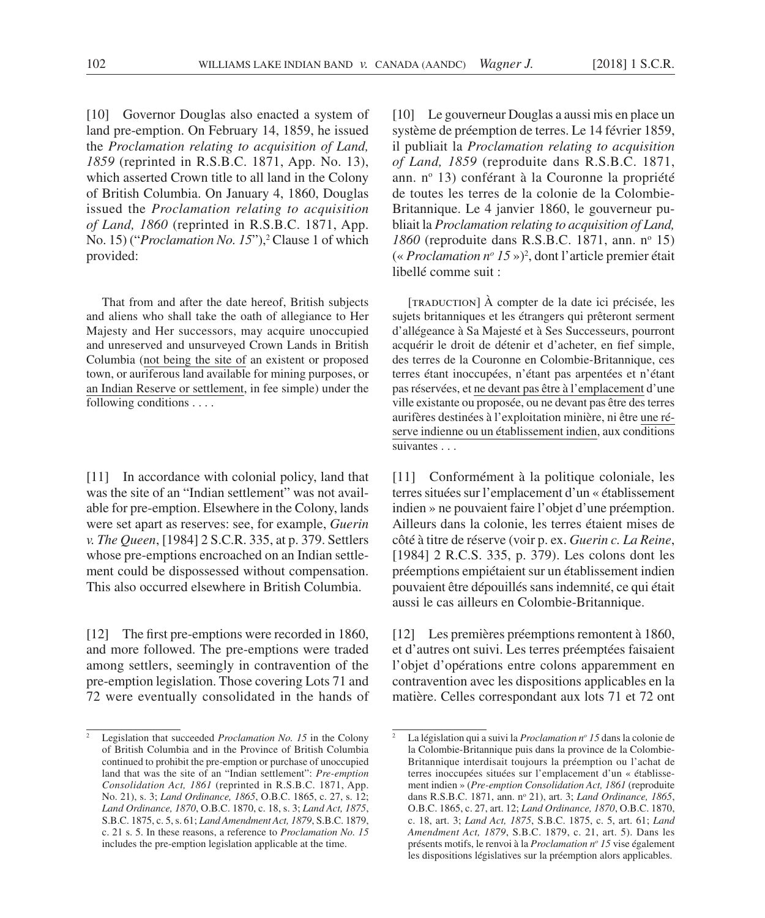[10] Governor Douglas also enacted a system of land pre-emption. On February 14, 1859, he issued the *Proclamation relating to acquisition of Land, 1859* (reprinted in R.S.B.C. 1871, App. No. 13), which asserted Crown title to all land in the Colony of British Columbia. On January 4, 1860, Douglas issued the *Proclamation relating to acquisition of Land, 1860* (reprinted in R.S.B.C. 1871, App. No. 15) ("*Proclamation No. 15*"),<sup>2</sup> Clause 1 of which provided:

That from and after the date hereof, British subjects and aliens who shall take the oath of allegiance to Her Majesty and Her successors, may acquire unoccupied and unreserved and unsurveyed Crown Lands in British Columbia (not being the site of an existent or proposed town, or auriferous land available for mining purposes, or an Indian Reserve or settlement, in fee simple) under the following conditions . . . .

[11] In accordance with colonial policy, land that was the site of an "Indian settlement" was not available for pre- emption. Elsewhere in the Colony, lands were set apart as reserves: see, for example, *Guerin v. The Queen*, [1984] 2 S.C.R. 335, at p. 379. Settlers whose pre-emptions encroached on an Indian settlement could be dispossessed without compensation. This also occurred elsewhere in British Columbia.

[12] The first pre-emptions were recorded in 1860, and more followed. The pre-emptions were traded among settlers, seemingly in contravention of the pre- emption legislation. Those covering Lots 71 and 72 were eventually consolidated in the hands of [10] Le gouverneur Douglas a aussi mis en place un système de préemption de terres. Le 14 février 1859, il publiait la *Proclamation relating to acquisition of Land, 1859* (reproduite dans R.S.B.C. 1871, ann. nº 13) conférant à la Couronne la propriété de toutes les terres de la colonie de la Colombie-Britannique. Le 4 janvier 1860, le gouverneur publiait la *Proclamation relating to acquisition of Land,*  1860 (reproduite dans R.S.B.C. 1871, ann. nº 15) (« *Proclamation nº 15* »)<sup>2</sup>, dont l'article premier était libellé comme suit :

[TRADUCTION] À compter de la date ici précisée, les sujets britanniques et les étrangers qui prêteront serment d'allégeance à Sa Majesté et à Ses Successeurs, pourront acquérir le droit de détenir et d'acheter, en fief simple, des terres de la Couronne en Colombie- Britannique, ces terres étant inoccupées, n'étant pas arpentées et n'étant pas réservées, et ne devant pas être à l'emplacement d'une ville existante ou proposée, ou ne devant pas être des terres aurifères destinées à l'exploitation minière, ni être une réserve indienne ou un établissement indien, aux conditions suivantes . . .

[11] Conformément à la politique coloniale, les terres situées sur l'emplacement d'un « établissement indien » ne pouvaient faire l'objet d'une préemption. Ailleurs dans la colonie, les terres étaient mises de côté à titre de réserve (voir p. ex. *Guerin c. La Reine*, [1984] 2 R.C.S. 335, p. 379). Les colons dont les préemptions empiétaient sur un établissement indien pouvaient être dépouillés sans indemnité, ce qui était aussi le cas ailleurs en Colombie- Britannique.

[12] Les premières préemptions remontent à 1860, et d'autres ont suivi. Les terres préemptées faisaient l'objet d'opérations entre colons apparemment en contravention avec les dispositions applicables en la matière. Celles correspondant aux lots 71 et 72 ont

<sup>2</sup> Legislation that succeeded *Proclamation No. 15* in the Colony of British Columbia and in the Province of British Columbia continued to prohibit the pre- emption or purchase of unoccupied land that was the site of an "Indian settlement": Pre-emption *Consolidation Act, 1861* (reprinted in R.S.B.C. 1871, App. No. 21), s. 3; *Land Ordinance, 1865*, O.B.C. 1865, c. 27, s. 12; *Land Ordinance, 1870*, O.B.C. 1870, c. 18, s. 3; *Land Act, 1875*, S.B.C. 1875, c. 5, s. 61; *Land Amendment Act, 1879*, S.B.C. 1879, c. 21 s. 5. In these reasons, a reference to *Proclamation No. 15* includes the pre-emption legislation applicable at the time.

 $\overline{2}$ La législation qui a suivi la *Proclamation nº 15* dans la colonie de la Colombie- Britannique puis dans la province de la Colombie-Britannique interdisait toujours la préemption ou l'achat de terres inoccupées situées sur l'emplacement d'un « établissement indien » (*Pre- emption Consolidation Act, 1861* (reproduite dans R.S.B.C. 1871, ann. no 21), art. 3; *Land Ordinance, 1865*, O.B.C. 1865, c. 27, art. 12; *Land Ordinance, 1870*, O.B.C. 1870, c. 18, art. 3; *Land Act, 1875*, S.B.C. 1875, c. 5, art. 61; *Land Amendment Act, 1879*, S.B.C. 1879, c. 21, art. 5). Dans les présents motifs, le renvoi à la *Proclamation no 15* vise également les dispositions législatives sur la préemption alors applicables.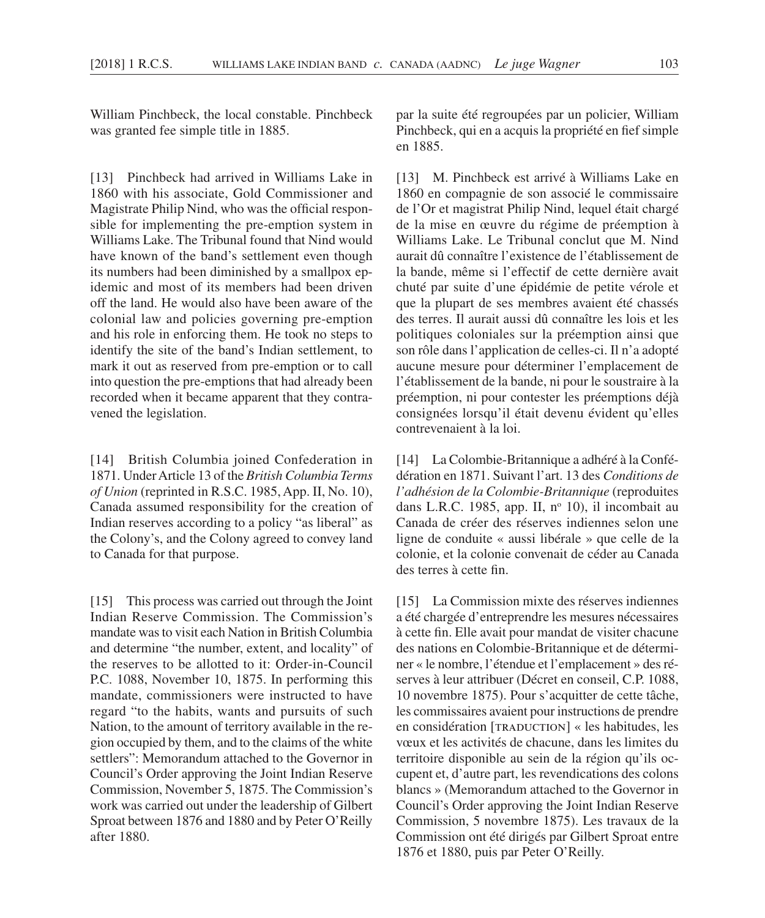William Pinchbeck, the local constable. Pinchbeck was granted fee simple title in 1885.

[13] Pinchbeck had arrived in Williams Lake in 1860 with his associate, Gold Commissioner and Magistrate Philip Nind, who was the official responsible for implementing the pre-emption system in Williams Lake. The Tribunal found that Nind would have known of the band's settlement even though its numbers had been diminished by a smallpox epidemic and most of its members had been driven off the land. He would also have been aware of the colonial law and policies governing pre- emption and his role in enforcing them. He took no steps to identify the site of the band's Indian settlement, to mark it out as reserved from pre-emption or to call into question the pre-emptions that had already been recorded when it became apparent that they contravened the legislation.

[14] British Columbia joined Confederation in 1871. Under Article 13 of the *British Columbia Terms of Union* (reprinted in R.S.C. 1985, App. II, No. 10), Canada assumed responsibility for the creation of Indian reserves according to a policy "as liberal" as the Colony's, and the Colony agreed to convey land to Canada for that purpose.

[15] This process was carried out through the Joint Indian Reserve Commission. The Commission's mandate was to visit each Nation in British Columbia and determine "the number, extent, and locality" of the reserves to be allotted to it: Order-in-Council P.C. 1088, November 10, 1875. In performing this mandate, commissioners were instructed to have regard "to the habits, wants and pursuits of such Nation, to the amount of territory available in the region occupied by them, and to the claims of the white settlers": Memorandum attached to the Governor in Council's Order approving the Joint Indian Reserve Commission, November 5, 1875. The Commission's work was carried out under the leadership of Gilbert Sproat between 1876 and 1880 and by Peter O'Reilly after 1880.

par la suite été regroupées par un policier, William Pinchbeck, qui en a acquis la propriété en fief simple en 1885.

[13] M. Pinchbeck est arrivé à Williams Lake en 1860 en compagnie de son associé le commissaire de l'Or et magistrat Philip Nind, lequel était chargé de la mise en œuvre du régime de préemption à Williams Lake. Le Tribunal conclut que M. Nind aurait dû connaître l'existence de l'établissement de la bande, même si l'effectif de cette dernière avait chuté par suite d'une épidémie de petite vérole et que la plupart de ses membres avaient été chassés des terres. Il aurait aussi dû connaître les lois et les politiques coloniales sur la préemption ainsi que son rôle dans l'application de celles-ci. Il n'a adopté aucune mesure pour déterminer l'emplacement de l'établissement de la bande, ni pour le soustraire à la préemption, ni pour contester les préemptions déjà consignées lorsqu'il était devenu évident qu'elles contrevenaient à la loi.

[14] La Colombie- Britannique a adhéré à la Confédération en 1871. Suivant l'art. 13 des *Conditions de l'adhésion de la Colombie- Britannique* (reproduites dans L.R.C. 1985, app. II, nº 10), il incombait au Canada de créer des réserves indiennes selon une ligne de conduite « aussi libérale » que celle de la colonie, et la colonie convenait de céder au Canada des terres à cette fin.

[15] La Commission mixte des réserves indiennes a été chargée d'entreprendre les mesures nécessaires à cette fin. Elle avait pour mandat de visiter chacune des nations en Colombie- Britannique et de déterminer « le nombre, l'étendue et l'emplacement » des réserves à leur attribuer (Décret en conseil, C.P. 1088, 10 novembre 1875). Pour s'acquitter de cette tâche, les commissaires avaient pour instructions de prendre en considération [TRADUCTION] « les habitudes, les vœux et les activités de chacune, dans les limites du territoire disponible au sein de la région qu'ils occupent et, d'autre part, les revendications des colons blancs » (Memorandum attached to the Governor in Council's Order approving the Joint Indian Reserve Commission, 5 novembre 1875). Les travaux de la Commission ont été dirigés par Gilbert Sproat entre 1876 et 1880, puis par Peter O'Reilly.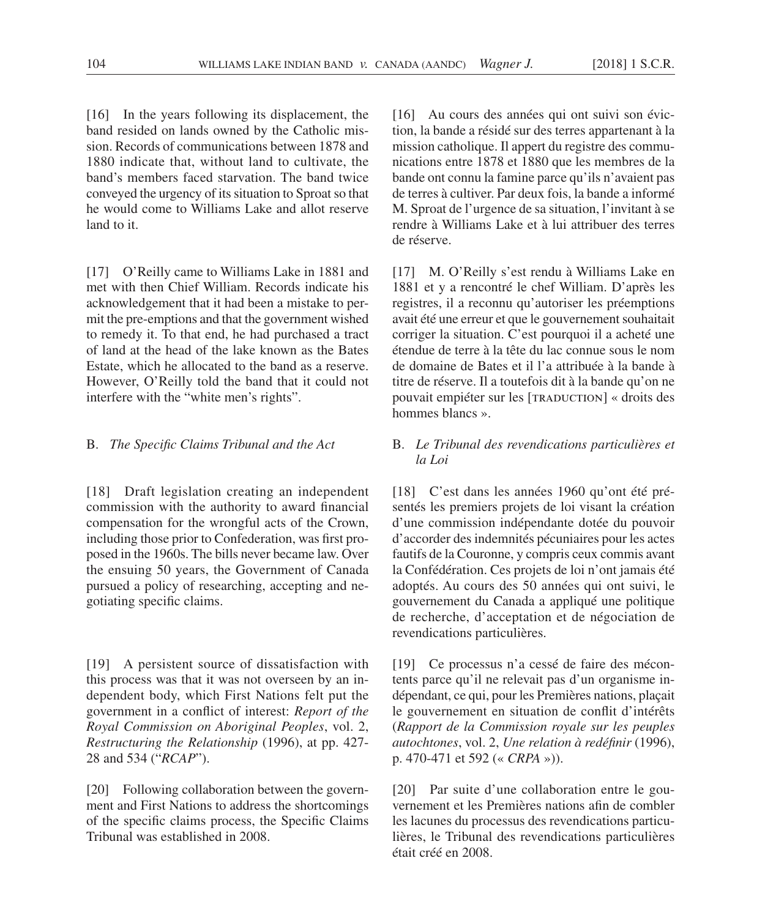[16] In the years following its displacement, the band resided on lands owned by the Catholic mission. Records of communications between 1878 and 1880 indicate that, without land to cultivate, the band's members faced starvation. The band twice conveyed the urgency of its situation to Sproat so that he would come to Williams Lake and allot reserve land to it.

[17] O'Reilly came to Williams Lake in 1881 and met with then Chief William. Records indicate his acknowledgement that it had been a mistake to permit the pre- emptions and that the government wished to remedy it. To that end, he had purchased a tract of land at the head of the lake known as the Bates Estate, which he allocated to the band as a reserve. However, O'Reilly told the band that it could not interfere with the "white men's rights".

# B. *The Specific Claims Tribunal and the Act*

[18] Draft legislation creating an independent commission with the authority to award financial compensation for the wrongful acts of the Crown, including those prior to Confederation, was first proposed in the 1960s. The bills never became law. Over the ensuing 50 years, the Government of Canada pursued a policy of researching, accepting and ne-<sub>g</sub>otiating specific claims.

[19] A persistent source of dissatisfaction with this process was that it was not overseen by an independent body, which First Nations felt put the government in a conflict of interest: *Report of the Royal Commission on Aboriginal Peoples*, vol. 2, *Restructuring the Relationship* (1996), at pp. 427- 28 and 534 ("*RCAP*").

[20] Following collaboration between the government and First Nations to address the shortcomings of the specific claims process, the Specific Claims Tribunal was established in 2008.

[16] Au cours des années qui ont suivi son éviction, la bande a résidé sur des terres appartenant à la mission catholique. Il appert du registre des communications entre 1878 et 1880 que les membres de la bande ont connu la famine parce qu'ils n'avaient pas de terres à cultiver. Par deux fois, la bande a informé M. Sproat de l'urgence de sa situation, l'invitant à se rendre à Williams Lake et à lui attribuer des terres de réserve.

[17] M. O'Reilly s'est rendu à Williams Lake en 1881 et y a rencontré le chef William. D'après les registres, il a reconnu qu'autoriser les préemptions avait été une erreur et que le gouvernement souhaitait corriger la situation. C'est pourquoi il a acheté une étendue de terre à la tête du lac connue sous le nom de domaine de Bates et il l'a attribuée à la bande à titre de réserve. Il a toutefois dit à la bande qu'on ne pouvait empiéter sur les [TRADUCTION] « droits des hommes blancs ».

# B. *Le Tribunal des revendications particulières et la Loi*

[18] C'est dans les années 1960 qu'ont été présentés les premiers projets de loi visant la création d'une commission indépendante dotée du pouvoir d'accorder des indemnités pécuniaires pour les actes fautifs de la Couronne, y compris ceux commis avant la Confédération. Ces projets de loi n'ont jamais été adoptés. Au cours des 50 années qui ont suivi, le gouvernement du Canada a appliqué une politique de recherche, d'acceptation et de négociation de revendications particulières.

[19] Ce processus n'a cessé de faire des mécontents parce qu'il ne relevait pas d'un organisme indépendant, ce qui, pour les Premières nations, plaçait le gouvernement en situation de conflit d'intérêts (*Rapport de la Commission royale sur les peuples autochtones, vol. 2, Une relation à redéfinir* (1996), p. 470-471 et 592 (« *CRPA* »)).

[20] Par suite d'une collaboration entre le gouvernement et les Premières nations afin de combler les lacunes du processus des revendications particulières, le Tribunal des revendications particulières était créé en 2008.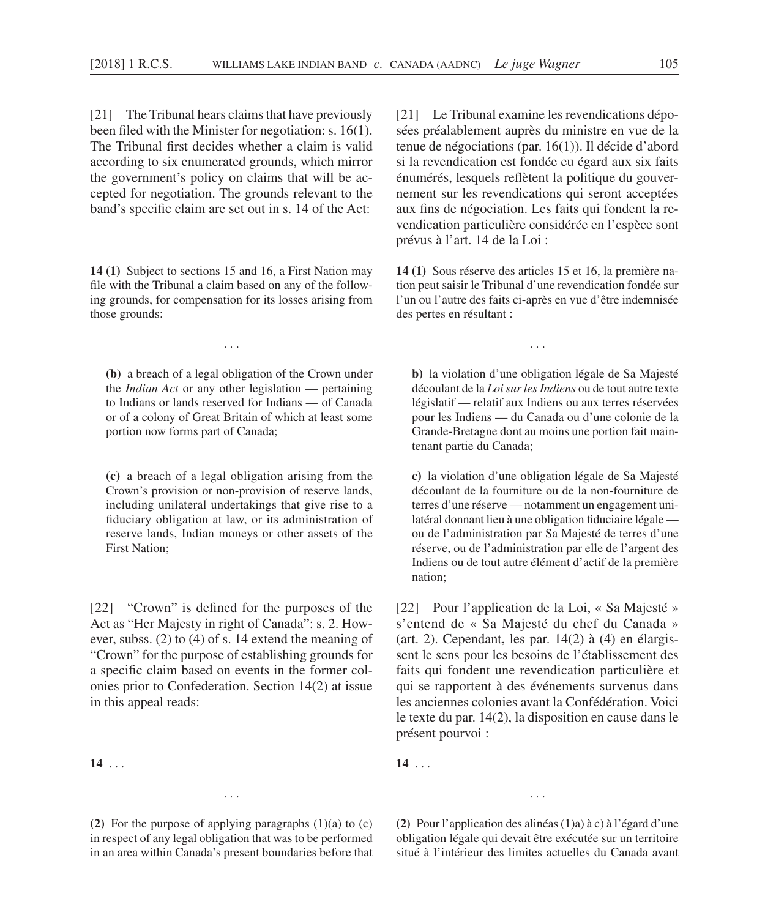[21] The Tribunal hears claims that have previously been filed with the Minister for negotiation: s.  $16(1)$ . The Tribunal first decides whether a claim is valid according to six enumerated grounds, which mirror the government's policy on claims that will be accepted for negotiation. The grounds relevant to the band's specific claim are set out in s. 14 of the Act:

**14 (1)** Subject to sections 15 and 16, a First Nation may file with the Tribunal a claim based on any of the following grounds, for compensation for its losses arising from those grounds:

. . .

**(b)** a breach of a legal obligation of the Crown under the *Indian Act* or any other legislation — pertaining to Indians or lands reserved for Indians — of Canada or of a colony of Great Britain of which at least some portion now forms part of Canada;

**(c)** a breach of a legal obligation arising from the Crown's provision or non-provision of reserve lands, including unilateral undertakings that give rise to a fiduciary obligation at law, or its administration of reserve lands, Indian moneys or other assets of the First Nation;

[22] "Crown" is defined for the purposes of the Act as "Her Majesty in right of Canada": s. 2. However, subss. (2) to (4) of s. 14 extend the meaning of "Crown" for the purpose of establishing grounds for a specific claim based on events in the former colonies prior to Confederation. Section 14(2) at issue in this appeal reads:

**14** . . .

**(2)** For the purpose of applying paragraphs (1)(a) to (c) in respect of any legal obligation that was to be performed in an area within Canada's present boundaries before that

. . .

[21] Le Tribunal examine les revendications déposées préalablement auprès du ministre en vue de la tenue de négociations (par. 16(1)). Il décide d'abord si la revendication est fondée eu égard aux six faits énumérés, lesquels reflètent la politique du gouvernement sur les revendications qui seront acceptées aux fins de négociation. Les faits qui fondent la revendication particulière considérée en l'espèce sont prévus à l'art. 14 de la Loi :

**14 (1)** Sous réserve des articles 15 et 16, la première nation peut saisir le Tribunal d'une revendication fondée sur l'un ou l'autre des faits ci- après en vue d'être indemnisée des pertes en résultant :

. . .

**b)** la violation d'une obligation légale de Sa Majesté découlant de la *Loi sur les Indiens* ou de tout autre texte législatif — relatif aux Indiens ou aux terres réservées pour les Indiens — du Canada ou d'une colonie de la Grande- Bretagne dont au moins une portion fait maintenant partie du Canada;

**c)** la violation d'une obligation légale de Sa Majesté découlant de la fourniture ou de la non- fourniture de terres d'une réserve — notamment un engagement unilatéral donnant lieu à une obligation fiduciaire légale ou de l'administration par Sa Majesté de terres d'une réserve, ou de l'administration par elle de l'argent des Indiens ou de tout autre élément d'actif de la première nation;

[22] Pour l'application de la Loi, « Sa Majesté » s'entend de « Sa Majesté du chef du Canada » (art. 2). Cependant, les par. 14(2) à (4) en élargissent le sens pour les besoins de l'établissement des faits qui fondent une revendication particulière et qui se rapportent à des événements survenus dans les anciennes colonies avant la Confédération. Voici le texte du par. 14(2), la disposition en cause dans le présent pourvoi :

**14** . . .

**(2)** Pour l'application des alinéas (1)a) à c) à l'égard d'une obligation légale qui devait être exécutée sur un territoire situé à l'intérieur des limites actuelles du Canada avant

. . .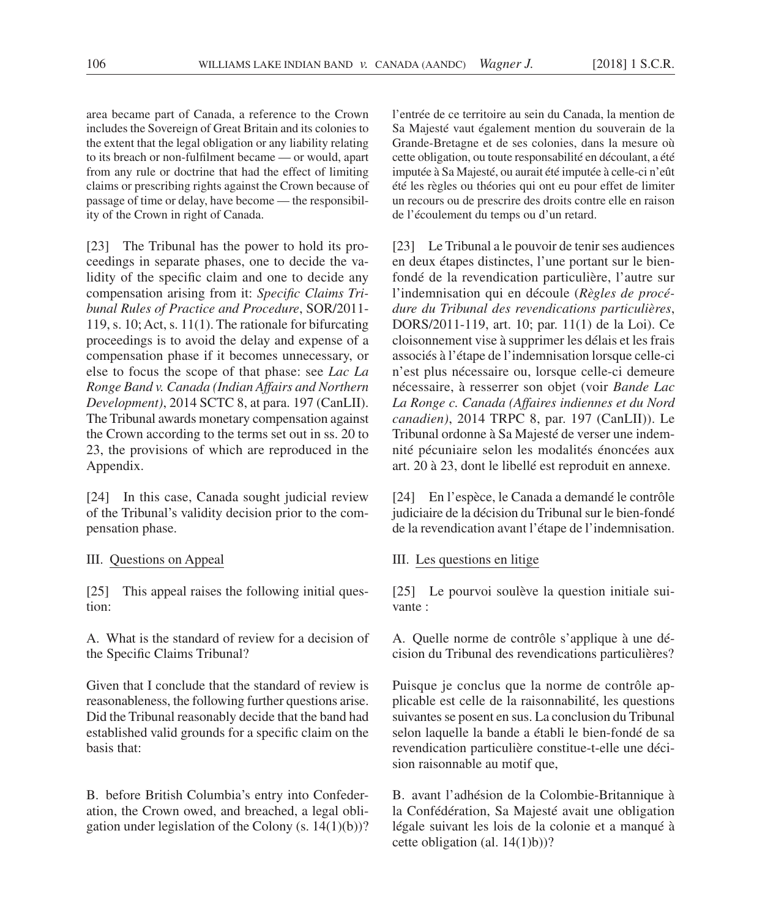area became part of Canada, a reference to the Crown includes the Sovereign of Great Britain and its colonies to the extent that the legal obligation or any liability relating to its breach or non-fulfilment became — or would, apart from any rule or doctrine that had the effect of limiting claims or prescribing rights against the Crown because of passage of time or delay, have become — the responsibility of the Crown in right of Canada.

[23] The Tribunal has the power to hold its proceedings in separate phases, one to decide the validity of the specific claim and one to decide any compensation arising from it: Specific Claims Tri*bunal Rules of Practice and Procedure*, SOR/2011- 119, s. 10; Act, s. 11(1). The rationale for bifurcating proceedings is to avoid the delay and expense of a compensation phase if it becomes unnecessary, or else to focus the scope of that phase: see *Lac La Ronge Band v. Canada (Indian Affairs and Northern Development)*, 2014 SCTC 8, at para. 197 (CanLII). The Tribunal awards monetary compensation against the Crown according to the terms set out in ss. 20 to 23, the provisions of which are reproduced in the Appendix.

[24] In this case, Canada sought judicial review of the Tribunal's validity decision prior to the compensation phase.

# III. Questions on Appeal

[25] This appeal raises the following initial question:

A. What is the standard of review for a decision of the Specific Claims Tribunal?

Given that I conclude that the standard of review is reasonableness, the following further questions arise. Did the Tribunal reasonably decide that the band had established valid grounds for a specific claim on the basis that:

B. before British Columbia's entry into Confederation, the Crown owed, and breached, a legal obligation under legislation of the Colony  $(s, 14(1)(b))$ ? l'entrée de ce territoire au sein du Canada, la mention de Sa Majesté vaut également mention du souverain de la Grande- Bretagne et de ses colonies, dans la mesure où cette obligation, ou toute responsabilité en découlant, a été imputée à Sa Majesté, ou aurait été imputée à celle-ci n'eût été les règles ou théories qui ont eu pour effet de limiter un recours ou de prescrire des droits contre elle en raison de l'écoulement du temps ou d'un retard.

[23] Le Tribunal a le pouvoir de tenir ses audiences en deux étapes distinctes, l'une portant sur le bienfondé de la revendication particulière, l'autre sur l'indemnisation qui en découle (*Règles de procédure du Tribunal des revendications particulières*, DORS/2011-119, art. 10; par. 11(1) de la Loi). Ce cloisonnement vise à supprimer les délais et les frais associés à l'étape de l'indemnisation lorsque celle-ci n'est plus nécessaire ou, lorsque celle-ci demeure nécessaire, à resserrer son objet (voir *Bande Lac La Ronge c. Canada (Affaires indiennes et du Nord canadien)*, 2014 TRPC 8, par. 197 (CanLII)). Le Tribunal ordonne à Sa Majesté de verser une indemnité pécuniaire selon les modalités énoncées aux art. 20 à 23, dont le libellé est reproduit en annexe.

[24] En l'espèce, le Canada a demandé le contrôle judiciaire de la décision du Tribunal sur le bien-fondé de la revendication avant l'étape de l'indemnisation.

# III. Les questions en litige

[25] Le pourvoi soulève la question initiale suivante :

A. Quelle norme de contrôle s'applique à une décision du Tribunal des revendications particulières?

Puisque je conclus que la norme de contrôle applicable est celle de la raisonnabilité, les questions suivantes se posent en sus. La conclusion du Tribunal selon laquelle la bande a établi le bien-fondé de sa revendication particulière constitue-t-elle une décision raisonnable au motif que,

B. avant l'adhésion de la Colombie- Britannique à la Confédération, Sa Majesté avait une obligation légale suivant les lois de la colonie et a manqué à cette obligation (al.  $14(1)b$ )?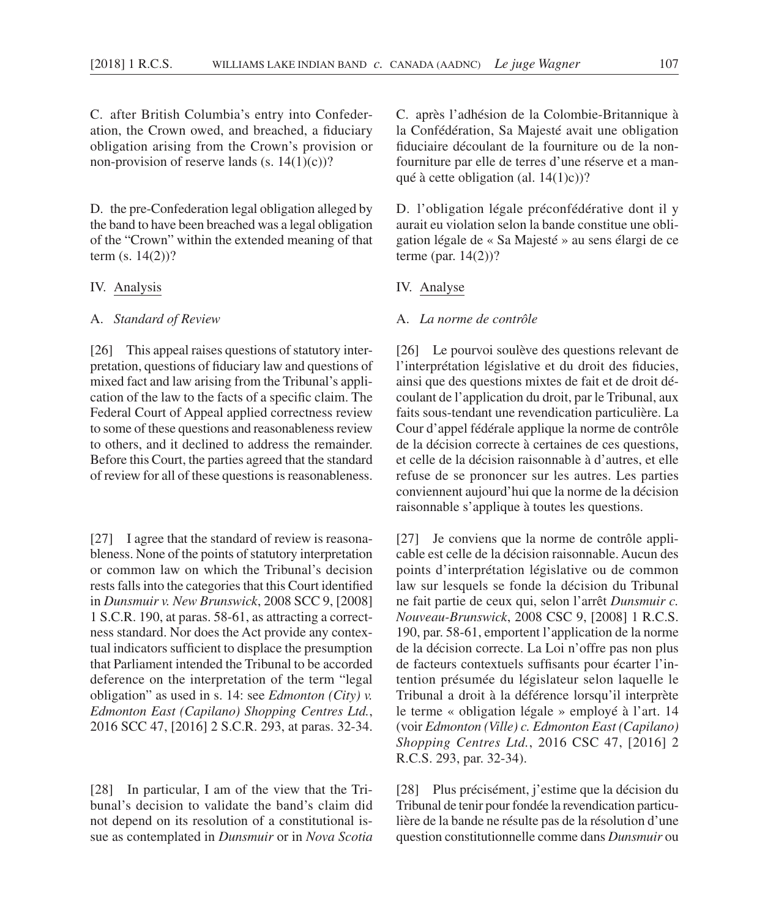C. after British Columbia's entry into Confederation, the Crown owed, and breached, a fiduciary obligation arising from the Crown's provision or non-provision of reserve lands  $(s. 14(1)(c))$ ?

D. the pre-Confederation legal obligation alleged by the band to have been breached was a legal obligation of the "Crown" within the extended meaning of that term (s. 14(2))?

## IV. Analysis

# A. *Standard of Review*

[26] This appeal raises questions of statutory interpretation, questions of fiduciary law and questions of mixed fact and law arising from the Tribunal's application of the law to the facts of a specific claim. The Federal Court of Appeal applied correctness review to some of these questions and reasonableness review to others, and it declined to address the remainder. Before this Court, the parties agreed that the standard of review for all of these questions is reasonableness.

[27] I agree that the standard of review is reasonableness. None of the points of statutory interpretation or common law on which the Tribunal's decision rests falls into the categories that this Court identified in *Dunsmuir v. New Brunswick*, 2008 SCC 9, [2008] 1 S.C.R. 190, at paras. 58-61, as attracting a correctness standard. Nor does the Act provide any contextual indicators sufficient to displace the presumption that Parliament intended the Tribunal to be accorded deference on the interpretation of the term "legal obligation" as used in s. 14: see *Edmonton (City) v. Edmonton East (Capilano) Shopping Centres Ltd.*, 2016 SCC 47, [2016] 2 S.C.R. 293, at paras. 32-34.

[28] In particular, I am of the view that the Tribunal's decision to validate the band's claim did not depend on its resolution of a constitutional issue as contemplated in *Dunsmuir* or in *Nova Scotia* 

C. après l'adhésion de la Colombie- Britannique à la Confédération, Sa Majesté avait une obligation fiduciaire découlant de la fourniture ou de la nonfourniture par elle de terres d'une réserve et a manqué à cette obligation (al. 14(1)c))?

D. l'obligation légale préconfédérative dont il y aurait eu violation selon la bande constitue une obligation légale de « Sa Majesté » au sens élargi de ce terme (par. 14(2))?

# IV. Analyse

## A. *La norme de contrôle*

[26] Le pourvoi soulève des questions relevant de l'interprétation législative et du droit des fiducies, ainsi que des questions mixtes de fait et de droit découlant de l'application du droit, par le Tribunal, aux faits sous- tendant une revendication particulière. La Cour d'appel fédérale applique la norme de contrôle de la décision correcte à certaines de ces questions, et celle de la décision raisonnable à d'autres, et elle refuse de se prononcer sur les autres. Les parties conviennent aujourd'hui que la norme de la décision raisonnable s'applique à toutes les questions.

[27] Je conviens que la norme de contrôle applicable est celle de la décision raisonnable. Aucun des points d'interprétation législative ou de common law sur lesquels se fonde la décision du Tribunal ne fait partie de ceux qui, selon l'arrêt *Dunsmuir c. Nouveau- Brunswick*, 2008 CSC 9, [2008] 1 R.C.S. 190, par. 58-61, emportent l'application de la norme de la décision correcte. La Loi n'offre pas non plus de facteurs contextuels suffisants pour écarter l'intention présumée du législateur selon laquelle le Tribunal a droit à la déférence lorsqu'il interprète le terme « obligation légale » employé à l'art. 14 (voir *Edmonton (Ville) c. Edmonton East (Capilano) Shopping Centres Ltd.*, 2016 CSC 47, [2016] 2 R.C.S. 293, par. 32-34).

[28] Plus précisément, j'estime que la décision du Tribunal de tenir pour fondée la revendication particulière de la bande ne résulte pas de la résolution d'une question constitutionnelle comme dans *Dunsmuir* ou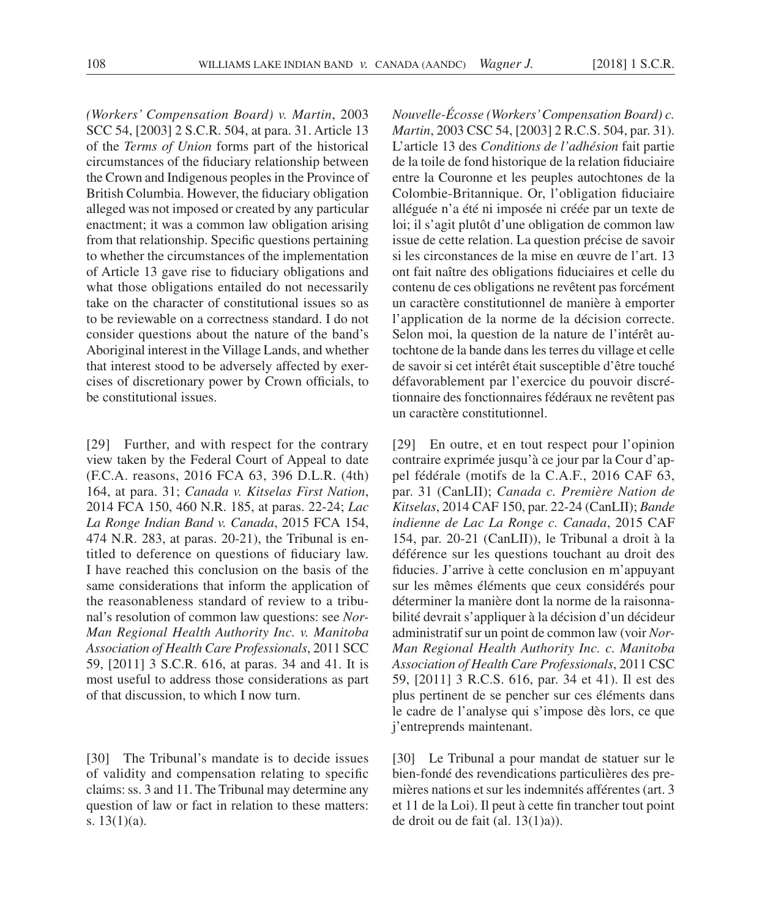*(Workers' Compensation Board) v. Martin*, 2003 SCC 54, [2003] 2 S.C.R. 504, at para. 31. Article 13 of the *Terms of Union* forms part of the historical circumstances of the fiduciary relationship between the Crown and Indigenous peoples in the Province of British Columbia. However, the fiduciary obligation alleged was not imposed or created by any particular enactment; it was a common law obligation arising from that relationship. Specific questions pertaining to whether the circumstances of the implementation of Article 13 gave rise to fiduciary obligations and what those obligations entailed do not necessarily take on the character of constitutional issues so as to be reviewable on a correctness standard. I do not consider questions about the nature of the band's Aboriginal interest in the Village Lands, and whether that interest stood to be adversely affected by exercises of discretionary power by Crown officials, to be constitutional issues.

[29] Further, and with respect for the contrary view taken by the Federal Court of Appeal to date (F.C.A. reasons, 2016 FCA 63, 396 D.L.R. (4th) 164, at para. 31; *Canada v. Kitselas First Nation*, 2014 FCA 150, 460 N.R. 185, at paras. 22-24; *Lac La Ronge Indian Band v. Canada*, 2015 FCA 154, 474 N.R. 283, at paras. 20-21), the Tribunal is entitled to deference on questions of fiduciary law. I have reached this conclusion on the basis of the same considerations that inform the application of the reasonableness standard of review to a tribunal's resolution of common law questions: see *Nor-Man Regional Health Authority Inc. v. Manitoba Association of Health Care Professionals*, 2011 SCC 59, [2011] 3 S.C.R. 616, at paras. 34 and 41. It is most useful to address those considerations as part of that discussion, to which I now turn.

[30] The Tribunal's mandate is to decide issues of validity and compensation relating to specific claims: ss. 3 and 11. The Tribunal may determine any question of law or fact in relation to these matters: s. 13(1)(a).

*Nouvelle- Écosse (Workers' Compensation Board) c. Martin*, 2003 CSC 54, [2003] 2 R.C.S. 504, par. 31). L'article 13 des *Conditions de l'adhésion* fait partie de la toile de fond historique de la relation fiduciaire entre la Couronne et les peuples autochtones de la Colombie-Britannique. Or, l'obligation fiduciaire alléguée n'a été ni imposée ni créée par un texte de loi; il s'agit plutôt d'une obligation de common law issue de cette relation. La question précise de savoir si les circonstances de la mise en œuvre de l'art. 13 ont fait naître des obligations fiduciaires et celle du contenu de ces obligations ne revêtent pas forcément un caractère constitutionnel de manière à emporter l'application de la norme de la décision correcte. Selon moi, la question de la nature de l'intérêt autochtone de la bande dans les terres du village et celle de savoir si cet intérêt était susceptible d'être touché défavorablement par l'exercice du pouvoir discrétionnaire des fonctionnaires fédéraux ne revêtent pas un caractère constitutionnel.

[29] En outre, et en tout respect pour l'opinion contraire exprimée jusqu'à ce jour par la Cour d'appel fédérale (motifs de la C.A.F., 2016 CAF 63, par. 31 (CanLII); *Canada c. Première Nation de Kitselas*, 2014 CAF 150, par. 22-24 (CanLII); *Bande indienne de Lac La Ronge c. Canada*, 2015 CAF 154, par. 20-21 (CanLII)), le Tribunal a droit à la déférence sur les questions touchant au droit des fiducies. J'arrive à cette conclusion en m'appuyant sur les mêmes éléments que ceux considérés pour déterminer la manière dont la norme de la raisonnabilité devrait s'appliquer à la décision d'un décideur administratif sur un point de common law (voir *Nor-Man Regional Health Authority Inc. c. Manitoba Association of Health Care Professionals*, 2011 CSC 59, [2011] 3 R.C.S. 616, par. 34 et 41). Il est des plus pertinent de se pencher sur ces éléments dans le cadre de l'analyse qui s'impose dès lors, ce que j'entreprends maintenant.

[30] Le Tribunal a pour mandat de statuer sur le bien- fondé des revendications particulières des premières nations et sur les indemnités afférentes (art. 3 et 11 de la Loi). Il peut à cette fin trancher tout point de droit ou de fait (al. 13(1)a)).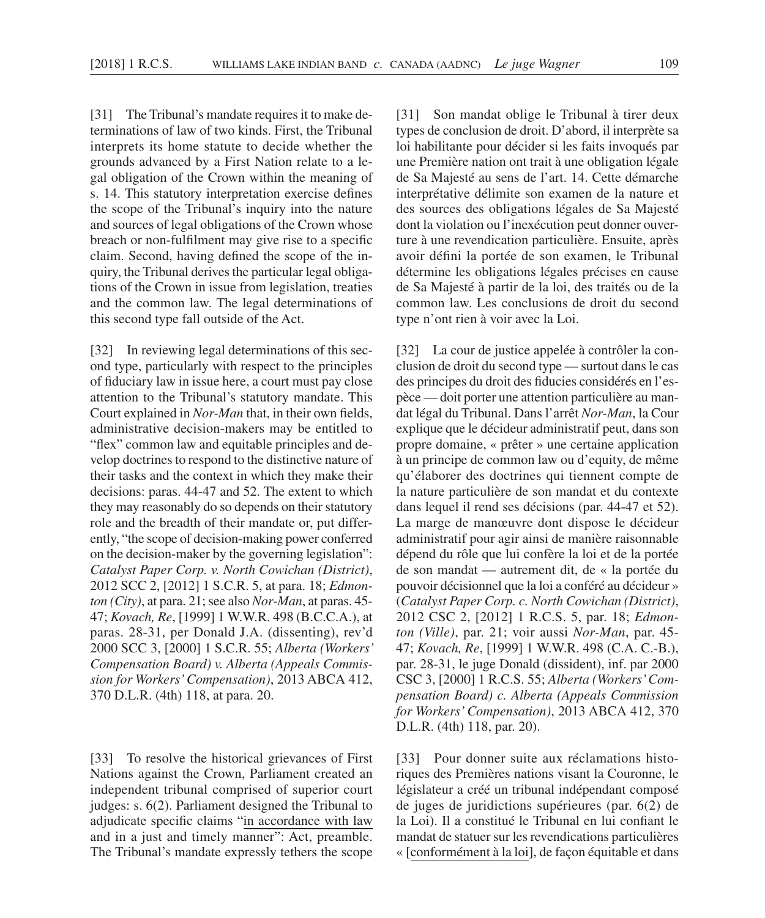[31] The Tribunal's mandate requires it to make determinations of law of two kinds. First, the Tribunal interprets its home statute to decide whether the grounds advanced by a First Nation relate to a legal obligation of the Crown within the meaning of s. 14. This statutory interpretation exercise defines the scope of the Tribunal's inquiry into the nature and sources of legal obligations of the Crown whose breach or non-fulfilment may give rise to a specific claim. Second, having defined the scope of the inquiry, the Tribunal derives the particular legal obligations of the Crown in issue from legislation, treaties and the common law. The legal determinations of this second type fall outside of the Act.

[32] In reviewing legal determinations of this second type, particularly with respect to the principles of fiduciary law in issue here, a court must pay close attention to the Tribunal's statutory mandate. This Court explained in *Nor-Man* that, in their own fields, administrative decision- makers may be entitled to "flex" common law and equitable principles and develop doctrines to respond to the distinctive nature of their tasks and the context in which they make their decisions: paras. 44-47 and 52. The extent to which they may reasonably do so depends on their statutory role and the breadth of their mandate or, put differently, "the scope of decision- making power conferred on the decision-maker by the governing legislation": *Catalyst Paper Corp. v. North Cowichan (District)*, 2012 SCC 2, [2012] 1 S.C.R. 5, at para. 18; *Edmonton (City)*, at para. 21; see also *Nor- Man*, at paras. 45- 47; *Kovach, Re*, [1999] 1 W.W.R. 498 (B.C.C.A.), at paras. 28-31, per Donald J.A. (dissenting), rev'd 2000 SCC 3, [2000] 1 S.C.R. 55; *Alberta (Workers' Compensation Board) v. Alberta (Appeals Commission for Workers' Compensation)*, 2013 ABCA 412, 370 D.L.R. (4th) 118, at para. 20.

[33] To resolve the historical grievances of First Nations against the Crown, Parliament created an independent tribunal comprised of superior court judges: s. 6(2). Parliament designed the Tribunal to adjudicate specific claims "in accordance with law and in a just and timely manner": Act, preamble. The Tribunal's mandate expressly tethers the scope [31] Son mandat oblige le Tribunal à tirer deux types de conclusion de droit. D'abord, il interprète sa loi habilitante pour décider si les faits invoqués par une Première nation ont trait à une obligation légale de Sa Majesté au sens de l'art. 14. Cette démarche interprétative délimite son examen de la nature et des sources des obligations légales de Sa Majesté dont la violation ou l'inexécution peut donner ouverture à une revendication particulière. Ensuite, après avoir défini la portée de son examen, le Tribunal détermine les obligations légales précises en cause de Sa Majesté à partir de la loi, des traités ou de la common law. Les conclusions de droit du second type n'ont rien à voir avec la Loi.

[32] La cour de justice appelée à contrôler la conclusion de droit du second type — surtout dans le cas des principes du droit des fiducies considérés en l'espèce — doit porter une attention particulière au mandat légal du Tribunal. Dans l'arrêt *Nor- Man*, la Cour explique que le décideur administratif peut, dans son propre domaine, « prêter » une certaine application à un principe de common law ou d'equity, de même qu'élaborer des doctrines qui tiennent compte de la nature particulière de son mandat et du contexte dans lequel il rend ses décisions (par. 44-47 et 52). La marge de manœuvre dont dispose le décideur administratif pour agir ainsi de manière raisonnable dépend du rôle que lui confère la loi et de la portée de son mandat — autrement dit, de « la portée du pouvoir décisionnel que la loi a conféré au décideur » (*Catalyst Paper Corp. c. North Cowichan (District)*, 2012 CSC 2, [2012] 1 R.C.S. 5, par. 18; *Edmonton (Ville)*, par. 21; voir aussi *Nor- Man*, par. 45- 47; *Kovach, Re*, [1999] 1 W.W.R. 498 (C.A. C.-B.), par. 28-31, le juge Donald (dissident), inf. par 2000 CSC 3, [2000] 1 R.C.S. 55; *Alberta (Workers' Compensation Board) c. Alberta (Appeals Commission for Workers' Compensation)*, 2013 ABCA 412, 370 D.L.R. (4th) 118, par. 20).

[33] Pour donner suite aux réclamations historiques des Premières nations visant la Couronne, le législateur a créé un tribunal indépendant composé de juges de juridictions supérieures (par. 6(2) de la Loi). Il a constitué le Tribunal en lui confiant le mandat de statuer sur les revendications particulières « [conformément à la loi], de façon équitable et dans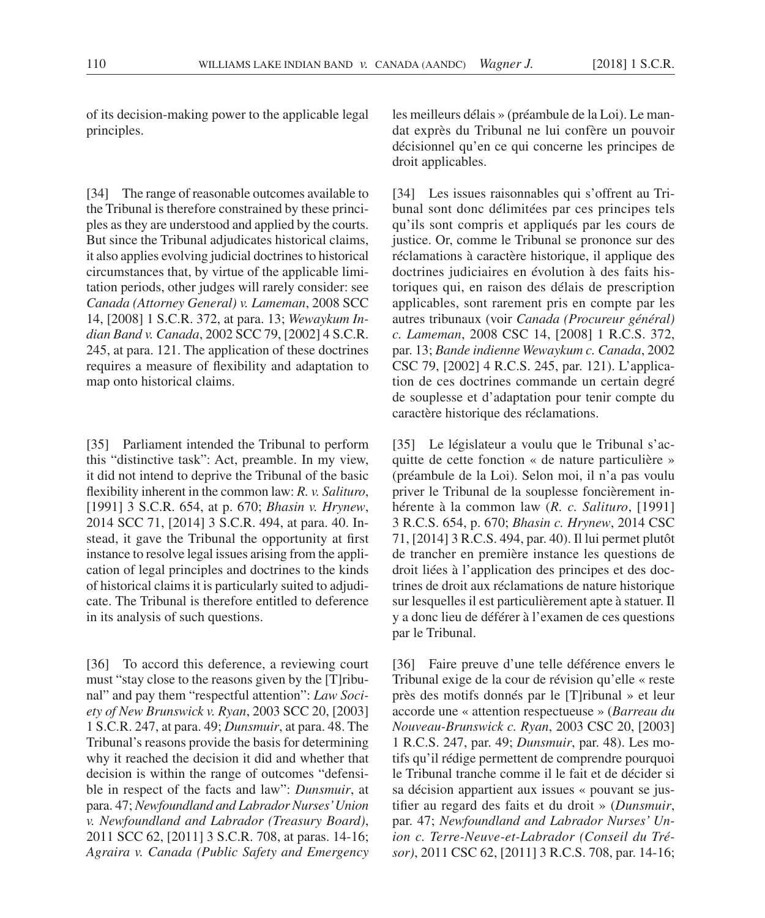of its decision- making power to the applicable legal principles.

[34] The range of reasonable outcomes available to the Tribunal is therefore constrained by these principles as they are understood and applied by the courts. But since the Tribunal adjudicates historical claims, it also applies evolving judicial doctrines to historical circumstances that, by virtue of the applicable limitation periods, other judges will rarely consider: see *Canada (Attorney General) v. Lameman*, 2008 SCC 14, [2008] 1 S.C.R. 372, at para. 13; *Wewaykum Indian Band v. Canada*, 2002 SCC 79, [2002] 4 S.C.R. 245, at para. 121. The application of these doctrines requires a measure of flexibility and adaptation to map onto historical claims.

[35] Parliament intended the Tribunal to perform this "distinctive task": Act, preamble. In my view, it did not intend to deprive the Tribunal of the basic flexibility inherent in the common law: *R. v. Salituro*, [1991] 3 S.C.R. 654, at p. 670; *Bhasin v. Hrynew*, 2014 SCC 71, [2014] 3 S.C.R. 494, at para. 40. Instead, it gave the Tribunal the opportunity at first instance to resolve legal issues arising from the application of legal principles and doctrines to the kinds of historical claims it is particularly suited to adjudicate. The Tribunal is therefore entitled to deference in its analysis of such questions.

[36] To accord this deference, a reviewing court must "stay close to the reasons given by the [T]ribunal" and pay them "respectful attention": *Law Society of New Brunswick v. Ryan*, 2003 SCC 20, [2003] 1 S.C.R. 247, at para. 49; *Dunsmuir*, at para. 48. The Tribunal's reasons provide the basis for determining why it reached the decision it did and whether that decision is within the range of outcomes "defensible in respect of the facts and law": *Dunsmuir*, at para. 47; *Newfoundland and Labrador Nurses' Union v. Newfoundland and Labrador (Treasury Board)*, 2011 SCC 62, [2011] 3 S.C.R. 708, at paras. 14-16; *Agraira v. Canada (Public Safety and Emergency* 

les meilleurs délais » (préambule de la Loi). Le mandat exprès du Tribunal ne lui confère un pouvoir décisionnel qu'en ce qui concerne les principes de droit applicables.

[34] Les issues raisonnables qui s'offrent au Tribunal sont donc délimitées par ces principes tels qu'ils sont compris et appliqués par les cours de justice. Or, comme le Tribunal se prononce sur des réclamations à caractère historique, il applique des doctrines judiciaires en évolution à des faits historiques qui, en raison des délais de prescription applicables, sont rarement pris en compte par les autres tribunaux (voir *Canada (Procureur général) c. Lameman*, 2008 CSC 14, [2008] 1 R.C.S. 372, par. 13; *Bande indienne Wewaykum c. Canada*, 2002 CSC 79, [2002] 4 R.C.S. 245, par. 121). L'application de ces doctrines commande un certain degré de souplesse et d'adaptation pour tenir compte du caractère historique des réclamations.

[35] Le législateur a voulu que le Tribunal s'acquitte de cette fonction « de nature particulière » (préambule de la Loi). Selon moi, il n'a pas voulu priver le Tribunal de la souplesse foncièrement inhérente à la common law (*R. c. Salituro*, [1991] 3 R.C.S. 654, p. 670; *Bhasin c. Hrynew*, 2014 CSC 71, [2014] 3 R.C.S. 494, par. 40). Il lui permet plutôt de trancher en première instance les questions de droit liées à l'application des principes et des doctrines de droit aux réclamations de nature historique sur lesquelles il est particulièrement apte à statuer. Il y a donc lieu de déférer à l'examen de ces questions par le Tribunal.

[36] Faire preuve d'une telle déférence envers le Tribunal exige de la cour de révision qu'elle « reste près des motifs donnés par le [T]ribunal » et leur accorde une « attention respectueuse » (*Barreau du Nouveau- Brunswick c. Ryan*, 2003 CSC 20, [2003] 1 R.C.S. 247, par. 49; *Dunsmuir*, par. 48). Les motifs qu'il rédige permettent de comprendre pourquoi le Tribunal tranche comme il le fait et de décider si sa décision appartient aux issues « pouvant se justifier au regard des faits et du droit » (Dunsmuir, par. 47; *Newfoundland and Labrador Nurses' Union c. Terre- Neuve-et- Labrador (Conseil du Trésor)*, 2011 CSC 62, [2011] 3 R.C.S. 708, par. 14-16;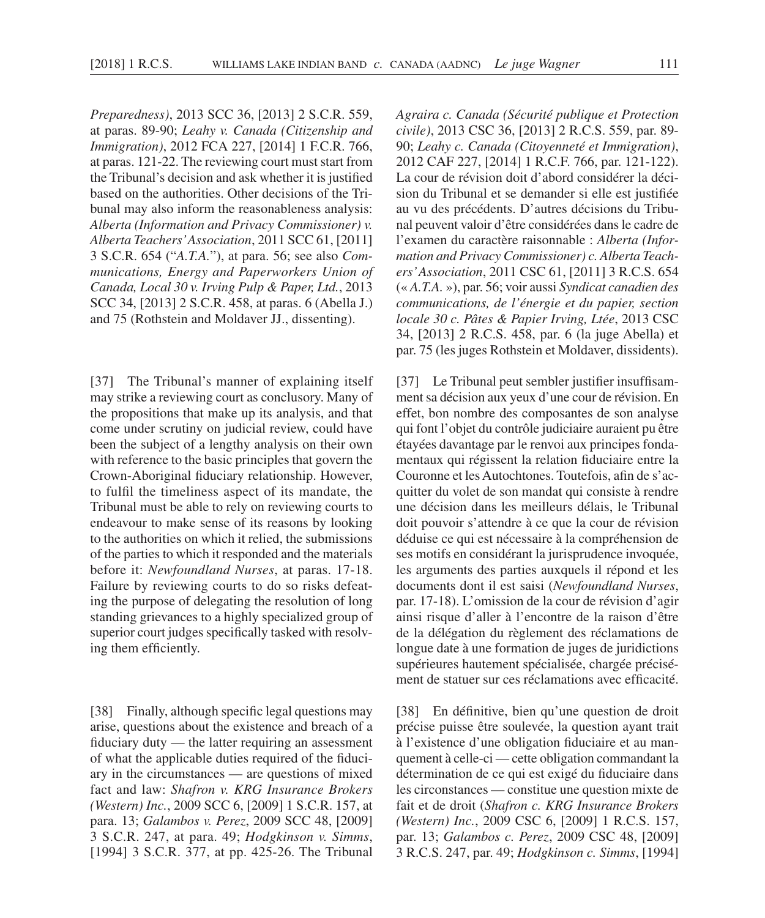*Preparedness)*, 2013 SCC 36, [2013] 2 S.C.R. 559, at paras. 89-90; *Leahy v. Canada (Citizenship and Immigration)*, 2012 FCA 227, [2014] 1 F.C.R. 766, at paras. 121-22. The reviewing court must start from the Tribunal's decision and ask whether it is justified based on the authorities. Other decisions of the Tribunal may also inform the reasonableness analysis: *Alberta (Information and Privacy Commissioner) v. Alberta Teachers' Association*, 2011 SCC 61, [2011] 3 S.C.R. 654 ("*A.T.A.*"), at para. 56; see also *Communications, Energy and Paperworkers Union of Canada, Local 30 v. Irving Pulp & Paper, Ltd.*, 2013 SCC 34, [2013] 2 S.C.R. 458, at paras. 6 (Abella J.) and 75 (Rothstein and Moldaver JJ., dissenting).

[37] The Tribunal's manner of explaining itself may strike a reviewing court as conclusory. Many of the propositions that make up its analysis, and that come under scrutiny on judicial review, could have been the subject of a lengthy analysis on their own with reference to the basic principles that govern the Crown-Aboriginal fiduciary relationship. However, to fulfil the timeliness aspect of its mandate, the Tribunal must be able to rely on reviewing courts to endeavour to make sense of its reasons by looking to the authorities on which it relied, the submissions of the parties to which it responded and the materials before it: *Newfoundland Nurses*, at paras. 17-18. Failure by reviewing courts to do so risks defeating the purpose of delegating the resolution of long standing grievances to a highly specialized group of superior court judges specifically tasked with resolving them efficiently.

[38] Finally, although specific legal questions may arise, questions about the existence and breach of a fiduciary duty — the latter requiring an assessment of what the applicable duties required of the fiduciary in the circumstances — are questions of mixed fact and law: *Shafron v. KRG Insurance Brokers (Western) Inc.*, 2009 SCC 6, [2009] 1 S.C.R. 157, at para. 13; *Galambos v. Perez*, 2009 SCC 48, [2009] 3 S.C.R. 247, at para. 49; *Hodgkinson v. Simms*, [1994] 3 S.C.R. 377, at pp. 425-26. The Tribunal

*Agraira c. Canada (Sécurité publique et Protection civile)*, 2013 CSC 36, [2013] 2 R.C.S. 559, par. 89- 90; *Leahy c. Canada (Citoyenneté et Immigration)*, 2012 CAF 227, [2014] 1 R.C.F. 766, par. 121-122). La cour de révision doit d'abord considérer la décision du Tribunal et se demander si elle est justifiée au vu des précédents. D'autres décisions du Tribunal peuvent valoir d'être considérées dans le cadre de l'examen du caractère raisonnable : *Alberta (Information and Privacy Commissioner) c. Alberta Teachers' Association*, 2011 CSC 61, [2011] 3 R.C.S. 654 (« *A.T.A.* »), par. 56; voir aussi *Syndicat canadien des communications, de l'énergie et du papier, section locale 30 c. Pâtes & Papier Irving, Ltée*, 2013 CSC 34, [2013] 2 R.C.S. 458, par. 6 (la juge Abella) et par. 75 (les juges Rothstein et Moldaver, dissidents).

[37] Le Tribunal peut sembler justifier insuffisamment sa décision aux yeux d'une cour de révision. En effet, bon nombre des composantes de son analyse qui font l'objet du contrôle judiciaire auraient pu être étayées davantage par le renvoi aux principes fondamentaux qui régissent la relation fiduciaire entre la Couronne et les Autochtones. Toutefois, afin de s'acquitter du volet de son mandat qui consiste à rendre une décision dans les meilleurs délais, le Tribunal doit pouvoir s'attendre à ce que la cour de révision déduise ce qui est nécessaire à la compréhension de ses motifs en considérant la jurisprudence invoquée, les arguments des parties auxquels il répond et les documents dont il est saisi (*Newfoundland Nurses*, par. 17-18). L'omission de la cour de révision d'agir ainsi risque d'aller à l'encontre de la raison d'être de la délégation du règlement des réclamations de longue date à une formation de juges de juridictions supérieures hautement spécialisée, chargée précisément de statuer sur ces réclamations avec efficacité.

[38] En définitive, bien qu'une question de droit précise puisse être soulevée, la question ayant trait à l'existence d'une obligation fiduciaire et au manquement à celle-ci — cette obligation commandant la détermination de ce qui est exigé du fiduciaire dans les circonstances — constitue une question mixte de fait et de droit (*Shafron c. KRG Insurance Brokers (Western) Inc.*, 2009 CSC 6, [2009] 1 R.C.S. 157, par. 13; *Galambos c. Perez*, 2009 CSC 48, [2009] 3 R.C.S. 247, par. 49; *Hodgkinson c. Simms*, [1994]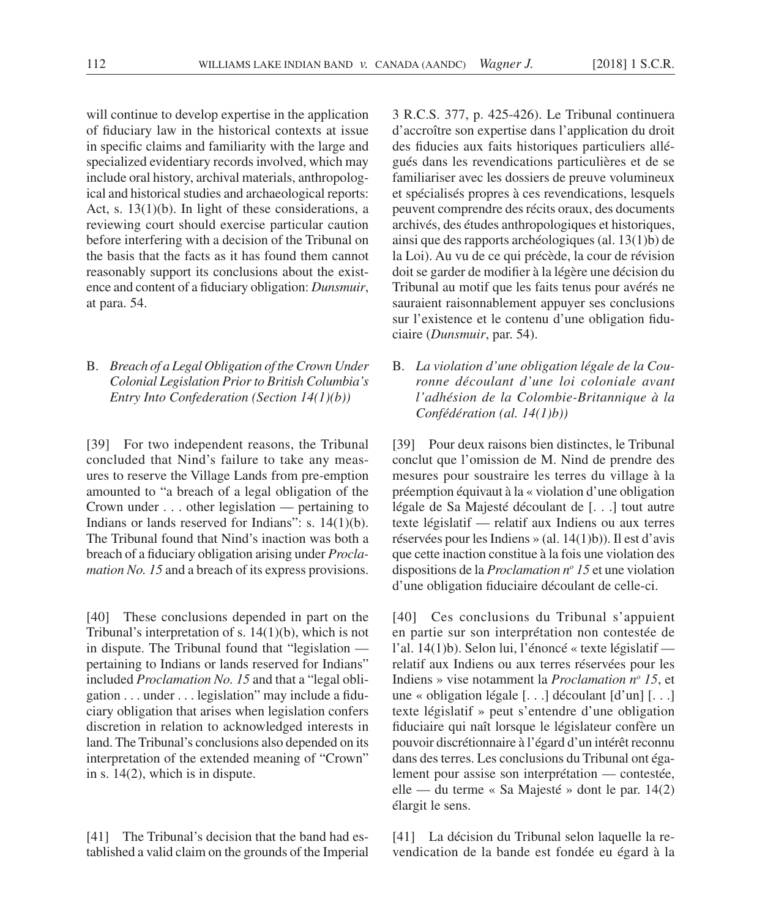will continue to develop expertise in the application of fiduciary law in the historical contexts at issue in specific claims and familiarity with the large and specialized evidentiary records involved, which may include oral history, archival materials, anthropological and historical studies and archaeological reports: Act, s.  $13(1)(b)$ . In light of these considerations, a reviewing court should exercise particular caution before interfering with a decision of the Tribunal on the basis that the facts as it has found them cannot reasonably support its conclusions about the existence and content of a fiduciary obligation: *Dunsmuir*, at para. 54.

B. *Breach of a Legal Obligation of the Crown Under Colonial Legislation Prior to British Columbia's Entry Into Confederation (Section 14(1)(b))*

[39] For two independent reasons, the Tribunal concluded that Nind's failure to take any measures to reserve the Village Lands from pre- emption amounted to "a breach of a legal obligation of the Crown under . . . other legislation — pertaining to Indians or lands reserved for Indians": s. 14(1)(b). The Tribunal found that Nind's inaction was both a breach of a fiduciary obligation arising under *Proclamation No. 15* and a breach of its express provisions.

[40] These conclusions depended in part on the Tribunal's interpretation of s. 14(1)(b), which is not in dispute. The Tribunal found that "legislation pertaining to Indians or lands reserved for Indians" included *Proclamation No. 15* and that a "legal obligation . . . under . . . legislation" may include a fiduciary obligation that arises when legislation confers discretion in relation to acknowledged interests in land. The Tribunal's conclusions also depended on its interpretation of the extended meaning of "Crown" in s. 14(2), which is in dispute.

[41] The Tribunal's decision that the band had established a valid claim on the grounds of the Imperial

3 R.C.S. 377, p. 425-426). Le Tribunal continuera d'accroître son expertise dans l'application du droit des fiducies aux faits historiques particuliers allégués dans les revendications particulières et de se familiariser avec les dossiers de preuve volumineux et spécialisés propres à ces revendications, lesquels peuvent comprendre des récits oraux, des documents archivés, des études anthropologiques et historiques, ainsi que des rapports archéologiques (al. 13(1)b) de la Loi). Au vu de ce qui précède, la cour de révision doit se garder de modifier à la légère une décision du Tribunal au motif que les faits tenus pour avérés ne sauraient raisonnablement appuyer ses conclusions sur l'existence et le contenu d'une obligation fiduciaire (*Dunsmuir*, par. 54).

B. *La violation d'une obligation légale de la Couronne découlant d'une loi coloniale avant l'adhé sion de la Colombie- Britannique à la Con fé dération (al. 14(1)b))*

[39] Pour deux raisons bien distinctes, le Tribunal conclut que l'omission de M. Nind de prendre des mesures pour soustraire les terres du village à la préemption équivaut à la « violation d'une obligation légale de Sa Majesté découlant de [. . .] tout autre texte législatif — relatif aux Indiens ou aux terres réservées pour les Indiens » (al. 14(1)b)). Il est d'avis que cette inaction constitue à la fois une violation des dispositions de la *Proclamation no 15* et une violation d'une obligation fiduciaire découlant de celle-ci.

[40] Ces conclusions du Tribunal s'appuient en partie sur son interprétation non contestée de l'al. 14(1)b). Selon lui, l'énoncé « texte législatif relatif aux Indiens ou aux terres réservées pour les Indiens » vise notamment la *Proclamation no 15*, et une « obligation légale [. . .] découlant [d'un] [. . .] texte législatif » peut s'entendre d'une obligation fiduciaire qui naît lorsque le législateur confère un pouvoir discrétionnaire à l'égard d'un intérêt reconnu dans des terres. Les conclusions du Tribunal ont également pour assise son interprétation — contestée, elle — du terme « Sa Majesté » dont le par. 14(2) élargit le sens.

[41] La décision du Tribunal selon laquelle la revendication de la bande est fondée eu égard à la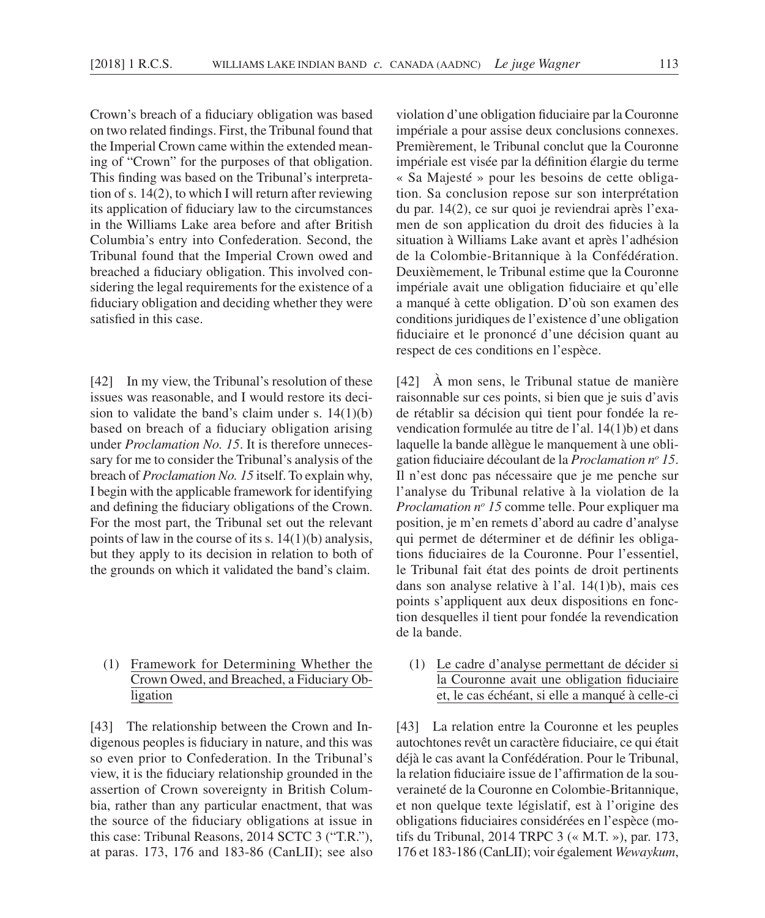Crown's breach of a fiduciary obligation was based on two related findings. First, the Tribunal found that the Imperial Crown came within the extended meaning of "Crown" for the purposes of that obligation. This finding was based on the Tribunal's interpretation of s. 14(2), to which I will return after reviewing its application of fiduciary law to the circumstances in the Williams Lake area before and after British Columbia's entry into Confederation. Second, the Tribunal found that the Imperial Crown owed and breached a fiduciary obligation. This involved considering the legal requirements for the existence of a fiduciary obligation and deciding whether they were satisfied in this case.

[42] In my view, the Tribunal's resolution of these issues was reasonable, and I would restore its decision to validate the band's claim under s.  $14(1)(b)$ based on breach of a fiduciary obligation arising under *Proclamation No. 15*. It is therefore unnecessary for me to consider the Tribunal's analysis of the breach of *Proclamation No. 15* itself. To explain why, I begin with the applicable framework for identifying and defining the fiduciary obligations of the Crown. For the most part, the Tribunal set out the relevant points of law in the course of its s. 14(1)(b) analysis, but they apply to its decision in relation to both of the grounds on which it validated the band's claim.

# (1) Framework for Determining Whether the Crown Owed, and Breached, a Fiduciary Obligation

[43] The relationship between the Crown and Indigenous peoples is fiduciary in nature, and this was so even prior to Confederation. In the Tribunal's view, it is the fiduciary relationship grounded in the assertion of Crown sovereignty in British Columbia, rather than any particular enactment, that was the source of the fiduciary obligations at issue in this case: Tribunal Reasons, 2014 SCTC 3 ("T.R."), at paras. 173, 176 and 183-86 (CanLII); see also

violation d'une obligation fiduciaire par la Couronne impériale a pour assise deux conclusions connexes. Premièrement, le Tribunal conclut que la Couronne impériale est visée par la définition élargie du terme « Sa Majesté » pour les besoins de cette obligation. Sa conclusion repose sur son interprétation du par. 14(2), ce sur quoi je reviendrai après l'examen de son application du droit des fiducies à la situation à Williams Lake avant et après l'adhésion de la Colombie- Britannique à la Confédération. Deuxièmement, le Tribunal estime que la Couronne impériale avait une obligation fiduciaire et qu'elle a manqué à cette obligation. D'où son examen des conditions juridiques de l'existence d'une obligation fiduciaire et le prononcé d'une décision quant au respect de ces conditions en l'espèce.

[42] À mon sens, le Tribunal statue de manière raisonnable sur ces points, si bien que je suis d'avis de rétablir sa décision qui tient pour fondée la revendication formulée au titre de l'al. 14(1)b) et dans laquelle la bande allègue le manquement à une obligation fi duciaire découlant de la *Proclamation no 15*. Il n'est donc pas nécessaire que je me penche sur l'analyse du Tribunal relative à la violation de la *Proclamation no 15* comme telle. Pour expliquer ma position, je m'en remets d'abord au cadre d'analyse qui permet de déterminer et de définir les obligations fiduciaires de la Couronne. Pour l'essentiel, le Tribunal fait état des points de droit pertinents dans son analyse relative à l'al. 14(1)b), mais ces points s'appliquent aux deux dispositions en fonction desquelles il tient pour fondée la revendication de la bande.

(1) Le cadre d'analyse permettant de décider si la Couronne avait une obligation fiduciaire et, le cas échéant, si elle a manqué à celle-ci

[43] La relation entre la Couronne et les peuples autochtones revêt un caractère fiduciaire, ce qui était déjà le cas avant la Confédération. Pour le Tribunal, la relation fiduciaire issue de l'affirmation de la souveraineté de la Couronne en Colombie- Britannique, et non quelque texte législatif, est à l'origine des obligations fiduciaires considérées en l'espèce (motifs du Tribunal, 2014 TRPC 3 (« M.T. »), par. 173, 176 et 183-186 (CanLII); voir également *Wewaykum*,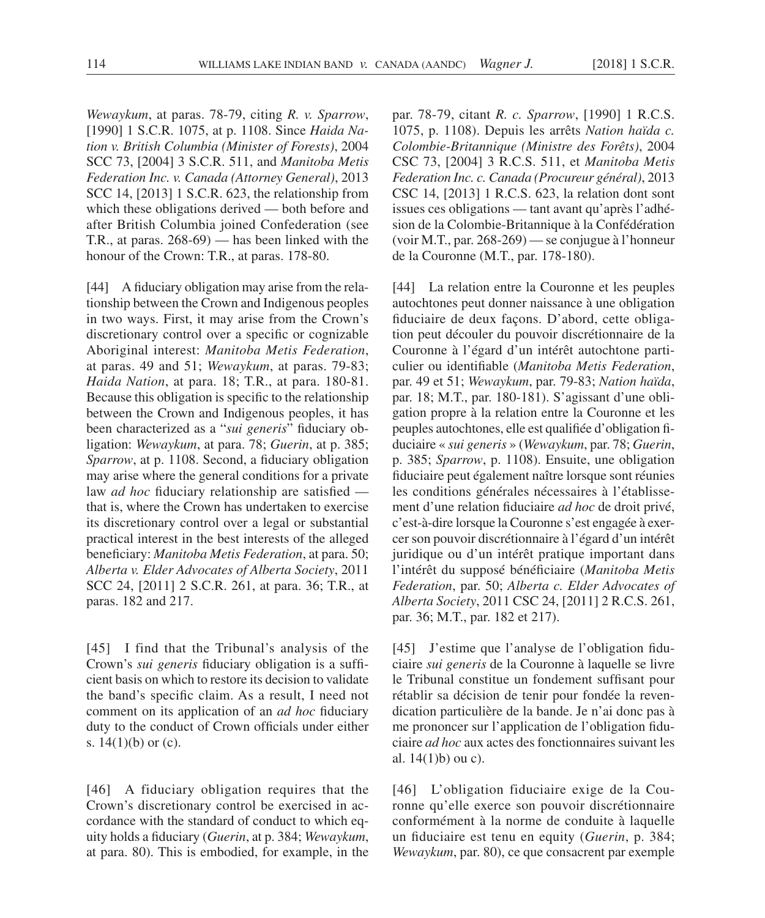*Wewaykum*, at paras. 78-79, citing *R. v. Sparrow*, [1990] 1 S.C.R. 1075, at p. 1108. Since *Haida Nation v. British Columbia (Minister of Forests)*, 2004 SCC 73, [2004] 3 S.C.R. 511, and *Manitoba Metis Federation Inc. v. Canada (Attorney General)*, 2013 SCC 14, [2013] 1 S.C.R. 623, the relationship from which these obligations derived — both before and after British Columbia joined Confederation (see T.R., at paras. 268-69) — has been linked with the honour of the Crown: T.R., at paras. 178-80.

[44] A fiduciary obligation may arise from the relationship between the Crown and Indigenous peoples in two ways. First, it may arise from the Crown's discretionary control over a specific or cognizable Aboriginal interest: *Manitoba Metis Federation*, at paras. 49 and 51; *Wewaykum*, at paras. 79-83; *Haida Nation*, at para. 18; T.R., at para. 180-81. Because this obligation is specific to the relationship between the Crown and Indigenous peoples, it has been characterized as a "sui generis" fiduciary obligation: *Wewaykum*, at para. 78; *Guerin*, at p. 385; Sparrow, at p. 1108. Second, a fiduciary obligation may arise where the general conditions for a private law *ad hoc* fiduciary relationship are satisfied that is, where the Crown has undertaken to exercise its discretionary control over a legal or substantial practical interest in the best interests of the alleged beneficiary: *Manitoba Metis Federation*, at para. 50; *Alberta v. Elder Advocates of Alberta Society*, 2011 SCC 24, [2011] 2 S.C.R. 261, at para. 36; T.R., at paras. 182 and 217.

[45] I find that the Tribunal's analysis of the Crown's *sui generis* fiduciary obligation is a sufficient basis on which to restore its decision to validate the band's specific claim. As a result, I need not comment on its application of an *ad hoc* fiduciary duty to the conduct of Crown officials under either s. 14(1)(b) or (c).

[46] A fiduciary obligation requires that the Crown's discretionary control be exercised in accordance with the standard of conduct to which equity holds a fiduciary (*Guerin*, at p. 384; *Wewaykum*, at para. 80). This is embodied, for example, in the par. 78-79, citant *R. c. Sparrow*, [1990] 1 R.C.S. 1075, p. 1108). Depuis les arrêts *Nation haïda c. Colombie- Britannique (Ministre des Forêts)*, 2004 CSC 73, [2004] 3 R.C.S. 511, et *Manitoba Metis Federation Inc. c. Canada (Procureur général)*, 2013 CSC 14, [2013] 1 R.C.S. 623, la relation dont sont issues ces obligations — tant avant qu'après l'adhésion de la Colombie- Britannique à la Confédération (voir M.T., par. 268-269) — se conjugue à l'honneur de la Couronne (M.T., par. 178-180).

[44] La relation entre la Couronne et les peuples autochtones peut donner naissance à une obligation fiduciaire de deux façons. D'abord, cette obligation peut découler du pouvoir discrétionnaire de la Couronne à l'égard d'un intérêt autochtone particulier ou identifiable (Manitoba Metis Federation, par. 49 et 51; *Wewaykum*, par. 79-83; *Nation haïda*, par. 18; M.T., par. 180-181). S'agissant d'une obligation propre à la relation entre la Couronne et les peuples autochtones, elle est qualifiée d'obligation fiduciaire « *sui generis* » (*Wewaykum*, par. 78; *Guerin*, p. 385; *Sparrow*, p. 1108). Ensuite, une obligation fiduciaire peut également naître lorsque sont réunies les conditions générales nécessaires à l'établissement d'une relation fiduciaire *ad hoc* de droit privé, c'est-à-dire lorsque la Couronne s'est engagée à exercer son pouvoir discrétionnaire à l'égard d'un intérêt juridique ou d'un intérêt pratique important dans l'intérêt du supposé bénéficiaire (Manitoba Metis *Federation*, par. 50; *Alberta c. Elder Advocates of Alberta Society*, 2011 CSC 24, [2011] 2 R.C.S. 261, par. 36; M.T., par. 182 et 217).

[45] J'estime que l'analyse de l'obligation fiduciaire *sui generis* de la Couronne à laquelle se livre le Tribunal constitue un fondement suffisant pour rétablir sa décision de tenir pour fondée la revendication particulière de la bande. Je n'ai donc pas à me prononcer sur l'application de l'obligation fiduciaire *ad hoc* aux actes des fonctionnaires suivant les al. 14(1)b) ou c).

[46] L'obligation fiduciaire exige de la Couronne qu'elle exerce son pouvoir discrétionnaire conformément à la norme de conduite à laquelle un fi duciaire est tenu en equity (*Guerin*, p. 384; *Wewaykum*, par. 80), ce que consacrent par exemple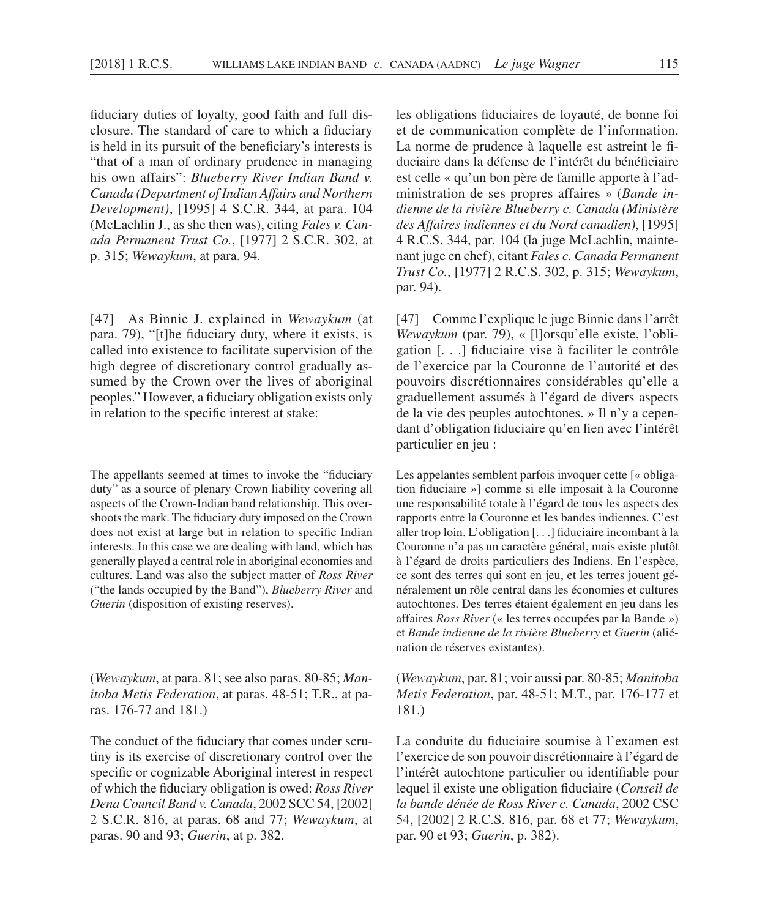fiduciary duties of loyalty, good faith and full disclosure. The standard of care to which a fiduciary is held in its pursuit of the beneficiary's interests is "that of a man of ordinary prudence in managing his own affairs": *Blueberry River Indian Band v. Canada (Department of Indian Affairs and Northern Development)*, [1995] 4 S.C.R. 344, at para. 104 (McLachlin J., as she then was), citing *Fales v. Canada Permanent Trust Co.*, [1977] 2 S.C.R. 302, at p. 315; *Wewaykum*, at para. 94.

[47] As Binnie J. explained in *Wewaykum* (at para. 79), "[t]he fiduciary duty, where it exists, is called into existence to facilitate supervision of the high degree of discretionary control gradually assumed by the Crown over the lives of aboriginal peoples." However, a fiduciary obligation exists only in relation to the specific interest at stake:

The appellants seemed at times to invoke the "fiduciary duty" as a source of plenary Crown liability covering all aspects of the Crown- Indian band relationship. This overshoots the mark. The fiduciary duty imposed on the Crown does not exist at large but in relation to specific Indian interests. In this case we are dealing with land, which has generally played a central role in aboriginal economies and cultures. Land was also the subject matter of *Ross River* ("the lands occupied by the Band"), *Blueberry River* and *Guerin* (disposition of existing reserves).

(*Wewaykum*, at para. 81; see also paras. 80-85; *Manitoba Metis Federation*, at paras. 48-51; T.R., at paras. 176-77 and 181.)

The conduct of the fiduciary that comes under scrutiny is its exercise of discretionary control over the specific or cognizable Aboriginal interest in respect of which the fiduciary obligation is owed: *Ross River Dena Council Band v. Canada*, 2002 SCC 54, [2002] 2 S.C.R. 816, at paras. 68 and 77; *Wewaykum*, at paras. 90 and 93; *Guerin*, at p. 382.

les obligations fiduciaires de loyauté, de bonne foi et de communication complète de l'information. La norme de prudence à laquelle est astreint le fiduciaire dans la défense de l'intérêt du bénéficiaire est celle « qu'un bon père de famille apporte à l'administration de ses propres affaires » (*Bande indienne de la rivière Blueberry c. Canada (Ministère des Affaires indiennes et du Nord canadien)*, [1995] 4 R.C.S. 344, par. 104 (la juge McLachlin, maintenant juge en chef), citant *Fales c. Canada Permanent Trust Co.*, [1977] 2 R.C.S. 302, p. 315; *Wewaykum*, par. 94).

[47] Comme l'explique le juge Binnie dans l'arrêt *Wewaykum* (par. 79), « [l]orsqu'elle existe, l'obligation [...] fiduciaire vise à faciliter le contrôle de l'exercice par la Couronne de l'autorité et des pouvoirs discrétionnaires considérables qu'elle a graduellement assumés à l'égard de divers aspects de la vie des peuples autochtones. » Il n'y a cependant d'obligation fiduciaire qu'en lien avec l'intérêt particulier en jeu :

Les appelantes semblent parfois invoquer cette [« obligation fiduciaire »] comme si elle imposait à la Couronne une responsabilité totale à l'égard de tous les aspects des rapports entre la Couronne et les bandes indiennes. C'est aller trop loin. L'obligation [...] fiduciaire incombant à la Couronne n'a pas un caractère général, mais existe plutôt à l'égard de droits particuliers des Indiens. En l'espèce, ce sont des terres qui sont en jeu, et les terres jouent généralement un rôle central dans les économies et cultures autochtones. Des terres étaient également en jeu dans les affaires *Ross River* (« les terres occupées par la Bande ») et *Bande indienne de la rivière Blueberry* et *Guerin* (aliénation de réserves existantes).

(*Wewaykum*, par. 81; voir aussi par. 80-85; *Manitoba Metis Federation*, par. 48-51; M.T., par. 176-177 et 181.)

La conduite du fiduciaire soumise à l'examen est l'exercice de son pouvoir discrétionnaire à l'égard de l'intérêt autochtone particulier ou identifiable pour lequel il existe une obligation fiduciaire (*Conseil de la bande dénée de Ross River c. Canada*, 2002 CSC 54, [2002] 2 R.C.S. 816, par. 68 et 77; *Wewaykum*, par. 90 et 93; *Guerin*, p. 382).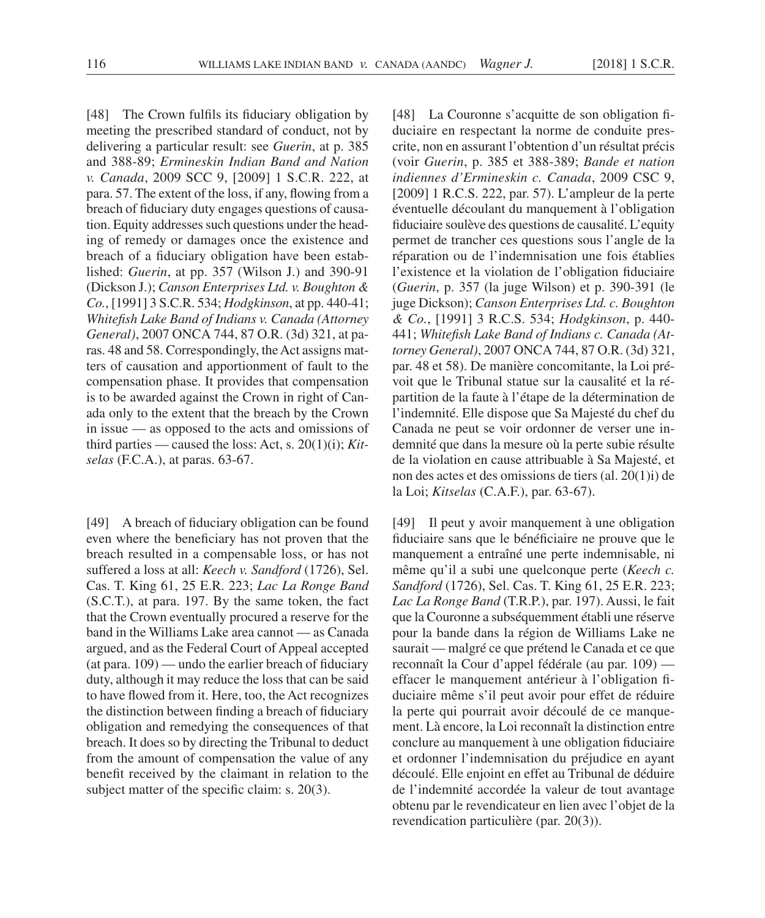[48] The Crown fulfils its fiduciary obligation by meeting the prescribed standard of conduct, not by delivering a particular result: see *Guerin*, at p. 385 and 388-89; *Ermineskin Indian Band and Nation v. Canada*, 2009 SCC 9, [2009] 1 S.C.R. 222, at para. 57. The extent of the loss, if any, flowing from a breach of fiduciary duty engages questions of causation. Equity addresses such questions under the heading of remedy or damages once the existence and breach of a fiduciary obligation have been established: *Guerin*, at pp. 357 (Wilson J.) and 390-91 (Dickson J.); *Canson Enterprises Ltd. v. Boughton & Co.*, [1991] 3 S.C.R. 534; *Hodgkinson*, at pp. 440-41; *Whitefi sh Lake Band of Indians v. Canada (Attorney General)*, 2007 ONCA 744, 87 O.R. (3d) 321, at paras. 48 and 58. Correspondingly, the Act assigns matters of causation and apportionment of fault to the compensation phase. It provides that compensation is to be awarded against the Crown in right of Canada only to the extent that the breach by the Crown in issue — as opposed to the acts and omissions of third parties — caused the loss: Act, s. 20(1)(i); *Kitselas* (F.C.A.), at paras. 63-67.

[49] A breach of fiduciary obligation can be found even where the beneficiary has not proven that the breach resulted in a compensable loss, or has not suffered a loss at all: *Keech v. Sandford* (1726), Sel. Cas. T. King 61, 25 E.R. 223; *Lac La Ronge Band* (S.C.T.), at para. 197. By the same token, the fact that the Crown eventually procured a reserve for the band in the Williams Lake area cannot — as Canada argued, and as the Federal Court of Appeal accepted  $(at para. 109)$  — undo the earlier breach of fiduciary duty, although it may reduce the loss that can be said to have flowed from it. Here, too, the Act recognizes the distinction between finding a breach of fiduciary obligation and remedying the consequences of that breach. It does so by directing the Tribunal to deduct from the amount of compensation the value of any benefit received by the claimant in relation to the subject matter of the specific claim: s.  $20(3)$ .

[48] La Couronne s'acquitte de son obligation fiduciaire en respectant la norme de conduite prescrite, non en assurant l'obtention d'un résultat précis (voir *Guerin*, p. 385 et 388-389; *Bande et nation indiennes d'Ermineskin c. Canada*, 2009 CSC 9, [2009] 1 R.C.S. 222, par. 57). L'ampleur de la perte éventuelle découlant du manquement à l'obligation fiduciaire soulève des questions de causalité. L'equity permet de trancher ces questions sous l'angle de la réparation ou de l'indemnisation une fois établies l'existence et la violation de l'obligation fiduciaire (*Guerin*, p. 357 (la juge Wilson) et p. 390-391 (le juge Dickson); *Canson Enterprises Ltd. c. Boughton & Co.*, [1991] 3 R.C.S. 534; *Hodgkinson*, p. 440- 441; Whitefish Lake Band of Indians c. Canada (At*torney General)*, 2007 ONCA 744, 87 O.R. (3d) 321, par. 48 et 58). De manière concomitante, la Loi prévoit que le Tribunal statue sur la causalité et la répartition de la faute à l'étape de la détermination de l'indemnité. Elle dispose que Sa Majesté du chef du Canada ne peut se voir ordonner de verser une indemnité que dans la mesure où la perte subie résulte de la violation en cause attribuable à Sa Majesté, et non des actes et des omissions de tiers (al. 20(1)i) de la Loi; *Kitselas* (C.A.F.), par. 63-67).

[49] Il peut y avoir manquement à une obligation fiduciaire sans que le bénéficiaire ne prouve que le manquement a entraîné une perte indemnisable, ni même qu'il a subi une quelconque perte (*Keech c. Sandford* (1726), Sel. Cas. T. King 61, 25 E.R. 223; *Lac La Ronge Band* (T.R.P.), par. 197). Aussi, le fait que la Couronne a subséquemment établi une réserve pour la bande dans la région de Williams Lake ne saurait — malgré ce que prétend le Canada et ce que reconnaît la Cour d'appel fédérale (au par. 109) effacer le manquement antérieur à l'obligation fiduciaire même s'il peut avoir pour effet de réduire la perte qui pourrait avoir découlé de ce manquement. Là encore, la Loi reconnaît la distinction entre conclure au manquement à une obligation fiduciaire et ordonner l'indemnisation du préjudice en ayant découlé. Elle enjoint en effet au Tribunal de déduire de l'indemnité accordée la valeur de tout avantage obtenu par le revendicateur en lien avec l'objet de la revendication particulière (par. 20(3)).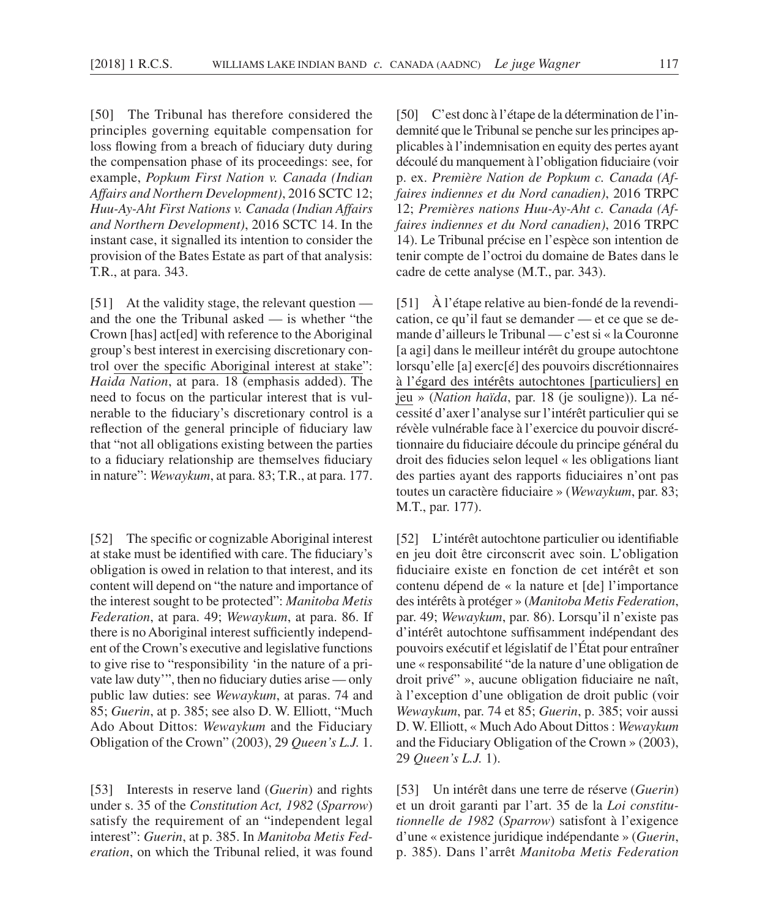[50] The Tribunal has therefore considered the principles governing equitable compensation for loss flowing from a breach of fiduciary duty during the compensation phase of its proceedings: see, for example, *Popkum First Nation v. Canada (Indian Affairs and Northern Development)*, 2016 SCTC 12; *Huu-Ay- Aht First Nations v. Canada (Indian Affairs and Northern Development)*, 2016 SCTC 14. In the instant case, it signalled its intention to consider the provision of the Bates Estate as part of that analysis: T.R., at para. 343.

[51] At the validity stage, the relevant question and the one the Tribunal asked — is whether "the Crown [has] act[ed] with reference to the Aboriginal group's best interest in exercising discretionary control over the specific Aboriginal interest at stake": *Haida Nation*, at para. 18 (emphasis added). The need to focus on the particular interest that is vulnerable to the fiduciary's discretionary control is a reflection of the general principle of fiduciary law that "not all obligations existing between the parties to a fiduciary relationship are themselves fiduciary in nature": *Wewaykum*, at para. 83; T.R., at para. 177.

[52] The specific or cognizable Aboriginal interest at stake must be identified with care. The fiduciary's obligation is owed in relation to that interest, and its content will depend on "the nature and importance of the interest sought to be protected": *Manitoba Metis Federation*, at para. 49; *Wewaykum*, at para. 86. If there is no Aboriginal interest sufficiently independent of the Crown's executive and legislative functions to give rise to "responsibility 'in the nature of a private law duty", then no fiduciary duties arise — only public law duties: see *Wewaykum*, at paras. 74 and 85; *Guerin*, at p. 385; see also D. W. Elliott, "Much Ado About Dittos: *Wewaykum* and the Fiduciary Obligation of the Crown" (2003), 29 *Queen's L.J.* 1.

[53] Interests in reserve land (*Guerin*) and rights under s. 35 of the *Constitution Act, 1982* (*Sparrow*) satisfy the requirement of an "independent legal interest": *Guerin*, at p. 385. In *Manitoba Metis Federation*, on which the Tribunal relied, it was found

[50] C'est donc à l'étape de la détermination de l'indemnité que le Tribunal se penche sur les principes applicables à l'indemnisation en equity des pertes ayant découlé du manquement à l'obligation fiduciaire (voir p. ex. *Première Nation de Popkum c. Canada (Affaires indiennes et du Nord canadien)*, 2016 TRPC 12; *Premières nations Huu-Ay- Aht c. Canada (Affaires indiennes et du Nord canadien)*, 2016 TRPC 14). Le Tribunal précise en l'espèce son intention de tenir compte de l'octroi du domaine de Bates dans le cadre de cette analyse (M.T., par. 343).

[51] À l'étape relative au bien- fondé de la revendication, ce qu'il faut se demander — et ce que se demande d'ailleurs le Tribunal — c'est si « la Couronne [a agi] dans le meilleur intérêt du groupe autochtone lorsqu'elle [a] exerc[é] des pouvoirs discrétionnaires à l'égard des intérêts autochtones [particuliers] en jeu » (*Nation haïda*, par. 18 (je souligne)). La nécessité d'axer l'analyse sur l'intérêt particulier qui se révèle vulnérable face à l'exercice du pouvoir discrétionnaire du fiduciaire découle du principe général du droit des fiducies selon lequel « les obligations liant des parties ayant des rapports fiduciaires n'ont pas toutes un caractère fiduciaire » (*Wewaykum*, par. 83; M.T., par. 177).

[52] L'intérêt autochtone particulier ou identifiable en jeu doit être circonscrit avec soin. L'obligation fiduciaire existe en fonction de cet intérêt et son contenu dépend de « la nature et [de] l'importance des intérêts à protéger » (*Manitoba Metis Federation*, par. 49; *Wewaykum*, par. 86). Lorsqu'il n'existe pas d'intérêt autochtone suffisamment indépendant des pouvoirs exécutif et législatif de l'État pour entraîner une « responsabilité "de la nature d'une obligation de droit privé" », aucune obligation fiduciaire ne naît, à l'exception d'une obligation de droit public (voir *Wewaykum*, par. 74 et 85; *Guerin*, p. 385; voir aussi D. W. Elliott, « Much Ado About Dittos : *Wewaykum* and the Fiduciary Obligation of the Crown » (2003), 29 *Queen's L.J.* 1).

[53] Un intérêt dans une terre de réserve (*Guerin*) et un droit garanti par l'art. 35 de la *Loi constitutionnelle de 1982* (*Sparrow*) satisfont à l'exigence d'une « existence juridique indépendante » (*Guerin*, p. 385). Dans l'arrêt *Manitoba Metis Federation*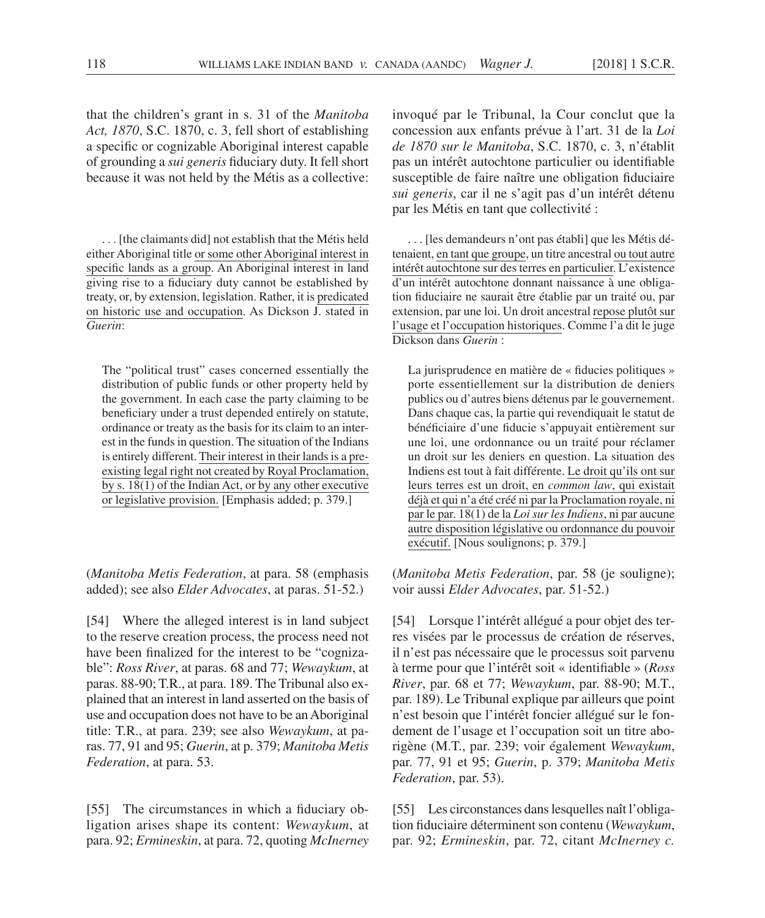that the children's grant in s. 31 of the *Manitoba Act, 1870*, S.C. 1870, c. 3, fell short of establishing a specific or cognizable Aboriginal interest capable of grounding a *sui generis* fiduciary duty. It fell short because it was not held by the Métis as a collective:

. . . [the claimants did] not establish that the Métis held either Aboriginal title or some other Aboriginal interest in specific lands as a group. An Aboriginal interest in land giving rise to a fiduciary duty cannot be established by treaty, or, by extension, legislation. Rather, it is predicated on historic use and occupation. As Dickson J. stated in *Guerin*:

The "political trust" cases concerned essentially the distribution of public funds or other property held by the government. In each case the party claiming to be beneficiary under a trust depended entirely on statute, ordinance or treaty as the basis for its claim to an interest in the funds in question. The situation of the Indians is entirely different. Their interest in their lands is a preexisting legal right not created by Royal Proclamation, by s. 18(1) of the Indian Act, or by any other executive or legislative provision. [Emphasis added; p. 379.]

(*Manitoba Metis Federation*, at para. 58 (emphasis added); see also *Elder Advocates*, at paras. 51-52.)

[54] Where the alleged interest is in land subject to the reserve creation process, the process need not have been finalized for the interest to be "cognizable": *Ross River*, at paras. 68 and 77; *Wewaykum*, at paras. 88-90; T.R., at para. 189. The Tribunal also explained that an interest in land asserted on the basis of use and occupation does not have to be an Aboriginal title: T.R., at para. 239; see also *Wewaykum*, at paras. 77, 91 and 95; *Guerin*, at p. 379; *Manitoba Metis Federation*, at para. 53.

[55] The circumstances in which a fiduciary obligation arises shape its content: *Wewaykum*, at para. 92; *Ermineskin*, at para. 72, quoting *McInerney*  invoqué par le Tribunal, la Cour conclut que la concession aux enfants prévue à l'art. 31 de la *Loi de 1870 sur le Manitoba*, S.C. 1870, c. 3, n'établit pas un intérêt autochtone particulier ou identifiable susceptible de faire naître une obligation fiduciaire *sui generis*, car il ne s'agit pas d'un intérêt détenu par les Métis en tant que collectivité :

. . . [les demandeurs n'ont pas établi] que les Métis détenaient, en tant que groupe, un titre ancestral ou tout autre intérêt autochtone sur des terres en particulier. L'existence d'un intérêt autochtone donnant naissance à une obligation fiduciaire ne saurait être établie par un traité ou, par extension, par une loi. Un droit ancestral repose plutôt sur l'usage et l'occupation historiques. Comme l'a dit le juge Dickson dans *Guerin* :

La jurisprudence en matière de « fiducies politiques » porte essentiellement sur la distribution de deniers publics ou d'autres biens détenus par le gouvernement. Dans chaque cas, la partie qui revendiquait le statut de bénéficiaire d'une fiducie s'appuyait entièrement sur une loi, une ordonnance ou un traité pour réclamer un droit sur les deniers en question. La situation des Indiens est tout à fait différente. Le droit qu'ils ont sur leurs terres est un droit, en *common law*, qui existait déjà et qui n'a été créé ni par la Proclamation royale, ni par le par. 18(1) de la *Loi sur les Indiens*, ni par aucune autre disposition législative ou ordonnance du pouvoir exécutif. [Nous soulignons; p. 379.]

(*Manitoba Metis Federation*, par. 58 (je souligne); voir aussi *Elder Advocates*, par. 51-52.)

[54] Lorsque l'intérêt allégué a pour objet des terres visées par le processus de création de réserves, il n'est pas nécessaire que le processus soit parvenu à terme pour que l'intérêt soit « identifi able » (*Ross River*, par. 68 et 77; *Wewaykum*, par. 88-90; M.T., par. 189). Le Tribunal explique par ailleurs que point n'est besoin que l'intérêt foncier allégué sur le fondement de l'usage et l'occupation soit un titre aborigène (M.T., par. 239; voir également *Wewaykum*, par. 77, 91 et 95; *Guerin*, p. 379; *Manitoba Metis Federation*, par. 53).

[55] Les circonstances dans lesquelles naît l'obligation fiduciaire déterminent son contenu (*Wewaykum*, par. 92; *Ermineskin*, par. 72, citant *McInerney c.*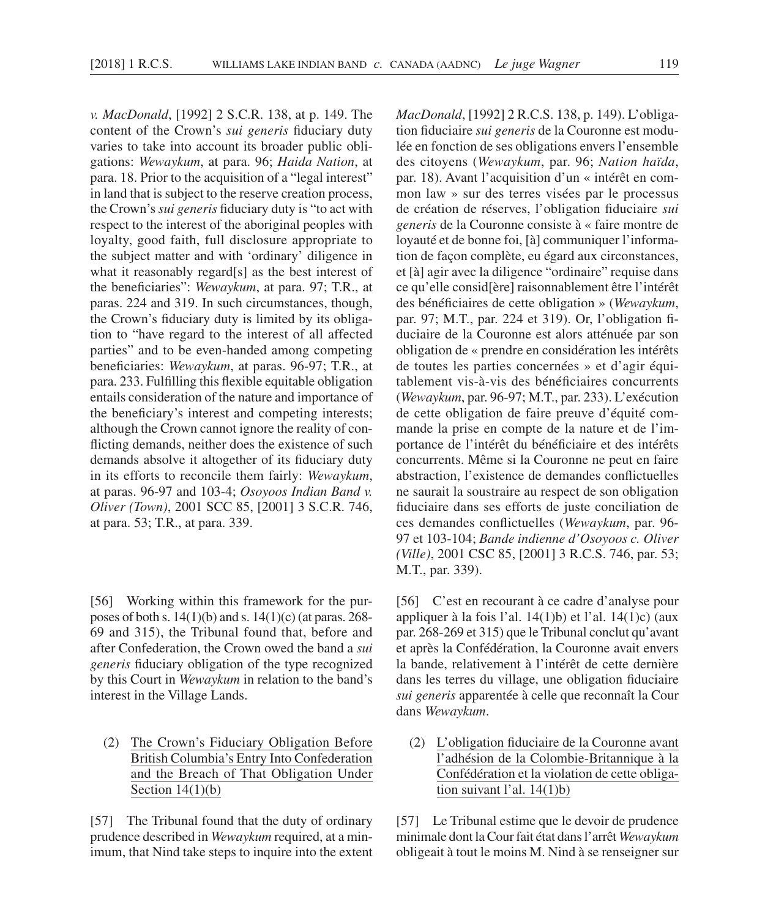*v. MacDonald*, [1992] 2 S.C.R. 138, at p. 149. The content of the Crown's *sui generis* fiduciary duty varies to take into account its broader public obligations: *Wewaykum*, at para. 96; *Haida Nation*, at para. 18. Prior to the acquisition of a "legal interest" in land that is subject to the reserve creation process, the Crown's *sui generis* fiduciary duty is "to act with respect to the interest of the aboriginal peoples with loyalty, good faith, full disclosure appropriate to the subject matter and with 'ordinary' diligence in what it reasonably regard[s] as the best interest of the beneficiaries": *Wewaykum*, at para. 97; T.R., at paras. 224 and 319. In such circumstances, though, the Crown's fiduciary duty is limited by its obligation to "have regard to the interest of all affected parties" and to be even-handed among competing beneficiaries: Wewaykum, at paras. 96-97; T.R., at para. 233. Fulfilling this flexible equitable obligation entails consideration of the nature and importance of the beneficiary's interest and competing interests; although the Crown cannot ignore the reality of conflicting demands, neither does the existence of such demands absolve it altogether of its fiduciary duty in its efforts to reconcile them fairly: *Wewaykum*, at paras. 96-97 and 103-4; *Osoyoos Indian Band v. Oliver (Town)*, 2001 SCC 85, [2001] 3 S.C.R. 746, at para. 53; T.R., at para. 339.

[56] Working within this framework for the purposes of both s. 14(1)(b) and s. 14(1)(c) (at paras. 268- 69 and 315), the Tribunal found that, before and after Confederation, the Crown owed the band a *sui generis* fiduciary obligation of the type recognized by this Court in *Wewaykum* in relation to the band's interest in the Village Lands.

(2) The Crown's Fiduciary Obligation Before British Columbia's Entry Into Confederation and the Breach of That Obligation Under Section  $14(1)(b)$ 

[57] The Tribunal found that the duty of ordinary prudence described in *Wewaykum* required, at a minimum, that Nind take steps to inquire into the extent

*MacDonald*, [1992] 2 R.C.S. 138, p. 149). L'obligation fiduciaire *sui generis* de la Couronne est modulée en fonction de ses obligations envers l'ensemble des citoyens (*Wewaykum*, par. 96; *Nation haïda*, par. 18). Avant l'acquisition d'un « intérêt en common law » sur des terres visées par le processus de création de réserves, l'obligation fiduciaire *sui generis* de la Couronne consiste à « faire montre de loyauté et de bonne foi, [à] communiquer l'information de façon complète, eu égard aux circonstances, et [à] agir avec la diligence "ordinaire" requise dans ce qu'elle consid[ère] raisonnablement être l'intérêt des bénéficiaires de cette obligation » (*Wewaykum*, par. 97; M.T., par. 224 et 319). Or, l'obligation fiduciaire de la Couronne est alors atténuée par son obligation de « prendre en considération les intérêts de toutes les parties concernées » et d'agir équitablement vis-à-vis des bénéficiaires concurrents (*Wewaykum*, par. 96-97; M.T., par. 233). L'exécution de cette obligation de faire preuve d'équité commande la prise en compte de la nature et de l'importance de l'intérêt du bénéficiaire et des intérêts concurrents. Même si la Couronne ne peut en faire abstraction, l'existence de demandes conflictuelles ne saurait la soustraire au respect de son obligation fiduciaire dans ses efforts de juste conciliation de ces demandes conflictuelles (*Wewaykum*, par. 96-97 et 103-104; *Bande indienne d'Osoyoos c. Oliver (Ville)*, 2001 CSC 85, [2001] 3 R.C.S. 746, par. 53; M.T., par. 339).

[56] C'est en recourant à ce cadre d'analyse pour appliquer à la fois l'al. 14(1)b) et l'al. 14(1)c) (aux par. 268-269 et 315) que le Tribunal conclut qu'avant et après la Confédération, la Couronne avait envers la bande, relativement à l'intérêt de cette dernière dans les terres du village, une obligation fiduciaire *sui generis* apparentée à celle que reconnaît la Cour dans *Wewaykum*.

 $(2)$  L'obligation fiduciaire de la Couronne avant l'adhésion de la Colombie-Britannique à la Confédération et la violation de cette obligation suivant l'al. 14(1)b)

[57] Le Tribunal estime que le devoir de prudence minimale dont la Cour fait état dans l'arrêt *Wewaykum* obligeait à tout le moins M. Nind à se renseigner sur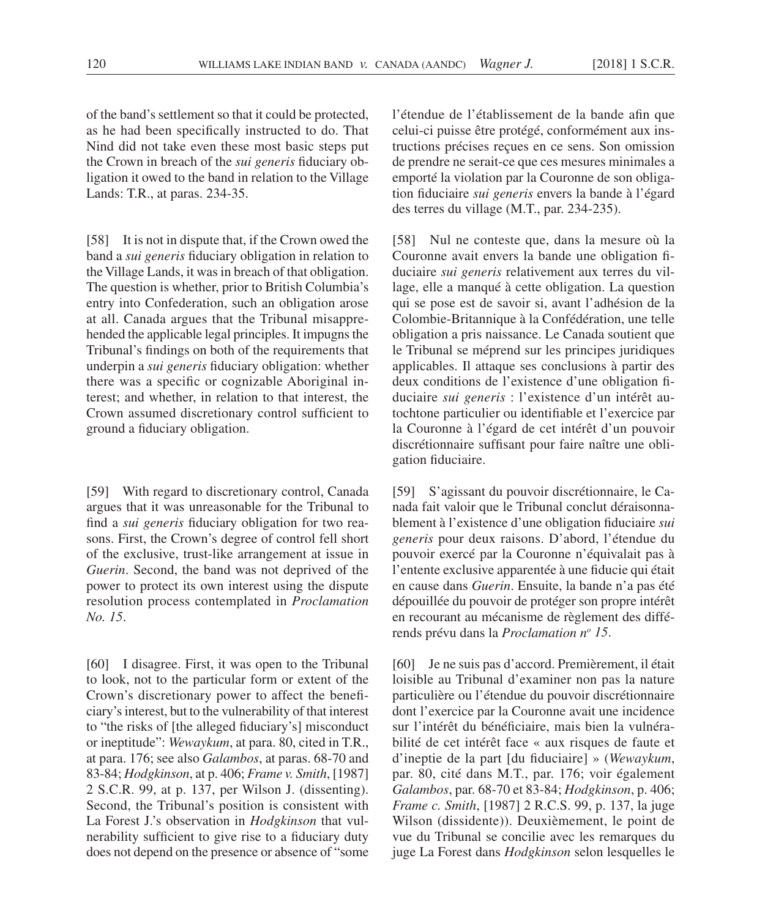of the band's settlement so that it could be protected, as he had been specifically instructed to do. That Nind did not take even these most basic steps put the Crown in breach of the *sui generis* fiduciary obligation it owed to the band in relation to the Village Lands: T.R., at paras. 234-35.

[58] It is not in dispute that, if the Crown owed the band a *sui generis* fiduciary obligation in relation to the Village Lands, it was in breach of that obligation. The question is whether, prior to British Columbia's entry into Confederation, such an obligation arose at all. Canada argues that the Tribunal misapprehended the applicable legal principles. It impugns the Tribunal's findings on both of the requirements that underpin a *sui generis* fiduciary obligation: whether there was a specific or cognizable Aboriginal interest; and whether, in relation to that interest, the Crown assumed discretionary control sufficient to ground a fiduciary obligation.

[59] With regard to discretionary control, Canada argues that it was unreasonable for the Tribunal to find a *sui generis* fiduciary obligation for two reasons. First, the Crown's degree of control fell short of the exclusive, trust- like arrangement at issue in *Guerin*. Second, the band was not deprived of the power to protect its own interest using the dispute resolution process contemplated in *Proclamation No. 15*.

[60] I disagree. First, it was open to the Tribunal to look, not to the particular form or extent of the Crown's discretionary power to affect the beneficiary's interest, but to the vulnerability of that interest to "the risks of [the alleged fiduciary's] misconduct or ineptitude": *Wewaykum*, at para. 80, cited in T.R., at para. 176; see also *Galambos*, at paras. 68-70 and 83-84; *Hodgkinson*, at p. 406; *Frame v. Smith*, [1987] 2 S.C.R. 99, at p. 137, per Wilson J. (dissenting). Second, the Tribunal's position is consistent with La Forest J.'s observation in *Hodgkinson* that vulnerability sufficient to give rise to a fiduciary duty does not depend on the presence or absence of "some l'étendue de l'établissement de la bande afin que celui-ci puisse être protégé, conformément aux instructions précises reçues en ce sens. Son omission de prendre ne serait-ce que ces mesures minimales a emporté la violation par la Couronne de son obligation fiduciaire *sui generis* envers la bande à l'égard des terres du village (M.T., par. 234-235).

[58] Nul ne conteste que, dans la mesure où la Couronne avait envers la bande une obligation fiduciaire *sui generis* relativement aux terres du village, elle a manqué à cette obligation. La question qui se pose est de savoir si, avant l'adhésion de la Colombie- Britannique à la Confédération, une telle obligation a pris naissance. Le Canada soutient que le Tribunal se méprend sur les principes juridiques applicables. Il attaque ses conclusions à partir des deux conditions de l'existence d'une obligation fiduciaire *sui generis* : l'existence d'un intérêt autochtone particulier ou identifiable et l'exercice par la Couronne à l'égard de cet intérêt d'un pouvoir discrétionnaire suffisant pour faire naître une obligation fiduciaire.

[59] S'agissant du pouvoir discrétionnaire, le Canada fait valoir que le Tribunal conclut déraisonnablement à l'existence d'une obligation fiduciaire *sui generis* pour deux raisons. D'abord, l'étendue du pouvoir exercé par la Couronne n'équivalait pas à l'entente exclusive apparentée à une fiducie qui était en cause dans *Guerin*. Ensuite, la bande n'a pas été dépouillée du pouvoir de protéger son propre intérêt en recourant au mécanisme de règlement des différends prévu dans la *Proclamation no 15*.

[60] Je ne suis pas d'accord. Premièrement, il était loisible au Tribunal d'examiner non pas la nature particulière ou l'étendue du pouvoir discrétionnaire dont l'exercice par la Couronne avait une incidence sur l'intérêt du bénéficiaire, mais bien la vulnérabilité de cet intérêt face « aux risques de faute et d'ineptie de la part [du fiduciaire] » (*Wewaykum*, par. 80, cité dans M.T., par. 176; voir également *Galambos*, par. 68-70 et 83-84; *Hodgkinson*, p. 406; *Frame c. Smith*, [1987] 2 R.C.S. 99, p. 137, la juge Wilson (dissidente)). Deuxièmement, le point de vue du Tribunal se concilie avec les remarques du juge La Forest dans *Hodgkinson* selon lesquelles le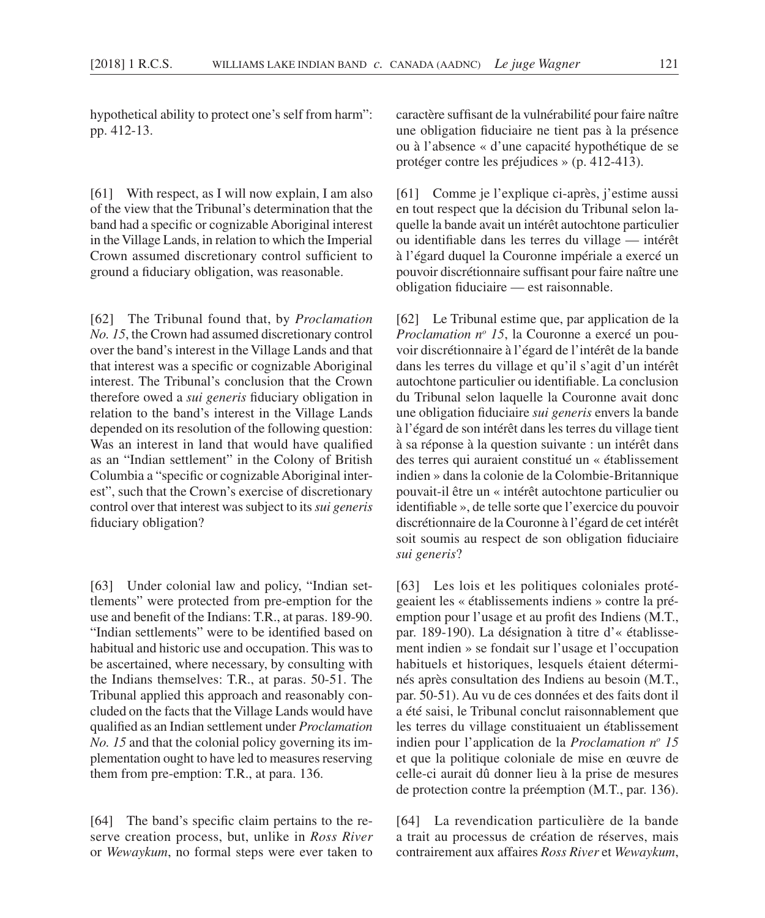hypothetical ability to protect one's self from harm": pp. 412-13.

[61] With respect, as I will now explain, I am also of the view that the Tribunal's determination that the band had a specific or cognizable Aboriginal interest in the Village Lands, in relation to which the Imperial Crown assumed discretionary control sufficient to ground a fiduciary obligation, was reasonable.

[62] The Tribunal found that, by *Proclamation No. 15*, the Crown had assumed discretionary control over the band's interest in the Village Lands and that that interest was a specific or cognizable Aboriginal interest. The Tribunal's conclusion that the Crown therefore owed a *sui generis* fiduciary obligation in relation to the band's interest in the Village Lands depended on its resolution of the following question: Was an interest in land that would have qualified as an "Indian settlement" in the Colony of British Columbia a "specific or cognizable Aboriginal interest", such that the Crown's exercise of discretionary control over that interest was subject to its *sui generis* fiduciary obligation?

[63] Under colonial law and policy, "Indian settlements" were protected from pre-emption for the use and benefit of the Indians: T.R., at paras. 189-90. "Indian settlements" were to be identified based on habitual and historic use and occupation. This was to be ascertained, where necessary, by consulting with the Indians themselves: T.R., at paras. 50-51. The Tribunal applied this approach and reasonably concluded on the facts that the Village Lands would have qualified as an Indian settlement under *Proclamation No. 15* and that the colonial policy governing its implementation ought to have led to measures reserving them from pre-emption: T.R., at para. 136.

[64] The band's specific claim pertains to the reserve creation process, but, unlike in *Ross River* or *Wewaykum*, no formal steps were ever taken to

caractère suffisant de la vulnérabilité pour faire naître une obligation fiduciaire ne tient pas à la présence ou à l'absence « d'une capacité hypothétique de se protéger contre les préjudices » (p. 412-413).

[61] Comme je l'explique ci-après, j'estime aussi en tout respect que la décision du Tribunal selon laquelle la bande avait un intérêt autochtone particulier ou identifiable dans les terres du village — intérêt à l'égard duquel la Couronne impériale a exercé un pouvoir discrétionnaire suffisant pour faire naître une obligation fiduciaire — est raisonnable.

[62] Le Tribunal estime que, par application de la Proclamation nº 15, la Couronne a exercé un pouvoir discrétionnaire à l'égard de l'intérêt de la bande dans les terres du village et qu'il s'agit d'un intérêt autochtone particulier ou identifiable. La conclusion du Tribunal selon laquelle la Couronne avait donc une obligation fiduciaire *sui generis* envers la bande à l'égard de son intérêt dans les terres du village tient à sa réponse à la question suivante : un intérêt dans des terres qui auraient constitué un « établissement indien » dans la colonie de la Colombie- Britannique pouvait-il être un « intérêt autochtone particulier ou identifiable », de telle sorte que l'exercice du pouvoir discrétionnaire de la Couronne à l'égard de cet intérêt soit soumis au respect de son obligation fiduciaire *sui generis*?

[63] Les lois et les politiques coloniales protégeaient les « établissements indiens » contre la préemption pour l'usage et au profit des Indiens (M.T., par. 189-190). La désignation à titre d'« établissement indien » se fondait sur l'usage et l'occupation habituels et historiques, lesquels étaient déterminés après consultation des Indiens au besoin (M.T., par. 50-51). Au vu de ces données et des faits dont il a été saisi, le Tribunal conclut raisonnablement que les terres du village constituaient un établissement indien pour l'application de la *Proclamation no 15* et que la politique coloniale de mise en œuvre de celle-ci aurait dû donner lieu à la prise de mesures de protection contre la préemption (M.T., par. 136).

[64] La revendication particulière de la bande a trait au processus de création de réserves, mais contrairement aux affaires *Ross River* et *Wewaykum*,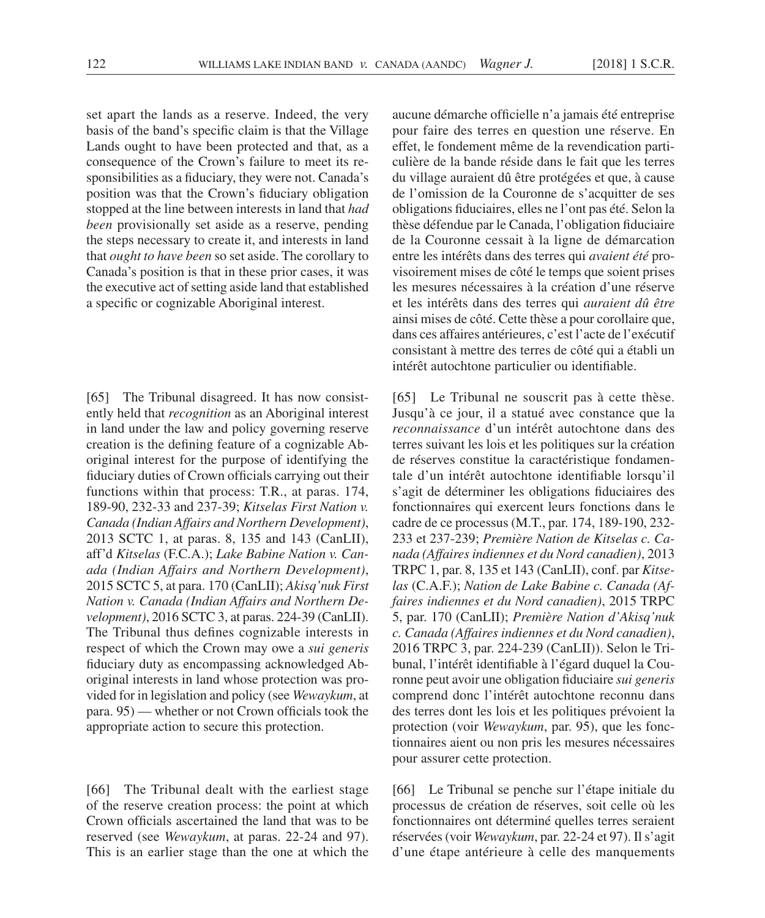set apart the lands as a reserve. Indeed, the very basis of the band's specific claim is that the Village Lands ought to have been protected and that, as a consequence of the Crown's failure to meet its responsibilities as a fiduciary, they were not. Canada's position was that the Crown's fiduciary obligation stopped at the line between interests in land that *had been* provisionally set aside as a reserve, pending the steps necessary to create it, and interests in land that *ought to have been* so set aside. The corollary to Canada's position is that in these prior cases, it was the executive act of setting aside land that established a specific or cognizable Aboriginal interest.

[65] The Tribunal disagreed. It has now consistently held that *recognition* as an Aboriginal interest in land under the law and policy governing reserve creation is the defining feature of a cognizable Aboriginal interest for the purpose of identifying the fiduciary duties of Crown officials carrying out their functions within that process: T.R., at paras. 174, 189-90, 232-33 and 237-39; *Kitselas First Nation v. Canada (Indian Affairs and Northern Development)*, 2013 SCTC 1, at paras. 8, 135 and 143 (CanLII), aff'd *Kitselas* (F.C.A.); *Lake Babine Nation v. Canada (Indian Affairs and Northern Development)*, 2015 SCTC 5, at para. 170 (CanLII); *Akisq'nuk First Nation v. Canada (Indian Affairs and Northern Development)*, 2016 SCTC 3, at paras. 224-39 (CanLII). The Tribunal thus defines cognizable interests in respect of which the Crown may owe a *sui generis* fiduciary duty as encompassing acknowledged Aboriginal interests in land whose protection was provided for in legislation and policy (see *Wewaykum*, at para. 95) — whether or not Crown officials took the appropriate action to secure this protection.

[66] The Tribunal dealt with the earliest stage of the reserve creation process: the point at which Crown officials ascertained the land that was to be reserved (see *Wewaykum*, at paras. 22-24 and 97). This is an earlier stage than the one at which the

aucune démarche officielle n'a jamais été entreprise pour faire des terres en question une réserve. En effet, le fondement même de la revendication particulière de la bande réside dans le fait que les terres du village auraient dû être protégées et que, à cause de l'omission de la Couronne de s'acquitter de ses obligations fiduciaires, elles ne l'ont pas été. Selon la thèse défendue par le Canada, l'obligation fiduciaire de la Couronne cessait à la ligne de démarcation entre les intérêts dans des terres qui *avaient été* provisoirement mises de côté le temps que soient prises les mesures nécessaires à la création d'une réserve et les intérêts dans des terres qui *auraient dû être* ainsi mises de côté. Cette thèse a pour corollaire que, dans ces affaires antérieures, c'est l'acte de l'exécutif consistant à mettre des terres de côté qui a établi un intérêt autochtone particulier ou identifiable.

[65] Le Tribunal ne souscrit pas à cette thèse. Jusqu'à ce jour, il a statué avec constance que la *reconnaissance* d'un intérêt autochtone dans des terres suivant les lois et les politiques sur la création de réserves constitue la caractéristique fondamentale d'un intérêt autochtone identifiable lorsqu'il s'agit de déterminer les obligations fiduciaires des fonctionnaires qui exercent leurs fonctions dans le cadre de ce processus (M.T., par. 174, 189-190, 232- 233 et 237-239; *Première Nation de Kitselas c. Canada (Affaires indiennes et du Nord canadien)*, 2013 TRPC 1, par. 8, 135 et 143 (CanLII), conf. par *Kitselas* (C.A.F.); *Nation de Lake Babine c. Canada (Affaires indiennes et du Nord canadien)*, 2015 TRPC 5, par. 170 (CanLII); *Première Nation d'Akisq'nuk c. Canada (Affaires indiennes et du Nord canadien)*, 2016 TRPC 3, par. 224-239 (CanLII)). Selon le Tribunal, l'intérêt identifiable à l'égard duquel la Couronne peut avoir une obligation fiduciaire *sui generis* comprend donc l'intérêt autochtone reconnu dans des terres dont les lois et les politiques prévoient la protection (voir *Wewaykum*, par. 95), que les fonctionnaires aient ou non pris les mesures nécessaires pour assurer cette protection.

[66] Le Tribunal se penche sur l'étape initiale du processus de création de réserves, soit celle où les fonctionnaires ont déterminé quelles terres seraient réservées (voir *Wewaykum*, par. 22-24 et 97). Il s'agit d'une étape antérieure à celle des manquements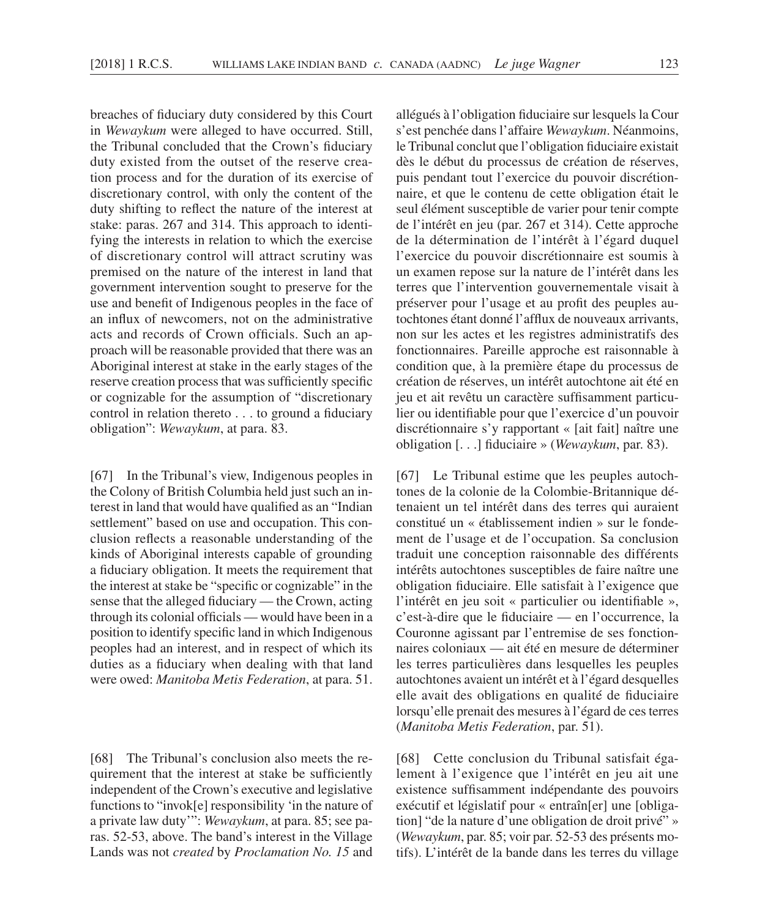breaches of fiduciary duty considered by this Court in *Wewaykum* were alleged to have occurred. Still, the Tribunal concluded that the Crown's fiduciary duty existed from the outset of the reserve creation process and for the duration of its exercise of discretionary control, with only the content of the duty shifting to reflect the nature of the interest at stake: paras. 267 and 314. This approach to identifying the interests in relation to which the exercise of discretionary control will attract scrutiny was premised on the nature of the interest in land that government intervention sought to preserve for the use and benefit of Indigenous peoples in the face of an influx of newcomers, not on the administrative acts and records of Crown officials. Such an approach will be reasonable provided that there was an Aboriginal interest at stake in the early stages of the reserve creation process that was sufficiently specific or cognizable for the assumption of "discretionary control in relation thereto . . . to ground a fiduciary obligation": *Wewaykum*, at para. 83.

[67] In the Tribunal's view, Indigenous peoples in the Colony of British Columbia held just such an interest in land that would have qualified as an "Indian settlement" based on use and occupation. This conclusion reflects a reasonable understanding of the kinds of Aboriginal interests capable of grounding a fiduciary obligation. It meets the requirement that the interest at stake be "specific or cognizable" in the sense that the alleged fiduciary — the Crown, acting through its colonial officials — would have been in a position to identify specific land in which Indigenous peoples had an interest, and in respect of which its duties as a fiduciary when dealing with that land were owed: *Manitoba Metis Federation*, at para. 51.

[68] The Tribunal's conclusion also meets the requirement that the interest at stake be sufficiently independent of the Crown's executive and legislative functions to "invok[e] responsibility 'in the nature of a private law duty'": *Wewaykum*, at para. 85; see paras. 52-53, above. The band's interest in the Village Lands was not *created* by *Proclamation No. 15* and

allégués à l'obligation fiduciaire sur lesquels la Cour s'est penchée dans l'affaire *Wewaykum*. Néanmoins, le Tribunal conclut que l'obligation fiduciaire existait dès le début du processus de création de réserves, puis pendant tout l'exercice du pouvoir discrétionnaire, et que le contenu de cette obligation était le seul élément susceptible de varier pour tenir compte de l'intérêt en jeu (par. 267 et 314). Cette approche de la détermination de l'intérêt à l'égard duquel l'exercice du pouvoir discrétionnaire est soumis à un examen repose sur la nature de l'intérêt dans les terres que l'intervention gouvernementale visait à préserver pour l'usage et au profit des peuples autochtones étant donné l'afflux de nouveaux arrivants, non sur les actes et les registres administratifs des fonctionnaires. Pareille approche est raisonnable à condition que, à la première étape du processus de création de réserves, un intérêt autochtone ait été en jeu et ait revêtu un caractère suffisamment particulier ou identifiable pour que l'exercice d'un pouvoir discrétionnaire s'y rapportant « [ait fait] naître une obligation [...] fiduciaire » (*Wewaykum*, par. 83).

[67] Le Tribunal estime que les peuples autochtones de la colonie de la Colombie- Britannique détenaient un tel intérêt dans des terres qui auraient constitué un « établissement indien » sur le fondement de l'usage et de l'occupation. Sa conclusion traduit une conception raisonnable des différents intérêts autochtones susceptibles de faire naître une obligation fiduciaire. Elle satisfait à l'exigence que l'intérêt en jeu soit « particulier ou identifiable », c'est-à-dire que le fiduciaire — en l'occurrence, la Couronne agissant par l'entremise de ses fonctionnaires coloniaux — ait été en mesure de déterminer les terres particulières dans lesquelles les peuples autochtones avaient un intérêt et à l'égard desquelles elle avait des obligations en qualité de fiduciaire lorsqu'elle prenait des mesures à l'égard de ces terres (*Manitoba Metis Federation*, par. 51).

[68] Cette conclusion du Tribunal satisfait également à l'exigence que l'intérêt en jeu ait une existence suffisamment indépendante des pouvoirs exécutif et législatif pour « entraîn[er] une [obligation] "de la nature d'une obligation de droit privé" » (*Wewaykum*, par. 85; voir par. 52-53 des présents motifs). L'intérêt de la bande dans les terres du village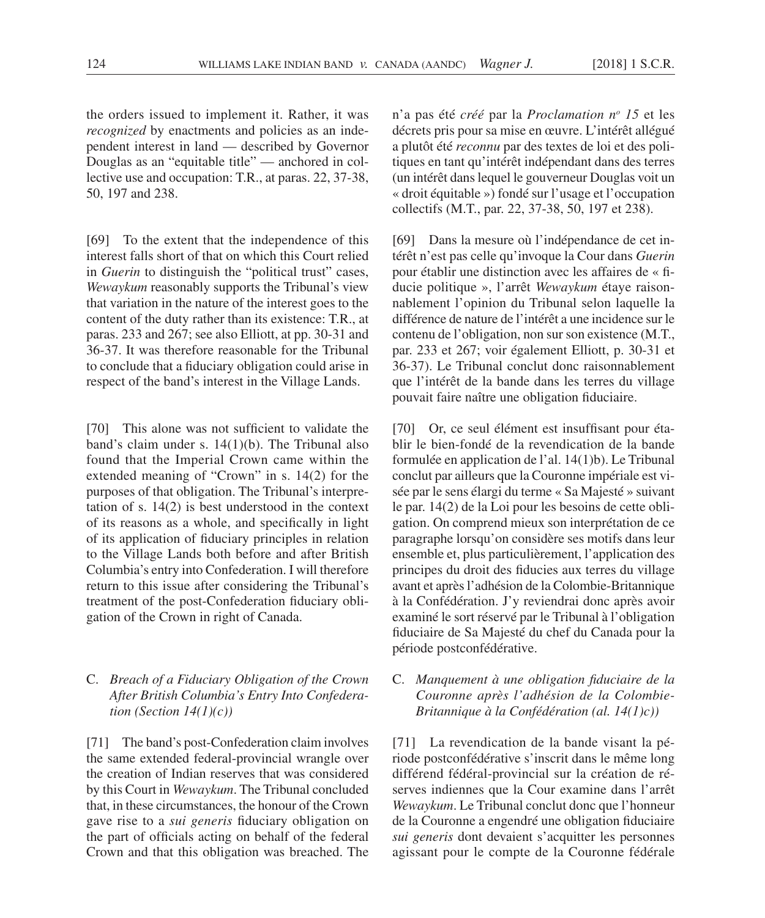the orders issued to implement it. Rather, it was *recognized* by enactments and policies as an independent interest in land — described by Governor Douglas as an "equitable title" — anchored in collective use and occupation: T.R., at paras. 22, 37-38, 50, 197 and 238.

[69] To the extent that the independence of this interest falls short of that on which this Court relied in *Guerin* to distinguish the "political trust" cases, *Wewaykum* reasonably supports the Tribunal's view that variation in the nature of the interest goes to the content of the duty rather than its existence: T.R., at paras. 233 and 267; see also Elliott, at pp. 30-31 and 36-37. It was therefore reasonable for the Tribunal to conclude that a fiduciary obligation could arise in respect of the band's interest in the Village Lands.

[70] This alone was not sufficient to validate the band's claim under s. 14(1)(b). The Tribunal also found that the Imperial Crown came within the extended meaning of "Crown" in s. 14(2) for the purposes of that obligation. The Tribunal's interpretation of s. 14(2) is best understood in the context of its reasons as a whole, and specifically in light of its application of fiduciary principles in relation to the Village Lands both before and after British Columbia's entry into Confederation. I will therefore return to this issue after considering the Tribunal's treatment of the post-Confederation fiduciary obligation of the Crown in right of Canada.

# C. *Breach of a Fiduciary Obligation of the Crown After British Columbia's Entry Into Confederation (Section 14(1)(c))*

[71] The band's post-Confederation claim involves the same extended federal-provincial wrangle over the creation of Indian reserves that was considered by this Court in *Wewaykum*. The Tribunal concluded that, in these circumstances, the honour of the Crown gave rise to a *sui generis* fiduciary obligation on the part of officials acting on behalf of the federal Crown and that this obligation was breached. The

n'a pas été *créé* par la *Proclamation no 15* et les décrets pris pour sa mise en œuvre. L'intérêt allégué a plutôt été *reconnu* par des textes de loi et des politiques en tant qu'intérêt indépendant dans des terres (un intérêt dans lequel le gouverneur Douglas voit un « droit équitable ») fondé sur l'usage et l'occupation collectifs (M.T., par. 22, 37-38, 50, 197 et 238).

[69] Dans la mesure où l'indépendance de cet intérêt n'est pas celle qu'invoque la Cour dans *Guerin* pour établir une distinction avec les affaires de « fiducie politique », l'arrêt *Wewaykum* étaye raisonnablement l'opinion du Tribunal selon laquelle la différence de nature de l'intérêt a une incidence sur le contenu de l'obligation, non sur son existence (M.T., par. 233 et 267; voir également Elliott, p. 30-31 et 36-37). Le Tribunal conclut donc raisonnablement que l'intérêt de la bande dans les terres du village pouvait faire naître une obligation fiduciaire.

[70] Or, ce seul élément est insuffisant pour établir le bien- fondé de la revendication de la bande formulée en application de l'al. 14(1)b). Le Tribunal conclut par ailleurs que la Couronne impériale est visée par le sens élargi du terme « Sa Majesté » suivant le par. 14(2) de la Loi pour les besoins de cette obligation. On comprend mieux son interprétation de ce paragraphe lorsqu'on considère ses motifs dans leur ensemble et, plus particulièrement, l'application des principes du droit des fiducies aux terres du village avant et après l'adhésion de la Colombie- Britannique à la Confédération. J'y reviendrai donc après avoir examiné le sort réservé par le Tribunal à l'obligation fi duciaire de Sa Majesté du chef du Canada pour la période postconfédérative.

# C. Manquement à une obligation fiduciaire de la *Couronne après l'adhésion de la Colombie-Britannique à la Confédération (al. 14(1)c))*

[71] La revendication de la bande visant la période postconfédérative s'inscrit dans le même long différend fédéral-provincial sur la création de réserves indiennes que la Cour examine dans l'arrêt *Wewaykum*. Le Tribunal conclut donc que l'honneur de la Couronne a engendré une obligation fiduciaire *sui generis* dont devaient s'acquitter les personnes agissant pour le compte de la Couronne fédérale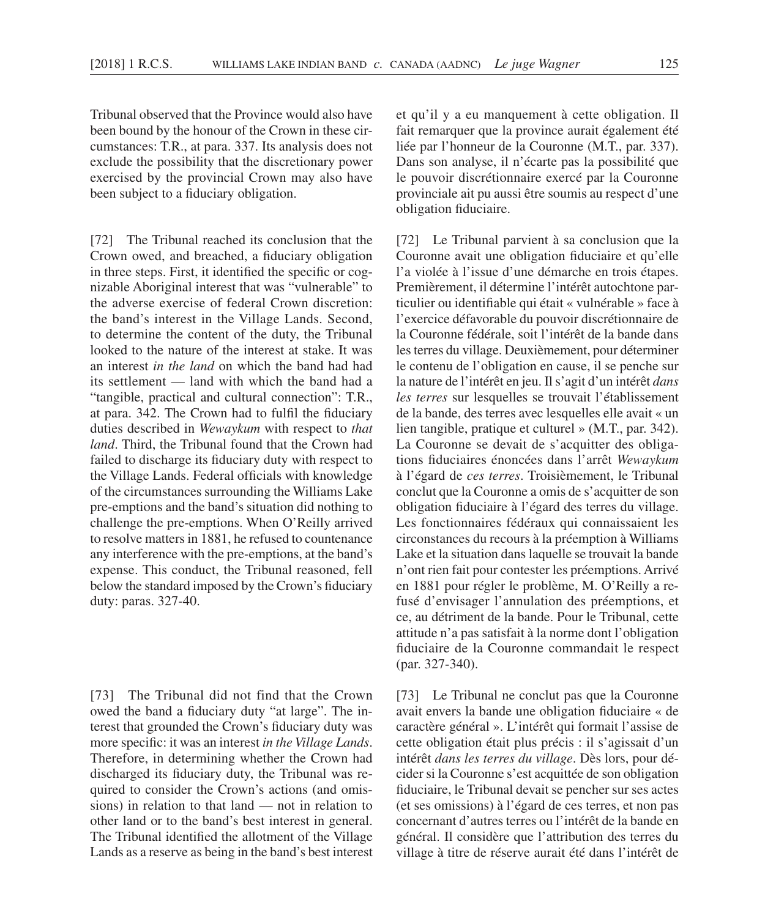Tribunal observed that the Province would also have been bound by the honour of the Crown in these circumstances: T.R., at para. 337. Its analysis does not exclude the possibility that the discretionary power exercised by the provincial Crown may also have been subject to a fiduciary obligation.

[72] The Tribunal reached its conclusion that the Crown owed, and breached, a fiduciary obligation in three steps. First, it identified the specific or cognizable Aboriginal interest that was "vulnerable" to the adverse exercise of federal Crown discretion: the band's interest in the Village Lands. Second, to determine the content of the duty, the Tribunal looked to the nature of the interest at stake. It was an interest *in the land* on which the band had had its settlement — land with which the band had a "tangible, practical and cultural connection": T.R., at para. 342. The Crown had to fulfil the fiduciary duties described in *Wewaykum* with respect to *that land*. Third, the Tribunal found that the Crown had failed to discharge its fiduciary duty with respect to the Village Lands. Federal officials with knowledge of the circumstances surrounding the Williams Lake pre- emptions and the band's situation did nothing to challenge the pre-emptions. When O'Reilly arrived to resolve matters in 1881, he refused to countenance any interference with the pre- emptions, at the band's expense. This conduct, the Tribunal reasoned, fell below the standard imposed by the Crown's fiduciary duty: paras. 327-40.

[73] The Tribunal did not find that the Crown owed the band a fiduciary duty "at large". The interest that grounded the Crown's fiduciary duty was more specific: it was an interest *in the Village Lands*. Therefore, in determining whether the Crown had discharged its fiduciary duty, the Tribunal was required to consider the Crown's actions (and omissions) in relation to that land — not in relation to other land or to the band's best interest in general. The Tribunal identified the allotment of the Village Lands as a reserve as being in the band's best interest et qu'il y a eu manquement à cette obligation. Il fait remarquer que la province aurait également été liée par l'honneur de la Couronne (M.T., par. 337). Dans son analyse, il n'écarte pas la possibilité que le pouvoir discrétionnaire exercé par la Couronne provinciale ait pu aussi être soumis au respect d'une obligation fiduciaire.

[72] Le Tribunal parvient à sa conclusion que la Couronne avait une obligation fiduciaire et qu'elle l'a violée à l'issue d'une démarche en trois étapes. Premièrement, il détermine l'intérêt autochtone particulier ou identifiable qui était « vulnérable » face à l'exercice défavorable du pouvoir discrétionnaire de la Couronne fédérale, soit l'intérêt de la bande dans les terres du village. Deuxièmement, pour déterminer le contenu de l'obligation en cause, il se penche sur la nature de l'intérêt en jeu. Il s'agit d'un intérêt *dans les terres* sur lesquelles se trouvait l'établissement de la bande, des terres avec lesquelles elle avait « un lien tangible, pratique et culturel » (M.T., par. 342). La Couronne se devait de s'acquitter des obligations fiduciaires énoncées dans l'arrêt Wewaykum à l'égard de *ces terres*. Troisièmement, le Tribunal conclut que la Couronne a omis de s'acquitter de son obligation fiduciaire à l'égard des terres du village. Les fonctionnaires fédéraux qui connaissaient les circonstances du recours à la préemption à Williams Lake et la situation dans laquelle se trouvait la bande n'ont rien fait pour contester les préemptions. Arrivé en 1881 pour régler le problème, M. O'Reilly a refusé d'envisager l'annulation des préemptions, et ce, au détriment de la bande. Pour le Tribunal, cette attitude n'a pas satisfait à la norme dont l'obligation fiduciaire de la Couronne commandait le respect (par. 327-340).

[73] Le Tribunal ne conclut pas que la Couronne avait envers la bande une obligation fiduciaire « de caractère général ». L'intérêt qui formait l'assise de cette obligation était plus précis : il s'agissait d'un intérêt *dans les terres du village*. Dès lors, pour décider si la Couronne s'est acquittée de son obligation fiduciaire, le Tribunal devait se pencher sur ses actes (et ses omissions) à l'égard de ces terres, et non pas concernant d'autres terres ou l'intérêt de la bande en général. Il considère que l'attribution des terres du village à titre de réserve aurait été dans l'intérêt de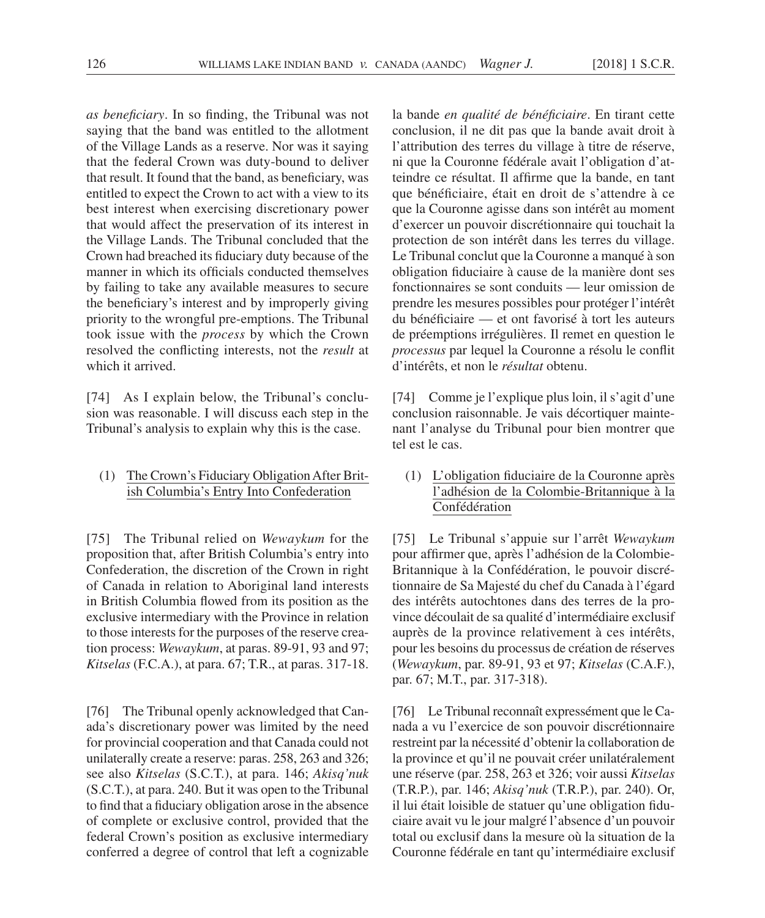as beneficiary. In so finding, the Tribunal was not saying that the band was entitled to the allotment of the Village Lands as a reserve. Nor was it saying that the federal Crown was duty-bound to deliver that result. It found that the band, as beneficiary, was entitled to expect the Crown to act with a view to its best interest when exercising discretionary power that would affect the preservation of its interest in the Village Lands. The Tribunal concluded that the Crown had breached its fiduciary duty because of the manner in which its officials conducted themselves by failing to take any available measures to secure the beneficiary's interest and by improperly giving priority to the wrongful pre- emptions. The Tribunal took issue with the *process* by which the Crown resolved the conflicting interests, not the *result* at which it arrived.

[74] As I explain below, the Tribunal's conclusion was reasonable. I will discuss each step in the Tribunal's analysis to explain why this is the case.

## (1) The Crown's Fiduciary Obligation After British Columbia's Entry Into Confederation

[75] The Tribunal relied on *Wewaykum* for the proposition that, after British Columbia's entry into Confederation, the discretion of the Crown in right of Canada in relation to Aboriginal land interests in British Columbia flowed from its position as the exclusive intermediary with the Province in relation to those interests for the purposes of the reserve creation process: *Wewaykum*, at paras. 89-91, 93 and 97; *Kitselas* (F.C.A.), at para. 67; T.R., at paras. 317-18.

[76] The Tribunal openly acknowledged that Canada's discretionary power was limited by the need for provincial cooperation and that Canada could not unilaterally create a reserve: paras. 258, 263 and 326; see also *Kitselas* (S.C.T.), at para. 146; *Akisq'nuk* (S.C.T.), at para. 240. But it was open to the Tribunal to find that a fiduciary obligation arose in the absence of complete or exclusive control, provided that the federal Crown's position as exclusive intermediary conferred a degree of control that left a cognizable

la bande *en qualité de bénéficiaire*. En tirant cette conclusion, il ne dit pas que la bande avait droit à l'attribution des terres du village à titre de réserve, ni que la Couronne fédérale avait l'obligation d'atteindre ce résultat. Il affirme que la bande, en tant que bénéficiaire, était en droit de s'attendre à ce que la Couronne agisse dans son intérêt au moment d'exercer un pouvoir discrétionnaire qui touchait la protection de son intérêt dans les terres du village. Le Tribunal conclut que la Couronne a manqué à son obligation fiduciaire à cause de la manière dont ses fonctionnaires se sont conduits — leur omission de prendre les mesures possibles pour protéger l'intérêt du bénéficiaire — et ont favorisé à tort les auteurs de préemptions irrégulières. Il remet en question le *processus* par lequel la Couronne a résolu le conflit d'intérêts, et non le *résultat* obtenu.

[74] Comme je l'explique plus loin, il s'agit d'une conclusion raisonnable. Je vais décortiquer maintenant l'analyse du Tribunal pour bien montrer que tel est le cas.

 $(1)$  L'obligation fiduciaire de la Couronne après l'adhésion de la Colombie- Britannique à la Confédération

[75] Le Tribunal s'appuie sur l'arrêt *Wewaykum* pour affirmer que, après l'adhésion de la Colombie-Britannique à la Confédération, le pouvoir discrétionnaire de Sa Majesté du chef du Canada à l'égard des intérêts autochtones dans des terres de la province découlait de sa qualité d'intermédiaire exclusif auprès de la province relativement à ces intérêts, pour les besoins du processus de création de réserves (*Wewaykum*, par. 89-91, 93 et 97; *Kitselas* (C.A.F.), par. 67; M.T., par. 317-318).

[76] Le Tribunal reconnaît expressément que le Canada a vu l'exercice de son pouvoir discrétionnaire restreint par la nécessité d'obtenir la collaboration de la province et qu'il ne pouvait créer unilatéralement une réserve (par. 258, 263 et 326; voir aussi *Kitselas* (T.R.P.), par. 146; *Akisq'nuk* (T.R.P.), par. 240). Or, il lui était loisible de statuer qu'une obligation fiduciaire avait vu le jour malgré l'absence d'un pouvoir total ou exclusif dans la mesure où la situation de la Couronne fédérale en tant qu'intermédiaire exclusif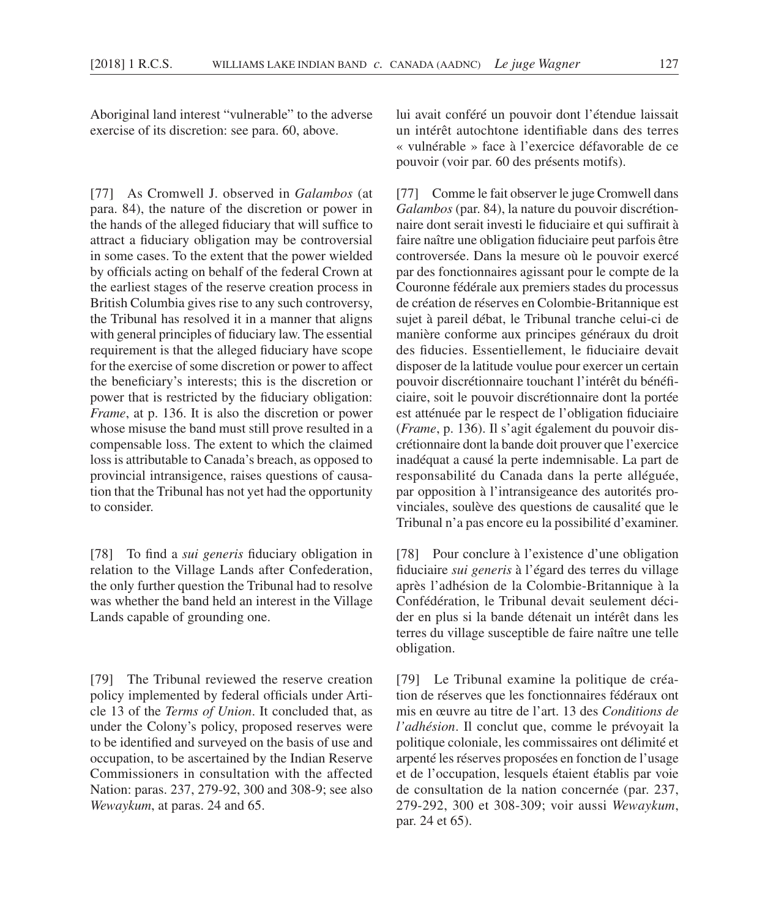Aboriginal land interest "vulnerable" to the adverse exercise of its discretion: see para. 60, above.

[77] As Cromwell J. observed in *Galambos* (at para. 84), the nature of the discretion or power in the hands of the alleged fiduciary that will suffice to attract a fiduciary obligation may be controversial in some cases. To the extent that the power wielded by officials acting on behalf of the federal Crown at the earliest stages of the reserve creation process in British Columbia gives rise to any such controversy, the Tribunal has resolved it in a manner that aligns with general principles of fiduciary law. The essential requirement is that the alleged fiduciary have scope for the exercise of some discretion or power to affect the beneficiary's interests; this is the discretion or power that is restricted by the fiduciary obligation: *Frame*, at p. 136. It is also the discretion or power whose misuse the band must still prove resulted in a compensable loss. The extent to which the claimed loss is attributable to Canada's breach, as opposed to provincial intransigence, raises questions of causation that the Tribunal has not yet had the opportunity to consider.

[78] To find a *sui generis* fiduciary obligation in relation to the Village Lands after Confederation, the only further question the Tribunal had to resolve was whether the band held an interest in the Village Lands capable of grounding one.

[79] The Tribunal reviewed the reserve creation policy implemented by federal officials under Article 13 of the *Terms of Union*. It concluded that, as under the Colony's policy, proposed reserves were to be identified and surveyed on the basis of use and occupation, to be ascertained by the Indian Reserve Commissioners in consultation with the affected Nation: paras. 237, 279-92, 300 and 308-9; see also *Wewaykum*, at paras. 24 and 65.

lui avait conféré un pouvoir dont l'étendue laissait un intérêt autochtone identifiable dans des terres « vulnérable » face à l'exercice défavorable de ce pouvoir (voir par. 60 des présents motifs).

[77] Comme le fait observer le juge Cromwell dans *Galambos* (par. 84), la nature du pouvoir discrétionnaire dont serait investi le fiduciaire et qui suffirait à faire naître une obligation fiduciaire peut parfois être controversée. Dans la mesure où le pouvoir exercé par des fonctionnaires agissant pour le compte de la Couronne fédérale aux premiers stades du processus de création de réserves en Colombie- Britannique est sujet à pareil débat, le Tribunal tranche celui-ci de manière conforme aux principes généraux du droit des fiducies. Essentiellement, le fiduciaire devait disposer de la latitude voulue pour exercer un certain pouvoir discrétionnaire touchant l'intérêt du bénéficiaire, soit le pouvoir discrétionnaire dont la portée est atténuée par le respect de l'obligation fiduciaire (*Frame*, p. 136). Il s'agit également du pouvoir discrétionnaire dont la bande doit prouver que l'exercice inadéquat a causé la perte indemnisable. La part de responsabilité du Canada dans la perte alléguée, par opposition à l'intransigeance des autorités provinciales, soulève des questions de causalité que le Tribunal n'a pas encore eu la possibilité d'examiner.

[78] Pour conclure à l'existence d'une obligation fi duciaire *sui generis* à l'égard des terres du village après l'adhésion de la Colombie- Britannique à la Confédération, le Tribunal devait seulement décider en plus si la bande détenait un intérêt dans les terres du village susceptible de faire naître une telle obligation.

[79] Le Tribunal examine la politique de création de réserves que les fonctionnaires fédéraux ont mis en œuvre au titre de l'art. 13 des *Conditions de l'adhésion*. Il conclut que, comme le prévoyait la politique coloniale, les commissaires ont délimité et arpenté les réserves proposées en fonction de l'usage et de l'occupation, lesquels étaient établis par voie de consultation de la nation concernée (par. 237, 279-292, 300 et 308-309; voir aussi *Wewaykum*, par. 24 et 65).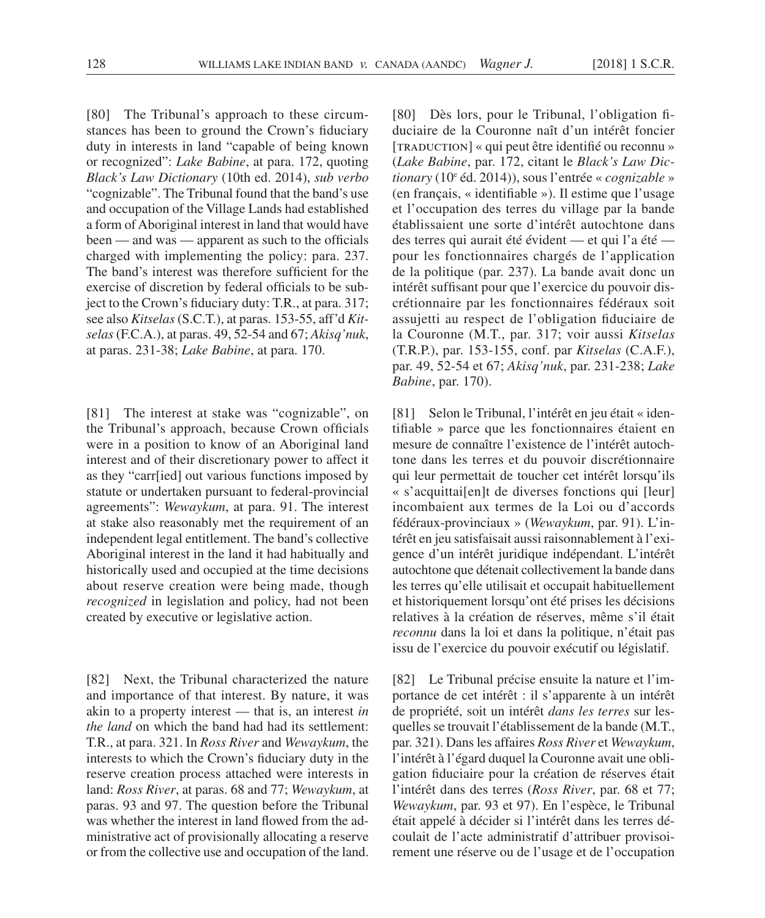[80] The Tribunal's approach to these circumstances has been to ground the Crown's fiduciary duty in interests in land "capable of being known or recognized": *Lake Babine*, at para. 172, quoting *Black's Law Dictionary* (10th ed. 2014), *sub verbo* "cognizable". The Tribunal found that the band's use and occupation of the Village Lands had established a form of Aboriginal interest in land that would have  $been$  — and was — apparent as such to the officials charged with implementing the policy: para. 237. The band's interest was therefore sufficient for the exercise of discretion by federal officials to be subject to the Crown's fiduciary duty: T.R., at para. 317; see also *Kitselas* (S.C.T.), at paras. 153-55, aff'd *Kitselas* (F.C.A.), at paras. 49, 52-54 and 67; *Akisq'nuk*, at paras. 231-38; *Lake Babine*, at para. 170.

[81] The interest at stake was "cognizable", on the Tribunal's approach, because Crown officials were in a position to know of an Aboriginal land interest and of their discretionary power to affect it as they "carr[ied] out various functions imposed by statute or undertaken pursuant to federal-provincial agreements": *Wewaykum*, at para. 91. The interest at stake also reasonably met the requirement of an independent legal entitlement. The band's collective Aboriginal interest in the land it had habitually and historically used and occupied at the time decisions about reserve creation were being made, though *recognized* in legislation and policy, had not been created by executive or legislative action.

[82] Next, the Tribunal characterized the nature and importance of that interest. By nature, it was akin to a property interest — that is, an interest *in the land* on which the band had had its settlement: T.R., at para. 321. In *Ross River* and *Wewaykum*, the interests to which the Crown's fiduciary duty in the reserve creation process attached were interests in land: *Ross River*, at paras. 68 and 77; *Wewaykum*, at paras. 93 and 97. The question before the Tribunal was whether the interest in land flowed from the administrative act of provisionally allocating a reserve or from the collective use and occupation of the land.

[80] Dès lors, pour le Tribunal, l'obligation fiduciaire de la Couronne naît d'un intérêt foncier [TRADUCTION] « qui peut être identifié ou reconnu » (*Lake Babine*, par. 172, citant le *Black's Law Dictionary* (10e éd. 2014)), sous l'entrée « *cognizable* » (en français, « identifiable »). Il estime que l'usage et l'occupation des terres du village par la bande établissaient une sorte d'intérêt autochtone dans des terres qui aurait été évident — et qui l'a été pour les fonctionnaires chargés de l'application de la politique (par. 237). La bande avait donc un intérêt suffisant pour que l'exercice du pouvoir discrétionnaire par les fonctionnaires fédéraux soit assujetti au respect de l'obligation fiduciaire de la Couronne (M.T., par. 317; voir aussi *Kitselas* (T.R.P.), par. 153-155, conf. par *Kitselas* (C.A.F.), par. 49, 52-54 et 67; *Akisq'nuk*, par. 231-238; *Lake Babine*, par. 170).

[81] Selon le Tribunal, l'intérêt en jeu était « identifi able » parce que les fonctionnaires étaient en mesure de connaître l'existence de l'intérêt autochtone dans les terres et du pouvoir discrétionnaire qui leur permettait de toucher cet intérêt lorsqu'ils « s'acquittai[en]t de diverses fonctions qui [leur] incombaient aux termes de la Loi ou d'accords fédéraux- provinciaux » (*Wewaykum*, par. 91). L'intérêt en jeu satisfaisait aussi raisonnablement à l'exigence d'un intérêt juridique indépendant. L'intérêt autochtone que détenait collectivement la bande dans les terres qu'elle utilisait et occupait habituellement et historiquement lorsqu'ont été prises les décisions relatives à la création de réserves, même s'il était *reconnu* dans la loi et dans la politique, n'était pas issu de l'exercice du pouvoir exécutif ou législatif.

[82] Le Tribunal précise ensuite la nature et l'importance de cet intérêt : il s'apparente à un intérêt de propriété, soit un intérêt *dans les terres* sur lesquelles se trouvait l'établissement de la bande (M.T., par. 321). Dans les affaires *Ross River* et *Wewaykum*, l'intérêt à l'égard duquel la Couronne avait une obligation fiduciaire pour la création de réserves était l'intérêt dans des terres (*Ross River*, par. 68 et 77; *Wewaykum*, par. 93 et 97). En l'espèce, le Tribunal était appelé à décider si l'intérêt dans les terres découlait de l'acte administratif d'attribuer provisoirement une réserve ou de l'usage et de l'occupation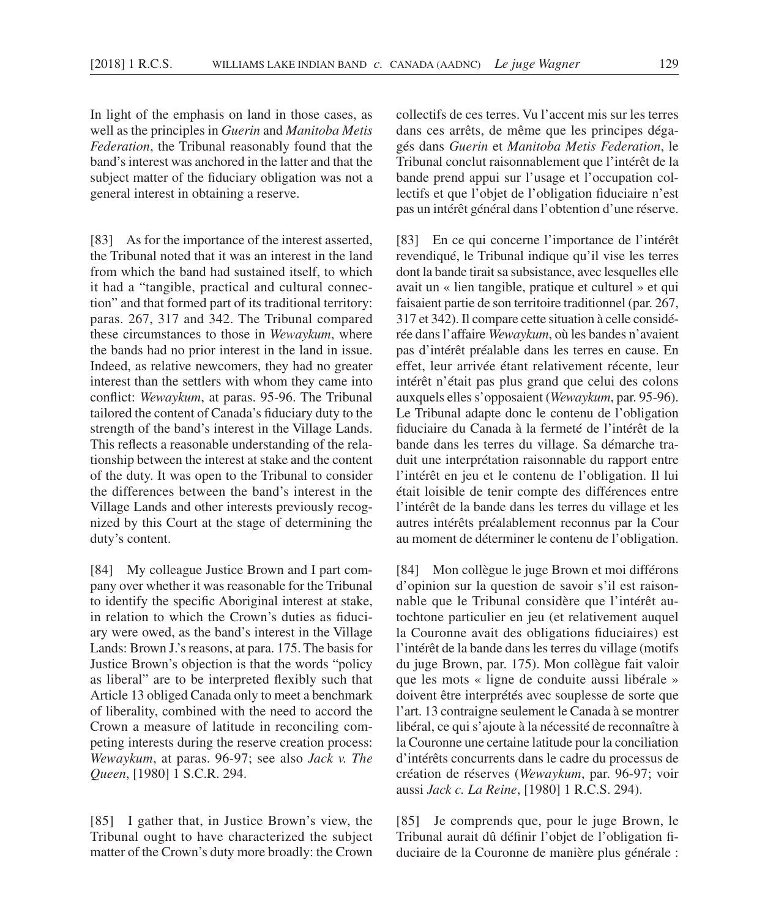In light of the emphasis on land in those cases, as well as the principles in *Guerin* and *Manitoba Metis Federation*, the Tribunal reasonably found that the band's interest was anchored in the latter and that the subject matter of the fiduciary obligation was not a general interest in obtaining a reserve.

[83] As for the importance of the interest asserted, the Tribunal noted that it was an interest in the land from which the band had sustained itself, to which it had a "tangible, practical and cultural connection" and that formed part of its traditional territory: paras. 267, 317 and 342. The Tribunal compared these circumstances to those in *Wewaykum*, where the bands had no prior interest in the land in issue. Indeed, as relative newcomers, they had no greater interest than the settlers with whom they came into conflict: *Wewaykum*, at paras. 95-96. The Tribunal tailored the content of Canada's fiduciary duty to the strength of the band's interest in the Village Lands. This reflects a reasonable understanding of the relationship between the interest at stake and the content of the duty. It was open to the Tribunal to consider the differences between the band's interest in the Village Lands and other interests previously recognized by this Court at the stage of determining the duty's content.

[84] My colleague Justice Brown and I part company over whether it was reasonable for the Tribunal to identify the specific Aboriginal interest at stake, in relation to which the Crown's duties as fiduciary were owed, as the band's interest in the Village Lands: Brown J.'s reasons, at para. 175. The basis for Justice Brown's objection is that the words "policy as liberal" are to be interpreted flexibly such that Article 13 obliged Canada only to meet a benchmark of liberality, combined with the need to accord the Crown a measure of latitude in reconciling competing interests during the reserve creation process: *Wewaykum*, at paras. 96-97; see also *Jack v. The Queen*, [1980] 1 S.C.R. 294.

[85] I gather that, in Justice Brown's view, the Tribunal ought to have characterized the subject matter of the Crown's duty more broadly: the Crown collectifs de ces terres. Vu l'accent mis sur les terres dans ces arrêts, de même que les principes dégagés dans *Guerin* et *Manitoba Metis Federation*, le Tribunal conclut raisonnablement que l'intérêt de la bande prend appui sur l'usage et l'occupation collectifs et que l'objet de l'obligation fiduciaire n'est pas un intérêt général dans l'obtention d'une réserve.

[83] En ce qui concerne l'importance de l'intérêt revendiqué, le Tribunal indique qu'il vise les terres dont la bande tirait sa subsistance, avec lesquelles elle avait un « lien tangible, pratique et culturel » et qui faisaient partie de son territoire traditionnel (par. 267, 317 et 342). Il compare cette situation à celle considérée dans l'affaire *Wewaykum*, où les bandes n'avaient pas d'intérêt préalable dans les terres en cause. En effet, leur arrivée étant relativement récente, leur intérêt n'était pas plus grand que celui des colons auxquels elles s'opposaient (*Wewaykum*, par. 95-96). Le Tribunal adapte donc le contenu de l'obligation fi duciaire du Canada à la fermeté de l'intérêt de la bande dans les terres du village. Sa démarche traduit une interprétation raisonnable du rapport entre l'intérêt en jeu et le contenu de l'obligation. Il lui était loisible de tenir compte des différences entre l'intérêt de la bande dans les terres du village et les autres intérêts préalablement reconnus par la Cour au moment de déterminer le contenu de l'obligation.

[84] Mon collègue le juge Brown et moi différons d'opinion sur la question de savoir s'il est raisonnable que le Tribunal considère que l'intérêt autochtone particulier en jeu (et relativement auquel la Couronne avait des obligations fiduciaires) est l'intérêt de la bande dans les terres du village (motifs du juge Brown, par. 175). Mon collègue fait valoir que les mots « ligne de conduite aussi libérale » doivent être interprétés avec souplesse de sorte que l'art. 13 contraigne seulement le Canada à se montrer libéral, ce qui s'ajoute à la nécessité de reconnaître à la Couronne une certaine latitude pour la conciliation d'intérêts concurrents dans le cadre du processus de création de réserves (*Wewaykum*, par. 96-97; voir aussi *Jack c. La Reine*, [1980] 1 R.C.S. 294).

[85] Je comprends que, pour le juge Brown, le Tribunal aurait dû définir l'objet de l'obligation fiduciaire de la Couronne de manière plus générale :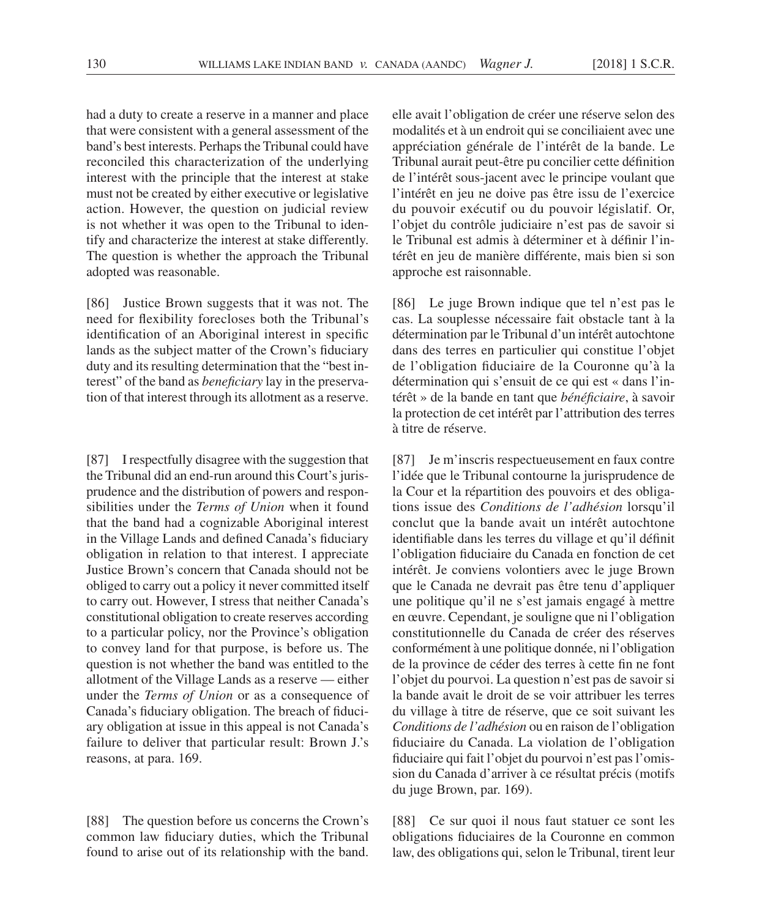had a duty to create a reserve in a manner and place that were consistent with a general assessment of the band's best interests. Perhaps the Tribunal could have reconciled this characterization of the underlying interest with the principle that the interest at stake must not be created by either executive or legislative action. However, the question on judicial review is not whether it was open to the Tribunal to identify and characterize the interest at stake differently. The question is whether the approach the Tribunal adopted was reasonable.

[86] Justice Brown suggests that it was not. The need for flexibility forecloses both the Tribunal's identification of an Aboriginal interest in specific lands as the subject matter of the Crown's fiduciary duty and its resulting determination that the "best interest" of the band as *beneficiary* lay in the preservation of that interest through its allotment as a reserve.

[87] I respectfully disagree with the suggestion that the Tribunal did an end-run around this Court's jurisprudence and the distribution of powers and responsibilities under the *Terms of Union* when it found that the band had a cognizable Aboriginal interest in the Village Lands and defined Canada's fiduciary obligation in relation to that interest. I appreciate Justice Brown's concern that Canada should not be obliged to carry out a policy it never committed itself to carry out. However, I stress that neither Canada's constitutional obligation to create reserves according to a particular policy, nor the Province's obligation to convey land for that purpose, is before us. The question is not whether the band was entitled to the allotment of the Village Lands as a reserve — either under the *Terms of Union* or as a consequence of Canada's fiduciary obligation. The breach of fiduciary obligation at issue in this appeal is not Canada's failure to deliver that particular result: Brown J.'s reasons, at para. 169.

[88] The question before us concerns the Crown's common law fiduciary duties, which the Tribunal found to arise out of its relationship with the band.

elle avait l'obligation de créer une réserve selon des modalités et à un endroit qui se conciliaient avec une appréciation générale de l'intérêt de la bande. Le Tribunal aurait peut-être pu concilier cette définition de l'intérêt sous- jacent avec le principe voulant que l'intérêt en jeu ne doive pas être issu de l'exercice du pouvoir exécutif ou du pouvoir législatif. Or, l'objet du contrôle judiciaire n'est pas de savoir si le Tribunal est admis à déterminer et à définir l'intérêt en jeu de manière différente, mais bien si son approche est raisonnable.

[86] Le juge Brown indique que tel n'est pas le cas. La souplesse nécessaire fait obstacle tant à la détermination par le Tribunal d'un intérêt autochtone dans des terres en particulier qui constitue l'objet de l'obligation fiduciaire de la Couronne qu'à la détermination qui s'ensuit de ce qui est « dans l'intérêt » de la bande en tant que *bénéficiaire*, à savoir la protection de cet intérêt par l'attribution des terres à titre de réserve.

[87] Je m'inscris respectueusement en faux contre l'idée que le Tribunal contourne la jurisprudence de la Cour et la répartition des pouvoirs et des obligations issue des *Conditions de l'adhésion* lorsqu'il conclut que la bande avait un intérêt autochtone identifiable dans les terres du village et qu'il définit l'obligation fiduciaire du Canada en fonction de cet intérêt. Je conviens volontiers avec le juge Brown que le Canada ne devrait pas être tenu d'appliquer une politique qu'il ne s'est jamais engagé à mettre en œuvre. Cependant, je souligne que ni l'obligation constitutionnelle du Canada de créer des réserves conformément à une politique donnée, ni l'obligation de la province de céder des terres à cette fin ne font l'objet du pourvoi. La question n'est pas de savoir si la bande avait le droit de se voir attribuer les terres du village à titre de réserve, que ce soit suivant les *Conditions de l'adhésion* ou en raison de l'obligation fi duciaire du Canada. La violation de l'obligation fiduciaire qui fait l'objet du pourvoi n'est pas l'omission du Canada d'arriver à ce résultat précis (motifs du juge Brown, par. 169).

[88] Ce sur quoi il nous faut statuer ce sont les obligations fiduciaires de la Couronne en common law, des obligations qui, selon le Tribunal, tirent leur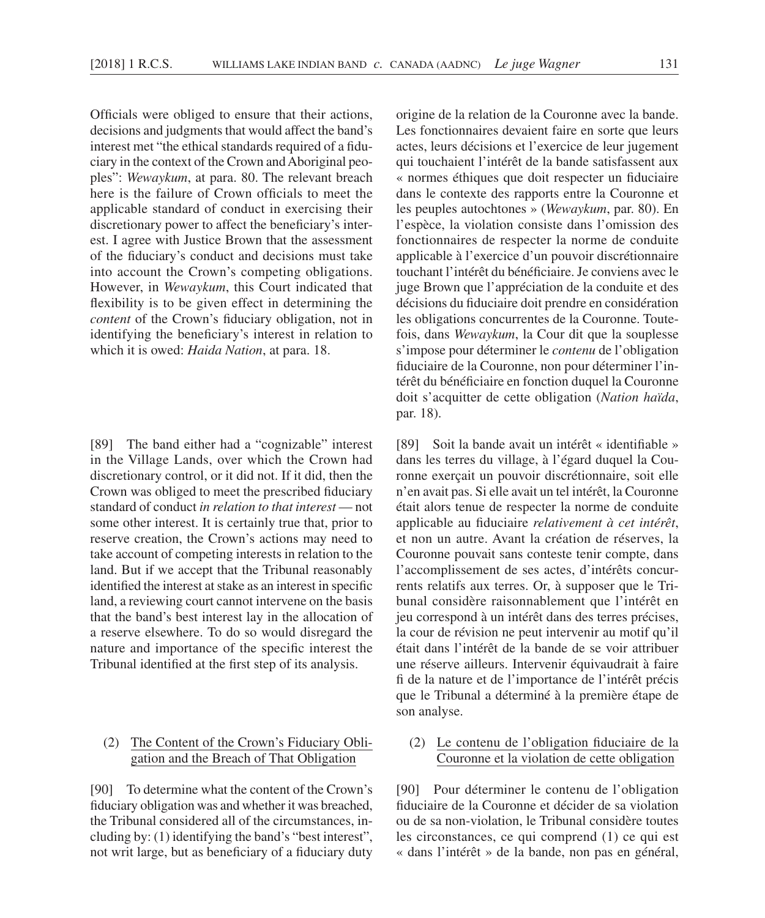Officials were obliged to ensure that their actions, decisions and judgments that would affect the band's interest met "the ethical standards required of a fiduciary in the context of the Crown and Aboriginal peoples": *Wewaykum*, at para. 80. The relevant breach here is the failure of Crown officials to meet the applicable standard of conduct in exercising their discretionary power to affect the beneficiary's interest. I agree with Justice Brown that the assessment of the fiduciary's conduct and decisions must take into account the Crown's competing obligations. However, in *Wewaykum*, this Court indicated that flexibility is to be given effect in determining the *content* of the Crown's fiduciary obligation, not in identifying the beneficiary's interest in relation to which it is owed: *Haida Nation*, at para. 18.

[89] The band either had a "cognizable" interest in the Village Lands, over which the Crown had discretionary control, or it did not. If it did, then the Crown was obliged to meet the prescribed fiduciary standard of conduct *in relation to that interest* — not some other interest. It is certainly true that, prior to reserve creation, the Crown's actions may need to take account of competing interests in relation to the land. But if we accept that the Tribunal reasonably identified the interest at stake as an interest in specific land, a reviewing court cannot intervene on the basis that the band's best interest lay in the allocation of a reserve elsewhere. To do so would disregard the nature and importance of the specific interest the Tribunal identified at the first step of its analysis.

## (2) The Content of the Crown's Fiduciary Obligation and the Breach of That Obligation

[90] To determine what the content of the Crown's fiduciary obligation was and whether it was breached, the Tribunal considered all of the circumstances, including by: (1) identifying the band's "best interest", not writ large, but as beneficiary of a fiduciary duty origine de la relation de la Couronne avec la bande. Les fonctionnaires devaient faire en sorte que leurs actes, leurs décisions et l'exercice de leur jugement qui touchaient l'intérêt de la bande satisfassent aux « normes éthiques que doit respecter un fiduciaire dans le contexte des rapports entre la Couronne et les peuples autochtones » (*Wewaykum*, par. 80). En l'espèce, la violation consiste dans l'omission des fonctionnaires de respecter la norme de conduite applicable à l'exercice d'un pouvoir discrétionnaire touchant l'intérêt du bénéficiaire. Je conviens avec le juge Brown que l'appréciation de la conduite et des décisions du fiduciaire doit prendre en considération les obligations concurrentes de la Couronne. Toutefois, dans *Wewaykum*, la Cour dit que la souplesse s'impose pour déterminer le *contenu* de l'obligation fiduciaire de la Couronne, non pour déterminer l'intérêt du bénéficiaire en fonction duquel la Couronne doit s'acquitter de cette obligation (*Nation haïda*, par. 18).

[89] Soit la bande avait un intérêt « identifiable » dans les terres du village, à l'égard duquel la Couronne exerçait un pouvoir discrétionnaire, soit elle n'en avait pas. Si elle avait un tel intérêt, la Couronne était alors tenue de respecter la norme de conduite applicable au fiduciaire *relativement à cet intérêt*, et non un autre. Avant la création de réserves, la Couronne pouvait sans conteste tenir compte, dans l'accomplissement de ses actes, d'intérêts concurrents relatifs aux terres. Or, à supposer que le Tribunal considère raisonnablement que l'intérêt en jeu correspond à un intérêt dans des terres précises, la cour de révision ne peut intervenir au motif qu'il était dans l'intérêt de la bande de se voir attribuer une réserve ailleurs. Intervenir équivaudrait à faire fi de la nature et de l'importance de l'intérêt précis que le Tribunal a déterminé à la première étape de son analyse.

(2) Le contenu de l'obligation fiduciaire de la Couronne et la violation de cette obligation

[90] Pour déterminer le contenu de l'obligation fiduciaire de la Couronne et décider de sa violation ou de sa non- violation, le Tribunal considère toutes les circonstances, ce qui comprend (1) ce qui est « dans l'intérêt » de la bande, non pas en général,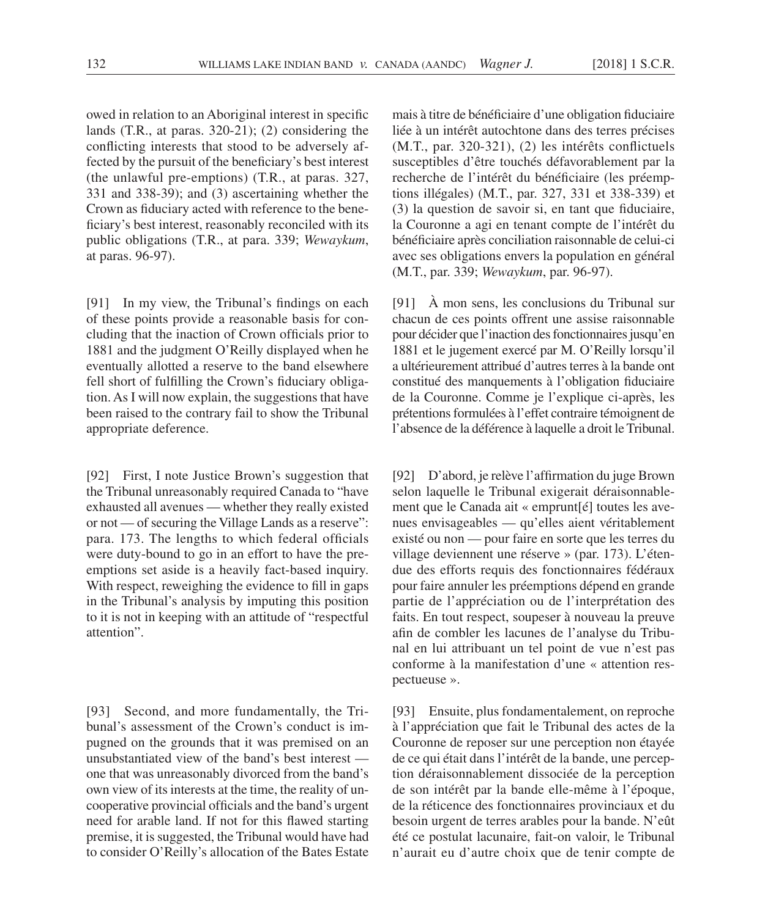owed in relation to an Aboriginal interest in specific lands (T.R., at paras. 320-21); (2) considering the conflicting interests that stood to be adversely affected by the pursuit of the beneficiary's best interest (the unlawful pre-emptions) (T.R., at paras. 327, 331 and 338-39); and (3) ascertaining whether the Crown as fiduciary acted with reference to the beneficiary's best interest, reasonably reconciled with its public obligations (T.R., at para. 339; *Wewaykum*, at paras. 96-97).

[91] In my view, the Tribunal's findings on each of these points provide a reasonable basis for concluding that the inaction of Crown officials prior to 1881 and the judgment O'Reilly displayed when he eventually allotted a reserve to the band elsewhere fell short of fulfilling the Crown's fiduciary obligation. As I will now explain, the suggestions that have been raised to the contrary fail to show the Tribunal appropriate deference.

[92] First, I note Justice Brown's suggestion that the Tribunal unreasonably required Canada to "have exhausted all avenues — whether they really existed or not — of securing the Village Lands as a reserve": para. 173. The lengths to which federal officials were duty-bound to go in an effort to have the preemptions set aside is a heavily fact-based inquiry. With respect, reweighing the evidence to fill in gaps in the Tribunal's analysis by imputing this position to it is not in keeping with an attitude of "respectful attention".

[93] Second, and more fundamentally, the Tribunal's assessment of the Crown's conduct is impugned on the grounds that it was premised on an unsubstantiated view of the band's best interest one that was unreasonably divorced from the band's own view of its interests at the time, the reality of uncooperative provincial officials and the band's urgent need for arable land. If not for this flawed starting premise, it is suggested, the Tribunal would have had to consider O'Reilly's allocation of the Bates Estate

mais à titre de bénéficiaire d'une obligation fiduciaire liée à un intérêt autochtone dans des terres précises (M.T., par. 320-321), (2) les intérêts conflictuels susceptibles d'être touchés défavorablement par la recherche de l'intérêt du bénéficiaire (les préemptions illégales) (M.T., par. 327, 331 et 338-339) et  $(3)$  la question de savoir si, en tant que fiduciaire, la Couronne a agi en tenant compte de l'intérêt du bénéficiaire après conciliation raisonnable de celui-ci avec ses obligations envers la population en général (M.T., par. 339; *Wewaykum*, par. 96-97).

[91] À mon sens, les conclusions du Tribunal sur chacun de ces points offrent une assise raisonnable pour décider que l'inaction des fonctionnaires jusqu'en 1881 et le jugement exercé par M. O'Reilly lorsqu'il a ultérieurement attribué d'autres terres à la bande ont constitué des manquements à l'obligation fiduciaire de la Couronne. Comme je l'explique ci- après, les prétentions formulées à l'effet contraire témoignent de l'absence de la déférence à laquelle a droit le Tribunal.

[92] D'abord, je relève l'affirmation du juge Brown selon laquelle le Tribunal exigerait déraisonnablement que le Canada ait « emprunt[é] toutes les avenues envisageables — qu'elles aient véritablement existé ou non — pour faire en sorte que les terres du village deviennent une réserve » (par. 173). L'étendue des efforts requis des fonctionnaires fédéraux pour faire annuler les préemptions dépend en grande partie de l'appréciation ou de l'interprétation des faits. En tout respect, soupeser à nouveau la preuve afin de combler les lacunes de l'analyse du Tribunal en lui attribuant un tel point de vue n'est pas conforme à la manifestation d'une « attention respectueuse ».

[93] Ensuite, plus fondamentalement, on reproche à l'appréciation que fait le Tribunal des actes de la Couronne de reposer sur une perception non étayée de ce qui était dans l'intérêt de la bande, une perception déraisonnablement dissociée de la perception de son intérêt par la bande elle-même à l'époque, de la réticence des fonctionnaires provinciaux et du besoin urgent de terres arables pour la bande. N'eût été ce postulat lacunaire, fait-on valoir, le Tribunal n'aurait eu d'autre choix que de tenir compte de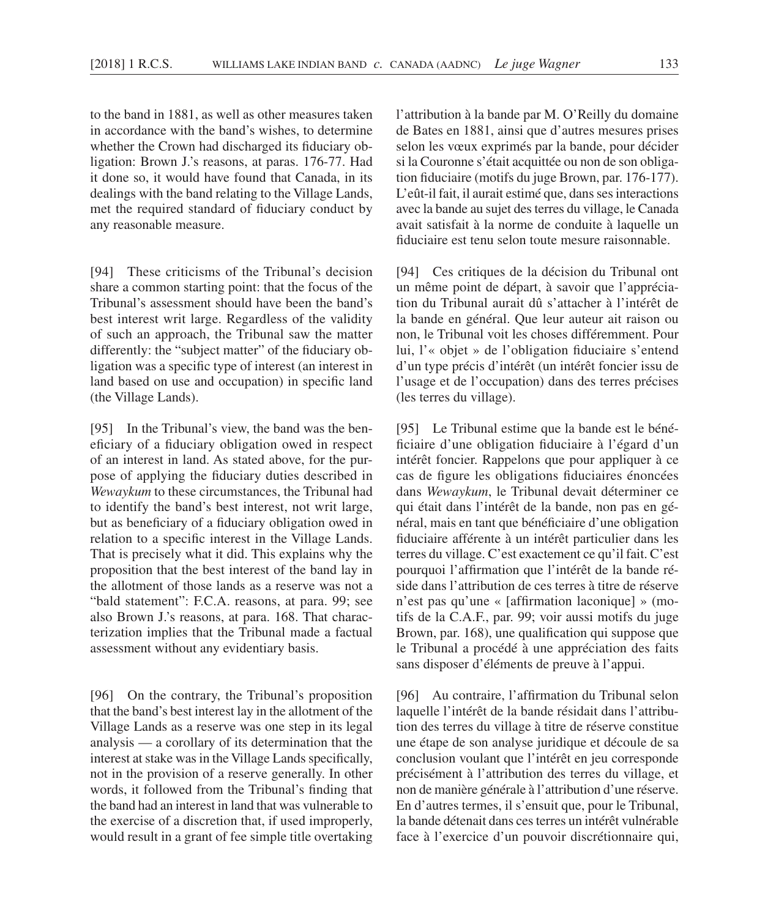to the band in 1881, as well as other measures taken in accordance with the band's wishes, to determine whether the Crown had discharged its fiduciary obligation: Brown J.'s reasons, at paras. 176-77. Had it done so, it would have found that Canada, in its dealings with the band relating to the Village Lands, met the required standard of fiduciary conduct by any reasonable measure.

[94] These criticisms of the Tribunal's decision share a common starting point: that the focus of the Tribunal's assessment should have been the band's best interest writ large. Regardless of the validity of such an approach, the Tribunal saw the matter differently: the "subject matter" of the fiduciary obligation was a specific type of interest (an interest in land based on use and occupation) in specific land (the Village Lands).

[95] In the Tribunal's view, the band was the beneficiary of a fiduciary obligation owed in respect of an interest in land. As stated above, for the purpose of applying the fiduciary duties described in *Wewaykum* to these circumstances, the Tribunal had to identify the band's best interest, not writ large, but as beneficiary of a fiduciary obligation owed in relation to a specific interest in the Village Lands. That is precisely what it did. This explains why the proposition that the best interest of the band lay in the allotment of those lands as a reserve was not a "bald statement": F.C.A. reasons, at para. 99; see also Brown J.'s reasons, at para. 168. That characterization implies that the Tribunal made a factual assessment without any evidentiary basis.

[96] On the contrary, the Tribunal's proposition that the band's best interest lay in the allotment of the Village Lands as a reserve was one step in its legal analysis — a corollary of its determination that the interest at stake was in the Village Lands specifically, not in the provision of a reserve generally. In other words, it followed from the Tribunal's finding that the band had an interest in land that was vulnerable to the exercise of a discretion that, if used improperly, would result in a grant of fee simple title overtaking l'attribution à la bande par M. O'Reilly du domaine de Bates en 1881, ainsi que d'autres mesures prises selon les vœux exprimés par la bande, pour décider si la Couronne s'était acquittée ou non de son obligation fiduciaire (motifs du juge Brown, par. 176-177). L'eût-il fait, il aurait estimé que, dans ses interactions avec la bande au sujet des terres du village, le Canada avait satisfait à la norme de conduite à laquelle un fiduciaire est tenu selon toute mesure raisonnable.

[94] Ces critiques de la décision du Tribunal ont un même point de départ, à savoir que l'appréciation du Tribunal aurait dû s'attacher à l'intérêt de la bande en général. Que leur auteur ait raison ou non, le Tribunal voit les choses différemment. Pour lui, l'« objet » de l'obligation fiduciaire s'entend d'un type précis d'intérêt (un intérêt foncier issu de l'usage et de l'occupation) dans des terres précises (les terres du village).

[95] Le Tribunal estime que la bande est le bénéficiaire d'une obligation fiduciaire à l'égard d'un intérêt foncier. Rappelons que pour appliquer à ce cas de figure les obligations fiduciaires énoncées dans *Wewaykum*, le Tribunal devait déterminer ce qui était dans l'intérêt de la bande, non pas en général, mais en tant que bénéficiaire d'une obligation fiduciaire afférente à un intérêt particulier dans les terres du village. C'est exactement ce qu'il fait. C'est pourquoi l'affirmation que l'intérêt de la bande réside dans l'attribution de ces terres à titre de réserve n'est pas qu'une « [affirmation laconique] » (motifs de la C.A.F., par. 99; voir aussi motifs du juge Brown, par. 168), une qualification qui suppose que le Tribunal a procédé à une appréciation des faits sans disposer d'éléments de preuve à l'appui.

[96] Au contraire, l'affirmation du Tribunal selon laquelle l'intérêt de la bande résidait dans l'attribution des terres du village à titre de réserve constitue une étape de son analyse juridique et découle de sa conclusion voulant que l'intérêt en jeu corresponde précisément à l'attribution des terres du village, et non de manière générale à l'attribution d'une réserve. En d'autres termes, il s'ensuit que, pour le Tribunal, la bande détenait dans ces terres un intérêt vulnérable face à l'exercice d'un pouvoir discrétionnaire qui,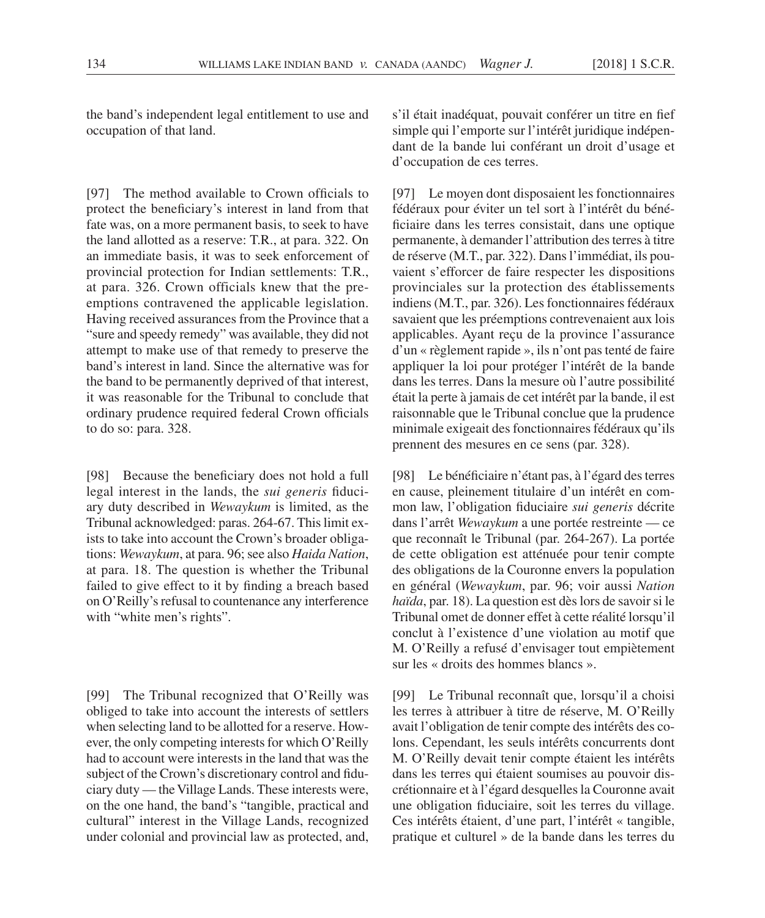the band's independent legal entitlement to use and occupation of that land.

[97] The method available to Crown officials to protect the beneficiary's interest in land from that fate was, on a more permanent basis, to seek to have the land allotted as a reserve: T.R., at para. 322. On an immediate basis, it was to seek enforcement of provincial protection for Indian settlements: T.R., at para. 326. Crown officials knew that the preemptions contravened the applicable legislation. Having received assurances from the Province that a "sure and speedy remedy" was available, they did not attempt to make use of that remedy to preserve the band's interest in land. Since the alternative was for the band to be permanently deprived of that interest, it was reasonable for the Tribunal to conclude that ordinary prudence required federal Crown officials to do so: para. 328.

[98] Because the beneficiary does not hold a full legal interest in the lands, the *sui generis* fiduciary duty described in *Wewaykum* is limited, as the Tribunal acknowledged: paras. 264-67. This limit exists to take into account the Crown's broader obligations: *Wewaykum*, at para. 96; see also *Haida Nation*, at para. 18. The question is whether the Tribunal failed to give effect to it by finding a breach based on O'Reilly's refusal to countenance any interference with "white men's rights".

[99] The Tribunal recognized that O'Reilly was obliged to take into account the interests of settlers when selecting land to be allotted for a reserve. However, the only competing interests for which O'Reilly had to account were interests in the land that was the subject of the Crown's discretionary control and fiduciary duty — the Village Lands. These interests were, on the one hand, the band's "tangible, practical and cultural" interest in the Village Lands, recognized under colonial and provincial law as protected, and, s'il était inadéquat, pouvait conférer un titre en fief simple qui l'emporte sur l'intérêt juridique indépendant de la bande lui conférant un droit d'usage et d'occupation de ces terres.

[97] Le moyen dont disposaient les fonctionnaires fédéraux pour éviter un tel sort à l'intérêt du bénéficiaire dans les terres consistait, dans une optique permanente, à demander l'attribution des terres à titre de réserve (M.T., par. 322). Dans l'immédiat, ils pouvaient s'efforcer de faire respecter les dispositions provinciales sur la protection des établissements indiens (M.T., par. 326). Les fonctionnaires fédéraux savaient que les préemptions contrevenaient aux lois applicables. Ayant reçu de la province l'assurance d'un « règlement rapide », ils n'ont pas tenté de faire appliquer la loi pour protéger l'intérêt de la bande dans les terres. Dans la mesure où l'autre possibilité était la perte à jamais de cet intérêt par la bande, il est raisonnable que le Tribunal conclue que la prudence minimale exigeait des fonctionnaires fédéraux qu'ils prennent des mesures en ce sens (par. 328).

[98] Le bénéficiaire n'étant pas, à l'égard des terres en cause, pleinement titulaire d'un intérêt en common law, l'obligation fiduciaire *sui generis* décrite dans l'arrêt *Wewaykum* a une portée restreinte — ce que reconnaît le Tribunal (par. 264-267). La portée de cette obligation est atténuée pour tenir compte des obligations de la Couronne envers la population en général (*Wewaykum*, par. 96; voir aussi *Nation haïda*, par. 18). La question est dès lors de savoir si le Tribunal omet de donner effet à cette réalité lorsqu'il conclut à l'existence d'une violation au motif que M. O'Reilly a refusé d'envisager tout empiètement sur les « droits des hommes blancs ».

[99] Le Tribunal reconnaît que, lorsqu'il a choisi les terres à attribuer à titre de réserve, M. O'Reilly avait l'obligation de tenir compte des intérêts des colons. Cependant, les seuls intérêts concurrents dont M. O'Reilly devait tenir compte étaient les intérêts dans les terres qui étaient soumises au pouvoir discrétionnaire et à l'égard desquelles la Couronne avait une obligation fiduciaire, soit les terres du village. Ces intérêts étaient, d'une part, l'intérêt « tangible, pratique et culturel » de la bande dans les terres du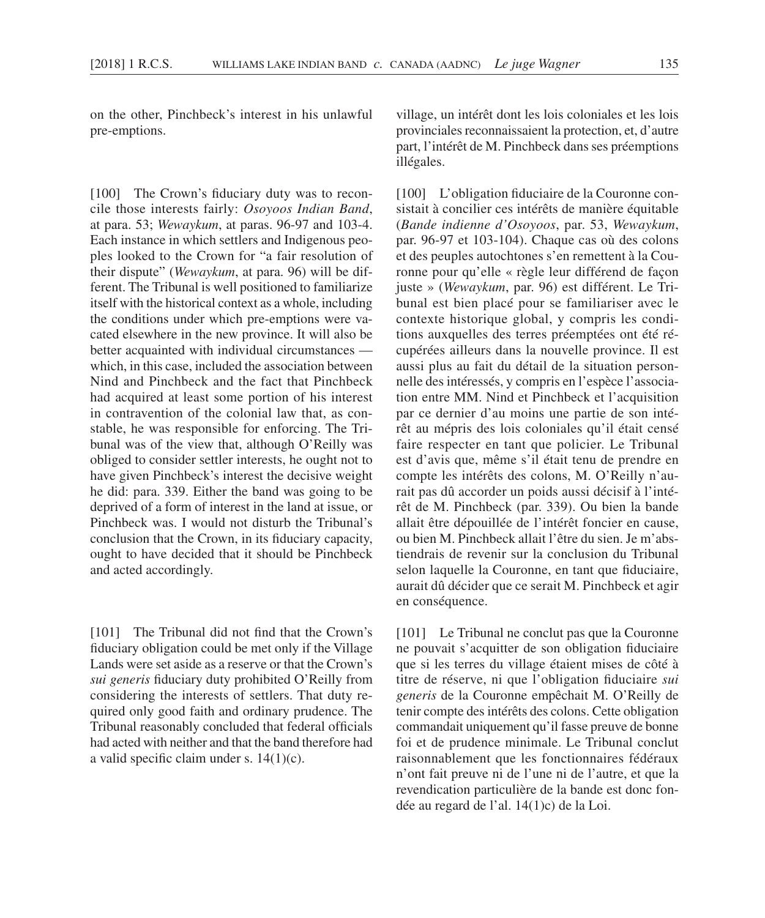on the other, Pinchbeck's interest in his unlawful pre-emptions.

[100] The Crown's fiduciary duty was to reconcile those interests fairly: *Osoyoos Indian Band*, at para. 53; *Wewaykum*, at paras. 96-97 and 103-4. Each instance in which settlers and Indigenous peoples looked to the Crown for "a fair resolution of their dispute" (*Wewaykum*, at para. 96) will be different. The Tribunal is well positioned to familiarize itself with the historical context as a whole, including the conditions under which pre-emptions were vacated elsewhere in the new province. It will also be better acquainted with individual circumstances which, in this case, included the association between Nind and Pinchbeck and the fact that Pinchbeck had acquired at least some portion of his interest in contravention of the colonial law that, as constable, he was responsible for enforcing. The Tribunal was of the view that, although O'Reilly was obliged to consider settler interests, he ought not to have given Pinchbeck's interest the decisive weight he did: para. 339. Either the band was going to be deprived of a form of interest in the land at issue, or Pinchbeck was. I would not disturb the Tribunal's conclusion that the Crown, in its fiduciary capacity, ought to have decided that it should be Pinchbeck and acted accordingly.

[101] The Tribunal did not find that the Crown's fiduciary obligation could be met only if the Village Lands were set aside as a reserve or that the Crown's *sui generis* fiduciary duty prohibited O'Reilly from considering the interests of settlers. That duty required only good faith and ordinary prudence. The Tribunal reasonably concluded that federal officials had acted with neither and that the band therefore had a valid specific claim under s.  $14(1)(c)$ .

village, un intérêt dont les lois coloniales et les lois provinciales reconnaissaient la protection, et, d'autre part, l'intérêt de M. Pinchbeck dans ses préemptions illégales.

[100] L'obligation fiduciaire de la Couronne consistait à concilier ces intérêts de manière équitable (*Bande indienne d'Osoyoos*, par. 53, *Wewaykum*, par. 96-97 et 103-104). Chaque cas où des colons et des peuples autochtones s'en remettent à la Couronne pour qu'elle « règle leur différend de façon juste » (*Wewaykum*, par. 96) est différent. Le Tribunal est bien placé pour se familiariser avec le contexte historique global, y compris les conditions auxquelles des terres préemptées ont été récupérées ailleurs dans la nouvelle province. Il est aussi plus au fait du détail de la situation personnelle des intéressés, y compris en l'espèce l'association entre MM. Nind et Pinchbeck et l'acquisition par ce dernier d'au moins une partie de son intérêt au mépris des lois coloniales qu'il était censé faire respecter en tant que policier. Le Tribunal est d'avis que, même s'il était tenu de prendre en compte les intérêts des colons, M. O'Reilly n'aurait pas dû accorder un poids aussi décisif à l'intérêt de M. Pinchbeck (par. 339). Ou bien la bande allait être dépouillée de l'intérêt foncier en cause, ou bien M. Pinchbeck allait l'être du sien. Je m'abstiendrais de revenir sur la conclusion du Tribunal selon laquelle la Couronne, en tant que fiduciaire, aurait dû décider que ce serait M. Pinchbeck et agir en conséquence.

[101] Le Tribunal ne conclut pas que la Couronne ne pouvait s'acquitter de son obligation fiduciaire que si les terres du village étaient mises de côté à titre de réserve, ni que l'obligation fiduciaire *sui generis* de la Couronne empêchait M. O'Reilly de tenir compte des intérêts des colons. Cette obligation commandait uniquement qu'il fasse preuve de bonne foi et de prudence minimale. Le Tribunal conclut raisonnablement que les fonctionnaires fédéraux n'ont fait preuve ni de l'une ni de l'autre, et que la revendication particulière de la bande est donc fondée au regard de l'al. 14(1)c) de la Loi.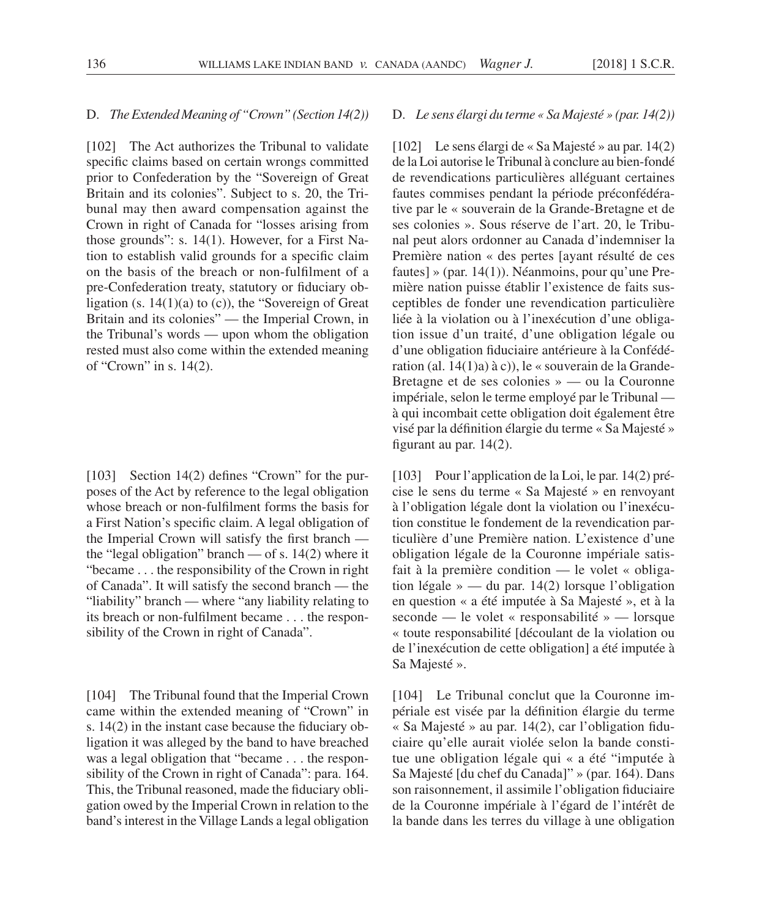### D. *The Extended Meaning of "Crown" (Section 14(2))*

[102] The Act authorizes the Tribunal to validate specific claims based on certain wrongs committed prior to Confederation by the "Sovereign of Great Britain and its colonies". Subject to s. 20, the Tribunal may then award compensation against the Crown in right of Canada for "losses arising from those grounds": s. 14(1). However, for a First Nation to establish valid grounds for a specific claim on the basis of the breach or non-fulfilment of a pre-Confederation treaty, statutory or fiduciary obligation (s. 14(1)(a) to (c)), the "Sovereign of Great Britain and its colonies" — the Imperial Crown, in the Tribunal's words — upon whom the obligation rested must also come within the extended meaning of "Crown" in s. 14(2).

[103] Section 14(2) defines "Crown" for the purposes of the Act by reference to the legal obligation whose breach or non-fulfilment forms the basis for a First Nation's specific claim. A legal obligation of the Imperial Crown will satisfy the first branch the "legal obligation" branch  $-$  of s. 14(2) where it "became . . . the responsibility of the Crown in right of Canada". It will satisfy the second branch — the "liability" branch — where "any liability relating to its breach or non-fulfilment became . . . the responsibility of the Crown in right of Canada".

[104] The Tribunal found that the Imperial Crown came within the extended meaning of "Crown" in s.  $14(2)$  in the instant case because the fiduciary obligation it was alleged by the band to have breached was a legal obligation that "became . . . the responsibility of the Crown in right of Canada": para. 164. This, the Tribunal reasoned, made the fiduciary obligation owed by the Imperial Crown in relation to the band's interest in the Village Lands a legal obligation

#### D. *Le sens élargi du terme « Sa Majesté » (par. 14(2))*

[102] Le sens élargi de « Sa Majesté » au par. 14(2) de la Loi autorise le Tribunal à conclure au bien- fondé de revendications particulières alléguant certaines fautes commises pendant la période préconfédérative par le « souverain de la Grande- Bretagne et de ses colonies ». Sous réserve de l'art. 20, le Tribunal peut alors ordonner au Canada d'indemniser la Première nation « des pertes [ayant résulté de ces fautes] » (par. 14(1)). Néanmoins, pour qu'une Première nation puisse établir l'existence de faits susceptibles de fonder une revendication particulière liée à la violation ou à l'inexécution d'une obligation issue d'un traité, d'une obligation légale ou d'une obligation fiduciaire antérieure à la Confédération (al. 14(1)a) à c)), le « souverain de la Grande-Bretagne et de ses colonies » — ou la Couronne impériale, selon le terme employé par le Tribunal à qui incombait cette obligation doit également être visé par la définition élargie du terme « Sa Majesté » figurant au par.  $14(2)$ .

[103] Pour l'application de la Loi, le par. 14(2) précise le sens du terme « Sa Majesté » en renvoyant à l'obligation légale dont la violation ou l'inexécution constitue le fondement de la revendication particulière d'une Première nation. L'existence d'une obligation légale de la Couronne impériale satisfait à la première condition — le volet « obligation légale » — du par. 14(2) lorsque l'obligation en question « a été imputée à Sa Majesté », et à la seconde — le volet « responsabilité » — lorsque « toute responsabilité [découlant de la violation ou de l'inexécution de cette obligation] a été imputée à Sa Majesté ».

[104] Le Tribunal conclut que la Couronne impériale est visée par la définition élargie du terme « Sa Majesté » au par.  $14(2)$ , car l'obligation fiduciaire qu'elle aurait violée selon la bande constitue une obligation légale qui « a été "imputée à Sa Majesté [du chef du Canada]" » (par. 164). Dans son raisonnement, il assimile l'obligation fiduciaire de la Couronne impériale à l'égard de l'intérêt de la bande dans les terres du village à une obligation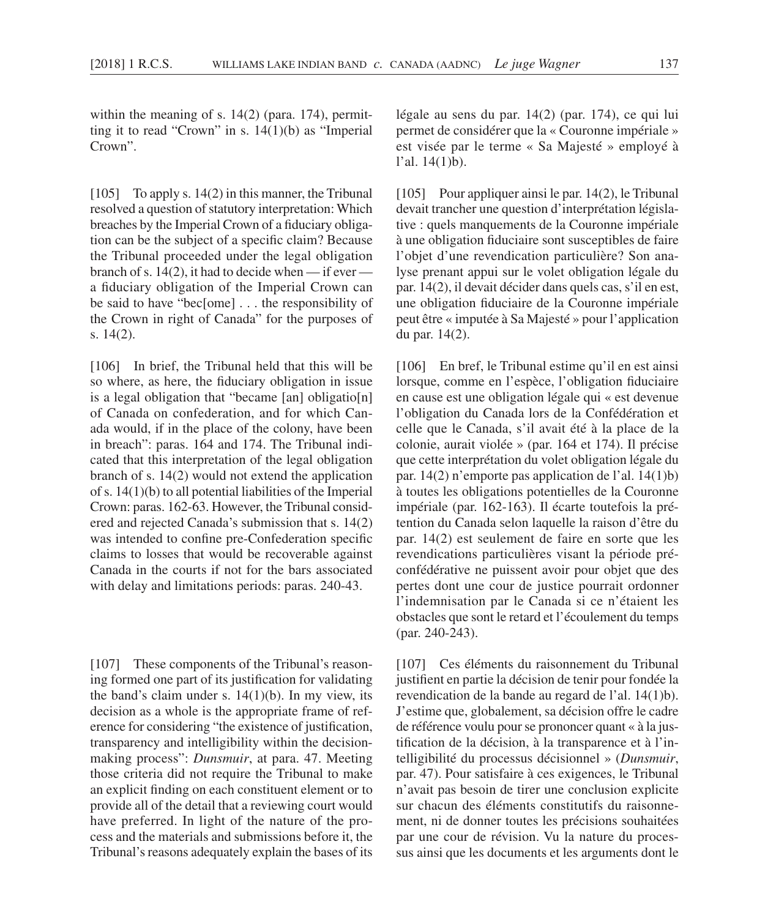within the meaning of s. 14(2) (para. 174), permitting it to read "Crown" in s.  $14(1)(b)$  as "Imperial Crown".

[105] To apply s. 14(2) in this manner, the Tribunal resolved a question of statutory interpretation: Which breaches by the Imperial Crown of a fiduciary obligation can be the subject of a specific claim? Because the Tribunal proceeded under the legal obligation branch of s. 14(2), it had to decide when — if ever a fiduciary obligation of the Imperial Crown can be said to have "bec[ome] . . . the responsibility of the Crown in right of Canada" for the purposes of s. 14(2).

[106] In brief, the Tribunal held that this will be so where, as here, the fiduciary obligation in issue is a legal obligation that "became [an] obligatio[n] of Canada on confederation, and for which Canada would, if in the place of the colony, have been in breach": paras. 164 and 174. The Tribunal indicated that this interpretation of the legal obligation branch of s. 14(2) would not extend the application of s. 14(1)(b) to all potential liabilities of the Imperial Crown: paras. 162-63. However, the Tribunal considered and rejected Canada's submission that s. 14(2) was intended to confine pre-Confederation specific claims to losses that would be recoverable against Canada in the courts if not for the bars associated with delay and limitations periods: paras. 240-43.

[107] These components of the Tribunal's reasoning formed one part of its justification for validating the band's claim under s.  $14(1)(b)$ . In my view, its decision as a whole is the appropriate frame of reference for considering "the existence of justification, transparency and intelligibility within the decisionmaking process": *Dunsmuir*, at para. 47. Meeting those criteria did not require the Tribunal to make an explicit finding on each constituent element or to provide all of the detail that a reviewing court would have preferred. In light of the nature of the process and the materials and submissions before it, the Tribunal's reasons adequately explain the bases of its

légale au sens du par. 14(2) (par. 174), ce qui lui permet de considérer que la « Couronne impériale » est visée par le terme « Sa Majesté » employé à l'al. 14(1)b).

[105] Pour appliquer ainsi le par. 14(2), le Tribunal devait trancher une question d'interprétation législative : quels manquements de la Couronne impériale à une obligation fiduciaire sont susceptibles de faire l'objet d'une revendication particulière? Son analyse prenant appui sur le volet obligation légale du par. 14(2), il devait décider dans quels cas, s'il en est, une obligation fiduciaire de la Couronne impériale peut être « imputée à Sa Majesté » pour l'application du par. 14(2).

[106] En bref, le Tribunal estime qu'il en est ainsi lorsque, comme en l'espèce, l'obligation fiduciaire en cause est une obligation légale qui « est devenue l'obligation du Canada lors de la Confédération et celle que le Canada, s'il avait été à la place de la colonie, aurait violée » (par. 164 et 174). Il précise que cette interprétation du volet obligation légale du par. 14(2) n'emporte pas application de l'al. 14(1)b) à toutes les obligations potentielles de la Couronne impériale (par. 162-163). Il écarte toutefois la prétention du Canada selon laquelle la raison d'être du par. 14(2) est seulement de faire en sorte que les revendications particulières visant la période préconfédérative ne puissent avoir pour objet que des pertes dont une cour de justice pourrait ordonner l'indemnisation par le Canada si ce n'étaient les obstacles que sont le retard et l'écoulement du temps (par. 240-243).

[107] Ces éléments du raisonnement du Tribunal justifient en partie la décision de tenir pour fondée la revendication de la bande au regard de l'al. 14(1)b). J'estime que, globalement, sa décision offre le cadre de référence voulu pour se prononcer quant « à la justification de la décision, à la transparence et à l'intelligibilité du processus décisionnel » ( *Dunsmuir*, par. 47). Pour satisfaire à ces exigences, le Tribunal n'avait pas besoin de tirer une conclusion explicite sur chacun des éléments constitutifs du raisonnement, ni de donner toutes les précisions souhaitées par une cour de révision. Vu la nature du processus ainsi que les documents et les arguments dont le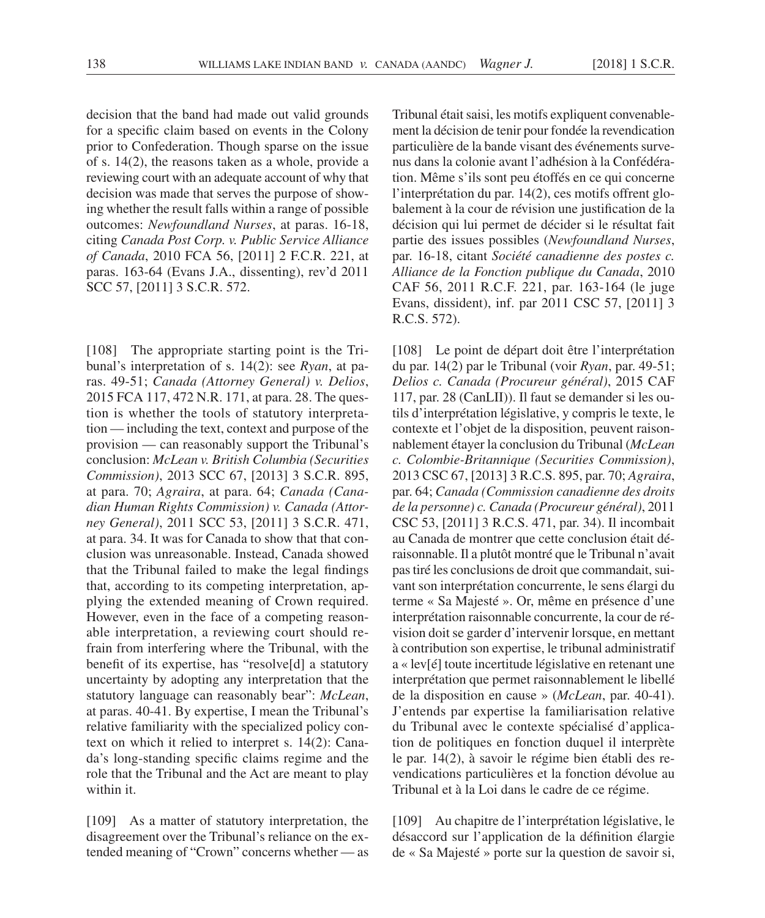decision that the band had made out valid grounds for a specific claim based on events in the Colony prior to Confederation. Though sparse on the issue of s. 14(2), the reasons taken as a whole, provide a reviewing court with an adequate account of why that decision was made that serves the purpose of showing whether the result falls within a range of possible outcomes: *Newfoundland Nurses*, at paras. 16-18, citing *Canada Post Corp. v. Public Service Alliance of Canada*, 2010 FCA 56, [2011] 2 F.C.R. 221, at paras. 163-64 (Evans J.A., dissenting), rev'd 2011 SCC 57, [2011] 3 S.C.R. 572.

[108] The appropriate starting point is the Tribunal's interpretation of s. 14(2): see *Ryan*, at paras. 49-51; *Canada (Attorney General) v. Delios*, 2015 FCA 117, 472 N.R. 171, at para. 28. The question is whether the tools of statutory interpretation — including the text, context and purpose of the provision — can reasonably support the Tribunal's conclusion: *McLean v. British Columbia (Securities Commission)*, 2013 SCC 67, [2013] 3 S.C.R. 895, at para. 70; *Agraira*, at para. 64; *Canada (Canadian Human Rights Commission) v. Canada (Attorney General)*, 2011 SCC 53, [2011] 3 S.C.R. 471, at para. 34. It was for Canada to show that that conclusion was unreasonable. Instead, Canada showed that the Tribunal failed to make the legal findings that, according to its competing interpretation, applying the extended meaning of Crown required. However, even in the face of a competing reasonable interpretation, a reviewing court should refrain from interfering where the Tribunal, with the benefit of its expertise, has "resolve[d] a statutory uncertainty by adopting any interpretation that the statutory language can reasonably bear": *McLean*, at paras. 40-41. By expertise, I mean the Tribunal's relative familiarity with the specialized policy context on which it relied to interpret s. 14(2): Canada's long-standing specific claims regime and the role that the Tribunal and the Act are meant to play within it.

[109] As a matter of statutory interpretation, the disagreement over the Tribunal's reliance on the extended meaning of "Crown" concerns whether — as

Tribunal était saisi, les motifs expliquent convenablement la décision de tenir pour fondée la revendication particulière de la bande visant des événements survenus dans la colonie avant l'adhésion à la Confédération. Même s'ils sont peu étoffés en ce qui concerne l'interprétation du par. 14(2), ces motifs offrent globalement à la cour de révision une justification de la décision qui lui permet de décider si le résultat fait partie des issues possibles (*Newfoundland Nurses*, par. 16-18, citant *Société canadienne des postes c. Alliance de la Fonction publique du Canada*, 2010 CAF 56, 2011 R.C.F. 221, par. 163-164 (le juge Evans, dissident), inf. par 2011 CSC 57, [2011] 3 R.C.S. 572).

[108] Le point de départ doit être l'interprétation du par. 14(2) par le Tribunal (voir *Ryan*, par. 49-51; *Delios c. Canada (Procureur général)*, 2015 CAF 117, par. 28 (CanLII)). Il faut se demander si les outils d'interprétation législative, y compris le texte, le contexte et l'objet de la disposition, peuvent raisonnablement étayer la conclusion du Tribunal (*McLean c. Colombie- Britannique (Securities Commission)*, 2013 CSC 67, [2013] 3 R.C.S. 895, par. 70; *Agraira*, par. 64; *Canada (Commission canadienne des droits de la personne) c. Canada (Procureur général)*, 2011 CSC 53, [2011] 3 R.C.S. 471, par. 34). Il incombait au Canada de montrer que cette conclusion était déraisonnable. Il a plutôt montré que le Tribunal n'avait pas tiré les conclusions de droit que commandait, suivant son interprétation concurrente, le sens élargi du terme « Sa Majesté ». Or, même en présence d'une interprétation raisonnable concurrente, la cour de révision doit se garder d'intervenir lorsque, en mettant à contribution son expertise, le tribunal administratif a « lev[é] toute incertitude législative en retenant une interprétation que permet raisonnablement le libellé de la disposition en cause » (*McLean*, par. 40-41). J'entends par expertise la familiarisation relative du Tribunal avec le contexte spécialisé d'application de politiques en fonction duquel il interprète le par. 14(2), à savoir le régime bien établi des revendications particulières et la fonction dévolue au Tribunal et à la Loi dans le cadre de ce régime.

[109] Au chapitre de l'interprétation législative, le désaccord sur l'application de la définition élargie de « Sa Majesté » porte sur la question de savoir si,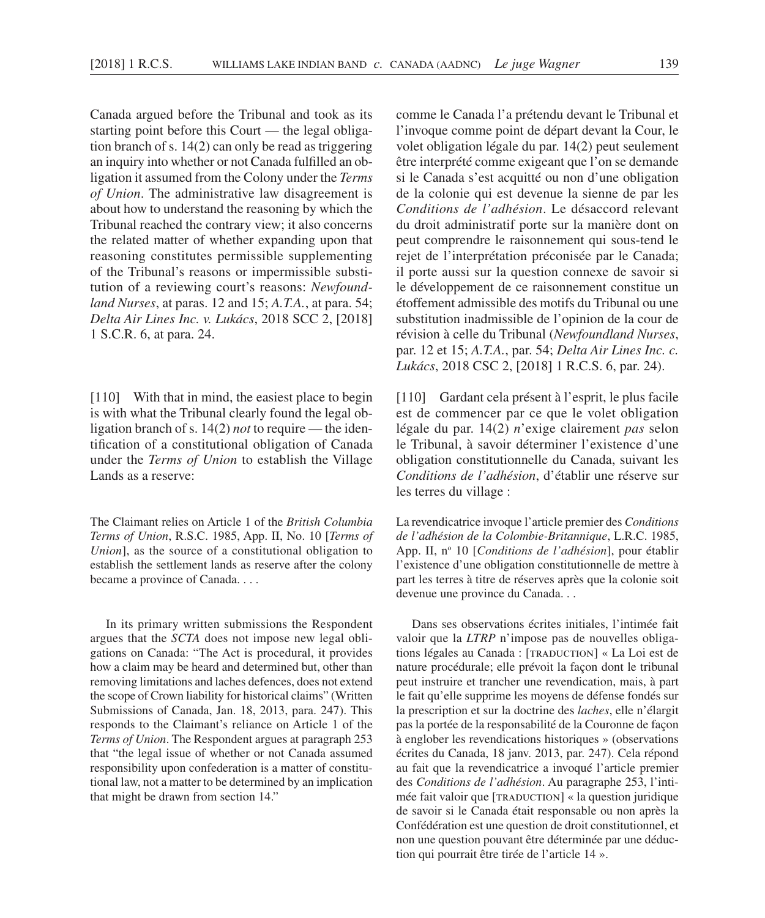Canada argued before the Tribunal and took as its starting point before this Court — the legal obligation branch of s. 14(2) can only be read as triggering an inquiry into whether or not Canada fulfilled an obligation it assumed from the Colony under the *Terms of Union*. The administrative law disagreement is about how to understand the reasoning by which the Tribunal reached the contrary view; it also concerns the related matter of whether expanding upon that reasoning constitutes permissible supplementing of the Tribunal's reasons or impermissible substitution of a reviewing court's reasons: *Newfoundland Nurses*, at paras. 12 and 15; *A.T.A.*, at para. 54; *Delta Air Lines Inc. v. Lukács*, 2018 SCC 2, [2018] 1 S.C.R. 6, at para. 24.

[110] With that in mind, the easiest place to begin is with what the Tribunal clearly found the legal obligation branch of s. 14(2) *not* to require — the identification of a constitutional obligation of Canada under the *Terms of Union* to establish the Village Lands as a reserve:

The Claimant relies on Article 1 of the *British Columbia Terms of Union*, R.S.C. 1985, App. II, No. 10 [*Terms of Union*], as the source of a constitutional obligation to establish the settlement lands as reserve after the colony became a province of Canada. . . .

In its primary written submissions the Respondent argues that the *SCTA* does not impose new legal obligations on Canada: "The Act is procedural, it provides how a claim may be heard and determined but, other than removing limitations and laches defences, does not extend the scope of Crown liability for historical claims" (Written Submissions of Canada, Jan. 18, 2013, para. 247). This responds to the Claimant's reliance on Article 1 of the *Terms of Union*. The Respondent argues at paragraph 253 that "the legal issue of whether or not Canada assumed responsibility upon confederation is a matter of constitutional law, not a matter to be determined by an implication that might be drawn from section 14."

comme le Canada l'a prétendu devant le Tribunal et l'invoque comme point de départ devant la Cour, le volet obligation légale du par. 14(2) peut seulement être interprété comme exigeant que l'on se demande si le Canada s'est acquitté ou non d'une obligation de la colonie qui est devenue la sienne de par les *Conditions de l'adhésion*. Le désaccord relevant du droit administratif porte sur la manière dont on peut comprendre le raisonnement qui sous- tend le rejet de l'interprétation préconisée par le Canada; il porte aussi sur la question connexe de savoir si le développement de ce raisonnement constitue un étoffement admissible des motifs du Tribunal ou une substitution inadmissible de l'opinion de la cour de révision à celle du Tribunal (*Newfoundland Nurses*, par. 12 et 15; *A.T.A.*, par. 54; *Delta Air Lines Inc. c. Lukács*, 2018 CSC 2, [2018] 1 R.C.S. 6, par. 24).

[110] Gardant cela présent à l'esprit, le plus facile est de commencer par ce que le volet obligation légale du par. 14(2) *n*'exige clairement *pas* selon le Tribunal, à savoir déterminer l'existence d'une obligation constitutionnelle du Canada, suivant les *Conditions de l'adhésion*, d'établir une réserve sur les terres du village :

La revendicatrice invoque l'article premier des *Conditions de l'adhésion de la Colombie- Britannique*, L.R.C. 1985, App. II, nº 10 [*Conditions de l'adhésion*], pour établir l'existence d'une obligation constitutionnelle de mettre à part les terres à titre de réserves après que la colonie soit devenue une province du Canada. . .

Dans ses observations écrites initiales, l'intimée fait valoir que la *LTRP* n'impose pas de nouvelles obligations légales au Canada : [TRADUCTION] « La Loi est de nature procédurale; elle prévoit la façon dont le tribunal peut instruire et trancher une revendication, mais, à part le fait qu'elle supprime les moyens de défense fondés sur la prescription et sur la doctrine des *laches*, elle n'élargit pas la portée de la responsabilité de la Couronne de façon à englober les revendications historiques » (observations écrites du Canada, 18 janv. 2013, par. 247). Cela répond au fait que la revendicatrice a invoqué l'article premier des *Conditions de l'adhésion*. Au paragraphe 253, l'intimée fait valoir que [TRADUCTION] « la question juridique de savoir si le Canada était responsable ou non après la Confédération est une question de droit constitutionnel, et non une question pouvant être déterminée par une déduction qui pourrait être tirée de l'article 14 ».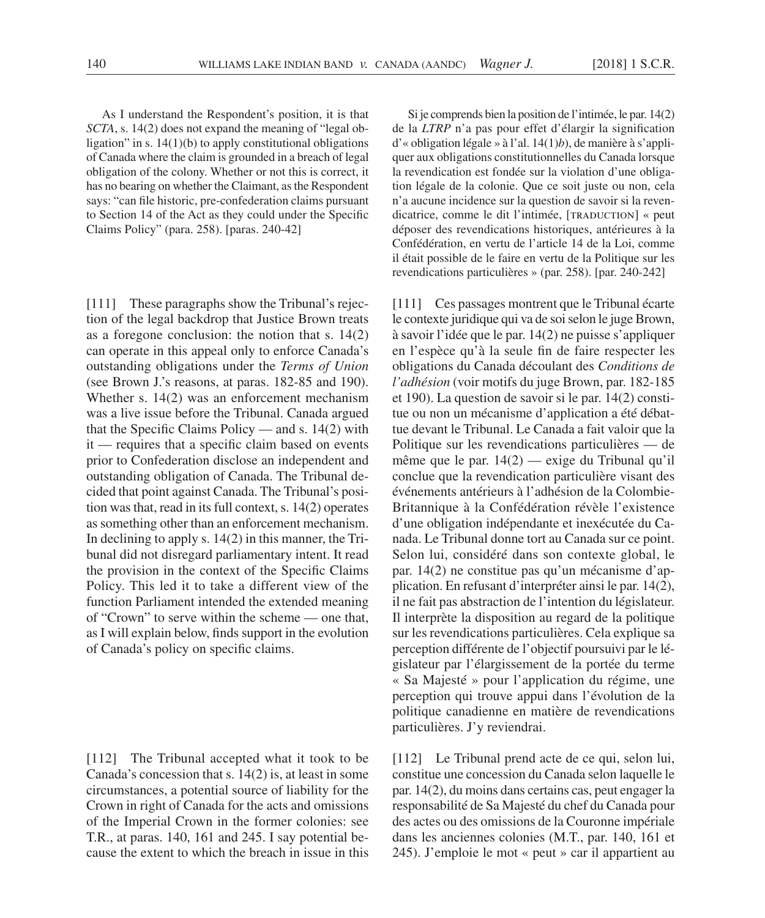As I understand the Respondent's position, it is that *SCTA*, s. 14(2) does not expand the meaning of "legal obligation" in s. 14(1)(b) to apply constitutional obligations of Canada where the claim is grounded in a breach of legal obligation of the colony. Whether or not this is correct, it has no bearing on whether the Claimant, as the Respondent says: "can file historic, pre-confederation claims pursuant to Section 14 of the Act as they could under the Specific Claims Policy" (para. 258). [paras. 240-42]

[111] These paragraphs show the Tribunal's rejection of the legal backdrop that Justice Brown treats as a foregone conclusion: the notion that s.  $14(2)$ can operate in this appeal only to enforce Canada's outstanding obligations under the *Terms of Union* (see Brown J.'s reasons, at paras. 182-85 and 190). Whether s. 14(2) was an enforcement mechanism was a live issue before the Tribunal. Canada argued that the Specific Claims Policy — and s.  $14(2)$  with it — requires that a specific claim based on events prior to Confederation disclose an independent and outstanding obligation of Canada. The Tribunal decided that point against Canada. The Tribunal's position was that, read in its full context, s. 14(2) operates as something other than an enforcement mechanism. In declining to apply s. 14(2) in this manner, the Tribunal did not disregard parliamentary intent. It read the provision in the context of the Specific Claims Policy. This led it to take a different view of the function Parliament intended the extended meaning of "Crown" to serve within the scheme — one that, as I will explain below, finds support in the evolution of Canada's policy on specific claims.

[112] The Tribunal accepted what it took to be Canada's concession that s. 14(2) is, at least in some circumstances, a potential source of liability for the Crown in right of Canada for the acts and omissions of the Imperial Crown in the former colonies: see T.R., at paras. 140, 161 and 245. I say potential because the extent to which the breach in issue in this

Si je comprends bien la position de l'intimée, le par. 14(2) de la *LTRP* n'a pas pour effet d'élargir la signification d'« obligation légale » à l'al. 14(1)*b*), de manière à s'appliquer aux obligations constitutionnelles du Canada lorsque la revendication est fondée sur la violation d'une obligation légale de la colonie. Que ce soit juste ou non, cela n'a aucune incidence sur la question de savoir si la revendicatrice, comme le dit l'intimée, [TRADUCTION] « peut déposer des revendications historiques, antérieures à la Confédération, en vertu de l'article 14 de la Loi, comme il était possible de le faire en vertu de la Politique sur les revendications particulières » (par. 258). [par. 240-242]

[111] Ces passages montrent que le Tribunal écarte le contexte juridique qui va de soi selon le juge Brown, à savoir l'idée que le par. 14(2) ne puisse s'appliquer en l'espèce qu'à la seule fin de faire respecter les obligations du Canada découlant des *Conditions de l'adhésion* (voir motifs du juge Brown, par. 182-185 et 190). La question de savoir si le par. 14(2) constitue ou non un mécanisme d'application a été débattue devant le Tribunal. Le Canada a fait valoir que la Politique sur les revendications particulières — de même que le par. 14(2) — exige du Tribunal qu'il conclue que la revendication particulière visant des événements antérieurs à l'adhésion de la Colombie-Britannique à la Confédération révèle l'existence d'une obligation indépendante et inexécutée du Canada. Le Tribunal donne tort au Canada sur ce point. Selon lui, considéré dans son contexte global, le par. 14(2) ne constitue pas qu'un mécanisme d'application. En refusant d'interpréter ainsi le par. 14(2), il ne fait pas abstraction de l'intention du législateur. Il interprète la disposition au regard de la politique sur les revendications particulières. Cela explique sa perception différente de l'objectif poursuivi par le législateur par l'élargissement de la portée du terme « Sa Majesté » pour l'application du régime, une perception qui trouve appui dans l'évolution de la politique canadienne en matière de revendications particulières. J'y reviendrai.

[112] Le Tribunal prend acte de ce qui, selon lui, constitue une concession du Canada selon laquelle le par. 14(2), du moins dans certains cas, peut engager la responsabilité de Sa Majesté du chef du Canada pour des actes ou des omissions de la Couronne impériale dans les anciennes colonies (M.T., par. 140, 161 et 245). J'emploie le mot « peut » car il appartient au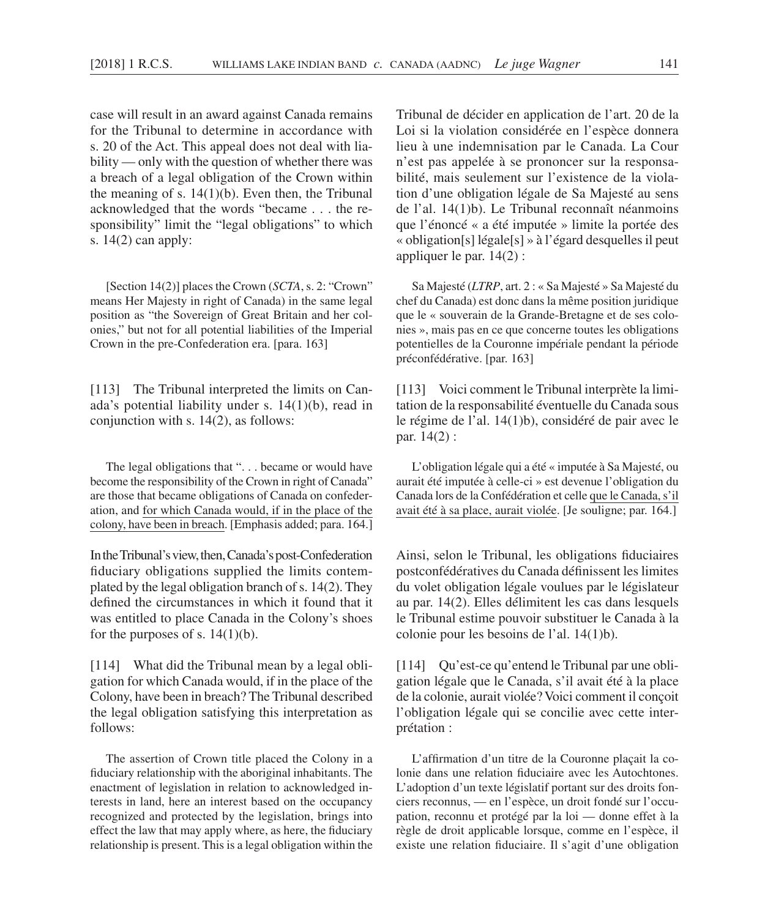case will result in an award against Canada remains for the Tribunal to determine in accordance with s. 20 of the Act. This appeal does not deal with liability — only with the question of whether there was a breach of a legal obligation of the Crown within the meaning of s.  $14(1)(b)$ . Even then, the Tribunal acknowledged that the words "became . . . the responsibility" limit the "legal obligations" to which s. 14(2) can apply:

[Section 14(2)] places the Crown (*SCTA*, s. 2: "Crown" means Her Majesty in right of Canada) in the same legal position as "the Sovereign of Great Britain and her colonies," but not for all potential liabilities of the Imperial Crown in the pre-Confederation era. [para. 163]

[113] The Tribunal interpreted the limits on Canada's potential liability under s. 14(1)(b), read in conjunction with s. 14(2), as follows:

The legal obligations that ". . . became or would have become the responsibility of the Crown in right of Canada" are those that became obligations of Canada on confederation, and for which Canada would, if in the place of the colony, have been in breach. [Emphasis added; para. 164.]

In the Tribunal's view, then, Canada's post- Confederation fiduciary obligations supplied the limits contemplated by the legal obligation branch of s. 14(2). They defined the circumstances in which it found that it was entitled to place Canada in the Colony's shoes for the purposes of s.  $14(1)(b)$ .

[114] What did the Tribunal mean by a legal obligation for which Canada would, if in the place of the Colony, have been in breach? The Tribunal described the legal obligation satisfying this interpretation as follows:

The assertion of Crown title placed the Colony in a fiduciary relationship with the aboriginal inhabitants. The enactment of legislation in relation to acknowledged interests in land, here an interest based on the occupancy recognized and protected by the legislation, brings into effect the law that may apply where, as here, the fiduciary relationship is present. This is a legal obligation within the

Tribunal de décider en application de l'art. 20 de la Loi si la violation considérée en l'espèce donnera lieu à une indemnisation par le Canada. La Cour n'est pas appelée à se prononcer sur la responsabilité, mais seulement sur l'existence de la violation d'une obligation légale de Sa Majesté au sens de l'al. 14(1)b). Le Tribunal reconnaît néanmoins que l'énoncé « a été imputée » limite la portée des « obligation[s] légale[s] » à l'égard desquelles il peut appliquer le par. 14(2) :

Sa Majesté (*LTRP*, art. 2 : « Sa Majesté » Sa Majesté du chef du Canada) est donc dans la même position juridique que le « souverain de la Grande- Bretagne et de ses colonies », mais pas en ce que concerne toutes les obligations potentielles de la Couronne impériale pendant la période préconfédérative. [par. 163]

[113] Voici comment le Tribunal interprète la limitation de la responsabilité éventuelle du Canada sous le régime de l'al. 14(1)b), considéré de pair avec le par. 14(2) :

L'obligation légale qui a été « imputée à Sa Majesté, ou aurait été imputée à celle-ci » est devenue l'obligation du Canada lors de la Confédération et celle que le Canada, s'il avait été à sa place, aurait violée. [Je souligne; par. 164.]

Ainsi, selon le Tribunal, les obligations fiduciaires postconfédératives du Canada définissent les limites du volet obligation légale voulues par le législateur au par. 14(2). Elles délimitent les cas dans lesquels le Tribunal estime pouvoir substituer le Canada à la colonie pour les besoins de l'al. 14(1)b).

[114] Qu'est-ce qu'entend le Tribunal par une obligation légale que le Canada, s'il avait été à la place de la colonie, aurait violée? Voici comment il conçoit l'obligation légale qui se concilie avec cette interprétation :

L'affirmation d'un titre de la Couronne plaçait la colonie dans une relation fiduciaire avec les Autochtones. L'adoption d'un texte législatif portant sur des droits fonciers reconnus, — en l'espèce, un droit fondé sur l'occupation, reconnu et protégé par la loi — donne effet à la règle de droit applicable lorsque, comme en l'espèce, il existe une relation fiduciaire. Il s'agit d'une obligation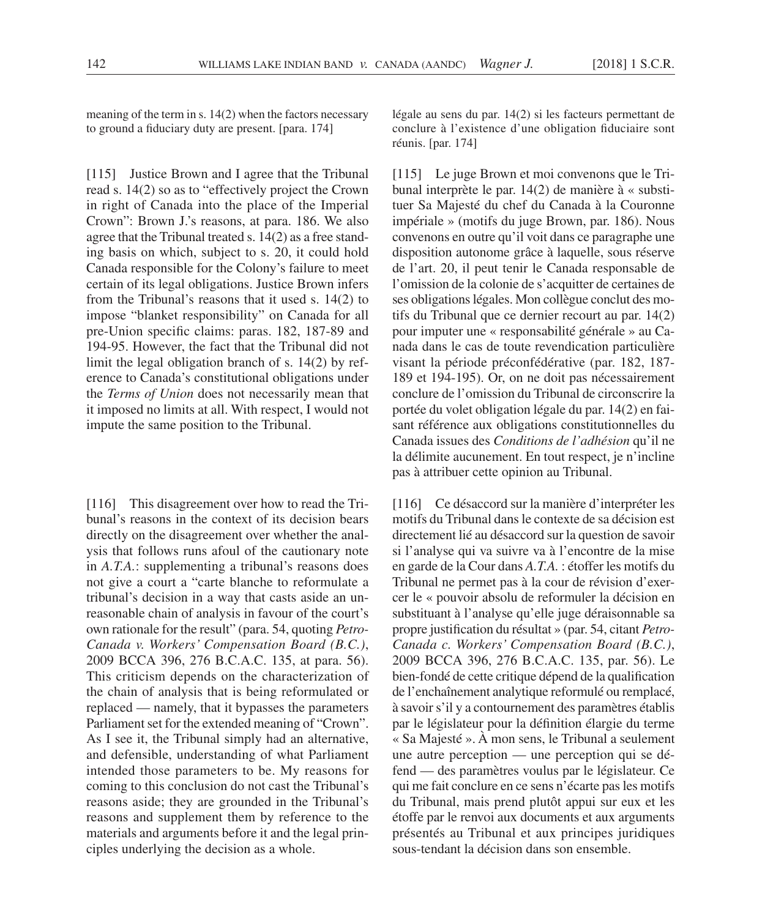meaning of the term in s. 14(2) when the factors necessary to ground a fiduciary duty are present. [para. 174]

[115] Justice Brown and I agree that the Tribunal read s. 14(2) so as to "effectively project the Crown in right of Canada into the place of the Imperial Crown": Brown J.'s reasons, at para. 186. We also agree that the Tribunal treated s. 14(2) as a free standing basis on which, subject to s. 20, it could hold Canada responsible for the Colony's failure to meet certain of its legal obligations. Justice Brown infers from the Tribunal's reasons that it used s. 14(2) to impose "blanket responsibility" on Canada for all pre-Union specific claims: paras. 182, 187-89 and 194-95. However, the fact that the Tribunal did not limit the legal obligation branch of s. 14(2) by reference to Canada's constitutional obligations under the *Terms of Union* does not necessarily mean that it imposed no limits at all. With respect, I would not impute the same position to the Tribunal.

[116] This disagreement over how to read the Tribunal's reasons in the context of its decision bears directly on the disagreement over whether the analysis that follows runs afoul of the cautionary note in *A.T.A.*: supplementing a tribunal's reasons does not give a court a "carte blanche to reformulate a tribunal's decision in a way that casts aside an unreasonable chain of analysis in favour of the court's own rationale for the result" (para. 54, quoting *Petro-Canada v. Workers' Compensation Board (B.C.)*, 2009 BCCA 396, 276 B.C.A.C. 135, at para. 56). This criticism depends on the characterization of the chain of analysis that is being reformulated or replaced — namely, that it bypasses the parameters Parliament set for the extended meaning of "Crown". As I see it, the Tribunal simply had an alternative, and defensible, understanding of what Parliament intended those parameters to be. My reasons for coming to this conclusion do not cast the Tribunal's reasons aside; they are grounded in the Tribunal's reasons and supplement them by reference to the materials and arguments before it and the legal principles underlying the decision as a whole.

légale au sens du par. 14(2) si les facteurs permettant de conclure à l'existence d'une obligation fiduciaire sont réunis. [par. 174]

[115] Le juge Brown et moi convenons que le Tribunal interprète le par. 14(2) de manière à « substituer Sa Majesté du chef du Canada à la Couronne impériale » (motifs du juge Brown, par. 186). Nous convenons en outre qu'il voit dans ce paragraphe une disposition autonome grâce à laquelle, sous réserve de l'art. 20, il peut tenir le Canada responsable de l'omission de la colonie de s'acquitter de certaines de ses obligations légales. Mon collègue conclut des motifs du Tribunal que ce dernier recourt au par. 14(2) pour imputer une « responsabilité générale » au Canada dans le cas de toute revendication particulière visant la période préconfédérative (par. 182, 187- 189 et 194-195). Or, on ne doit pas nécessairement conclure de l'omission du Tribunal de circonscrire la portée du volet obligation légale du par. 14(2) en faisant référence aux obligations constitutionnelles du Canada issues des *Conditions de l'adhésion* qu'il ne la délimite aucunement. En tout respect, je n'incline pas à attribuer cette opinion au Tribunal.

[116] Ce désaccord sur la manière d'interpréter les motifs du Tribunal dans le contexte de sa décision est directement lié au désaccord sur la question de savoir si l'analyse qui va suivre va à l'encontre de la mise en garde de la Cour dans *A.T.A.* : étoffer les motifs du Tribunal ne permet pas à la cour de révision d'exercer le « pouvoir absolu de reformuler la décision en substituant à l'analyse qu'elle juge déraisonnable sa propre justification du résultat » (par. 54, citant *Petro-Canada c. Workers' Compensation Board (B.C.)*, 2009 BCCA 396, 276 B.C.A.C. 135, par. 56). Le bien-fondé de cette critique dépend de la qualification de l'enchaînement analytique reformulé ou remplacé, à savoir s'il y a contournement des paramètres établis par le législateur pour la définition élargie du terme « Sa Majesté ». À mon sens, le Tribunal a seulement une autre perception — une perception qui se défend — des paramètres voulus par le législateur. Ce qui me fait conclure en ce sens n'écarte pas les motifs du Tribunal, mais prend plutôt appui sur eux et les étoffe par le renvoi aux documents et aux arguments présentés au Tribunal et aux principes juridiques sous- tendant la décision dans son ensemble.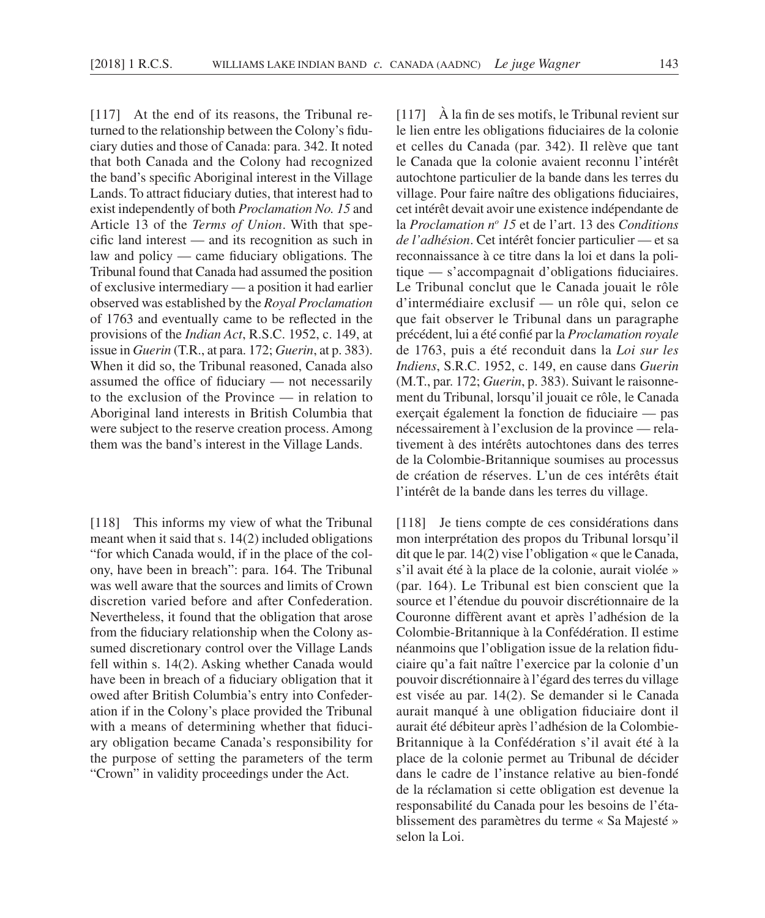[117] At the end of its reasons, the Tribunal returned to the relationship between the Colony's fiduciary duties and those of Canada: para. 342. It noted that both Canada and the Colony had recognized the band's specific Aboriginal interest in the Village Lands. To attract fiduciary duties, that interest had to exist independently of both *Proclamation No. 15* and Article 13 of the *Terms of Union*. With that spe $c$ ific land interest — and its recognition as such in law and policy  $-$  came fiduciary obligations. The Tribunal found that Canada had assumed the position of exclusive intermediary — a position it had earlier observed was established by the *Royal Proclamation* of 1763 and eventually came to be reflected in the provisions of the *Indian Act*, R.S.C. 1952, c. 149, at issue in *Guerin* (T.R., at para. 172; *Guerin*, at p. 383). When it did so, the Tribunal reasoned, Canada also assumed the office of fiduciary  $-$  not necessarily to the exclusion of the Province — in relation to Aboriginal land interests in British Columbia that were subject to the reserve creation process. Among them was the band's interest in the Village Lands.

[118] This informs my view of what the Tribunal meant when it said that s. 14(2) included obligations "for which Canada would, if in the place of the colony, have been in breach": para. 164. The Tribunal was well aware that the sources and limits of Crown discretion varied before and after Confederation. Nevertheless, it found that the obligation that arose from the fiduciary relationship when the Colony assumed discretionary control over the Village Lands fell within s. 14(2). Asking whether Canada would have been in breach of a fiduciary obligation that it owed after British Columbia's entry into Confederation if in the Colony's place provided the Tribunal with a means of determining whether that fiduciary obligation became Canada's responsibility for the purpose of setting the parameters of the term "Crown" in validity proceedings under the Act.

 $[117]$  Å la fin de ses motifs, le Tribunal revient sur le lien entre les obligations fiduciaires de la colonie et celles du Canada (par. 342). Il relève que tant le Canada que la colonie avaient reconnu l'intérêt autochtone particulier de la bande dans les terres du village. Pour faire naître des obligations fiduciaires, cet intérêt devait avoir une existence indépendante de la *Proclamation no 15* et de l'art. 13 des *Conditions de l'adhésion*. Cet intérêt foncier particulier — et sa reconnaissance à ce titre dans la loi et dans la politique  $-$  s'accompagnait d'obligations fiduciaires. Le Tribunal conclut que le Canada jouait le rôle d'intermédiaire exclusif — un rôle qui, selon ce que fait observer le Tribunal dans un paragraphe précédent, lui a été confié par la *Proclamation royale* de 1763, puis a été reconduit dans la *Loi sur les Indiens*, S.R.C. 1952, c. 149, en cause dans *Guerin* (M.T., par. 172; *Guerin*, p. 383). Suivant le raisonnement du Tribunal, lorsqu'il jouait ce rôle, le Canada exerçait également la fonction de fiduciaire — pas nécessairement à l'exclusion de la province — relativement à des intérêts autochtones dans des terres de la Colombie- Britannique soumises au processus de création de réserves. L'un de ces intérêts était l'intérêt de la bande dans les terres du village.

[118] Je tiens compte de ces considérations dans mon interprétation des propos du Tribunal lorsqu'il dit que le par. 14(2) vise l'obligation « que le Canada, s'il avait été à la place de la colonie, aurait violée » (par. 164). Le Tribunal est bien conscient que la source et l'étendue du pouvoir discrétionnaire de la Couronne diffèrent avant et après l'adhésion de la Colombie- Britannique à la Confédération. Il estime néanmoins que l'obligation issue de la relation fiduciaire qu'a fait naître l'exercice par la colonie d'un pouvoir discrétionnaire à l'égard des terres du village est visée au par. 14(2). Se demander si le Canada aurait manqué à une obligation fiduciaire dont il aurait été débiteur après l'adhésion de la Colombie-Britannique à la Confédération s'il avait été à la place de la colonie permet au Tribunal de décider dans le cadre de l'instance relative au bien-fondé de la réclamation si cette obligation est devenue la responsabilité du Canada pour les besoins de l'établissement des paramètres du terme « Sa Majesté » selon la Loi.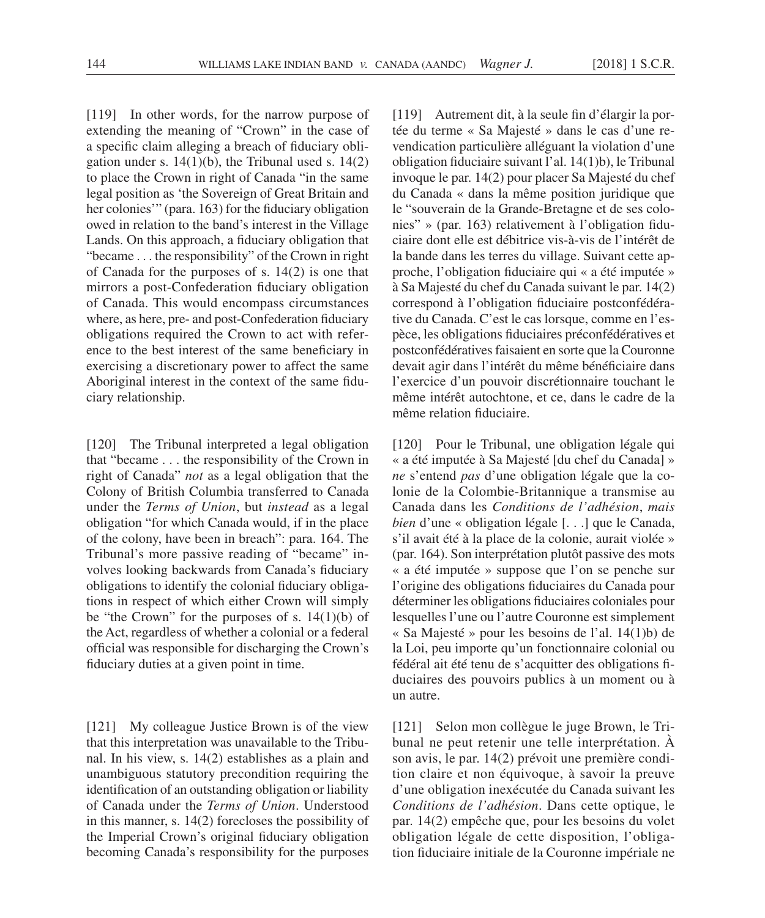[119] In other words, for the narrow purpose of extending the meaning of "Crown" in the case of a specific claim alleging a breach of fiduciary obligation under s.  $14(1)(b)$ , the Tribunal used s.  $14(2)$ to place the Crown in right of Canada "in the same legal position as 'the Sovereign of Great Britain and her colonies'" (para. 163) for the fiduciary obligation owed in relation to the band's interest in the Village Lands. On this approach, a fiduciary obligation that "became . . . the responsibility" of the Crown in right of Canada for the purposes of s. 14(2) is one that mirrors a post-Confederation fiduciary obligation of Canada. This would encompass circumstances where, as here, pre- and post-Confederation fiduciary obligations required the Crown to act with reference to the best interest of the same beneficiary in exercising a discretionary power to affect the same Aboriginal interest in the context of the same fiduciary relationship.

[120] The Tribunal interpreted a legal obligation that "became . . . the responsibility of the Crown in right of Canada" *not* as a legal obligation that the Colony of British Columbia transferred to Canada under the *Terms of Union*, but *instead* as a legal obligation "for which Canada would, if in the place of the colony, have been in breach": para. 164. The Tribunal's more passive reading of "became" involves looking backwards from Canada's fiduciary obligations to identify the colonial fiduciary obligations in respect of which either Crown will simply be "the Crown" for the purposes of s.  $14(1)(b)$  of the Act, regardless of whether a colonial or a federal official was responsible for discharging the Crown's fiduciary duties at a given point in time.

[121] My colleague Justice Brown is of the view that this interpretation was unavailable to the Tribunal. In his view, s. 14(2) establishes as a plain and unambiguous statutory precondition requiring the identification of an outstanding obligation or liability of Canada under the *Terms of Union*. Understood in this manner, s. 14(2) forecloses the possibility of the Imperial Crown's original fiduciary obligation becoming Canada's responsibility for the purposes [119] Autrement dit, à la seule fin d'élargir la portée du terme « Sa Majesté » dans le cas d'une revendication particulière alléguant la violation d'une obligation fiduciaire suivant l'al. 14(1)b), le Tribunal invoque le par. 14(2) pour placer Sa Majesté du chef du Canada « dans la même position juridique que le "souverain de la Grande- Bretagne et de ses colonies" » (par. 163) relativement à l'obligation fiduciaire dont elle est débitrice vis-à-vis de l'intérêt de la bande dans les terres du village. Suivant cette approche, l'obligation fiduciaire qui « a été imputée » à Sa Majesté du chef du Canada suivant le par. 14(2) correspond à l'obligation fiduciaire postconfédérative du Canada. C'est le cas lorsque, comme en l'espèce, les obligations fiduciaires préconfédératives et postconfédératives faisaient en sorte que la Couronne devait agir dans l'intérêt du même bénéficiaire dans l'exercice d'un pouvoir discrétionnaire touchant le même intérêt autochtone, et ce, dans le cadre de la même relation fiduciaire.

[120] Pour le Tribunal, une obligation légale qui « a été imputée à Sa Majesté [du chef du Canada] » *ne* s'entend *pas* d'une obligation légale que la colonie de la Colombie- Britannique a transmise au Canada dans les *Conditions de l'adhésion*, *mais bien* d'une « obligation légale [...] que le Canada, s'il avait été à la place de la colonie, aurait violée » (par. 164). Son interprétation plutôt passive des mots « a été imputée » suppose que l'on se penche sur l'origine des obligations fiduciaires du Canada pour déterminer les obligations fiduciaires coloniales pour lesquelles l'une ou l'autre Couronne est simplement « Sa Majesté » pour les besoins de l'al. 14(1)b) de la Loi, peu importe qu'un fonctionnaire colonial ou fédéral ait été tenu de s'acquitter des obligations fi duciaires des pouvoirs publics à un moment ou à un autre.

[121] Selon mon collègue le juge Brown, le Tribunal ne peut retenir une telle interprétation. À son avis, le par. 14(2) prévoit une première condition claire et non équivoque, à savoir la preuve d'une obligation inexécutée du Canada suivant les *Conditions de l'adhésion*. Dans cette optique, le par. 14(2) empêche que, pour les besoins du volet obligation légale de cette disposition, l'obligation fiduciaire initiale de la Couronne impériale ne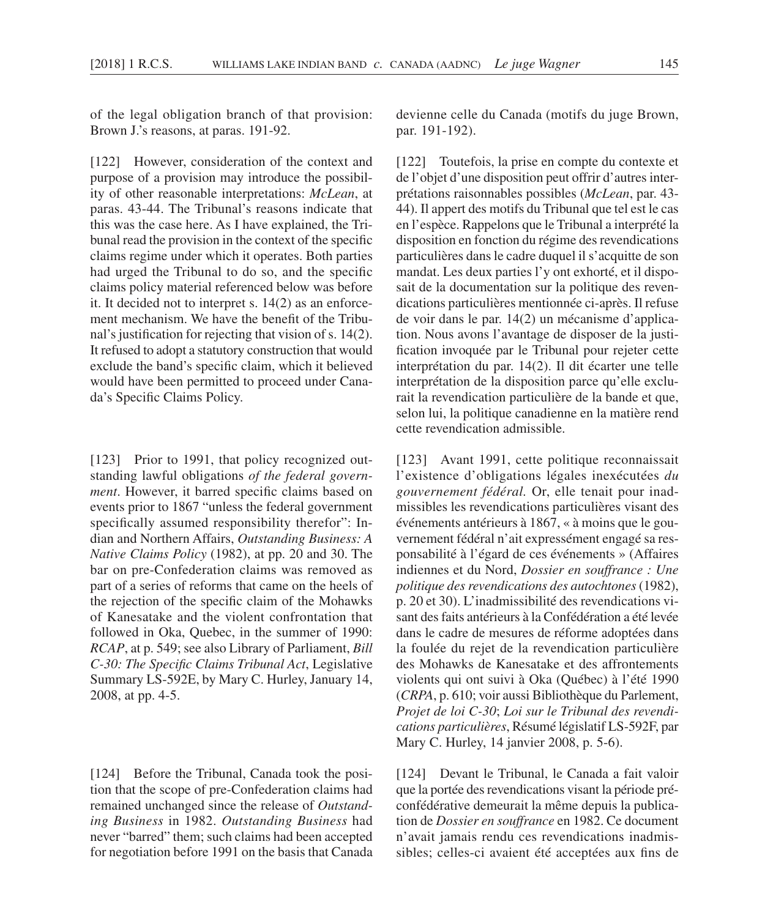of the legal obligation branch of that provision: Brown J.'s reasons, at paras. 191-92.

[122] However, consideration of the context and purpose of a provision may introduce the possibility of other reasonable interpretations: *McLean*, at paras. 43-44. The Tribunal's reasons indicate that this was the case here. As I have explained, the Tribunal read the provision in the context of the specific claims regime under which it operates. Both parties had urged the Tribunal to do so, and the specific claims policy material referenced below was before it. It decided not to interpret s. 14(2) as an enforcement mechanism. We have the benefit of the Tribunal's justification for rejecting that vision of s.  $14(2)$ . It refused to adopt a statutory construction that would exclude the band's specific claim, which it believed would have been permitted to proceed under Canada's Specific Claims Policy.

[123] Prior to 1991, that policy recognized outstanding lawful obligations *of the federal government*. However, it barred specific claims based on events prior to 1867 "unless the federal government specifically assumed responsibility therefor": Indian and Northern Affairs, *Outstanding Business: A Native Claims Policy* (1982), at pp. 20 and 30. The bar on pre-Confederation claims was removed as part of a series of reforms that came on the heels of the rejection of the specific claim of the Mohawks of Kanesatake and the violent confrontation that followed in Oka, Quebec, in the summer of 1990: *RCAP*, at p. 549; see also Library of Parliament, *Bill C-30: The Specific Claims Tribunal Act*, Legislative Summary LS-592E, by Mary C. Hurley, January 14, 2008, at pp. 4-5.

[124] Before the Tribunal, Canada took the position that the scope of pre-Confederation claims had remained unchanged since the release of *Outstanding Business* in 1982. *Outstanding Business* had never "barred" them; such claims had been accepted for negotiation before 1991 on the basis that Canada devienne celle du Canada (motifs du juge Brown, par. 191-192).

[122] Toutefois, la prise en compte du contexte et de l'objet d'une disposition peut offrir d'autres interprétations raisonnables possibles (*McLean*, par. 43- 44). Il appert des motifs du Tribunal que tel est le cas en l'espèce. Rappelons que le Tribunal a interprété la disposition en fonction du régime des revendications particulières dans le cadre duquel il s'acquitte de son mandat. Les deux parties l'y ont exhorté, et il disposait de la documentation sur la politique des revendications particulières mentionnée ci- après. Il refuse de voir dans le par. 14(2) un mécanisme d'application. Nous avons l'avantage de disposer de la justification invoquée par le Tribunal pour rejeter cette interprétation du par. 14(2). Il dit écarter une telle interprétation de la disposition parce qu'elle exclurait la revendication particulière de la bande et que, selon lui, la politique canadienne en la matière rend cette revendication admissible.

[123] Avant 1991, cette politique reconnaissait l'existence d'obligations légales inexécutées *du gouvernement fédéral.* Or, elle tenait pour inadmissibles les revendications particulières visant des événements antérieurs à 1867, « à moins que le gouvernement fédéral n'ait expressément engagé sa responsabilité à l'égard de ces événements » (Affaires indiennes et du Nord, *Dossier en souffrance : Une politique des revendications des autochtones* (1982), p. 20 et 30). L'inadmissibilité des revendications visant des faits antérieurs à la Confédération a été levée dans le cadre de mesures de réforme adoptées dans la foulée du rejet de la revendication particulière des Mohawks de Kanesatake et des affrontements violents qui ont suivi à Oka (Québec) à l'été 1990 (*CRPA*, p. 610; voir aussi Bibliothèque du Parlement, *Projet de loi C-30*; *Loi sur le Tribunal des revendications particulières*, Résumé législatif LS- 592F, par Mary C. Hurley, 14 janvier 2008, p. 5-6).

[124] Devant le Tribunal, le Canada a fait valoir que la portée des revendications visant la période préconfédérative demeurait la même depuis la publication de *Dossier en souffrance* en 1982. Ce document n'avait jamais rendu ces revendications inadmissibles; celles-ci avaient été acceptées aux fins de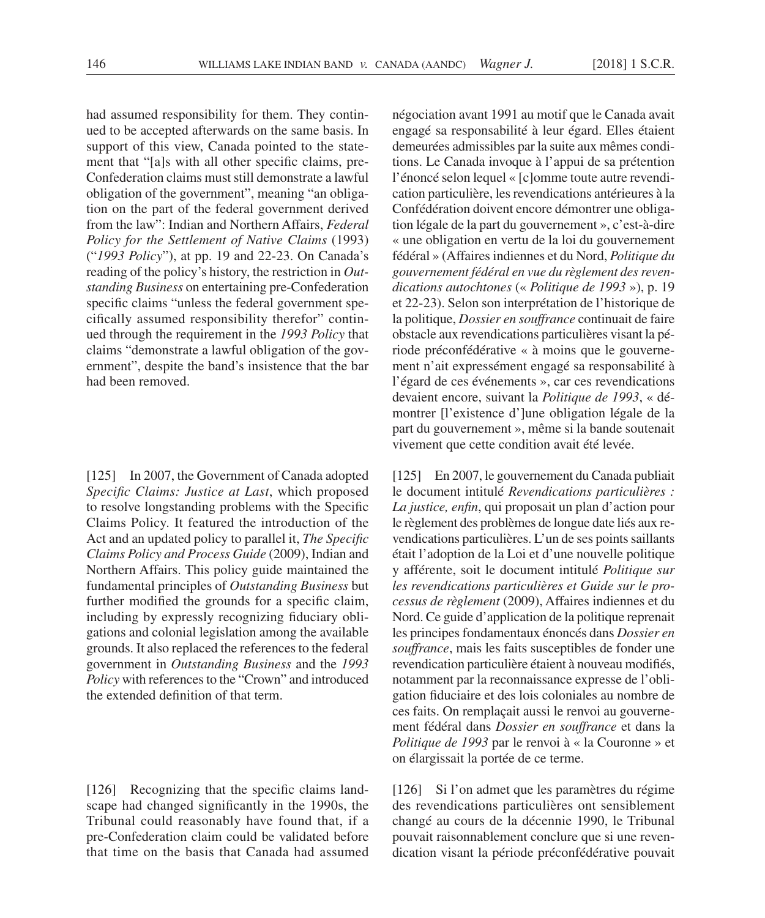had assumed responsibility for them. They continued to be accepted afterwards on the same basis. In support of this view, Canada pointed to the statement that "[a]s with all other specific claims, pre-Confederation claims must still demonstrate a lawful obligation of the government", meaning "an obligation on the part of the federal government derived from the law": Indian and Northern Affairs, *Federal Policy for the Settlement of Native Claims* (1993) ("*1993 Policy*"), at pp. 19 and 22-23. On Canada's reading of the policy's history, the restriction in *Outstanding Business* on entertaining pre-Confederation specific claims "unless the federal government specifically assumed responsibility therefor" continued through the requirement in the *1993 Policy* that claims "demonstrate a lawful obligation of the government", despite the band's insistence that the bar had been removed.

[125] In 2007, the Government of Canada adopted Specific Claims: Justice at Last, which proposed to resolve longstanding problems with the Specific Claims Policy. It featured the introduction of the Act and an updated policy to parallel it, *The Specific Claims Policy and Process Guide* (2009), Indian and Northern Affairs. This policy guide maintained the fundamental principles of *Outstanding Business* but further modified the grounds for a specific claim, including by expressly recognizing fiduciary obligations and colonial legislation among the available grounds. It also replaced the references to the federal government in *Outstanding Business* and the *1993 Policy* with references to the "Crown" and introduced the extended definition of that term.

[126] Recognizing that the specific claims landscape had changed significantly in the 1990s, the Tribunal could reasonably have found that, if a pre- Confederation claim could be validated before that time on the basis that Canada had assumed négociation avant 1991 au motif que le Canada avait engagé sa responsabilité à leur égard. Elles étaient demeurées admissibles par la suite aux mêmes conditions. Le Canada invoque à l'appui de sa prétention l'énoncé selon lequel « [c]omme toute autre revendication particulière, les revendications antérieures à la Confédération doivent encore démontrer une obligation légale de la part du gouvernement », c'est-à-dire « une obligation en vertu de la loi du gouvernement fédéral » (Affaires indiennes et du Nord, *Politique du gouvernement fédéral en vue du règlement des revendications autochtones* (« *Politique de 1993* »), p. 19 et 22-23). Selon son interprétation de l'historique de la politique, *Dossier en souffrance* continuait de faire obstacle aux revendications particulières visant la période préconfédérative « à moins que le gouvernement n'ait expressément engagé sa responsabilité à l'égard de ces événements », car ces revendications devaient encore, suivant la *Politique de 1993*, « démontrer [l'existence d']une obligation légale de la part du gouvernement », même si la bande soutenait vivement que cette condition avait été levée.

[125] En 2007, le gouvernement du Canada publiait le document intitulé *Revendications particulières :*  La justice, enfin, qui proposait un plan d'action pour le règlement des problèmes de longue date liés aux revendications particulières. L'un de ses points saillants était l'adoption de la Loi et d'une nouvelle politique y afférente, soit le document intitulé *Politique sur les revendications particulières et Guide sur le processus de règlement* (2009), Affaires indiennes et du Nord. Ce guide d'application de la politique reprenait les principes fondamentaux énoncés dans *Dossier en souffrance*, mais les faits susceptibles de fonder une revendication particulière étaient à nouveau modifiés, notamment par la reconnaissance expresse de l'obligation fiduciaire et des lois coloniales au nombre de ces faits. On remplaçait aussi le renvoi au gouvernement fédéral dans *Dossier en souffrance* et dans la *Politique de 1993* par le renvoi à « la Couronne » et on élargissait la portée de ce terme.

[126] Si l'on admet que les paramètres du régime des revendications particulières ont sensiblement changé au cours de la décennie 1990, le Tribunal pouvait raisonnablement conclure que si une revendication visant la période préconfédérative pouvait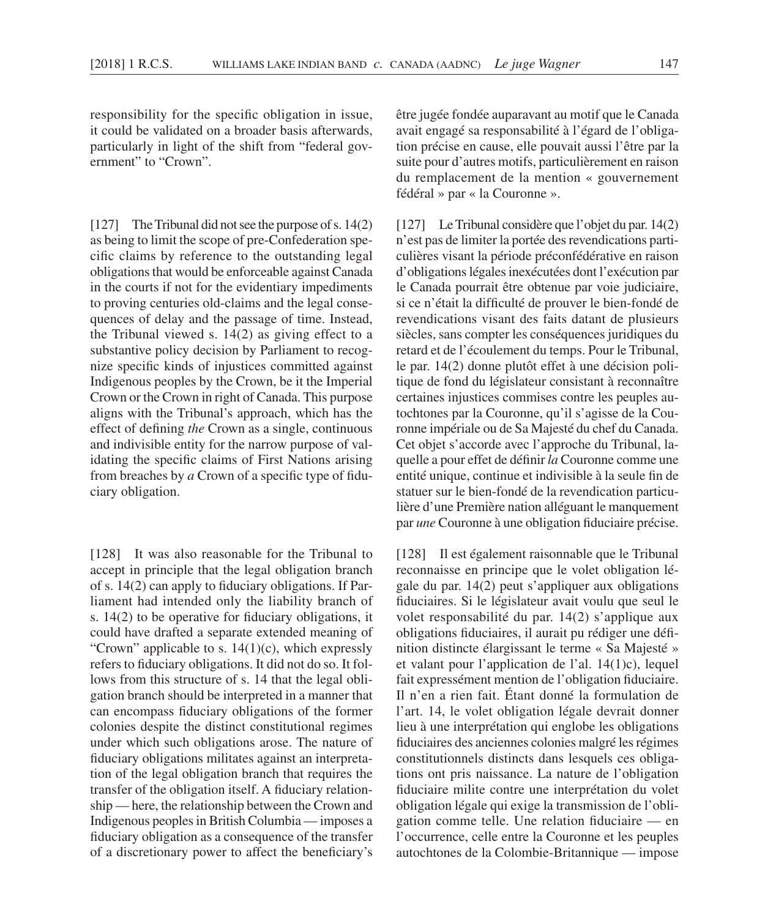responsibility for the specific obligation in issue, it could be validated on a broader basis afterwards, particularly in light of the shift from "federal government" to "Crown".

[127] The Tribunal did not see the purpose of s. 14(2) as being to limit the scope of pre- Confederation specific claims by reference to the outstanding legal obligations that would be enforceable against Canada in the courts if not for the evidentiary impediments to proving centuries old- claims and the legal consequences of delay and the passage of time. Instead, the Tribunal viewed s. 14(2) as giving effect to a substantive policy decision by Parliament to recognize specific kinds of injustices committed against Indigenous peoples by the Crown, be it the Imperial Crown or the Crown in right of Canada. This purpose aligns with the Tribunal's approach, which has the effect of defining *the* Crown as a single, continuous and indivisible entity for the narrow purpose of validating the specific claims of First Nations arising from breaches by *a* Crown of a specific type of fiduciary obligation.

[128] It was also reasonable for the Tribunal to accept in principle that the legal obligation branch of s.  $14(2)$  can apply to fiduciary obligations. If Parliament had intended only the liability branch of s.  $14(2)$  to be operative for fiduciary obligations, it could have drafted a separate extended meaning of "Crown" applicable to s.  $14(1)(c)$ , which expressly refers to fiduciary obligations. It did not do so. It follows from this structure of s. 14 that the legal obligation branch should be interpreted in a manner that can encompass fiduciary obligations of the former colonies despite the distinct constitutional regimes under which such obligations arose. The nature of fiduciary obligations militates against an interpretation of the legal obligation branch that requires the transfer of the obligation itself. A fiduciary relationship — here, the relationship between the Crown and Indigenous peoples in British Columbia — imposes a fiduciary obligation as a consequence of the transfer of a discretionary power to affect the beneficiary's être jugée fondée auparavant au motif que le Canada avait engagé sa responsabilité à l'égard de l'obligation précise en cause, elle pouvait aussi l'être par la suite pour d'autres motifs, particulièrement en raison du remplacement de la mention « gouvernement fédéral » par « la Couronne ».

[127] Le Tribunal considère que l'objet du par. 14(2) n'est pas de limiter la portée des revendications particulières visant la période préconfédérative en raison d'obligations légales inexécutées dont l'exécution par le Canada pourrait être obtenue par voie judiciaire, si ce n'était la difficulté de prouver le bien-fondé de revendications visant des faits datant de plusieurs siècles, sans compter les conséquences juridiques du retard et de l'écoulement du temps. Pour le Tribunal, le par. 14(2) donne plutôt effet à une décision politique de fond du législateur consistant à reconnaître certaines injustices commises contre les peuples autochtones par la Couronne, qu'il s'agisse de la Couronne impériale ou de Sa Majesté du chef du Canada. Cet objet s'accorde avec l'approche du Tribunal, laquelle a pour effet de définir *la* Couronne comme une entité unique, continue et indivisible à la seule fin de statuer sur le bien- fondé de la revendication particulière d'une Première nation alléguant le manquement par *une* Couronne à une obligation fiduciaire précise.

[128] Il est également raisonnable que le Tribunal reconnaisse en principe que le volet obligation légale du par. 14(2) peut s'appliquer aux obligations fiduciaires. Si le législateur avait voulu que seul le volet responsabilité du par. 14(2) s'applique aux obligations fiduciaires, il aurait pu rédiger une définition distincte élargissant le terme « Sa Majesté » et valant pour l'application de l'al. 14(1)c), lequel fait expressément mention de l'obligation fiduciaire. Il n'en a rien fait. Étant donné la formulation de l'art. 14, le volet obligation légale devrait donner lieu à une interprétation qui englobe les obligations fiduciaires des anciennes colonies malgré les régimes constitutionnels distincts dans lesquels ces obligations ont pris naissance. La nature de l'obligation fiduciaire milite contre une interprétation du volet obligation légale qui exige la transmission de l'obligation comme telle. Une relation fiduciaire  $-$  en l'occurrence, celle entre la Couronne et les peuples autochtones de la Colombie- Britannique — impose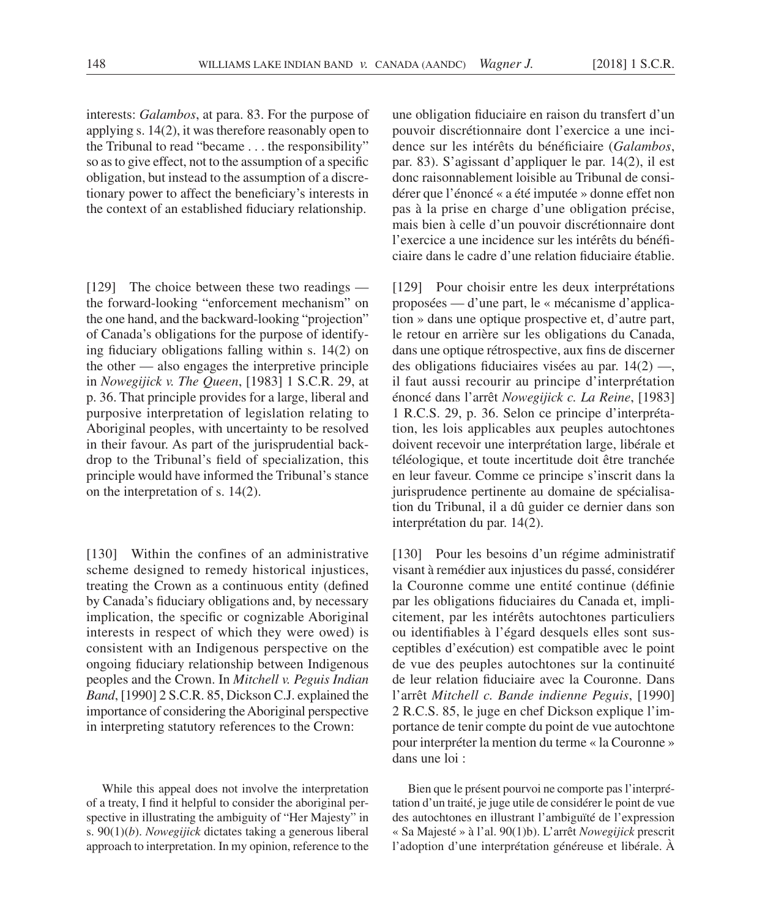interests: *Galambos*, at para. 83. For the purpose of applying s. 14(2), it was therefore reasonably open to the Tribunal to read "became . . . the responsibility" so as to give effect, not to the assumption of a specific obligation, but instead to the assumption of a discretionary power to affect the beneficiary's interests in the context of an established fiduciary relationship.

[129] The choice between these two readings the forward-looking "enforcement mechanism" on the one hand, and the backward-looking "projection" of Canada's obligations for the purpose of identifying fiduciary obligations falling within s.  $14(2)$  on the other — also engages the interpretive principle in *Nowegijick v. The Queen*, [1983] 1 S.C.R. 29, at p. 36. That principle provides for a large, liberal and purposive interpretation of legislation relating to Aboriginal peoples, with uncertainty to be resolved in their favour. As part of the jurisprudential backdrop to the Tribunal's field of specialization, this principle would have informed the Tribunal's stance on the interpretation of s. 14(2).

[130] Within the confines of an administrative scheme designed to remedy historical injustices, treating the Crown as a continuous entity (defined by Canada's fiduciary obligations and, by necessary implication, the specific or cognizable Aboriginal interests in respect of which they were owed) is consistent with an Indigenous perspective on the ongoing fiduciary relationship between Indigenous peoples and the Crown. In *Mitchell v. Peguis Indian Band*, [1990] 2 S.C.R. 85, Dickson C.J. explained the importance of considering the Aboriginal perspective in interpreting statutory references to the Crown:

While this appeal does not involve the interpretation of a treaty, I find it helpful to consider the aboriginal perspective in illustrating the ambiguity of "Her Majesty" in s. 90(1)(*b*). *Nowegijick* dictates taking a generous liberal approach to interpretation. In my opinion, reference to the une obligation fiduciaire en raison du transfert d'un pouvoir discrétionnaire dont l'exercice a une incidence sur les intérêts du bénéficiaire (Galambos, par. 83). S'agissant d'appliquer le par. 14(2), il est donc raisonnablement loisible au Tribunal de considérer que l'énoncé « a été imputée » donne effet non pas à la prise en charge d'une obligation précise, mais bien à celle d'un pouvoir discrétionnaire dont l'exercice a une incidence sur les intérêts du bénéficiaire dans le cadre d'une relation fiduciaire établie.

[129] Pour choisir entre les deux interprétations proposées — d'une part, le « mécanisme d'application » dans une optique prospective et, d'autre part, le retour en arrière sur les obligations du Canada, dans une optique rétrospective, aux fins de discerner des obligations fiduciaires visées au par.  $14(2) -$ , il faut aussi recourir au principe d'interprétation énoncé dans l'arrêt *Nowegijick c. La Reine*, [1983] 1 R.C.S. 29, p. 36. Selon ce principe d'interprétation, les lois applicables aux peuples autochtones doivent recevoir une interprétation large, libérale et téléologique, et toute incertitude doit être tranchée en leur faveur. Comme ce principe s'inscrit dans la jurisprudence pertinente au domaine de spécialisation du Tribunal, il a dû guider ce dernier dans son interprétation du par. 14(2).

[130] Pour les besoins d'un régime administratif visant à remédier aux injustices du passé, considérer la Couronne comme une entité continue (définie par les obligations fiduciaires du Canada et, implicitement, par les intérêts autochtones particuliers ou identifiables à l'égard desquels elles sont susceptibles d'exécution) est compatible avec le point de vue des peuples autochtones sur la continuité de leur relation fiduciaire avec la Couronne. Dans l'arrêt *Mitchell c. Bande indienne Peguis*, [1990] 2 R.C.S. 85, le juge en chef Dickson explique l'importance de tenir compte du point de vue autochtone pour interpréter la mention du terme « la Couronne » dans une loi :

Bien que le présent pourvoi ne comporte pas l'interprétation d'un traité, je juge utile de considérer le point de vue des autochtones en illustrant l'ambiguïté de l'expression « Sa Majesté » à l'al. 90(1)b). L'arrêt *Nowegijick* prescrit l'adoption d'une interprétation généreuse et libérale. À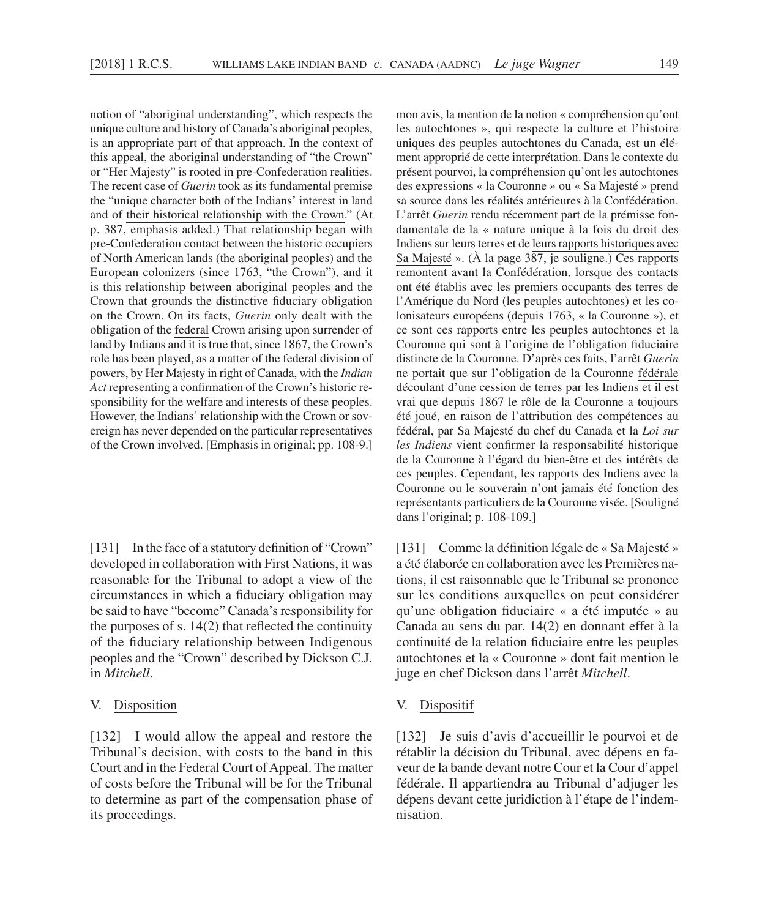notion of "aboriginal understanding", which respects the unique culture and history of Canada's aboriginal peoples, is an appropriate part of that approach. In the context of this appeal, the aboriginal understanding of "the Crown" or "Her Majesty" is rooted in pre- Confederation realities. The recent case of *Guerin* took as its fundamental premise the "unique character both of the Indians' interest in land and of their historical relationship with the Crown." (At p. 387, emphasis added.) That relationship began with pre- Confederation contact between the historic occupiers of North American lands (the aboriginal peoples) and the European colonizers (since 1763, "the Crown"), and it is this relationship between aboriginal peoples and the Crown that grounds the distinctive fiduciary obligation on the Crown. On its facts, *Guerin* only dealt with the obligation of the federal Crown arising upon surrender of land by Indians and it is true that, since 1867, the Crown's role has been played, as a matter of the federal division of powers, by Her Majesty in right of Canada, with the *Indian Act* representing a confirmation of the Crown's historic responsibility for the welfare and interests of these peoples. However, the Indians' relationship with the Crown or sovereign has never depended on the particular representatives of the Crown involved. [Emphasis in original; pp. 108-9.]

[131] In the face of a statutory definition of "Crown" developed in collaboration with First Nations, it was reasonable for the Tribunal to adopt a view of the circumstances in which a fiduciary obligation may be said to have "become" Canada's responsibility for the purposes of s.  $14(2)$  that reflected the continuity of the fiduciary relationship between Indigenous peoples and the "Crown" described by Dickson C.J. in *Mitchell*.

### V. Disposition

[132] I would allow the appeal and restore the Tribunal's decision, with costs to the band in this Court and in the Federal Court of Appeal. The matter of costs before the Tribunal will be for the Tribunal to determine as part of the compensation phase of its proceedings.

mon avis, la mention de la notion « compréhension qu'ont les autochtones », qui respecte la culture et l'histoire uniques des peuples autochtones du Canada, est un élément approprié de cette interprétation. Dans le contexte du présent pourvoi, la compréhension qu'ont les autochtones des expressions « la Couronne » ou « Sa Majesté » prend sa source dans les réalités antérieures à la Confédération. L'arrêt *Guerin* rendu récemment part de la prémisse fondamentale de la « nature unique à la fois du droit des Indiens sur leurs terres et de leurs rapports historiques avec Sa Majesté ». (À la page 387, je souligne.) Ces rapports remontent avant la Confédération, lorsque des contacts ont été établis avec les premiers occupants des terres de l'Amérique du Nord (les peuples autochtones) et les colonisateurs européens (depuis 1763, « la Couronne »), et ce sont ces rapports entre les peuples autochtones et la Couronne qui sont à l'origine de l'obligation fiduciaire distincte de la Couronne. D'après ces faits, l'arrêt *Guerin* ne portait que sur l'obligation de la Couronne fédérale découlant d'une cession de terres par les Indiens et il est vrai que depuis 1867 le rôle de la Couronne a toujours été joué, en raison de l'attribution des compétences au fédéral, par Sa Majesté du chef du Canada et la *Loi sur*  les Indiens vient confirmer la responsabilité historique de la Couronne à l'égard du bien- être et des intérêts de ces peuples. Cependant, les rapports des Indiens avec la Couronne ou le souverain n'ont jamais été fonction des représentants particuliers de la Couronne visée. [Souligné dans l'original; p. 108-109.]

[131] Comme la définition légale de « Sa Majesté » a été élaborée en collaboration avec les Premières nations, il est raisonnable que le Tribunal se prononce sur les conditions auxquelles on peut considérer qu'une obligation fiduciaire « a été imputée » au Canada au sens du par. 14(2) en donnant effet à la continuité de la relation fiduciaire entre les peuples autochtones et la « Couronne » dont fait mention le juge en chef Dickson dans l'arrêt *Mitchell*.

#### V. Dispositif

[132] Je suis d'avis d'accueillir le pourvoi et de rétablir la décision du Tribunal, avec dépens en faveur de la bande devant notre Cour et la Cour d'appel fédérale. Il appartiendra au Tribunal d'adjuger les dépens devant cette juridiction à l'étape de l'indemnisation.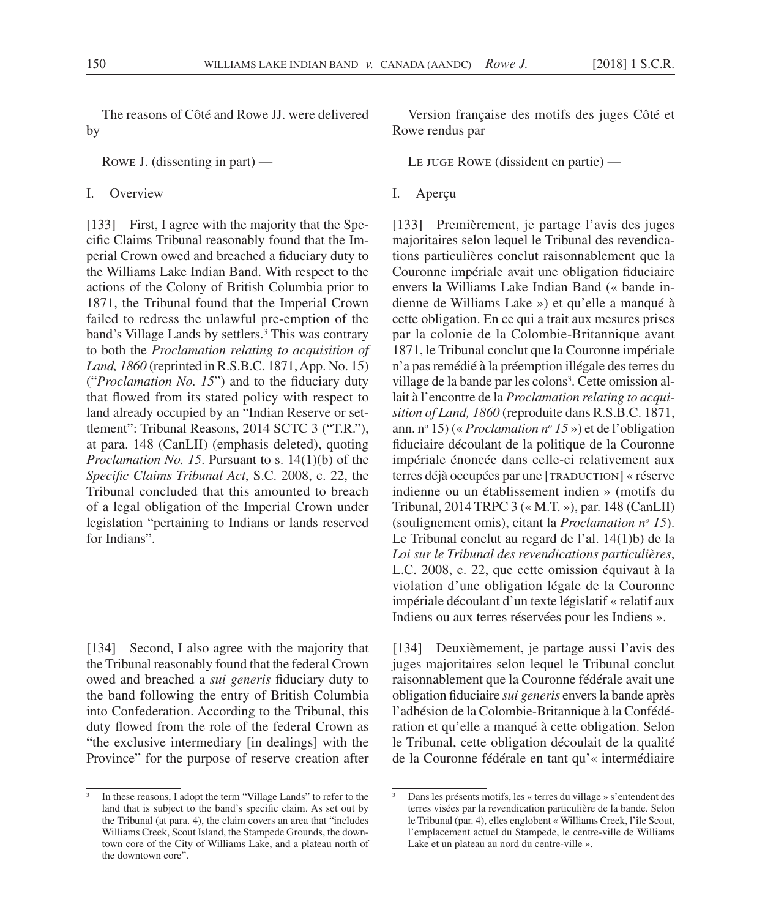The reasons of Côté and Rowe JJ. were delivered by

Rowe J. (dissenting in part) —

#### I. Overview

[133] First, I agree with the majority that the Specific Claims Tribunal reasonably found that the Imperial Crown owed and breached a fiduciary duty to the Williams Lake Indian Band. With respect to the actions of the Colony of British Columbia prior to 1871, the Tribunal found that the Imperial Crown failed to redress the unlawful pre-emption of the band's Village Lands by settlers.<sup>3</sup> This was contrary to both the *Proclamation relating to acquisition of Land, 1860* (reprinted in R.S.B.C. 1871, App. No. 15) ("Proclamation No. 15") and to the fiduciary duty that flowed from its stated policy with respect to land already occupied by an "Indian Reserve or settlement": Tribunal Reasons, 2014 SCTC 3 ("T.R."), at para. 148 (CanLII) (emphasis deleted), quoting *Proclamation No. 15*. Pursuant to s. 14(1)(b) of the Specific Claims Tribunal Act, S.C. 2008, c. 22, the Tribunal concluded that this amounted to breach of a legal obligation of the Imperial Crown under legislation "pertaining to Indians or lands reserved for Indians".

[134] Second, I also agree with the majority that the Tribunal reasonably found that the federal Crown owed and breached a *sui generis* fiduciary duty to the band following the entry of British Columbia into Confederation. According to the Tribunal, this duty flowed from the role of the federal Crown as "the exclusive intermediary [in dealings] with the Province" for the purpose of reserve creation after

3 In these reasons, I adopt the term "Village Lands" to refer to the land that is subject to the band's specific claim. As set out by the Tribunal (at para. 4), the claim covers an area that "includes Williams Creek, Scout Island, the Stampede Grounds, the downtown core of the City of Williams Lake, and a plateau north of the downtown core".

Version française des motifs des juges Côté et Rowe rendus par

Le juge Rowe (dissident en partie) —

### I. Aperçu

[133] Premièrement, je partage l'avis des juges majoritaires selon lequel le Tribunal des revendications particulières conclut raisonnablement que la Couronne impériale avait une obligation fiduciaire envers la Williams Lake Indian Band (« bande indienne de Williams Lake ») et qu'elle a manqué à cette obligation. En ce qui a trait aux mesures prises par la colonie de la Colombie- Britannique avant 1871, le Tribunal conclut que la Couronne impériale n'a pas remédié à la préemption illégale des terres du village de la bande par les colons<sup>3</sup>. Cette omission allait à l'encontre de la *Proclamation relating to acquisition of Land, 1860* (reproduite dans R.S.B.C. 1871, ann. n<sup>o</sup> 15) (« *Proclamation n<sup>o</sup> 15* ») et de l'obligation fiduciaire découlant de la politique de la Couronne impériale énoncée dans celle-ci relativement aux terres déjà occupées par une [TRADUCTION] « réserve indienne ou un établissement indien » (motifs du Tribunal, 2014 TRPC 3 (« M.T. »), par. 148 (CanLII) (soulignement omis), citant la *Proclamation no 15*). Le Tribunal conclut au regard de l'al. 14(1)b) de la *Loi sur le Tribunal des revendications particulières*, L.C. 2008, c. 22, que cette omission équivaut à la violation d'une obligation légale de la Couronne impériale découlant d'un texte législatif « relatif aux Indiens ou aux terres réservées pour les Indiens ».

[134] Deuxièmement, je partage aussi l'avis des juges majoritaires selon lequel le Tribunal conclut raisonnablement que la Couronne fédérale avait une obligation fiduciaire *sui generis* envers la bande après l'adhésion de la Colombie- Britannique à la Confédération et qu'elle a manqué à cette obligation. Selon le Tribunal, cette obligation découlait de la qualité de la Couronne fédérale en tant qu'« intermédiaire

<sup>3</sup> Dans les présents motifs, les « terres du village » s'entendent des terres visées par la revendication particulière de la bande. Selon le Tribunal (par. 4), elles englobent « Williams Creek, l'île Scout, l'emplacement actuel du Stampede, le centre- ville de Williams Lake et un plateau au nord du centre-ville ».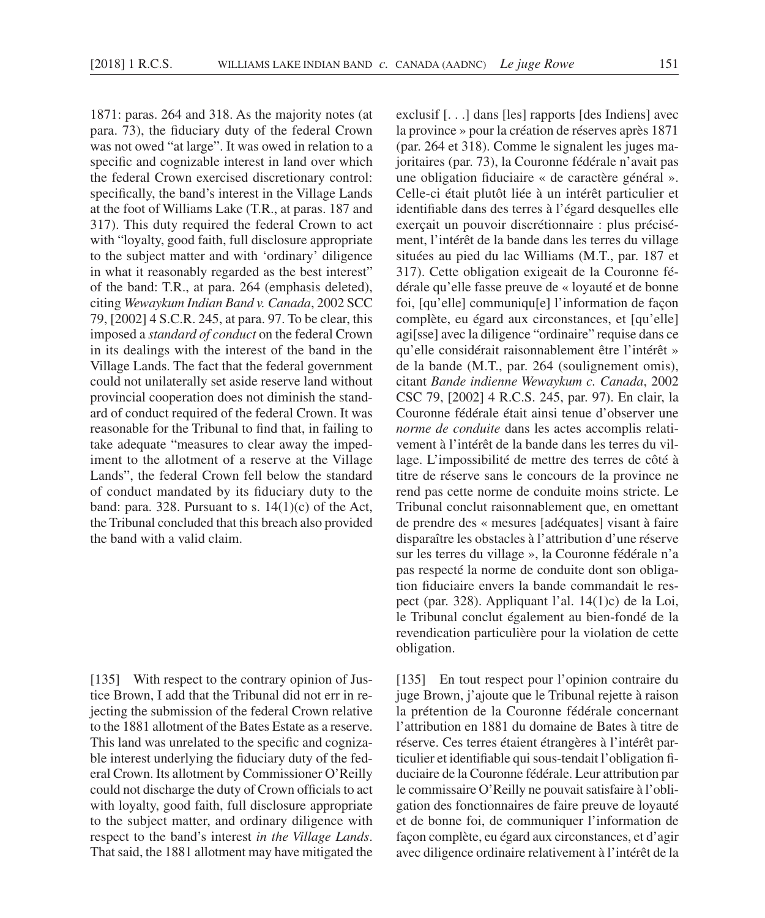1871: paras. 264 and 318. As the majority notes (at para. 73), the fiduciary duty of the federal Crown was not owed "at large". It was owed in relation to a specific and cognizable interest in land over which the federal Crown exercised discretionary control: specifically, the band's interest in the Village Lands at the foot of Williams Lake (T.R., at paras. 187 and 317). This duty required the federal Crown to act with "loyalty, good faith, full disclosure appropriate to the subject matter and with 'ordinary' diligence in what it reasonably regarded as the best interest" of the band: T.R., at para. 264 (emphasis deleted), citing *Wewaykum Indian Band v. Canada*, 2002 SCC 79, [2002] 4 S.C.R. 245, at para. 97. To be clear, this imposed a *standard of conduct* on the federal Crown in its dealings with the interest of the band in the Village Lands. The fact that the federal government could not unilaterally set aside reserve land without provincial cooperation does not diminish the standard of conduct required of the federal Crown. It was reasonable for the Tribunal to find that, in failing to take adequate "measures to clear away the impediment to the allotment of a reserve at the Village Lands", the federal Crown fell below the standard of conduct mandated by its fiduciary duty to the band: para. 328. Pursuant to s.  $14(1)(c)$  of the Act, the Tribunal concluded that this breach also provided the band with a valid claim.

[135] With respect to the contrary opinion of Justice Brown, I add that the Tribunal did not err in rejecting the submission of the federal Crown relative to the 1881 allotment of the Bates Estate as a reserve. This land was unrelated to the specific and cognizable interest underlying the fiduciary duty of the federal Crown. Its allotment by Commissioner O'Reilly could not discharge the duty of Crown officials to act with loyalty, good faith, full disclosure appropriate to the subject matter, and ordinary diligence with respect to the band's interest *in the Village Lands*. That said, the 1881 allotment may have mitigated the

exclusif [. . .] dans [les] rapports [des Indiens] avec la province » pour la création de réserves après 1871 (par. 264 et 318). Comme le signalent les juges majoritaires (par. 73), la Couronne fédérale n'avait pas une obligation fiduciaire « de caractère général ». Celle-ci était plutôt liée à un intérêt particulier et identifiable dans des terres à l'égard desquelles elle exerçait un pouvoir discrétionnaire : plus précisément, l'intérêt de la bande dans les terres du village situées au pied du lac Williams (M.T., par. 187 et 317). Cette obligation exigeait de la Couronne fédérale qu'elle fasse preuve de « loyauté et de bonne foi, [qu'elle] communiqu[e] l'information de façon complète, eu égard aux circonstances, et [qu'elle] agi[sse] avec la diligence "ordinaire" requise dans ce qu'elle considérait raisonnablement être l'intérêt » de la bande (M.T., par. 264 (soulignement omis), citant *Bande indienne Wewaykum c. Canada*, 2002 CSC 79, [2002] 4 R.C.S. 245, par. 97). En clair, la Couronne fédérale était ainsi tenue d'observer une *norme de conduite* dans les actes accomplis relativement à l'intérêt de la bande dans les terres du village. L'impossibilité de mettre des terres de côté à titre de réserve sans le concours de la province ne rend pas cette norme de conduite moins stricte. Le Tribunal conclut raisonnablement que, en omettant de prendre des « mesures [adéquates] visant à faire disparaître les obstacles à l'attribution d'une réserve sur les terres du village », la Couronne fédérale n'a pas respecté la norme de conduite dont son obligation fiduciaire envers la bande commandait le respect (par. 328). Appliquant l'al. 14(1)c) de la Loi, le Tribunal conclut également au bien-fondé de la revendication particulière pour la violation de cette obligation.

[135] En tout respect pour l'opinion contraire du juge Brown, j'ajoute que le Tribunal rejette à raison la prétention de la Couronne fédérale concernant l'attribution en 1881 du domaine de Bates à titre de réserve. Ces terres étaient étrangères à l'intérêt particulier et identifiable qui sous-tendait l'obligation fiduciaire de la Couronne fédérale. Leur attribution par le commissaire O'Reilly ne pouvait satisfaire à l'obligation des fonctionnaires de faire preuve de loyauté et de bonne foi, de communiquer l'information de façon complète, eu égard aux circonstances, et d'agir avec diligence ordinaire relativement à l'intérêt de la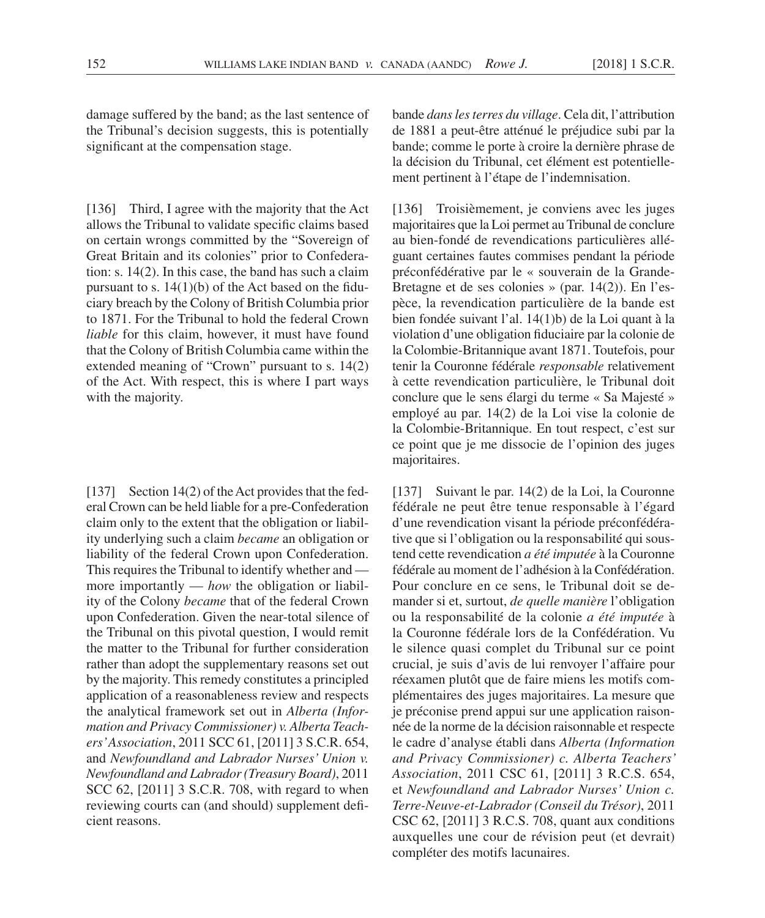damage suffered by the band; as the last sentence of the Tribunal's decision suggests, this is potentially significant at the compensation stage.

[136] Third, I agree with the majority that the Act allows the Tribunal to validate specific claims based on certain wrongs committed by the "Sovereign of Great Britain and its colonies" prior to Confederation: s. 14(2). In this case, the band has such a claim pursuant to s.  $14(1)(b)$  of the Act based on the fiduciary breach by the Colony of British Columbia prior to 1871. For the Tribunal to hold the federal Crown *liable* for this claim, however, it must have found that the Colony of British Columbia came within the extended meaning of "Crown" pursuant to s. 14(2) of the Act. With respect, this is where I part ways with the majority.

[137] Section 14(2) of the Act provides that the federal Crown can be held liable for a pre-Confederation claim only to the extent that the obligation or liability underlying such a claim *became* an obligation or liability of the federal Crown upon Confederation. This requires the Tribunal to identify whether and more importantly — *how* the obligation or liability of the Colony *became* that of the federal Crown upon Confederation. Given the near- total silence of the Tribunal on this pivotal question, I would remit the matter to the Tribunal for further consideration rather than adopt the supplementary reasons set out by the majority. This remedy constitutes a principled application of a reasonableness review and respects the analytical framework set out in *Alberta (Information and Privacy Commissioner) v. Alberta Teachers' Association*, 2011 SCC 61, [2011] 3 S.C.R. 654, and *Newfoundland and Labrador Nurses' Union v. Newfoundland and Labrador (Treasury Board)*, 2011 SCC 62, [2011] 3 S.C.R. 708, with regard to when reviewing courts can (and should) supplement deficient reasons.

bande *dans les terres du village*. Cela dit, l'attribution de 1881 a peut- être atténué le préjudice subi par la bande; comme le porte à croire la dernière phrase de la décision du Tribunal, cet élément est potentiellement pertinent à l'étape de l'indemnisation.

[136] Troisièmement, je conviens avec les juges majoritaires que la Loi permet au Tribunal de conclure au bien- fondé de revendications particulières alléguant certaines fautes commises pendant la période préconfédérative par le « souverain de la Grande-Bretagne et de ses colonies » (par. 14(2)). En l'espèce, la revendication particulière de la bande est bien fondée suivant l'al. 14(1)b) de la Loi quant à la violation d'une obligation fiduciaire par la colonie de la Colombie- Britannique avant 1871. Toutefois, pour tenir la Couronne fédérale *responsable* relativement à cette revendication particulière, le Tribunal doit conclure que le sens élargi du terme « Sa Majesté » employé au par. 14(2) de la Loi vise la colonie de la Colombie-Britannique. En tout respect, c'est sur ce point que je me dissocie de l'opinion des juges majoritaires.

[137] Suivant le par. 14(2) de la Loi, la Couronne fédérale ne peut être tenue responsable à l'égard d'une revendication visant la période préconfédérative que si l'obligation ou la responsabilité qui soustend cette revendication *a été imputée* à la Couronne fédérale au moment de l'adhésion à la Confédération. Pour conclure en ce sens, le Tribunal doit se demander si et, surtout, *de quelle manière* l'obligation ou la responsabilité de la colonie *a été imputée* à la Couronne fédérale lors de la Confédération. Vu le silence quasi complet du Tribunal sur ce point crucial, je suis d'avis de lui renvoyer l'affaire pour réexamen plutôt que de faire miens les motifs complémentaires des juges majoritaires. La mesure que je préconise prend appui sur une application raisonnée de la norme de la décision raisonnable et respecte le cadre d'analyse établi dans *Alberta (Information and Privacy Commissioner) c. Alberta Teachers' Association*, 2011 CSC 61, [2011] 3 R.C.S. 654, et *Newfoundland and Labrador Nurses' Union c. Terre- Neuve-et- Labrador (Conseil du Trésor)*, 2011 CSC 62, [2011] 3 R.C.S. 708, quant aux conditions auxquelles une cour de révision peut (et devrait) compléter des motifs lacunaires.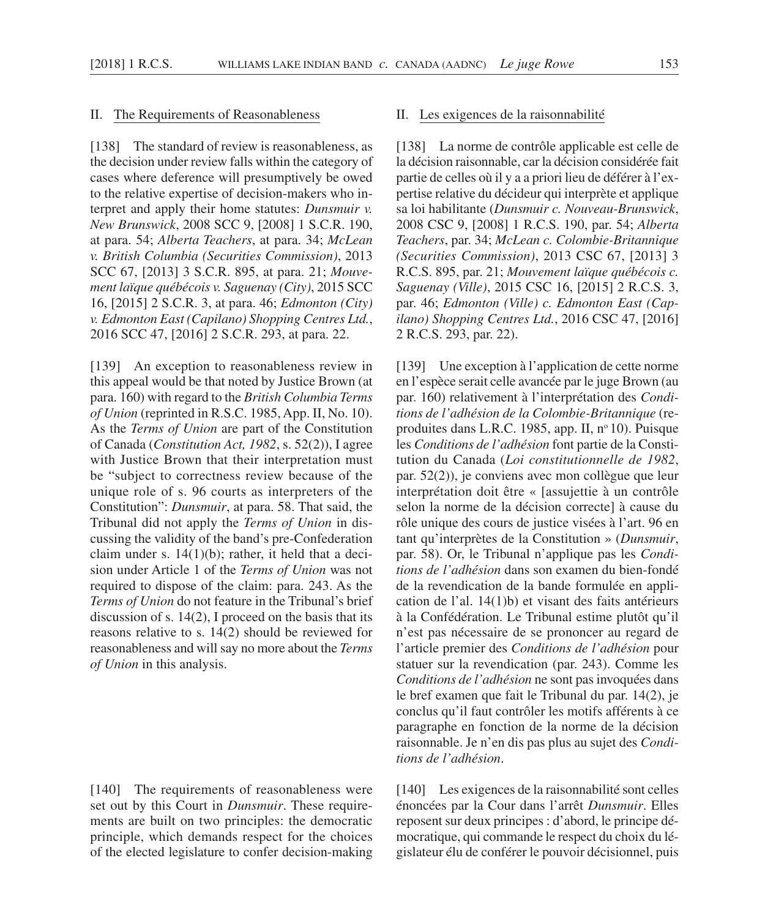#### II. The Requirements of Reasonableness

[138] The standard of review is reasonableness, as the decision under review falls within the category of cases where deference will presumptively be owed to the relative expertise of decision- makers who interpret and apply their home statutes: *Dunsmuir v. New Brunswick*, 2008 SCC 9, [2008] 1 S.C.R. 190, at para. 54; *Alberta Teachers*, at para. 34; *McLean v. British Columbia (Securities Commission)*, 2013 SCC 67, [2013] 3 S.C.R. 895, at para. 21; *Mouvement laïque québécois v. Saguenay (City)*, 2015 SCC 16, [2015] 2 S.C.R. 3, at para. 46; *Edmonton (City) v. Edmonton East (Capilano) Shopping Centres Ltd.*, 2016 SCC 47, [2016] 2 S.C.R. 293, at para. 22.

[139] An exception to reasonableness review in this appeal would be that noted by Justice Brown (at para. 160) with regard to the *British Columbia Terms of Union* (reprinted in R.S.C. 1985, App. II, No. 10). As the *Terms of Union* are part of the Constitution of Canada (*Constitution Act, 1982*, s. 52(2)), I agree with Justice Brown that their interpretation must be "subject to correctness review because of the unique role of s. 96 courts as interpreters of the Constitution": *Dunsmuir*, at para. 58. That said, the Tribunal did not apply the *Terms of Union* in discussing the validity of the band's pre- Confederation claim under s.  $14(1)(b)$ ; rather, it held that a decision under Article 1 of the *Terms of Union* was not required to dispose of the claim: para. 243. As the *Terms of Union* do not feature in the Tribunal's brief discussion of s. 14(2), I proceed on the basis that its reasons relative to s. 14(2) should be reviewed for reasonableness and will say no more about the *Terms of Union* in this analysis.

[140] The requirements of reasonableness were set out by this Court in *Dunsmuir*. These requirements are built on two principles: the democratic principle, which demands respect for the choices of the elected legislature to confer decision- making

#### II. Les exigences de la raisonnabilité

[138] La norme de contrôle applicable est celle de la décision raisonnable, car la décision considérée fait partie de celles où il y a a priori lieu de déférer à l'expertise relative du décideur qui interprète et applique sa loi habilitante (*Dunsmuir c. Nouveau- Brunswick*, 2008 CSC 9, [2008] 1 R.C.S. 190, par. 54; *Alberta Teachers*, par. 34; *McLean c. Colombie- Britannique (Securities Commission)*, 2013 CSC 67, [2013] 3 R.C.S. 895, par. 21; *Mouvement laïque québécois c. Saguenay (Ville)*, 2015 CSC 16, [2015] 2 R.C.S. 3, par. 46; *Edmonton (Ville) c. Edmonton East (Capilano) Shopping Centres Ltd.*, 2016 CSC 47, [2016] 2 R.C.S. 293, par. 22).

[139] Une exception à l'application de cette norme en l'espèce serait celle avancée par le juge Brown (au par. 160) relativement à l'interprétation des *Conditions de l'adhésion de la Colombie- Britannique* (reproduites dans L.R.C. 1985, app. II,  $n^{\circ}$  10). Puisque les *Conditions de l'adhésion* font partie de la Constitution du Canada (*Loi constitutionnelle de 1982*, par. 52(2)), je conviens avec mon collègue que leur interprétation doit être « [assujettie à un contrôle selon la norme de la décision correcte] à cause du rôle unique des cours de justice visées à l'art. 96 en tant qu'interprètes de la Constitution » (*Dunsmuir*, par. 58). Or, le Tribunal n'applique pas les *Condi*tions de l'adhésion dans son examen du bien-fondé de la revendication de la bande formulée en application de l'al. 14(1)b) et visant des faits antérieurs à la Confédération. Le Tribunal estime plutôt qu'il n'est pas nécessaire de se prononcer au regard de l'article premier des *Conditions de l'adhésion* pour statuer sur la revendication (par. 243). Comme les *Conditions de l'adhésion* ne sont pas invoquées dans le bref examen que fait le Tribunal du par. 14(2), je conclus qu'il faut contrôler les motifs afférents à ce paragraphe en fonction de la norme de la décision raisonnable. Je n'en dis pas plus au sujet des *Conditions de l'adhésion*.

[140] Les exigences de la raisonnabilité sont celles énoncées par la Cour dans l'arrêt *Dunsmuir*. Elles reposent sur deux principes : d'abord, le principe démocratique, qui commande le respect du choix du législateur élu de conférer le pouvoir décisionnel, puis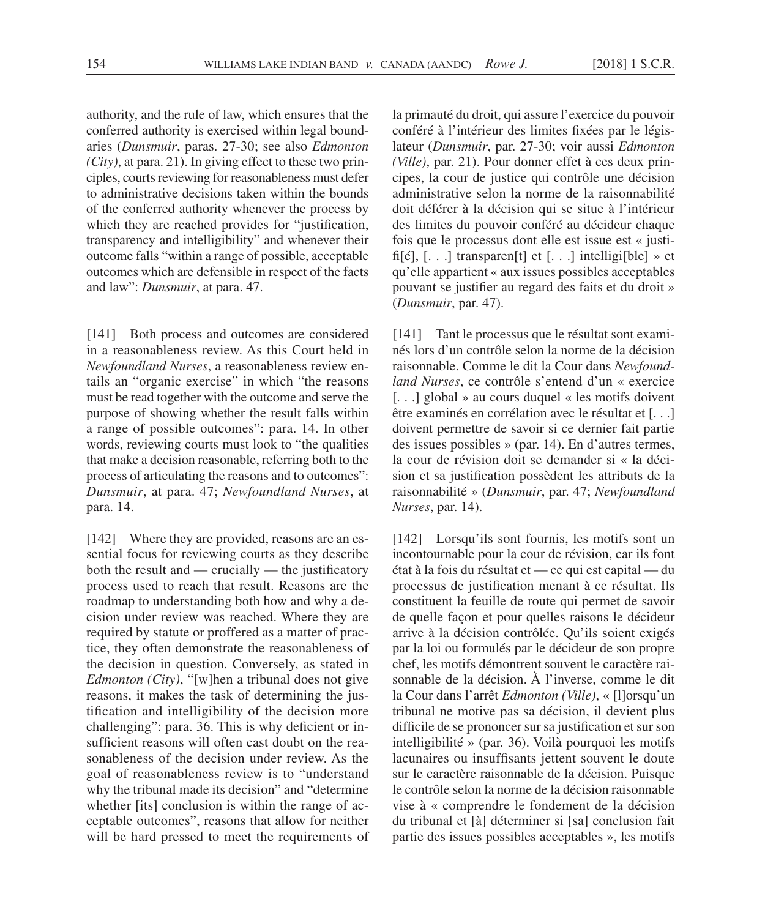authority, and the rule of law, which ensures that the conferred authority is exercised within legal boundaries ( *Dunsmuir*, paras. 27-30; see also *Edmonton (City)*, at para. 21). In giving effect to these two principles, courts reviewing for reasonableness must defer to administrative decisions taken within the bounds of the conferred authority whenever the process by which they are reached provides for "justification, transparency and intelligibility" and whenever their outcome falls "within a range of possible, acceptable outcomes which are defensible in respect of the facts and law": *Dunsmuir*, at para. 47.

[141] Both process and outcomes are considered in a reasonableness review. As this Court held in *Newfoundland Nurses*, a reasonableness review entails an "organic exercise" in which "the reasons must be read together with the outcome and serve the purpose of showing whether the result falls within a range of possible outcomes": para. 14. In other words, reviewing courts must look to "the qualities that make a decision reasonable, referring both to the process of articulating the reasons and to outcomes": *Dunsmuir*, at para. 47; *Newfoundland Nurses*, at para. 14.

[142] Where they are provided, reasons are an essential focus for reviewing courts as they describe both the result and  $-$  crucially  $-$  the justificatory process used to reach that result. Reasons are the roadmap to understanding both how and why a decision under review was reached. Where they are required by statute or proffered as a matter of practice, they often demonstrate the reasonableness of the decision in question. Conversely, as stated in *Edmonton (City)*, "[w]hen a tribunal does not give reasons, it makes the task of determining the justification and intelligibility of the decision more challenging": para. 36. This is why deficient or insufficient reasons will often cast doubt on the reasonableness of the decision under review. As the goal of reasonableness review is to "understand why the tribunal made its decision" and "determine whether [its] conclusion is within the range of acceptable outcomes", reasons that allow for neither will be hard pressed to meet the requirements of

la primauté du droit, qui assure l'exercice du pouvoir conféré à l'intérieur des limites fixées par le législateur (*Dunsmuir*, par. 27-30; voir aussi *Edmonton (Ville)*, par. 21). Pour donner effet à ces deux principes, la cour de justice qui contrôle une décision administrative selon la norme de la raisonnabilité doit déférer à la décision qui se situe à l'intérieur des limites du pouvoir conféré au décideur chaque fois que le processus dont elle est issue est « justifi[é], [...] transparen[t] et [...] intelligi[ble] » et qu'elle appartient « aux issues possibles acceptables pouvant se justifier au regard des faits et du droit » (*Dunsmuir*, par. 47).

[141] Tant le processus que le résultat sont examinés lors d'un contrôle selon la norme de la décision raisonnable. Comme le dit la Cour dans *Newfoundland Nurses*, ce contrôle s'entend d'un « exercice [...] global » au cours duquel « les motifs doivent être examinés en corrélation avec le résultat et [. . .] doivent permettre de savoir si ce dernier fait partie des issues possibles » (par. 14). En d'autres termes, la cour de révision doit se demander si « la décision et sa justification possèdent les attributs de la raisonnabilité » (*Dunsmuir*, par. 47; *Newfoundland Nurses*, par. 14).

[142] Lorsqu'ils sont fournis, les motifs sont un incontournable pour la cour de révision, car ils font état à la fois du résultat et — ce qui est capital — du processus de justification menant à ce résultat. Ils constituent la feuille de route qui permet de savoir de quelle façon et pour quelles raisons le décideur arrive à la décision contrôlée. Qu'ils soient exigés par la loi ou formulés par le décideur de son propre chef, les motifs démontrent souvent le caractère raisonnable de la décision. À l'inverse, comme le dit la Cour dans l'arrêt *Edmonton (Ville)*, « [l]orsqu'un tribunal ne motive pas sa décision, il devient plus difficile de se prononcer sur sa justification et sur son intelligibilité » (par. 36). Voilà pourquoi les motifs lacunaires ou insuffisants jettent souvent le doute sur le caractère raisonnable de la décision. Puisque le contrôle selon la norme de la décision raisonnable vise à « comprendre le fondement de la décision du tribunal et [à] déterminer si [sa] conclusion fait partie des issues possibles acceptables », les motifs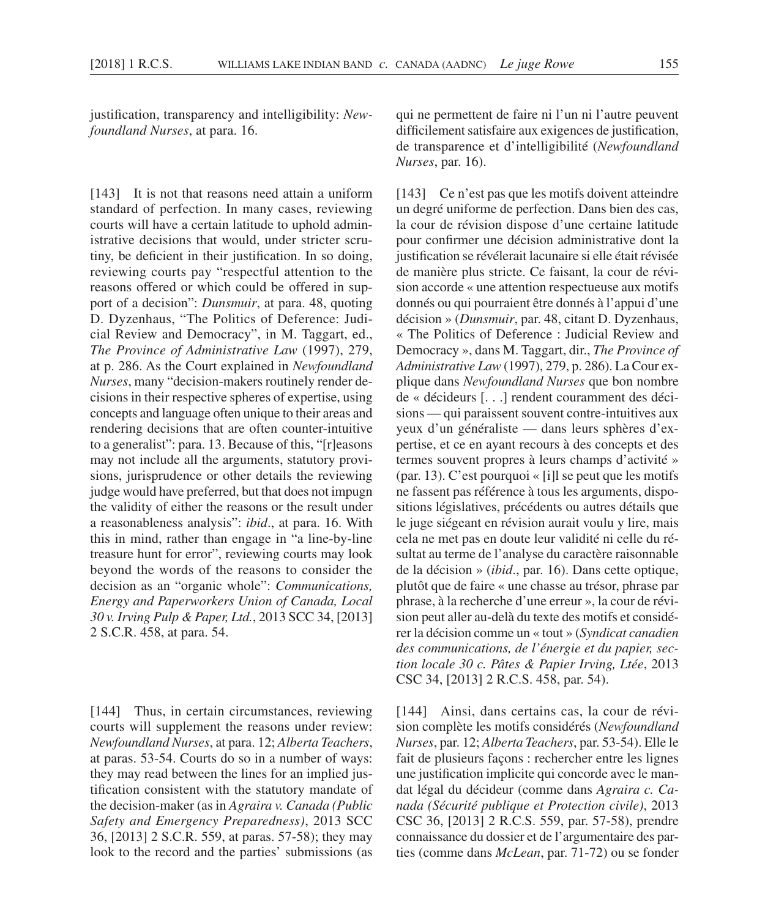justification, transparency and intelligibility: New*foundland Nurses*, at para. 16.

[143] It is not that reasons need attain a uniform standard of perfection. In many cases, reviewing courts will have a certain latitude to uphold administrative decisions that would, under stricter scrutiny, be deficient in their justification. In so doing, reviewing courts pay "respectful attention to the reasons offered or which could be offered in support of a decision": *Dunsmuir*, at para. 48, quoting D. Dyzenhaus, "The Politics of Deference: Judicial Review and Democracy", in M. Taggart, ed., *The Province of Administrative Law* (1997), 279, at p. 286. As the Court explained in *Newfoundland Nurses*, many "decision- makers routinely render decisions in their respective spheres of expertise, using concepts and language often unique to their areas and rendering decisions that are often counter-intuitive to a generalist": para. 13. Because of this, "[r]easons may not include all the arguments, statutory provisions, jurisprudence or other details the reviewing judge would have preferred, but that does not impugn the validity of either the reasons or the result under a reasonableness analysis": *ibid*., at para. 16. With this in mind, rather than engage in "a line-by-line treasure hunt for error", reviewing courts may look beyond the words of the reasons to consider the decision as an "organic whole": *Communications, Energy and Paperworkers Union of Canada, Local 30 v. Irving Pulp & Paper, Ltd.*, 2013 SCC 34, [2013] 2 S.C.R. 458, at para. 54.

[144] Thus, in certain circumstances, reviewing courts will supplement the reasons under review: *Newfoundland Nurses*, at para. 12; *Alberta Teachers*, at paras. 53-54. Courts do so in a number of ways: they may read between the lines for an implied justification consistent with the statutory mandate of the decision- maker (as in *Agraira v. Canada (Public Safety and Emergency Preparedness)*, 2013 SCC 36, [2013] 2 S.C.R. 559, at paras. 57-58); they may look to the record and the parties' submissions (as

qui ne permettent de faire ni l'un ni l'autre peuvent difficilement satisfaire aux exigences de justification, de transparence et d'intelligibilité (*Newfoundland Nurses*, par. 16).

[143] Ce n'est pas que les motifs doivent atteindre un degré uniforme de perfection. Dans bien des cas, la cour de révision dispose d'une certaine latitude pour confirmer une décision administrative dont la justification se révélerait lacunaire si elle était révisée de manière plus stricte. Ce faisant, la cour de révision accorde « une attention respectueuse aux motifs donnés ou qui pourraient être donnés à l'appui d'une décision » (*Dunsmuir*, par. 48, citant D. Dyzenhaus, « The Politics of Deference : Judicial Review and Democracy », dans M. Taggart, dir., *The Province of Administrative Law* (1997), 279, p. 286). La Cour explique dans *Newfoundland Nurses* que bon nombre de « décideurs [. . .] rendent couramment des décisions — qui paraissent souvent contre- intuitives aux yeux d'un généraliste — dans leurs sphères d'expertise, et ce en ayant recours à des concepts et des termes souvent propres à leurs champs d'activité » (par. 13). C'est pourquoi « [i]l se peut que les motifs ne fassent pas référence à tous les arguments, dispositions législatives, précédents ou autres détails que le juge siégeant en révision aurait voulu y lire, mais cela ne met pas en doute leur validité ni celle du résultat au terme de l'analyse du caractère raisonnable de la décision » (*ibid*., par. 16). Dans cette optique, plutôt que de faire « une chasse au trésor, phrase par phrase, à la recherche d'une erreur », la cour de révision peut aller au- delà du texte des motifs et considérer la décision comme un « tout » (*Syndicat canadien des communications, de l'énergie et du papier, section locale 30 c. Pâtes & Papier Irving, Ltée*, 2013 CSC 34, [2013] 2 R.C.S. 458, par. 54).

[144] Ainsi, dans certains cas, la cour de révision complète les motifs considérés (*Newfoundland Nurses*, par. 12; *Alberta Teachers*, par. 53-54). Elle le fait de plusieurs façons : rechercher entre les lignes une justification implicite qui concorde avec le mandat légal du décideur (comme dans *Agraira c. Canada (Sécurité publique et Protection civile)*, 2013 CSC 36, [2013] 2 R.C.S. 559, par. 57-58), prendre connaissance du dossier et de l'argumentaire des parties (comme dans *McLean*, par. 71-72) ou se fonder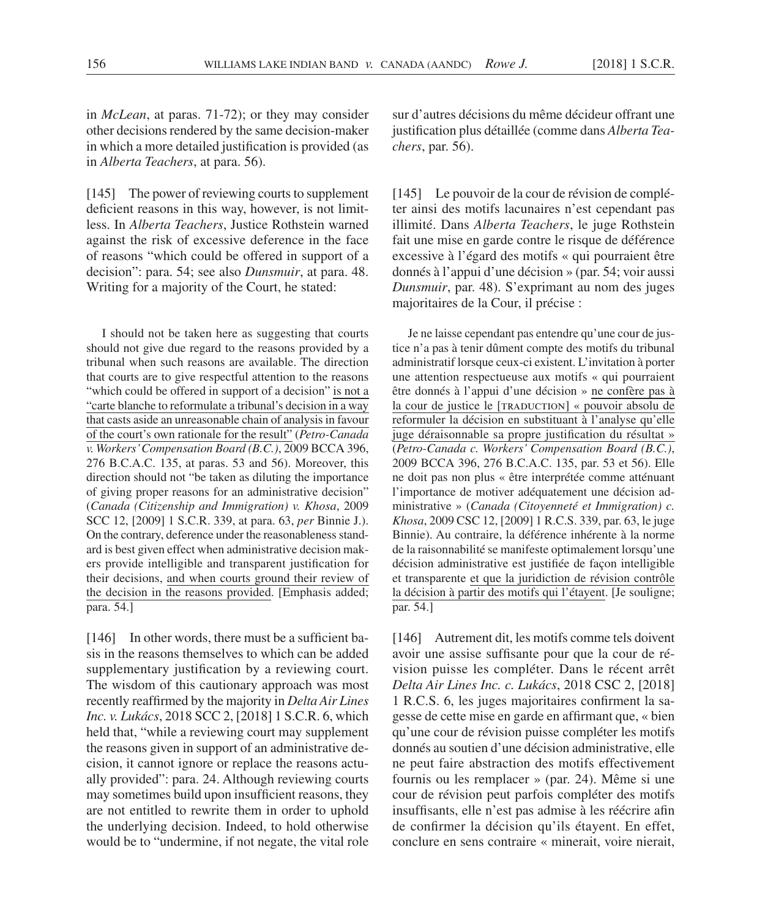in *McLean*, at paras. 71-72); or they may consider other decisions rendered by the same decision- maker in which a more detailed justification is provided (as in *Alberta Teachers*, at para. 56).

[145] The power of reviewing courts to supplement deficient reasons in this way, however, is not limitless. In *Alberta Teachers*, Justice Rothstein warned against the risk of excessive deference in the face of reasons "which could be offered in support of a decision": para. 54; see also *Dunsmuir*, at para. 48. Writing for a majority of the Court, he stated:

I should not be taken here as suggesting that courts should not give due regard to the reasons provided by a tribunal when such reasons are available. The direction that courts are to give respectful attention to the reasons "which could be offered in support of a decision" is not a "carte blanche to reformulate a tribunal's decision in a way that casts aside an unreasonable chain of analysis in favour of the court's own rationale for the result" (*Petro- Canada v. Workers' Compensation Board (B.C.)*, 2009 BCCA 396, 276 B.C.A.C. 135, at paras. 53 and 56). Moreover, this direction should not "be taken as diluting the importance of giving proper reasons for an administrative decision" (*Canada (Citizenship and Immigration) v. Khosa*, 2009 SCC 12, [2009] 1 S.C.R. 339, at para. 63, *per* Binnie J.). On the contrary, deference under the reasonableness standard is best given effect when administrative decision makers provide intelligible and transparent justification for their decisions, and when courts ground their review of the decision in the reasons provided. [Emphasis added; para. 54.]

 $[146]$  In other words, there must be a sufficient basis in the reasons themselves to which can be added supplementary justification by a reviewing court. The wisdom of this cautionary approach was most recently reaffirmed by the majority in *Delta Air Lines Inc. v. Lukács*, 2018 SCC 2, [2018] 1 S.C.R. 6, which held that, "while a reviewing court may supplement the reasons given in support of an administrative decision, it cannot ignore or replace the reasons actually provided": para. 24. Although reviewing courts may sometimes build upon insufficient reasons, they are not entitled to rewrite them in order to uphold the underlying decision. Indeed, to hold otherwise would be to "undermine, if not negate, the vital role

sur d'autres décisions du même décideur offrant une justification plus détaillée (comme dans *Alberta Teachers*, par. 56).

[145] Le pouvoir de la cour de révision de compléter ainsi des motifs lacunaires n'est cependant pas illimité. Dans *Alberta Teachers*, le juge Rothstein fait une mise en garde contre le risque de déférence excessive à l'égard des motifs « qui pourraient être donnés à l'appui d'une décision » (par. 54; voir aussi *Dunsmuir*, par. 48). S'exprimant au nom des juges majoritaires de la Cour, il précise :

Je ne laisse cependant pas entendre qu'une cour de justice n'a pas à tenir dûment compte des motifs du tribunal administratif lorsque ceux-ci existent. L'invitation à porter une attention respectueuse aux motifs « qui pourraient être donnés à l'appui d'une décision » ne confère pas à la cour de justice le [TRADUCTION] « pouvoir absolu de reformuler la décision en substituant à l'analyse qu'elle juge déraisonnable sa propre justification du résultat » (*Petro- Canada c. Workers' Compensation Board (B.C.)*, 2009 BCCA 396, 276 B.C.A.C. 135, par. 53 et 56). Elle ne doit pas non plus « être interprétée comme atténuant l'importance de motiver adéquatement une décision administrative » (*Canada (Citoyenneté et Immigration) c. Khosa*, 2009 CSC 12, [2009] 1 R.C.S. 339, par. 63, le juge Binnie). Au contraire, la déférence inhérente à la norme de la raisonnabilité se manifeste optimalement lorsqu'une décision administrative est justifiée de façon intelligible et transparente et que la juridiction de révision contrôle la décision à partir des motifs qui l'étayent. [Je souligne; par. 54.]

[146] Autrement dit, les motifs comme tels doivent avoir une assise suffisante pour que la cour de révision puisse les compléter. Dans le récent arrêt *Delta Air Lines Inc. c. Lukács*, 2018 CSC 2, [2018] 1 R.C.S. 6, les juges majoritaires confirment la sagesse de cette mise en garde en affirmant que, « bien qu'une cour de révision puisse compléter les motifs donnés au soutien d'une décision administrative, elle ne peut faire abstraction des motifs effectivement fournis ou les remplacer » (par. 24). Même si une cour de révision peut parfois compléter des motifs insuffisants, elle n'est pas admise à les réécrire afin de confirmer la décision qu'ils étayent. En effet, conclure en sens contraire « minerait, voire nierait,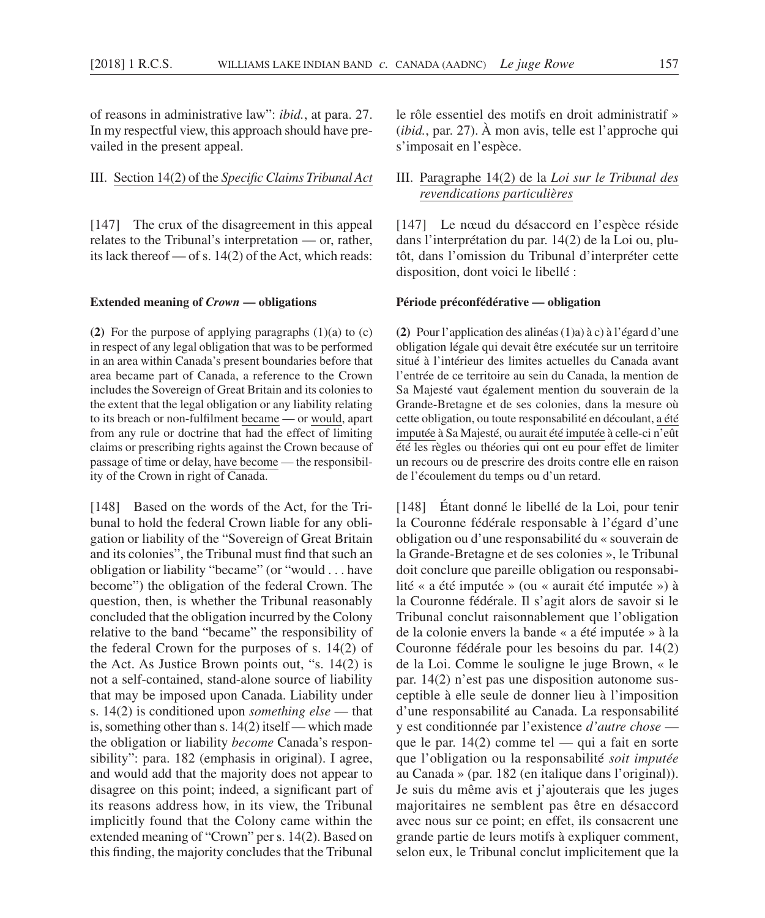of reasons in administrative law": *ibid.*, at para. 27. In my respectful view, this approach should have prevailed in the present appeal.

### III. Section 14(2) of the *Specific Claims Tribunal Act*

[147] The crux of the disagreement in this appeal relates to the Tribunal's interpretation — or, rather, its lack thereof — of s. 14(2) of the Act, which reads:

### **Extended meaning of** *Crown* **— obligations**

**(2)** For the purpose of applying paragraphs (1)(a) to (c) in respect of any legal obligation that was to be performed in an area within Canada's present boundaries before that area became part of Canada, a reference to the Crown includes the Sovereign of Great Britain and its colonies to the extent that the legal obligation or any liability relating to its breach or non-fulfilment became — or would, apart from any rule or doctrine that had the effect of limiting claims or prescribing rights against the Crown because of passage of time or delay, have become — the responsibility of the Crown in right of Canada.

[148] Based on the words of the Act, for the Tribunal to hold the federal Crown liable for any obligation or liability of the "Sovereign of Great Britain and its colonies", the Tribunal must find that such an obligation or liability "became" (or "would . . . have become") the obligation of the federal Crown. The question, then, is whether the Tribunal reasonably concluded that the obligation incurred by the Colony relative to the band "became" the responsibility of the federal Crown for the purposes of s. 14(2) of the Act. As Justice Brown points out, "s. 14(2) is not a self-contained, stand-alone source of liability that may be imposed upon Canada. Liability under s. 14(2) is conditioned upon *something else* — that is, something other than s. 14(2) itself — which made the obligation or liability *become* Canada's responsibility": para. 182 (emphasis in original). I agree, and would add that the majority does not appear to disagree on this point; indeed, a significant part of its reasons address how, in its view, the Tribunal implicitly found that the Colony came within the extended meaning of "Crown" per s. 14(2). Based on this finding, the majority concludes that the Tribunal

le rôle essentiel des motifs en droit administratif » (*ibid.*, par. 27). À mon avis, telle est l'approche qui s'imposait en l'espèce.

# III. Paragraphe 14(2) de la *Loi sur le Tribunal des revendications particulières*

[147] Le nœud du désaccord en l'espèce réside dans l'interprétation du par. 14(2) de la Loi ou, plutôt, dans l'omission du Tribunal d'interpréter cette disposition, dont voici le libellé :

### **Période préconfédérative — obligation**

**(2)** Pour l'application des alinéas (1)a) à c) à l'égard d'une obligation légale qui devait être exécutée sur un territoire situé à l'intérieur des limites actuelles du Canada avant l'entrée de ce territoire au sein du Canada, la mention de Sa Majesté vaut également mention du souverain de la Grande- Bretagne et de ses colonies, dans la mesure où cette obligation, ou toute responsabilité en découlant, a été imputée à Sa Majesté, ou aurait été imputée à celle-ci n'eût été les règles ou théories qui ont eu pour effet de limiter un recours ou de prescrire des droits contre elle en raison de l'écoulement du temps ou d'un retard.

[148] Étant donné le libellé de la Loi, pour tenir la Couronne fédérale responsable à l'égard d'une obligation ou d'une responsabilité du « souverain de la Grande- Bretagne et de ses colonies », le Tribunal doit conclure que pareille obligation ou responsabilité « a été imputée » (ou « aurait été imputée ») à la Couronne fédérale. Il s'agit alors de savoir si le Tribunal conclut raisonnablement que l'obligation de la colonie envers la bande « a été imputée » à la Couronne fédérale pour les besoins du par. 14(2) de la Loi. Comme le souligne le juge Brown, « le par. 14(2) n'est pas une disposition autonome susceptible à elle seule de donner lieu à l'imposition d'une responsabilité au Canada. La responsabilité y est conditionnée par l'existence *d'autre chose* que le par. 14(2) comme tel — qui a fait en sorte que l'obligation ou la responsabilité *soit imputée* au Canada » (par. 182 (en italique dans l'original)). Je suis du même avis et j'ajouterais que les juges majoritaires ne semblent pas être en désaccord avec nous sur ce point; en effet, ils consacrent une grande partie de leurs motifs à expliquer comment, selon eux, le Tribunal conclut implicitement que la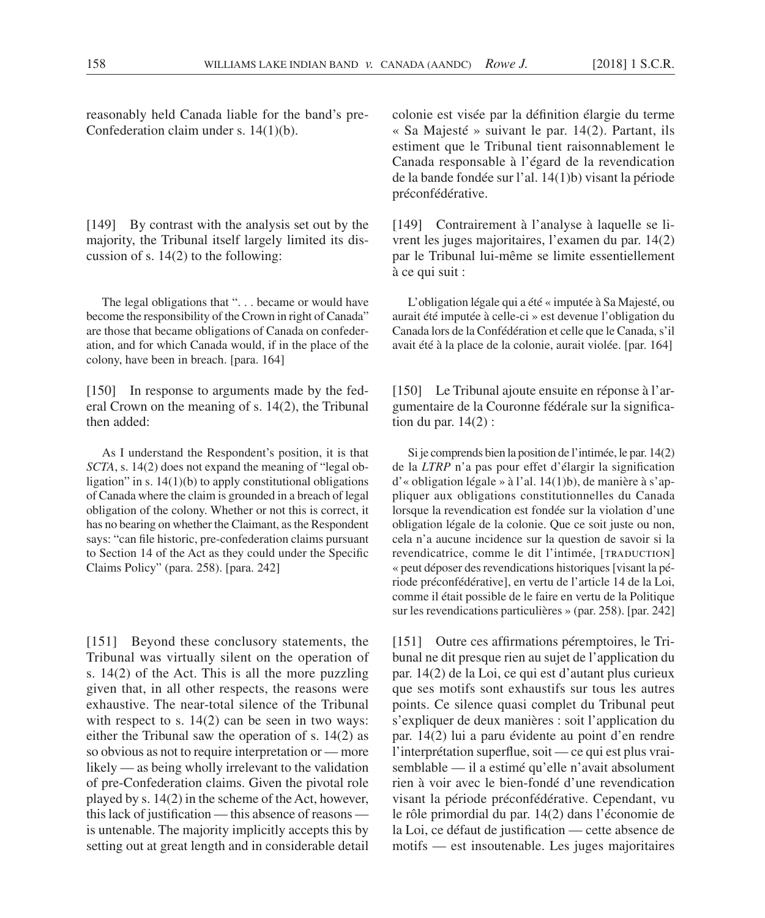reasonably held Canada liable for the band's pre-Confederation claim under s. 14(1)(b).

[149] By contrast with the analysis set out by the majority, the Tribunal itself largely limited its discussion of s. 14(2) to the following:

The legal obligations that ". . . became or would have become the responsibility of the Crown in right of Canada" are those that became obligations of Canada on confederation, and for which Canada would, if in the place of the colony, have been in breach. [para. 164]

[150] In response to arguments made by the federal Crown on the meaning of s. 14(2), the Tribunal then added:

As I understand the Respondent's position, it is that *SCTA*, s. 14(2) does not expand the meaning of "legal obligation" in s.  $14(1)(b)$  to apply constitutional obligations of Canada where the claim is grounded in a breach of legal obligation of the colony. Whether or not this is correct, it has no bearing on whether the Claimant, as the Respondent says: "can file historic, pre-confederation claims pursuant to Section 14 of the Act as they could under the Specific Claims Policy" (para. 258). [para. 242]

[151] Beyond these conclusory statements, the Tribunal was virtually silent on the operation of s. 14(2) of the Act. This is all the more puzzling given that, in all other respects, the reasons were exhaustive. The near- total silence of the Tribunal with respect to s. 14(2) can be seen in two ways: either the Tribunal saw the operation of s. 14(2) as so obvious as not to require interpretation or — more likely — as being wholly irrelevant to the validation of pre- Confederation claims. Given the pivotal role played by s. 14(2) in the scheme of the Act, however, this lack of justification — this absence of reasons is untenable. The majority implicitly accepts this by setting out at great length and in considerable detail

colonie est visée par la définition élargie du terme « Sa Majesté » suivant le par. 14(2). Partant, ils estiment que le Tribunal tient raisonnablement le Canada responsable à l'égard de la revendication de la bande fondée sur l'al. 14(1)b) visant la période préconfédérative.

[149] Contrairement à l'analyse à laquelle se livrent les juges majoritaires, l'examen du par. 14(2) par le Tribunal lui-même se limite essentiellement à ce qui suit :

L'obligation légale qui a été « imputée à Sa Majesté, ou aurait été imputée à celle-ci » est devenue l'obligation du Canada lors de la Confédération et celle que le Canada, s'il avait été à la place de la colonie, aurait violée. [par. 164]

[150] Le Tribunal ajoute ensuite en réponse à l'argumentaire de la Couronne fédérale sur la signification du par. 14(2) :

Si je comprends bien la position de l'intimée, le par. 14(2) de la *LTRP* n'a pas pour effet d'élargir la signification d'« obligation légale » à l'al. 14(1)b), de manière à s'appliquer aux obligations constitutionnelles du Canada lorsque la revendication est fondée sur la violation d'une obligation légale de la colonie. Que ce soit juste ou non, cela n'a aucune incidence sur la question de savoir si la revendicatrice, comme le dit l'intimée, [TRADUCTION] « peut déposer des revendications historiques [visant la période préconfédérative], en vertu de l'article 14 de la Loi, comme il était possible de le faire en vertu de la Politique sur les revendications particulières » (par. 258). [par. 242]

[151] Outre ces affirmations péremptoires, le Tribunal ne dit presque rien au sujet de l'application du par. 14(2) de la Loi, ce qui est d'autant plus curieux que ses motifs sont exhaustifs sur tous les autres points. Ce silence quasi complet du Tribunal peut s'expliquer de deux manières : soit l'application du par. 14(2) lui a paru évidente au point d'en rendre l'interprétation superflue, soit — ce qui est plus vraisemblable — il a estimé qu'elle n'avait absolument rien à voir avec le bien- fondé d'une revendication visant la période préconfédérative. Cependant, vu le rôle primordial du par. 14(2) dans l'économie de la Loi, ce défaut de justification — cette absence de motifs — est insoutenable. Les juges majoritaires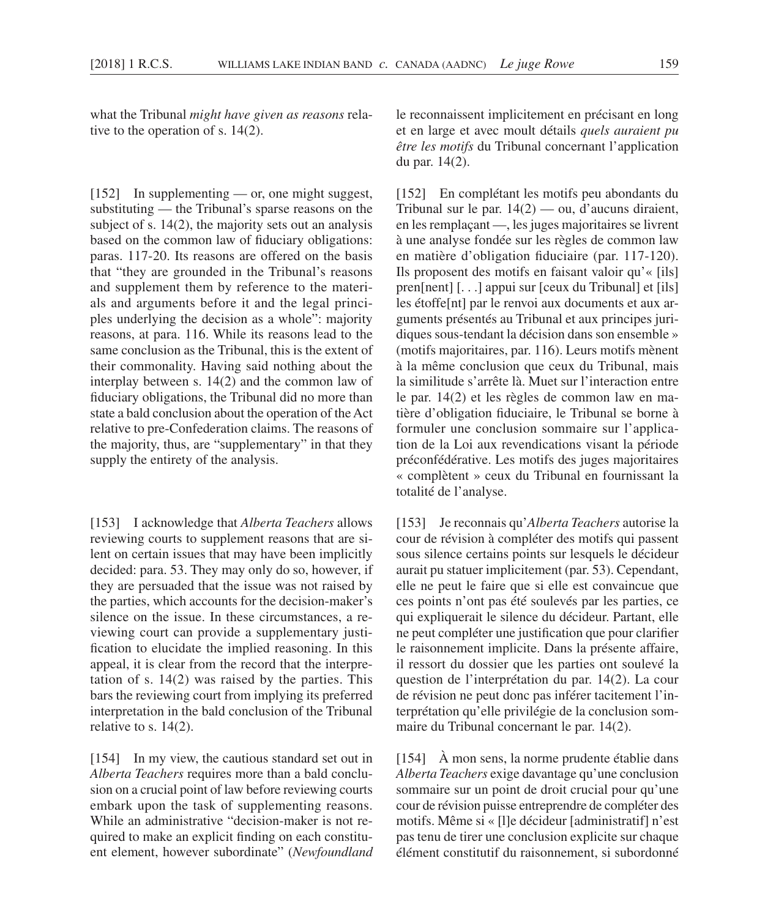what the Tribunal *might have given as reasons* relative to the operation of s. 14(2).

[152] In supplementing — or, one might suggest, substituting — the Tribunal's sparse reasons on the subject of s. 14(2), the majority sets out an analysis based on the common law of fiduciary obligations: paras. 117-20. Its reasons are offered on the basis that "they are grounded in the Tribunal's reasons and supplement them by reference to the materials and arguments before it and the legal principles underlying the decision as a whole": majority reasons, at para. 116. While its reasons lead to the same conclusion as the Tribunal, this is the extent of their commonality. Having said nothing about the interplay between s. 14(2) and the common law of fiduciary obligations, the Tribunal did no more than state a bald conclusion about the operation of the Act relative to pre-Confederation claims. The reasons of the majority, thus, are "supplementary" in that they supply the entirety of the analysis.

[153] I acknowledge that *Alberta Teachers* allows reviewing courts to supplement reasons that are silent on certain issues that may have been implicitly decided: para. 53. They may only do so, however, if they are persuaded that the issue was not raised by the parties, which accounts for the decision- maker's silence on the issue. In these circumstances, a reviewing court can provide a supplementary justification to elucidate the implied reasoning. In this appeal, it is clear from the record that the interpretation of s. 14(2) was raised by the parties. This bars the reviewing court from implying its preferred interpretation in the bald conclusion of the Tribunal relative to s. 14(2).

[154] In my view, the cautious standard set out in *Alberta Teachers* requires more than a bald conclusion on a crucial point of law before reviewing courts embark upon the task of supplementing reasons. While an administrative "decision-maker is not required to make an explicit finding on each constituent element, however subordinate" (*Newfoundland* 

le reconnaissent implicitement en précisant en long et en large et avec moult détails *quels auraient pu être les motifs* du Tribunal concernant l'application du par. 14(2).

[152] En complétant les motifs peu abondants du Tribunal sur le par. 14(2) — ou, d'aucuns diraient, en les remplaçant —, les juges majoritaires se livrent à une analyse fondée sur les règles de common law en matière d'obligation fiduciaire (par. 117-120). Ils proposent des motifs en faisant valoir qu'« [ils] pren[nent] [. . .] appui sur [ceux du Tribunal] et [ils] les étoffe[nt] par le renvoi aux documents et aux arguments présentés au Tribunal et aux principes juridiques sous- tendant la décision dans son ensemble » (motifs majoritaires, par. 116). Leurs motifs mènent à la même conclusion que ceux du Tribunal, mais la similitude s'arrête là. Muet sur l'interaction entre le par. 14(2) et les règles de common law en matière d'obligation fiduciaire, le Tribunal se borne à formuler une conclusion sommaire sur l'application de la Loi aux revendications visant la période préconfédérative. Les motifs des juges majoritaires « complètent » ceux du Tribunal en fournissant la totalité de l'analyse.

[153] Je reconnais qu'*Alberta Teachers* autorise la cour de révision à compléter des motifs qui passent sous silence certains points sur lesquels le décideur aurait pu statuer implicitement (par. 53). Cependant, elle ne peut le faire que si elle est convaincue que ces points n'ont pas été soulevés par les parties, ce qui expliquerait le silence du décideur. Partant, elle ne peut compléter une justification que pour clarifier le raisonnement implicite. Dans la présente affaire, il ressort du dossier que les parties ont soulevé la question de l'interprétation du par. 14(2). La cour de révision ne peut donc pas inférer tacitement l'interprétation qu'elle privilégie de la conclusion sommaire du Tribunal concernant le par. 14(2).

[154] À mon sens, la norme prudente établie dans *Alberta Teachers* exige davantage qu'une conclusion sommaire sur un point de droit crucial pour qu'une cour de révision puisse entreprendre de compléter des motifs. Même si « [l]e décideur [administratif] n'est pas tenu de tirer une conclusion explicite sur chaque élément constitutif du raisonnement, si subordonné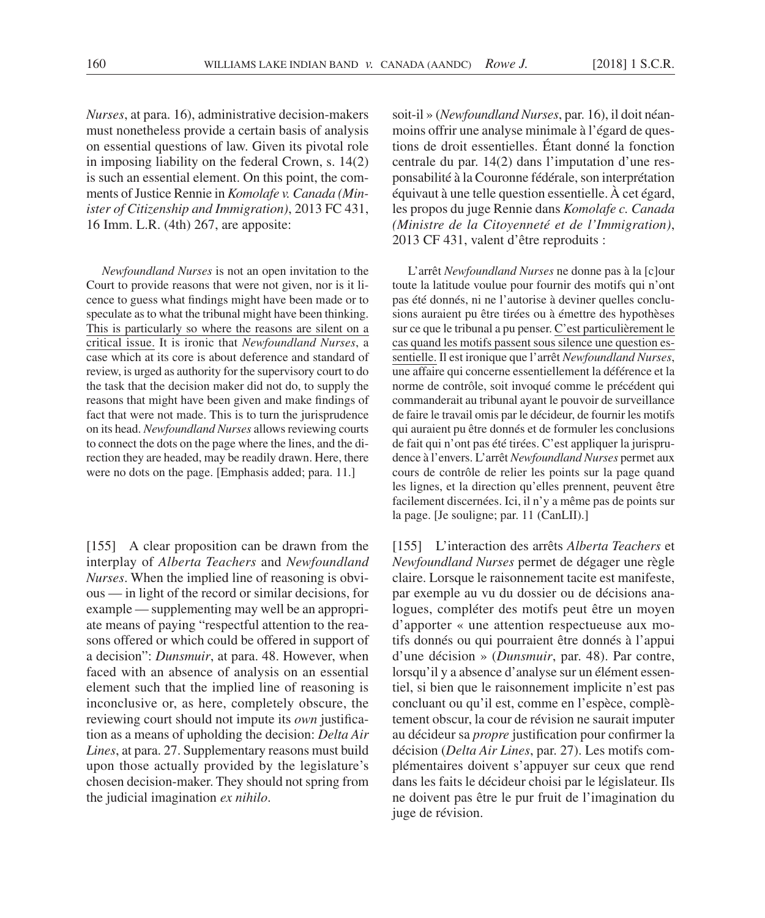*Nurses*, at para. 16), administrative decision- makers must nonetheless provide a certain basis of analysis on essential questions of law. Given its pivotal role in imposing liability on the federal Crown, s. 14(2) is such an essential element. On this point, the comments of Justice Rennie in *Komolafe v. Canada (Minister of Citizenship and Immigration)*, 2013 FC 431, 16 Imm. L.R. (4th) 267, are apposite:

*Newfoundland Nurses* is not an open invitation to the Court to provide reasons that were not given, nor is it licence to guess what findings might have been made or to speculate as to what the tribunal might have been thinking. This is particularly so where the reasons are silent on a critical issue. It is ironic that *Newfoundland Nurses*, a case which at its core is about deference and standard of review, is urged as authority for the supervisory court to do the task that the decision maker did not do, to supply the reasons that might have been given and make findings of fact that were not made. This is to turn the jurisprudence on its head. *Newfoundland Nurses* allows reviewing courts to connect the dots on the page where the lines, and the direction they are headed, may be readily drawn. Here, there were no dots on the page. [Emphasis added; para. 11.]

[155] A clear proposition can be drawn from the interplay of *Alberta Teachers* and *Newfoundland Nurses*. When the implied line of reasoning is obvious — in light of the record or similar decisions, for example — supplementing may well be an appropriate means of paying "respectful attention to the reasons offered or which could be offered in support of a decision": *Dunsmuir*, at para. 48. However, when faced with an absence of analysis on an essential element such that the implied line of reasoning is inconclusive or, as here, completely obscure, the reviewing court should not impute its *own* justification as a means of upholding the decision: *Delta Air Lines*, at para. 27. Supplementary reasons must build upon those actually provided by the legislature's chosen decision- maker. They should not spring from the judicial imagination *ex nihilo*.

soit-il » (*Newfoundland Nurses*, par. 16), il doit néanmoins offrir une analyse minimale à l'égard de questions de droit essentielles. Étant donné la fonction centrale du par. 14(2) dans l'imputation d'une responsabilité à la Couronne fédérale, son interprétation équivaut à une telle question essentielle. À cet égard, les propos du juge Rennie dans *Komolafe c. Canada (Ministre de la Citoyenneté et de l'Immigration)*, 2013 CF 431, valent d'être reproduits :

L'arrêt *Newfoundland Nurses* ne donne pas à la [c]our toute la latitude voulue pour fournir des motifs qui n'ont pas été donnés, ni ne l'autorise à deviner quelles conclusions auraient pu être tirées ou à émettre des hypothèses sur ce que le tribunal a pu penser. C'est particulièrement le cas quand les motifs passent sous silence une question essentielle. Il est ironique que l'arrêt *Newfoundland Nurses*, une affaire qui concerne essentiellement la déférence et la norme de contrôle, soit invoqué comme le précédent qui commanderait au tribunal ayant le pouvoir de surveillance de faire le travail omis par le décideur, de fournir les motifs qui auraient pu être donnés et de formuler les conclusions de fait qui n'ont pas été tirées. C'est appliquer la jurisprudence à l'envers. L'arrêt *Newfoundland Nurses* permet aux cours de contrôle de relier les points sur la page quand les lignes, et la direction qu'elles prennent, peuvent être facilement discernées. Ici, il n'y a même pas de points sur la page. [Je souligne; par. 11 (CanLII).]

[155] L'interaction des arrêts *Alberta Teachers* et *Newfoundland Nurses* permet de dégager une règle claire. Lorsque le raisonnement tacite est manifeste, par exemple au vu du dossier ou de décisions analogues, compléter des motifs peut être un moyen d'apporter « une attention respectueuse aux motifs donnés ou qui pourraient être donnés à l'appui d'une décision » (*Dunsmuir*, par. 48). Par contre, lorsqu'il y a absence d'analyse sur un élément essentiel, si bien que le raisonnement implicite n'est pas concluant ou qu'il est, comme en l'espèce, complètement obscur, la cour de révision ne saurait imputer au décideur sa *propre* justification pour confirmer la décision (*Delta Air Lines*, par. 27). Les motifs complémentaires doivent s'appuyer sur ceux que rend dans les faits le décideur choisi par le législateur. Ils ne doivent pas être le pur fruit de l'imagination du juge de révision.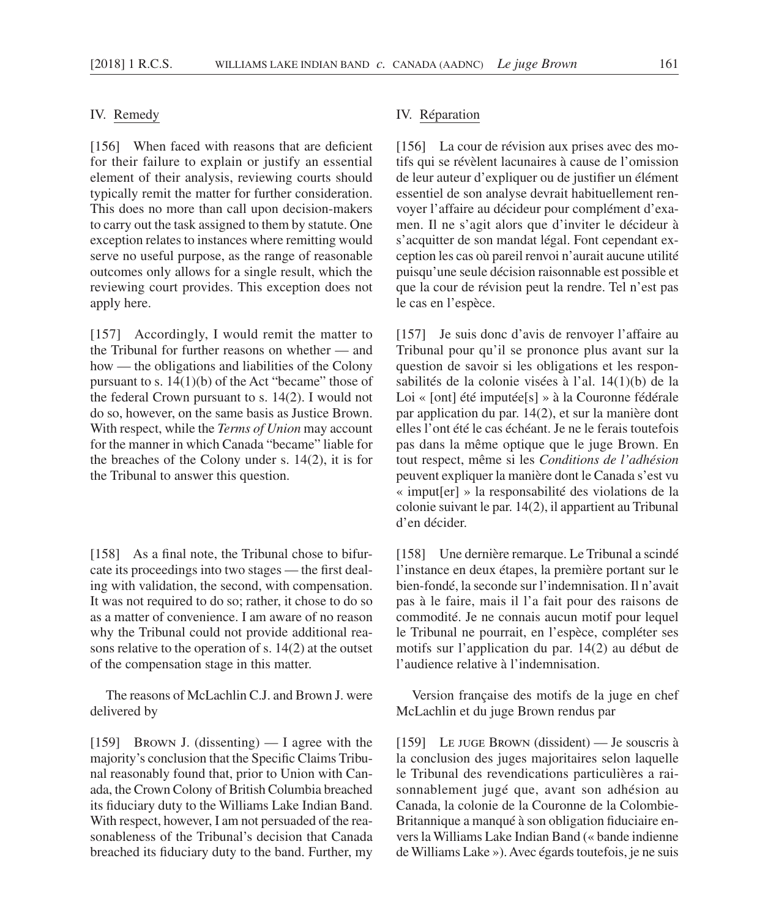### IV. Remedy

[156] When faced with reasons that are deficient for their failure to explain or justify an essential element of their analysis, reviewing courts should typically remit the matter for further consideration. This does no more than call upon decision-makers to carry out the task assigned to them by statute. One exception relates to instances where remitting would serve no useful purpose, as the range of reasonable outcomes only allows for a single result, which the reviewing court provides. This exception does not apply here.

[157] Accordingly, I would remit the matter to the Tribunal for further reasons on whether — and how — the obligations and liabilities of the Colony pursuant to s. 14(1)(b) of the Act "became" those of the federal Crown pursuant to s. 14(2). I would not do so, however, on the same basis as Justice Brown. With respect, while the *Terms of Union* may account for the manner in which Canada "became" liable for the breaches of the Colony under s. 14(2), it is for the Tribunal to answer this question.

 $[158]$  As a final note, the Tribunal chose to bifurcate its proceedings into two stages — the first dealing with validation, the second, with compensation. It was not required to do so; rather, it chose to do so as a matter of convenience. I am aware of no reason why the Tribunal could not provide additional reasons relative to the operation of s. 14(2) at the outset of the compensation stage in this matter.

The reasons of McLachlin C.J. and Brown J. were delivered by

[159] Brown J. (dissenting) — I agree with the majority's conclusion that the Specific Claims Tribunal reasonably found that, prior to Union with Canada, the Crown Colony of British Columbia breached its fiduciary duty to the Williams Lake Indian Band. With respect, however, I am not persuaded of the reasonableness of the Tribunal's decision that Canada breached its fiduciary duty to the band. Further, my

## IV. Réparation

[156] La cour de révision aux prises avec des motifs qui se révèlent lacunaires à cause de l'omission de leur auteur d'expliquer ou de justifier un élément essentiel de son analyse devrait habituellement renvoyer l'affaire au décideur pour complément d'examen. Il ne s'agit alors que d'inviter le décideur à s'acquitter de son mandat légal. Font cependant exception les cas où pareil renvoi n'aurait aucune utilité puisqu'une seule décision raisonnable est possible et que la cour de révision peut la rendre. Tel n'est pas le cas en l'espèce.

[157] Je suis donc d'avis de renvoyer l'affaire au Tribunal pour qu'il se prononce plus avant sur la question de savoir si les obligations et les responsabilités de la colonie visées à l'al. 14(1)(b) de la Loi « [ont] été imputée[s] » à la Couronne fédérale par application du par. 14(2), et sur la manière dont elles l'ont été le cas échéant. Je ne le ferais toutefois pas dans la même optique que le juge Brown. En tout respect, même si les *Conditions de l'adhésion* peuvent expliquer la manière dont le Canada s'est vu « imput[er] » la responsabilité des violations de la colonie suivant le par. 14(2), il appartient au Tribunal d'en décider.

[158] Une dernière remarque. Le Tribunal a scindé l'instance en deux étapes, la première portant sur le bien- fondé, la seconde sur l'indemnisation. Il n'avait pas à le faire, mais il l'a fait pour des raisons de commodité. Je ne connais aucun motif pour lequel le Tribunal ne pourrait, en l'espèce, compléter ses motifs sur l'application du par. 14(2) au début de l'audience relative à l'indemnisation.

Version française des motifs de la juge en chef McLachlin et du juge Brown rendus par

[159] Le juge Brown (dissident) — Je souscris à la conclusion des juges majoritaires selon laquelle le Tribunal des revendications particulières a raisonnablement jugé que, avant son adhésion au Canada, la colonie de la Couronne de la Colombie-Britannique a manqué à son obligation fiduciaire envers la Williams Lake Indian Band (« bande indienne de Williams Lake »). Avec égards toutefois, je ne suis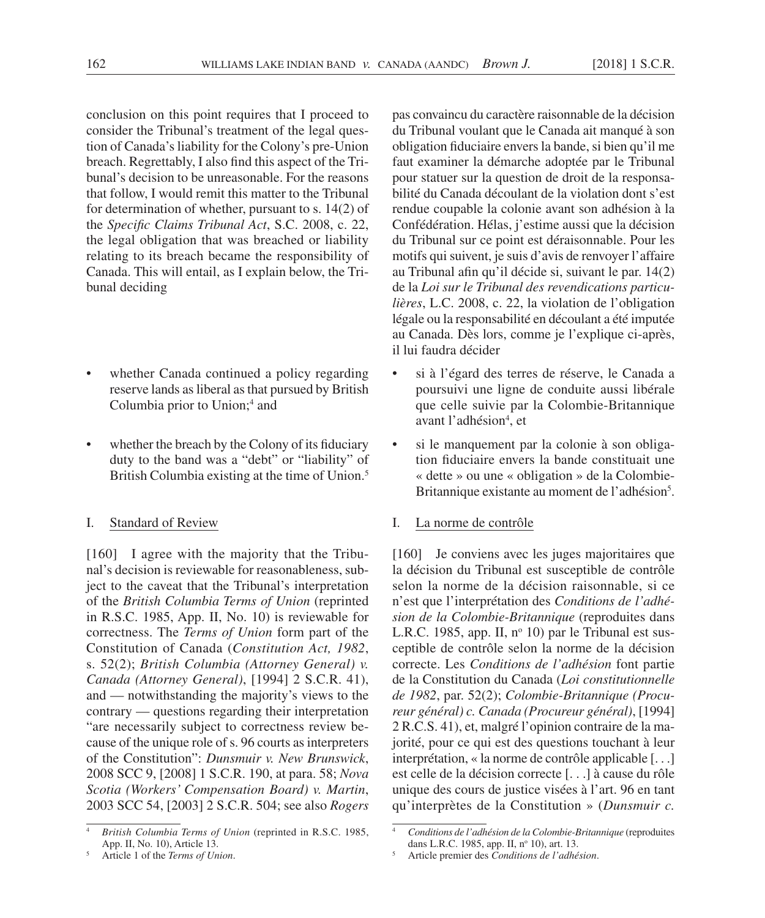conclusion on this point requires that I proceed to consider the Tribunal's treatment of the legal question of Canada's liability for the Colony's pre- Union breach. Regrettably, I also find this aspect of the Tribunal's decision to be unreasonable. For the reasons that follow, I would remit this matter to the Tribunal for determination of whether, pursuant to s. 14(2) of the *Specific Claims Tribunal Act*, S.C. 2008, c. 22, the legal obligation that was breached or liability relating to its breach became the responsibility of Canada. This will entail, as I explain below, the Tribunal deciding

- whether Canada continued a policy regarding reserve lands as liberal as that pursued by British Columbia prior to Union;<sup>4</sup> and
- whether the breach by the Colony of its fiduciary duty to the band was a "debt" or "liability" of British Columbia existing at the time of Union.<sup>5</sup>

# I. Standard of Review

[160] I agree with the majority that the Tribunal's decision is reviewable for reasonableness, subject to the caveat that the Tribunal's interpretation of the *British Columbia Terms of Union* (reprinted in R.S.C. 1985, App. II, No. 10) is reviewable for correctness. The *Terms of Union* form part of the Constitution of Canada (*Constitution Act, 1982*, s. 52(2); *British Columbia (Attorney General) v. Canada (Attorney General)*, [1994] 2 S.C.R. 41), and — notwithstanding the majority's views to the contrary — questions regarding their interpretation "are necessarily subject to correctness review because of the unique role of s. 96 courts as interpreters of the Constitution": *Dunsmuir v. New Brunswick*, 2008 SCC 9, [2008] 1 S.C.R. 190, at para. 58; *Nova Scotia (Workers' Compensation Board) v. Martin*, 2003 SCC 54, [2003] 2 S.C.R. 504; see also *Rogers*  pas convaincu du caractère raisonnable de la décision du Tribunal voulant que le Canada ait manqué à son obligation fiduciaire envers la bande, si bien qu'il me faut examiner la démarche adoptée par le Tribunal pour statuer sur la question de droit de la responsabilité du Canada découlant de la violation dont s'est rendue coupable la colonie avant son adhésion à la Confédération. Hélas, j'estime aussi que la décision du Tribunal sur ce point est déraisonnable. Pour les motifs qui suivent, je suis d'avis de renvoyer l'affaire au Tribunal afin qu'il décide si, suivant le par. 14(2) de la *Loi sur le Tribunal des revendications particulières*, L.C. 2008, c. 22, la violation de l'obligation légale ou la responsabilité en découlant a été imputée au Canada. Dès lors, comme je l'explique ci- après, il lui faudra décider

- si à l'égard des terres de réserve, le Canada a poursuivi une ligne de conduite aussi libérale que celle suivie par la Colombie- Britannique avant l'adhésion<sup>4</sup>, et
- si le manquement par la colonie à son obligation fiduciaire envers la bande constituait une « dette » ou une « obligation » de la Colombie-Britannique existante au moment de l'adhésion<sup>5</sup>.

# I. La norme de contrôle

[160] Je conviens avec les juges majoritaires que la décision du Tribunal est susceptible de contrôle selon la norme de la décision raisonnable, si ce n'est que l'interprétation des *Conditions de l'adhésion de la Colombie- Britannique* (reproduites dans L.R.C. 1985, app. II, nº 10) par le Tribunal est susceptible de contrôle selon la norme de la décision correcte. Les *Conditions de l'adhésion* font partie de la Constitution du Canada (*Loi constitutionnelle de 1982*, par. 52(2); *Colombie- Britannique (Procureur général) c. Canada (Procureur général)*, [1994] 2 R.C.S. 41), et, malgré l'opinion contraire de la majorité, pour ce qui est des questions touchant à leur interprétation, « la norme de contrôle applicable [. . .] est celle de la décision correcte [. . .] à cause du rôle unique des cours de justice visées à l'art. 96 en tant qu'interprètes de la Constitution » (*Dunsmuir c.* 

<sup>4</sup> *British Columbia Terms of Union* (reprinted in R.S.C. 1985, App. II, No. 10), Article 13.

<sup>5</sup> Article 1 of the *Terms of Union*.

<sup>4</sup> *Conditions de l'adhésion de la Colombie- Britannique* (reproduites dans L.R.C. 1985, app. II, nº 10), art. 13.

<sup>5</sup> Article premier des *Conditions de l'adhésion*.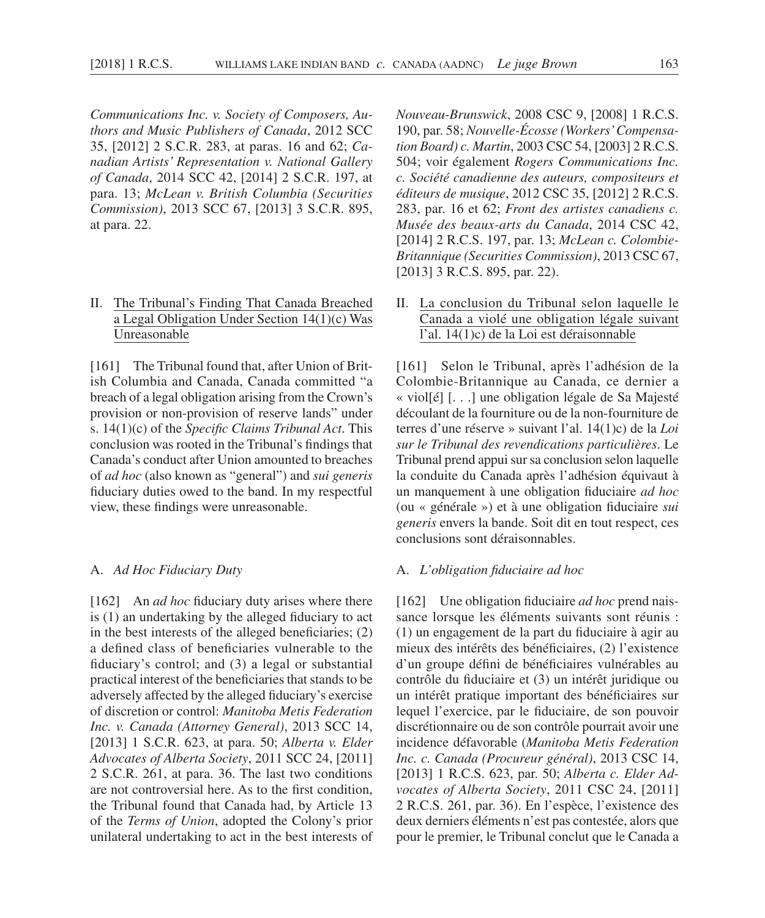*Communications Inc. v. Society of Composers, Authors and Music Publishers of Canada*, 2012 SCC 35, [2012] 2 S.C.R. 283, at paras. 16 and 62; *Canadian Artists' Representation v. National Gallery of Canada*, 2014 SCC 42, [2014] 2 S.C.R. 197, at para. 13; *McLean v. British Columbia (Securities Commission)*, 2013 SCC 67, [2013] 3 S.C.R. 895, at para. 22.

# II. The Tribunal's Finding That Canada Breached a Legal Obligation Under Section 14(1)(c) Was Unreasonable

[161] The Tribunal found that, after Union of British Columbia and Canada, Canada committed "a breach of a legal obligation arising from the Crown's provision or non-provision of reserve lands" under s. 14(1)(c) of the *Specific Claims Tribunal Act*. This conclusion was rooted in the Tribunal's findings that Canada's conduct after Union amounted to breaches of *ad hoc* (also known as "general") and *sui generis* fiduciary duties owed to the band. In my respectful view, these findings were unreasonable.

### A. *Ad Hoc Fiduciary Duty*

[162] An *ad hoc* fiduciary duty arises where there is  $(1)$  an undertaking by the alleged fiduciary to act in the best interests of the alleged beneficiaries;  $(2)$ a defined class of beneficiaries vulnerable to the fiduciary's control; and (3) a legal or substantial practical interest of the beneficiaries that stands to be adversely affected by the alleged fiduciary's exercise of discretion or control: *Manitoba Metis Federation Inc. v. Canada (Attorney General)*, 2013 SCC 14, [2013] 1 S.C.R. 623, at para. 50; *Alberta v. Elder Advocates of Alberta Society*, 2011 SCC 24, [2011] 2 S.C.R. 261, at para. 36. The last two conditions are not controversial here. As to the first condition, the Tribunal found that Canada had, by Article 13 of the *Terms of Union*, adopted the Colony's prior unilateral undertaking to act in the best interests of *Nouveau- Brunswick*, 2008 CSC 9, [2008] 1 R.C.S. 190, par. 58; *Nouvelle- Écosse (Workers' Compensation Board) c. Martin*, 2003 CSC 54, [2003] 2 R.C.S. 504; voir également *Rogers Communications Inc. c. Société canadienne des auteurs, compositeurs et éditeurs de musique*, 2012 CSC 35, [2012] 2 R.C.S. 283, par. 16 et 62; *Front des artistes canadiens c. Musée des beaux- arts du Canada*, 2014 CSC 42, [2014] 2 R.C.S. 197, par. 13; *McLean c. Colombie-Britannique (Securities Commission)*, 2013 CSC 67, [2013] 3 R.C.S. 895, par. 22).

II. La conclusion du Tribunal selon laquelle le Canada a violé une obligation légale suivant l'al. 14(1)c) de la Loi est déraisonnable

[161] Selon le Tribunal, après l'adhésion de la Colombie- Britannique au Canada, ce dernier a « viol[é] [. . .] une obligation légale de Sa Majesté découlant de la fourniture ou de la non- fourniture de terres d'une réserve » suivant l'al. 14(1)c) de la *Loi sur le Tribunal des revendications particulières*. Le Tribunal prend appui sur sa conclusion selon laquelle la conduite du Canada après l'adhésion équivaut à un manquement à une obligation fiduciaire *ad hoc* (ou « générale ») et à une obligation fiduciaire *sui generis* envers la bande. Soit dit en tout respect, ces conclusions sont déraisonnables.

### A. *L'obligation fiduciaire ad hoc*

[162] Une obligation fiduciaire *ad hoc* prend naissance lorsque les éléments suivants sont réunis : (1) un engagement de la part du fiduciaire à agir au mieux des intérêts des bénéficiaires, (2) l'existence d'un groupe défini de bénéficiaires vulnérables au contrôle du fiduciaire et (3) un intérêt juridique ou un intérêt pratique important des bénéficiaires sur lequel l'exercice, par le fiduciaire, de son pouvoir discrétionnaire ou de son contrôle pourrait avoir une incidence défavorable (*Manitoba Metis Federation Inc. c. Canada (Procureur général)*, 2013 CSC 14, [2013] 1 R.C.S. 623, par. 50; *Alberta c. Elder Advocates of Alberta Society*, 2011 CSC 24, [2011] 2 R.C.S. 261, par. 36). En l'espèce, l'existence des deux derniers éléments n'est pas contestée, alors que pour le premier, le Tribunal conclut que le Canada a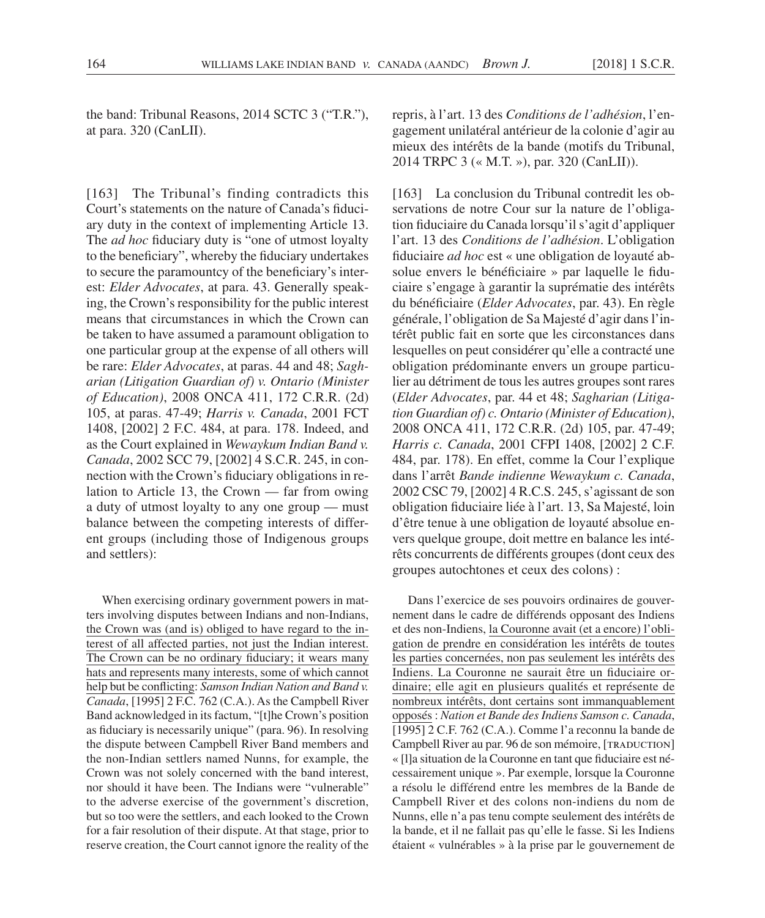the band: Tribunal Reasons, 2014 SCTC 3 ("T.R."), at para. 320 (CanLII).

[163] The Tribunal's finding contradicts this Court's statements on the nature of Canada's fiduciary duty in the context of implementing Article 13. The *ad hoc* fiduciary duty is "one of utmost loyalty to the beneficiary", whereby the fiduciary undertakes to secure the paramountcy of the beneficiary's interest: *Elder Advocates*, at para. 43. Generally speaking, the Crown's responsibility for the public interest means that circumstances in which the Crown can be taken to have assumed a paramount obligation to one particular group at the expense of all others will be rare: *Elder Advocates*, at paras. 44 and 48; *Sagharian (Litigation Guardian of) v. Ontario (Minister of Education)*, 2008 ONCA 411, 172 C.R.R. (2d) 105, at paras. 47-49; *Harris v. Canada*, 2001 FCT 1408, [2002] 2 F.C. 484, at para. 178. Indeed, and as the Court explained in *Wewaykum Indian Band v. Canada*, 2002 SCC 79, [2002] 4 S.C.R. 245, in connection with the Crown's fiduciary obligations in relation to Article 13, the Crown — far from owing a duty of utmost loyalty to any one group — must balance between the competing interests of different groups (including those of Indigenous groups and settlers):

When exercising ordinary government powers in matters involving disputes between Indians and non- Indians, the Crown was (and is) obliged to have regard to the interest of all affected parties, not just the Indian interest. The Crown can be no ordinary fiduciary; it wears many hats and represents many interests, some of which cannot help but be conflicting: *Samson Indian Nation and Band v*. *Canada*, [1995] 2 F.C. 762 (C.A.). As the Campbell River Band acknowledged in its factum, "[t]he Crown's position as fiduciary is necessarily unique" (para. 96). In resolving the dispute between Campbell River Band members and the non- Indian settlers named Nunns, for example, the Crown was not solely concerned with the band interest, nor should it have been. The Indians were "vulnerable" to the adverse exercise of the government's discretion, but so too were the settlers, and each looked to the Crown for a fair resolution of their dispute. At that stage, prior to reserve creation, the Court cannot ignore the reality of the repris, à l'art. 13 des *Conditions de l'adhésion*, l'engagement unilatéral antérieur de la colonie d'agir au mieux des intérêts de la bande (motifs du Tribunal, 2014 TRPC 3 (« M.T. »), par. 320 (CanLII)).

[163] La conclusion du Tribunal contredit les observations de notre Cour sur la nature de l'obligation fiduciaire du Canada lorsqu'il s'agit d'appliquer l'art. 13 des *Conditions de l'adhésion*. L'obligation fiduciaire *ad hoc* est « une obligation de loyauté absolue envers le bénéficiaire » par laquelle le fiduciaire s'engage à garantir la suprématie des intérêts du bénéficiaire (*Elder Advocates*, par. 43). En règle générale, l'obligation de Sa Majesté d'agir dans l'intérêt public fait en sorte que les circonstances dans lesquelles on peut considérer qu'elle a contracté une obligation prédominante envers un groupe particulier au détriment de tous les autres groupes sont rares (*Elder Advocates*, par. 44 et 48; *Sagharian (Litigation Guardian of) c. Ontario (Minister of Education)*, 2008 ONCA 411, 172 C.R.R. (2d) 105, par. 47-49; *Harris c. Canada*, 2001 CFPI 1408, [2002] 2 C.F. 484, par. 178). En effet, comme la Cour l'explique dans l'arrêt *Bande indienne Wewaykum c. Canada*, 2002 CSC 79, [2002] 4 R.C.S. 245, s'agissant de son obligation fiduciaire liée à l'art. 13, Sa Majesté, loin d'être tenue à une obligation de loyauté absolue envers quelque groupe, doit mettre en balance les intérêts concurrents de différents groupes (dont ceux des groupes autochtones et ceux des colons) :

Dans l'exercice de ses pouvoirs ordinaires de gouvernement dans le cadre de différends opposant des Indiens et des non- Indiens, la Couronne avait (et a encore) l'obligation de prendre en considération les intérêts de toutes les parties concernées, non pas seulement les intérêts des Indiens. La Couronne ne saurait être un fiduciaire ordinaire; elle agit en plusieurs qualités et représente de nombreux intérêts, dont certains sont immanquablement opposés : *Nation et Bande des Indiens Samson c. Canada*, [1995] 2 C.F. 762 (C.A.). Comme l'a reconnu la bande de Campbell River au par. 96 de son mémoire, [TRADUCTION] « [1] a situation de la Couronne en tant que fiduciaire est nécessairement unique ». Par exemple, lorsque la Couronne a résolu le différend entre les membres de la Bande de Campbell River et des colons non- indiens du nom de Nunns, elle n'a pas tenu compte seulement des intérêts de la bande, et il ne fallait pas qu'elle le fasse. Si les Indiens étaient « vulnérables » à la prise par le gouvernement de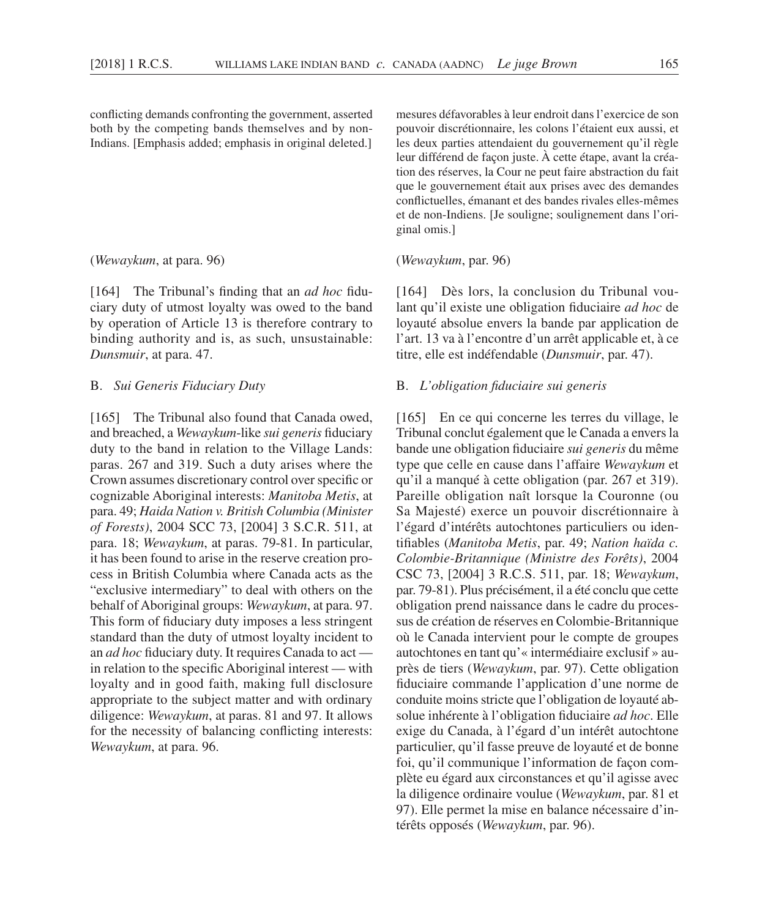conflicting demands confronting the government, asserted both by the competing bands themselves and by non-Indians. [Emphasis added; emphasis in original deleted.]

### (*Wewaykum*, at para. 96)

[164] The Tribunal's finding that an *ad hoc* fiduciary duty of utmost loyalty was owed to the band by operation of Article 13 is therefore contrary to binding authority and is, as such, unsustainable: *Dunsmuir*, at para. 47.

## B. *Sui Generis Fiduciary Duty*

[165] The Tribunal also found that Canada owed, and breached, a *Wewaykum*-like *sui generis* fiduciary duty to the band in relation to the Village Lands: paras. 267 and 319. Such a duty arises where the Crown assumes discretionary control over specific or cognizable Aboriginal interests: *Manitoba Metis*, at para. 49; *Haida Nation v. British Columbia (Minister of Forests)*, 2004 SCC 73, [2004] 3 S.C.R. 511, at para. 18; *Wewaykum*, at paras. 79-81. In particular, it has been found to arise in the reserve creation process in British Columbia where Canada acts as the "exclusive intermediary" to deal with others on the behalf of Aboriginal groups: *Wewaykum*, at para. 97. This form of fiduciary duty imposes a less stringent standard than the duty of utmost loyalty incident to an *ad hoc* fiduciary duty. It requires Canada to act in relation to the specific Aboriginal interest  $-$  with loyalty and in good faith, making full disclosure appropriate to the subject matter and with ordinary diligence: *Wewaykum*, at paras. 81 and 97. It allows for the necessity of balancing conflicting interests: *Wewaykum*, at para. 96.

mesures défavorables à leur endroit dans l'exercice de son pouvoir discrétionnaire, les colons l'étaient eux aussi, et les deux parties attendaient du gouvernement qu'il règle leur différend de façon juste. À cette étape, avant la création des réserves, la Cour ne peut faire abstraction du fait que le gouvernement était aux prises avec des demandes conflictuelles, émanant et des bandes rivales elles-mêmes et de non- Indiens. [Je souligne; soulignement dans l'original omis.]

# (*Wewaykum*, par. 96)

[164] Dès lors, la conclusion du Tribunal voulant qu'il existe une obligation fiduciaire *ad hoc* de loyauté absolue envers la bande par application de l'art. 13 va à l'encontre d'un arrêt applicable et, à ce titre, elle est indéfendable (*Dunsmuir*, par. 47).

# B. L'obligation fiduciaire sui generis

[165] En ce qui concerne les terres du village, le Tribunal conclut également que le Canada a envers la bande une obligation fiduciaire *sui generis* du même type que celle en cause dans l'affaire *Wewaykum* et qu'il a manqué à cette obligation (par. 267 et 319). Pareille obligation naît lorsque la Couronne (ou Sa Majesté) exerce un pouvoir discrétionnaire à l'égard d'intérêts autochtones particuliers ou identifi ables (*Manitoba Metis*, par. 49; *Nation haïda c. Colombie- Britannique (Ministre des Forêts)*, 2004 CSC 73, [2004] 3 R.C.S. 511, par. 18; *Wewaykum*, par. 79-81). Plus précisément, il a été conclu que cette obligation prend naissance dans le cadre du processus de création de réserves en Colombie- Britannique où le Canada intervient pour le compte de groupes autochtones en tant qu'« intermédiaire exclusif » auprès de tiers (*Wewaykum*, par. 97). Cette obligation fiduciaire commande l'application d'une norme de conduite moins stricte que l'obligation de loyauté absolue inhérente à l'obligation fiduciaire *ad hoc*. Elle exige du Canada, à l'égard d'un intérêt autochtone particulier, qu'il fasse preuve de loyauté et de bonne foi, qu'il communique l'information de façon complète eu égard aux circonstances et qu'il agisse avec la diligence ordinaire voulue (*Wewaykum*, par. 81 et 97). Elle permet la mise en balance nécessaire d'intérêts opposés (*Wewaykum*, par. 96).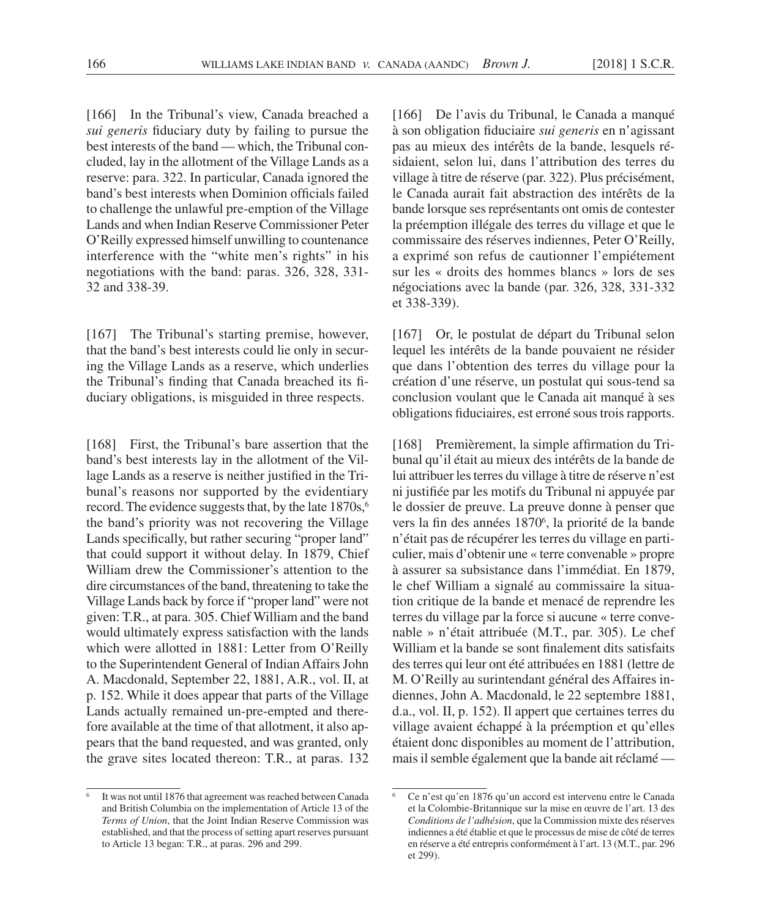[166] In the Tribunal's view, Canada breached a *sui generis* fiduciary duty by failing to pursue the best interests of the band — which, the Tribunal concluded, lay in the allotment of the Village Lands as a reserve: para. 322. In particular, Canada ignored the band's best interests when Dominion officials failed to challenge the unlawful pre-emption of the Village Lands and when Indian Reserve Commissioner Peter O'Reilly expressed himself unwilling to countenance interference with the "white men's rights" in his negotiations with the band: paras. 326, 328, 331- 32 and 338-39.

[167] The Tribunal's starting premise, however, that the band's best interests could lie only in securing the Village Lands as a reserve, which underlies the Tribunal's finding that Canada breached its fiduciary obligations, is misguided in three respects.

[168] First, the Tribunal's bare assertion that the band's best interests lay in the allotment of the Village Lands as a reserve is neither justified in the Tribunal's reasons nor supported by the evidentiary record. The evidence suggests that, by the late 1870s,<sup>6</sup> the band's priority was not recovering the Village Lands specifically, but rather securing "proper land" that could support it without delay. In 1879, Chief William drew the Commissioner's attention to the dire circumstances of the band, threatening to take the Village Lands back by force if "proper land" were not given: T.R., at para. 305. Chief William and the band would ultimately express satisfaction with the lands which were allotted in 1881: Letter from O'Reilly to the Superintendent General of Indian Affairs John A. Macdonald, September 22, 1881, A.R., vol. II, at p. 152. While it does appear that parts of the Village Lands actually remained un-pre-empted and therefore available at the time of that allotment, it also appears that the band requested, and was granted, only the grave sites located thereon: T.R., at paras. 132

[166] De l'avis du Tribunal, le Canada a manqué à son obligation fiduciaire *sui generis* en n'agissant pas au mieux des intérêts de la bande, lesquels résidaient, selon lui, dans l'attribution des terres du village à titre de réserve (par. 322). Plus précisément, le Canada aurait fait abstraction des intérêts de la bande lorsque ses représentants ont omis de contester la préemption illégale des terres du village et que le commissaire des réserves indiennes, Peter O'Reilly, a exprimé son refus de cautionner l'empiétement sur les « droits des hommes blancs » lors de ses négociations avec la bande (par. 326, 328, 331-332 et 338-339).

[167] Or, le postulat de départ du Tribunal selon lequel les intérêts de la bande pouvaient ne résider que dans l'obtention des terres du village pour la création d'une réserve, un postulat qui sous- tend sa conclusion voulant que le Canada ait manqué à ses obligations fiduciaires, est erroné sous trois rapports.

[168] Premièrement, la simple affirmation du Tribunal qu'il était au mieux des intérêts de la bande de lui attribuer les terres du village à titre de réserve n'est ni justifiée par les motifs du Tribunal ni appuyée par le dossier de preuve. La preuve donne à penser que vers la fin des années 1870<sup>6</sup>, la priorité de la bande n'était pas de récupérer les terres du village en particulier, mais d'obtenir une « terre convenable » propre à assurer sa subsistance dans l'immédiat. En 1879, le chef William a signalé au commissaire la situation critique de la bande et menacé de reprendre les terres du village par la force si aucune « terre convenable » n'était attribuée (M.T., par. 305). Le chef William et la bande se sont finalement dits satisfaits des terres qui leur ont été attribuées en 1881 (lettre de M. O'Reilly au surintendant général des Affaires indiennes, John A. Macdonald, le 22 septembre 1881, d.a., vol. II, p. 152). Il appert que certaines terres du village avaient échappé à la préemption et qu'elles étaient donc disponibles au moment de l'attribution, mais il semble également que la bande ait réclamé —

<sup>6</sup> It was not until 1876 that agreement was reached between Canada and British Columbia on the implementation of Article 13 of the *Terms of Union*, that the Joint Indian Reserve Commission was established, and that the process of setting apart reserves pursuant to Article 13 began: T.R., at paras. 296 and 299.

<sup>6</sup> Ce n'est qu'en 1876 qu'un accord est intervenu entre le Canada et la Colombie- Britannique sur la mise en œuvre de l'art. 13 des *Conditions de l'adhésion*, que la Commission mixte des réserves indiennes a été établie et que le processus de mise de côté de terres en réserve a été entrepris conformément à l'art. 13 (M.T., par. 296 et 299).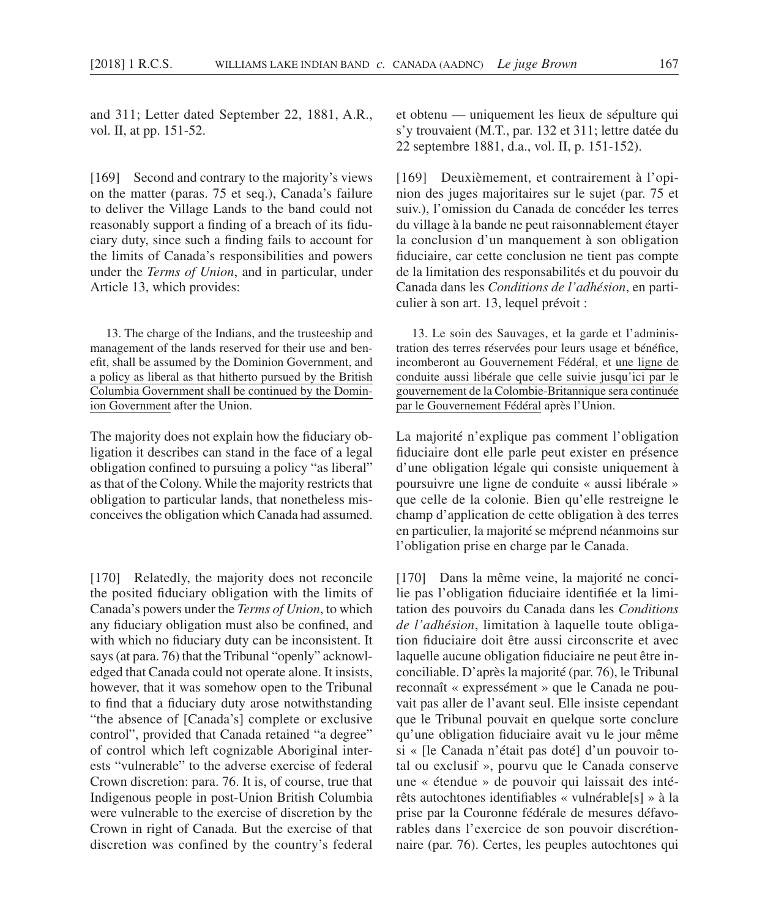and 311; Letter dated September 22, 1881, A.R., vol. II, at pp. 151-52.

[169] Second and contrary to the majority's views on the matter (paras. 75 et seq.), Canada's failure to deliver the Village Lands to the band could not reasonably support a finding of a breach of its fiduciary duty, since such a finding fails to account for the limits of Canada's responsibilities and powers under the *Terms of Union*, and in particular, under Article 13, which provides:

13. The charge of the Indians, and the trusteeship and management of the lands reserved for their use and benefit, shall be assumed by the Dominion Government, and a policy as liberal as that hitherto pursued by the British Columbia Government shall be continued by the Dominion Government after the Union.

The majority does not explain how the fiduciary obligation it describes can stand in the face of a legal obligation confined to pursuing a policy "as liberal" as that of the Colony. While the majority restricts that obligation to particular lands, that nonetheless misconceives the obligation which Canada had assumed.

[170] Relatedly, the majority does not reconcile the posited fiduciary obligation with the limits of Canada's powers under the *Terms of Union*, to which any fiduciary obligation must also be confined, and with which no fiduciary duty can be inconsistent. It says (at para. 76) that the Tribunal "openly" acknowledged that Canada could not operate alone. It insists, however, that it was somehow open to the Tribunal to find that a fiduciary duty arose notwithstanding "the absence of [Canada's] complete or exclusive control", provided that Canada retained "a degree" of control which left cognizable Aboriginal interests "vulnerable" to the adverse exercise of federal Crown discretion: para. 76. It is, of course, true that Indigenous people in post- Union British Columbia were vulnerable to the exercise of discretion by the Crown in right of Canada. But the exercise of that discretion was confined by the country's federal

et obtenu — uniquement les lieux de sépulture qui s'y trouvaient (M.T., par. 132 et 311; lettre datée du 22 septembre 1881, d.a., vol. II, p. 151-152).

[169] Deuxièmement, et contrairement à l'opinion des juges majoritaires sur le sujet (par. 75 et suiv.), l'omission du Canada de concéder les terres du village à la bande ne peut raisonnablement étayer la conclusion d'un manquement à son obligation fiduciaire, car cette conclusion ne tient pas compte de la limitation des responsabilités et du pouvoir du Canada dans les *Conditions de l'adhésion*, en particulier à son art. 13, lequel prévoit :

13. Le soin des Sauvages, et la garde et l'administration des terres réservées pour leurs usage et bénéfice, incomberont au Gouvernement Fédéral, et une ligne de conduite aussi libérale que celle suivie jusqu'ici par le gouvernement de la Colombie- Britannique sera continuée par le Gouvernement Fédéral après l'Union.

La majorité n'explique pas comment l'obligation fiduciaire dont elle parle peut exister en présence d'une obligation légale qui consiste uniquement à poursuivre une ligne de conduite « aussi libérale » que celle de la colonie. Bien qu'elle restreigne le champ d'application de cette obligation à des terres en particulier, la majorité se méprend néanmoins sur l'obligation prise en charge par le Canada.

[170] Dans la même veine, la majorité ne concilie pas l'obligation fiduciaire identifiée et la limitation des pouvoirs du Canada dans les *Conditions de l'adhésion*, limitation à laquelle toute obligation fiduciaire doit être aussi circonscrite et avec laquelle aucune obligation fiduciaire ne peut être inconciliable. D'après la majorité (par. 76), le Tribunal reconnaît « expressément » que le Canada ne pouvait pas aller de l'avant seul. Elle insiste cependant que le Tribunal pouvait en quelque sorte conclure qu'une obligation fiduciaire avait vu le jour même si « [le Canada n'était pas doté] d'un pouvoir total ou exclusif », pourvu que le Canada conserve une « étendue » de pouvoir qui laissait des intérêts autochtones identifiables « vulnérable[s] » à la prise par la Couronne fédérale de mesures défavorables dans l'exercice de son pouvoir discrétionnaire (par. 76). Certes, les peuples autochtones qui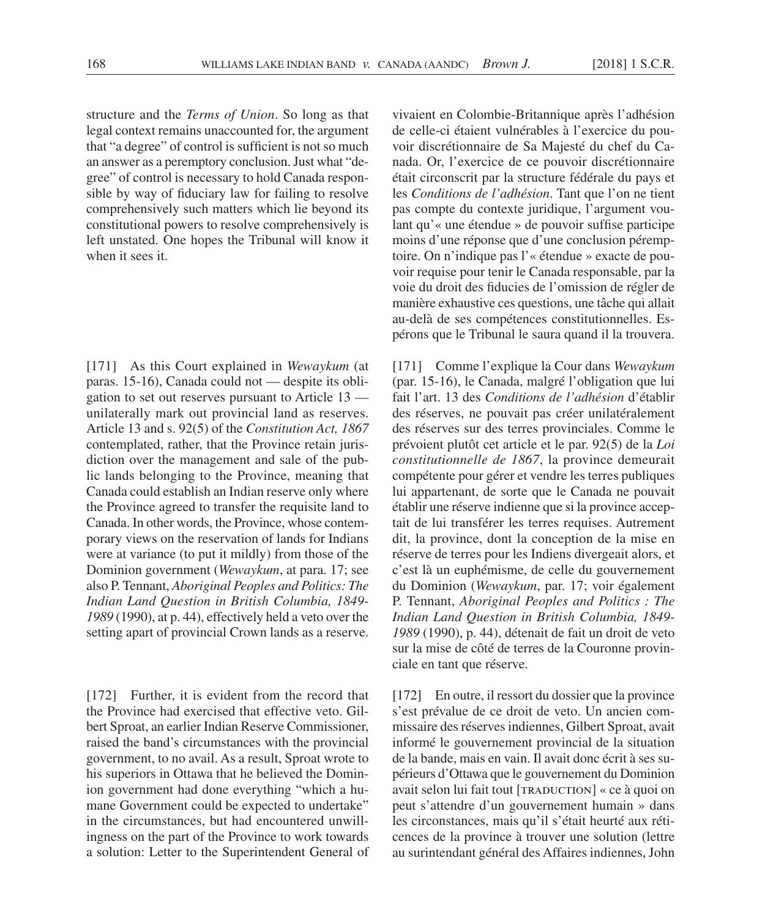structure and the *Terms of Union*. So long as that legal context remains unaccounted for, the argument that "a degree" of control is sufficient is not so much an answer as a peremptory conclusion. Just what "degree" of control is necessary to hold Canada responsible by way of fiduciary law for failing to resolve comprehensively such matters which lie beyond its constitutional powers to resolve comprehensively is left unstated. One hopes the Tribunal will know it when it sees it.

[171] As this Court explained in *Wewaykum* (at paras. 15-16), Canada could not — despite its obligation to set out reserves pursuant to Article 13 unilaterally mark out provincial land as reserves. Article 13 and s. 92(5) of the *Constitution Act, 1867* contemplated, rather, that the Province retain jurisdiction over the management and sale of the public lands belonging to the Province, meaning that Canada could establish an Indian reserve only where the Province agreed to transfer the requisite land to Canada. In other words, the Province, whose contemporary views on the reservation of lands for Indians were at variance (to put it mildly) from those of the Dominion government (*Wewaykum*, at para. 17; see also P. Tennant, *Aboriginal Peoples and Politics: The Indian Land Question in British Columbia, 1849- 1989* (1990), at p. 44), effectively held a veto over the setting apart of provincial Crown lands as a reserve.

[172] Further, it is evident from the record that the Province had exercised that effective veto. Gilbert Sproat, an earlier Indian Reserve Commissioner, raised the band's circumstances with the provincial government, to no avail. As a result, Sproat wrote to his superiors in Ottawa that he believed the Dominion government had done everything "which a humane Government could be expected to undertake" in the circumstances, but had encountered unwillingness on the part of the Province to work towards a solution: Letter to the Superintendent General of vivaient en Colombie- Britannique après l'adhésion de celle-ci étaient vulnérables à l'exercice du pouvoir discrétionnaire de Sa Majesté du chef du Canada. Or, l'exercice de ce pouvoir discrétionnaire était circonscrit par la structure fédérale du pays et les *Conditions de l'adhésion*. Tant que l'on ne tient pas compte du contexte juridique, l'argument voulant qu'« une étendue » de pouvoir suffise participe moins d'une réponse que d'une conclusion péremptoire. On n'indique pas l'« étendue » exacte de pouvoir requise pour tenir le Canada responsable, par la voie du droit des fiducies de l'omission de régler de manière exhaustive ces questions, une tâche qui allait au- delà de ses compétences constitutionnelles. Espérons que le Tribunal le saura quand il la trouvera.

[171] Comme l'explique la Cour dans *Wewaykum* (par. 15-16), le Canada, malgré l'obligation que lui fait l'art. 13 des *Conditions de l'adhésion* d'établir des réserves, ne pouvait pas créer unilatéralement des réserves sur des terres provinciales. Comme le prévoient plutôt cet article et le par. 92(5) de la *Loi constitutionnelle de 1867*, la province demeurait compétente pour gérer et vendre les terres publiques lui appartenant, de sorte que le Canada ne pouvait établir une réserve indienne que si la province acceptait de lui transférer les terres requises. Autrement dit, la province, dont la conception de la mise en réserve de terres pour les Indiens divergeait alors, et c'est là un euphémisme, de celle du gouvernement du Dominion (*Wewaykum*, par. 17; voir également P. Tennant, *Aboriginal Peoples and Politics : The Indian Land Question in British Columbia, 1849- 1989* (1990), p. 44), détenait de fait un droit de veto sur la mise de côté de terres de la Couronne provinciale en tant que réserve.

[172] En outre, il ressort du dossier que la province s'est prévalue de ce droit de veto. Un ancien commissaire des réserves indiennes, Gilbert Sproat, avait informé le gouvernement provincial de la situation de la bande, mais en vain. Il avait donc écrit à ses supérieurs d'Ottawa que le gouvernement du Dominion avait selon lui fait tout  $[\text{trab}(\text{trab})] \times \text{ce}$  à quoi on peut s'attendre d'un gouvernement humain » dans les circonstances, mais qu'il s'était heurté aux réticences de la province à trouver une solution (lettre au surintendant général des Affaires indiennes, John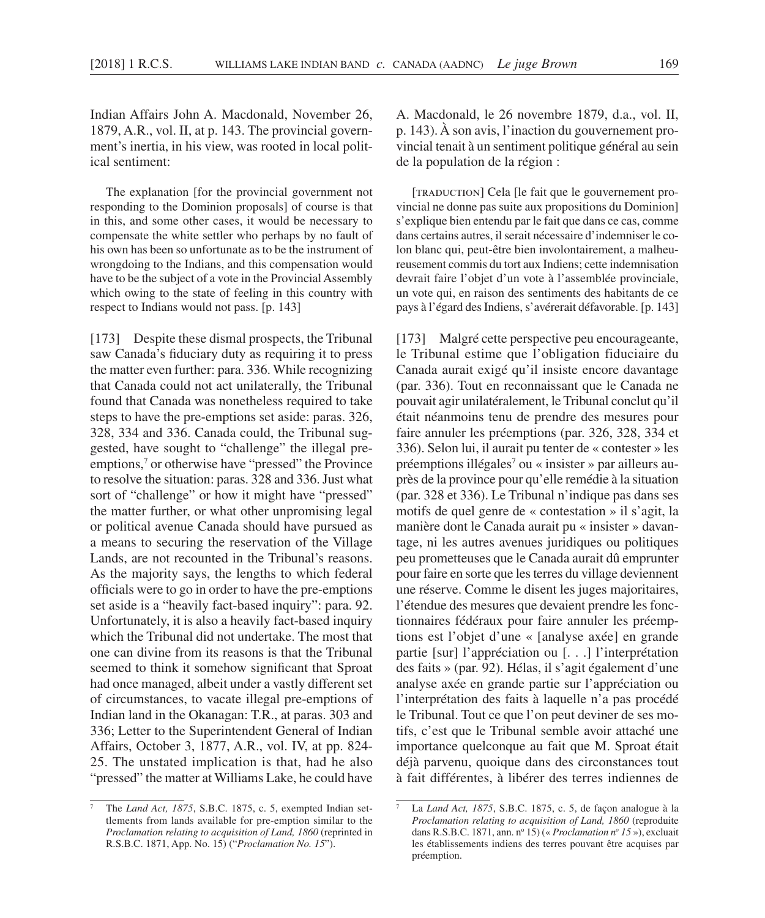Indian Affairs John A. Macdonald, November 26, 1879, A.R., vol. II, at p. 143. The provincial government's inertia, in his view, was rooted in local political sentiment:

The explanation [for the provincial government not responding to the Dominion proposals] of course is that in this, and some other cases, it would be necessary to compensate the white settler who perhaps by no fault of his own has been so unfortunate as to be the instrument of wrongdoing to the Indians, and this compensation would have to be the subject of a vote in the Provincial Assembly which owing to the state of feeling in this country with respect to Indians would not pass. [p. 143]

[173] Despite these dismal prospects, the Tribunal saw Canada's fiduciary duty as requiring it to press the matter even further: para. 336. While recognizing that Canada could not act unilaterally, the Tribunal found that Canada was nonetheless required to take steps to have the pre-emptions set aside: paras. 326, 328, 334 and 336. Canada could, the Tribunal suggested, have sought to "challenge" the illegal preemptions,<sup>7</sup> or otherwise have "pressed" the Province to resolve the situation: paras. 328 and 336. Just what sort of "challenge" or how it might have "pressed" the matter further, or what other unpromising legal or political avenue Canada should have pursued as a means to securing the reservation of the Village Lands, are not recounted in the Tribunal's reasons. As the majority says, the lengths to which federal officials were to go in order to have the pre-emptions set aside is a "heavily fact-based inquiry": para. 92. Unfortunately, it is also a heavily fact-based inquiry which the Tribunal did not undertake. The most that one can divine from its reasons is that the Tribunal seemed to think it somehow significant that Sproat had once managed, albeit under a vastly different set of circumstances, to vacate illegal pre- emptions of Indian land in the Okanagan: T.R., at paras. 303 and 336; Letter to the Superintendent General of Indian Affairs, October 3, 1877, A.R., vol. IV, at pp. 824- 25. The unstated implication is that, had he also "pressed" the matter at Williams Lake, he could have

A. Macdonald, le 26 novembre 1879, d.a., vol. II, p. 143). À son avis, l'inaction du gouvernement provincial tenait à un sentiment politique général au sein de la population de la région :

[traduction] Cela [le fait que le gouvernement provincial ne donne pas suite aux propositions du Dominion] s'explique bien entendu par le fait que dans ce cas, comme dans certains autres, il serait nécessaire d'indemniser le colon blanc qui, peut- être bien involontairement, a malheureusement commis du tort aux Indiens; cette indemnisation devrait faire l'objet d'un vote à l'assemblée provinciale, un vote qui, en raison des sentiments des habitants de ce pays à l'égard des Indiens, s'avérerait défavorable. [p. 143]

[173] Malgré cette perspective peu encourageante, le Tribunal estime que l'obligation fiduciaire du Canada aurait exigé qu'il insiste encore davantage (par. 336). Tout en reconnaissant que le Canada ne pouvait agir unilatéralement, le Tribunal conclut qu'il était néanmoins tenu de prendre des mesures pour faire annuler les préemptions (par. 326, 328, 334 et 336). Selon lui, il aurait pu tenter de « contester » les préemptions illégales<sup>7</sup> ou « insister » par ailleurs auprès de la province pour qu'elle remédie à la situation (par. 328 et 336). Le Tribunal n'indique pas dans ses motifs de quel genre de « contestation » il s'agit, la manière dont le Canada aurait pu « insister » davantage, ni les autres avenues juridiques ou politiques peu prometteuses que le Canada aurait dû emprunter pour faire en sorte que les terres du village deviennent une réserve. Comme le disent les juges majoritaires, l'étendue des mesures que devaient prendre les fonctionnaires fédéraux pour faire annuler les préemptions est l'objet d'une « [analyse axée] en grande partie [sur] l'appréciation ou [. . .] l'interprétation des faits » (par. 92). Hélas, il s'agit également d'une analyse axée en grande partie sur l'appréciation ou l'interprétation des faits à laquelle n'a pas procédé le Tribunal. Tout ce que l'on peut deviner de ses motifs, c'est que le Tribunal semble avoir attaché une importance quelconque au fait que M. Sproat était déjà parvenu, quoique dans des circonstances tout à fait différentes, à libérer des terres indiennes de

<sup>7</sup> The *Land Act, 1875*, S.B.C. 1875, c. 5, exempted Indian settlements from lands available for pre-emption similar to the *Proclamation relating to acquisition of Land, 1860* (reprinted in R.S.B.C. 1871, App. No. 15) ("*Proclamation No. 15*").

<sup>7</sup> La *Land Act, 1875*, S.B.C. 1875, c. 5, de façon analogue à la *Proclamation relating to acquisition of Land, 1860* (reproduite dans R.S.B.C. 1871, ann. nº 15) (« *Proclamation nº 15* »), excluait les établissements indiens des terres pouvant être acquises par préemption.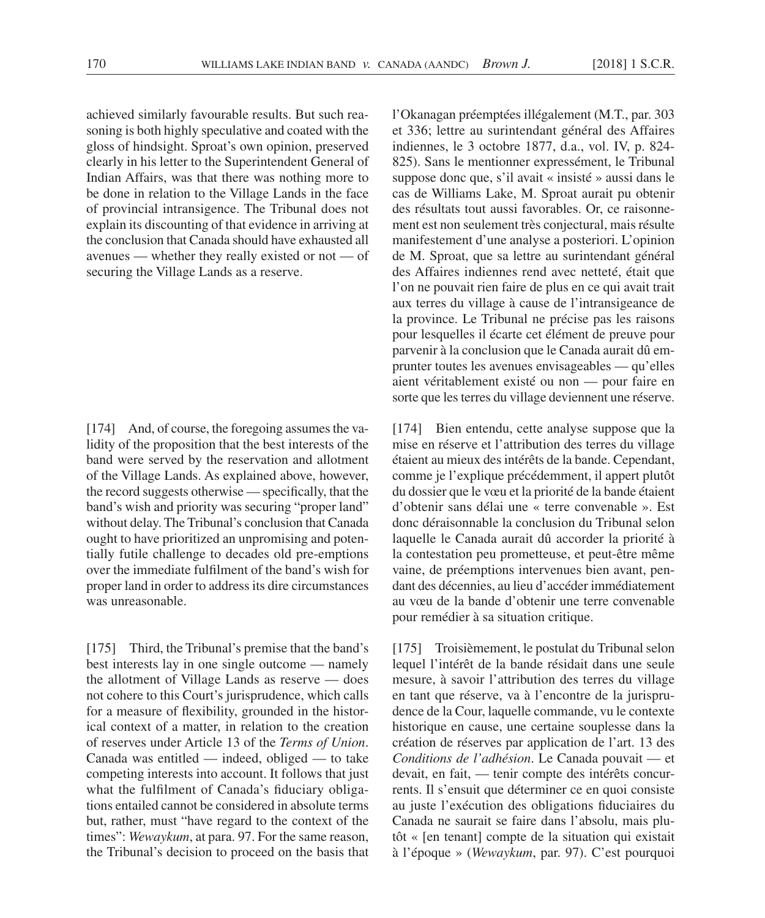achieved similarly favourable results. But such reasoning is both highly speculative and coated with the gloss of hindsight. Sproat's own opinion, preserved clearly in his letter to the Superintendent General of Indian Affairs, was that there was nothing more to be done in relation to the Village Lands in the face of provincial intransigence. The Tribunal does not explain its discounting of that evidence in arriving at the conclusion that Canada should have exhausted all avenues — whether they really existed or not — of l'Okanagan préemptées illégalement (M.T., par. 303 et 336; lettre au surintendant général des Affaires indiennes, le 3 octobre 1877, d.a., vol. IV, p. 824- 825). Sans le mentionner expressément, le Tribunal suppose donc que, s'il avait « insisté » aussi dans le cas de Williams Lake, M. Sproat aurait pu obtenir des résultats tout aussi favorables. Or, ce raisonnement est non seulement très conjectural, mais résulte manifestement d'une analyse a posteriori. L'opinion de M. Sproat, que sa lettre au surintendant général des Affaires indiennes rend avec netteté, était que l'on ne pouvait rien faire de plus en ce qui avait trait aux terres du village à cause de l'intransigeance de la province. Le Tribunal ne précise pas les raisons pour lesquelles il écarte cet élément de preuve pour parvenir à la conclusion que le Canada aurait dû em-

[174] And, of course, the foregoing assumes the validity of the proposition that the best interests of the band were served by the reservation and allotment of the Village Lands. As explained above, however, the record suggests otherwise — specifically, that the band's wish and priority was securing "proper land" without delay. The Tribunal's conclusion that Canada ought to have prioritized an unpromising and potentially futile challenge to decades old pre-emptions over the immediate fulfilment of the band's wish for proper land in order to address its dire circumstances was unreasonable.

securing the Village Lands as a reserve.

[175] Third, the Tribunal's premise that the band's best interests lay in one single outcome — namely the allotment of Village Lands as reserve — does not cohere to this Court's jurisprudence, which calls for a measure of flexibility, grounded in the historical context of a matter, in relation to the creation of reserves under Article 13 of the *Terms of Union*. Canada was entitled — indeed, obliged — to take competing interests into account. It follows that just what the fulfilment of Canada's fiduciary obligations entailed cannot be considered in absolute terms but, rather, must "have regard to the context of the times": *Wewaykum*, at para. 97. For the same reason, the Tribunal's decision to proceed on the basis that [174] Bien entendu, cette analyse suppose que la mise en réserve et l'attribution des terres du village étaient au mieux des intérêts de la bande. Cependant, comme je l'explique précédemment, il appert plutôt du dossier que le vœu et la priorité de la bande étaient d'obtenir sans délai une « terre convenable ». Est donc déraisonnable la conclusion du Tribunal selon laquelle le Canada aurait dû accorder la priorité à la contestation peu prometteuse, et peut-être même vaine, de préemptions intervenues bien avant, pendant des décennies, au lieu d'accéder immédiatement au vœu de la bande d'obtenir une terre convenable pour remédier à sa situation critique.

prunter toutes les avenues envisageables — qu'elles aient véritablement existé ou non — pour faire en sorte que les terres du village deviennent une réserve.

[175] Troisièmement, le postulat du Tribunal selon lequel l'intérêt de la bande résidait dans une seule mesure, à savoir l'attribution des terres du village en tant que réserve, va à l'encontre de la jurisprudence de la Cour, laquelle commande, vu le contexte historique en cause, une certaine souplesse dans la création de réserves par application de l'art. 13 des *Conditions de l'adhésion*. Le Canada pouvait — et devait, en fait, — tenir compte des intérêts concurrents. Il s'ensuit que déterminer ce en quoi consiste au juste l'exécution des obligations fiduciaires du Canada ne saurait se faire dans l'absolu, mais plutôt « [en tenant] compte de la situation qui existait à l'époque » (*Wewaykum*, par. 97). C'est pourquoi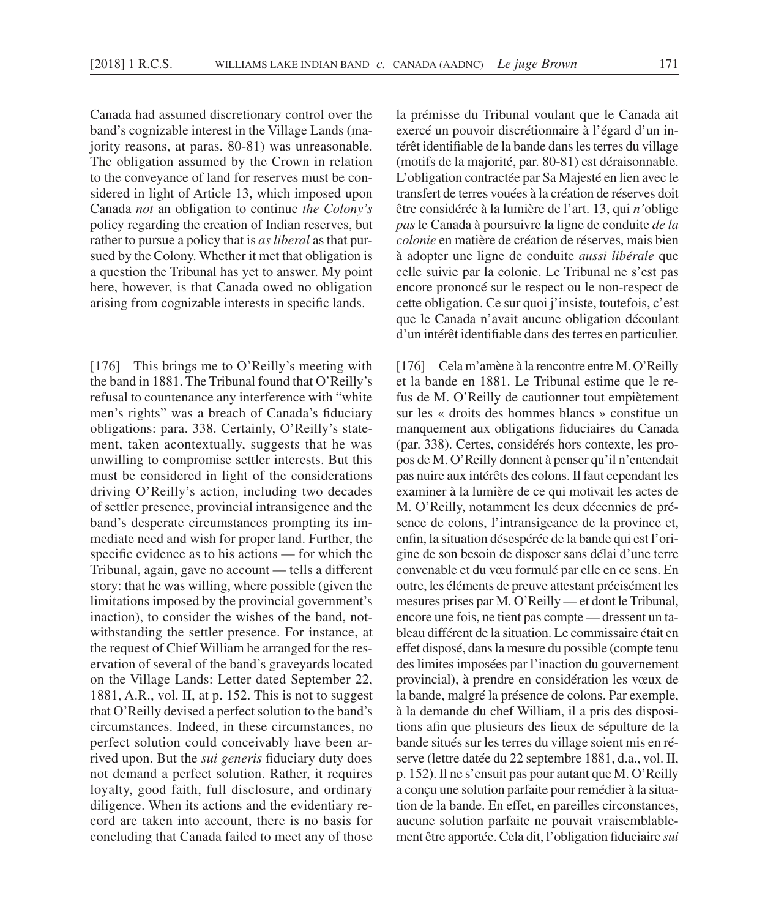Canada had assumed discretionary control over the band's cognizable interest in the Village Lands (majority reasons, at paras. 80-81) was unreasonable. The obligation assumed by the Crown in relation to the conveyance of land for reserves must be considered in light of Article 13, which imposed upon Canada *not* an obligation to continue *the Colony's* policy regarding the creation of Indian reserves, but rather to pursue a policy that is *as liberal* as that pursued by the Colony. Whether it met that obligation is a question the Tribunal has yet to answer. My point here, however, is that Canada owed no obligation arising from cognizable interests in specific lands.

[176] This brings me to O'Reilly's meeting with the band in 1881. The Tribunal found that O'Reilly's refusal to countenance any interference with "white men's rights" was a breach of Canada's fiduciary obligations: para. 338. Certainly, O'Reilly's statement, taken acontextually, suggests that he was unwilling to compromise settler interests. But this must be considered in light of the considerations driving O'Reilly's action, including two decades of settler presence, provincial intransigence and the band's desperate circumstances prompting its immediate need and wish for proper land. Further, the specific evidence as to his actions — for which the Tribunal, again, gave no account — tells a different story: that he was willing, where possible (given the limitations imposed by the provincial government's inaction), to consider the wishes of the band, notwithstanding the settler presence. For instance, at the request of Chief William he arranged for the reservation of several of the band's graveyards located on the Village Lands: Letter dated September 22, 1881, A.R., vol. II, at p. 152. This is not to suggest that O'Reilly devised a perfect solution to the band's circumstances. Indeed, in these circumstances, no perfect solution could conceivably have been arrived upon. But the *sui generis* fiduciary duty does not demand a perfect solution. Rather, it requires loyalty, good faith, full disclosure, and ordinary diligence. When its actions and the evidentiary record are taken into account, there is no basis for concluding that Canada failed to meet any of those la prémisse du Tribunal voulant que le Canada ait exercé un pouvoir discrétionnaire à l'égard d'un intérêt identifiable de la bande dans les terres du village (motifs de la majorité, par. 80-81) est déraisonnable. L'obligation contractée par Sa Majesté en lien avec le transfert de terres vouées à la création de réserves doit être considérée à la lumière de l'art. 13, qui *n'*oblige *pas* le Canada à poursuivre la ligne de conduite *de la colonie* en matière de création de réserves, mais bien à adopter une ligne de conduite *aussi libérale* que celle suivie par la colonie. Le Tribunal ne s'est pas encore prononcé sur le respect ou le non-respect de cette obligation. Ce sur quoi j'insiste, toutefois, c'est que le Canada n'avait aucune obligation découlant d'un intérêt identifiable dans des terres en particulier.

[176] Cela m'amène à la rencontre entre M. O'Reilly et la bande en 1881. Le Tribunal estime que le refus de M. O'Reilly de cautionner tout empiètement sur les « droits des hommes blancs » constitue un manquement aux obligations fiduciaires du Canada (par. 338). Certes, considérés hors contexte, les propos de M. O'Reilly donnent à penser qu'il n'entendait pas nuire aux intérêts des colons. Il faut cependant les examiner à la lumière de ce qui motivait les actes de M. O'Reilly, notamment les deux décennies de présence de colons, l'intransigeance de la province et, enfin, la situation désespérée de la bande qui est l'origine de son besoin de disposer sans délai d'une terre convenable et du vœu formulé par elle en ce sens. En outre, les éléments de preuve attestant précisément les mesures prises par M. O'Reilly — et dont le Tribunal, encore une fois, ne tient pas compte — dressent un tableau différent de la situation. Le commissaire était en effet disposé, dans la mesure du possible (compte tenu des limites imposées par l'inaction du gouvernement provincial), à prendre en considération les vœux de la bande, malgré la présence de colons. Par exemple, à la demande du chef William, il a pris des dispositions afin que plusieurs des lieux de sépulture de la bande situés sur les terres du village soient mis en réserve (lettre datée du 22 septembre 1881, d.a., vol. II, p. 152). Il ne s'ensuit pas pour autant que M. O'Reilly a conçu une solution parfaite pour remédier à la situation de la bande. En effet, en pareilles circonstances, aucune solution parfaite ne pouvait vraisemblablement être apportée. Cela dit, l'obligation fiduciaire *sui*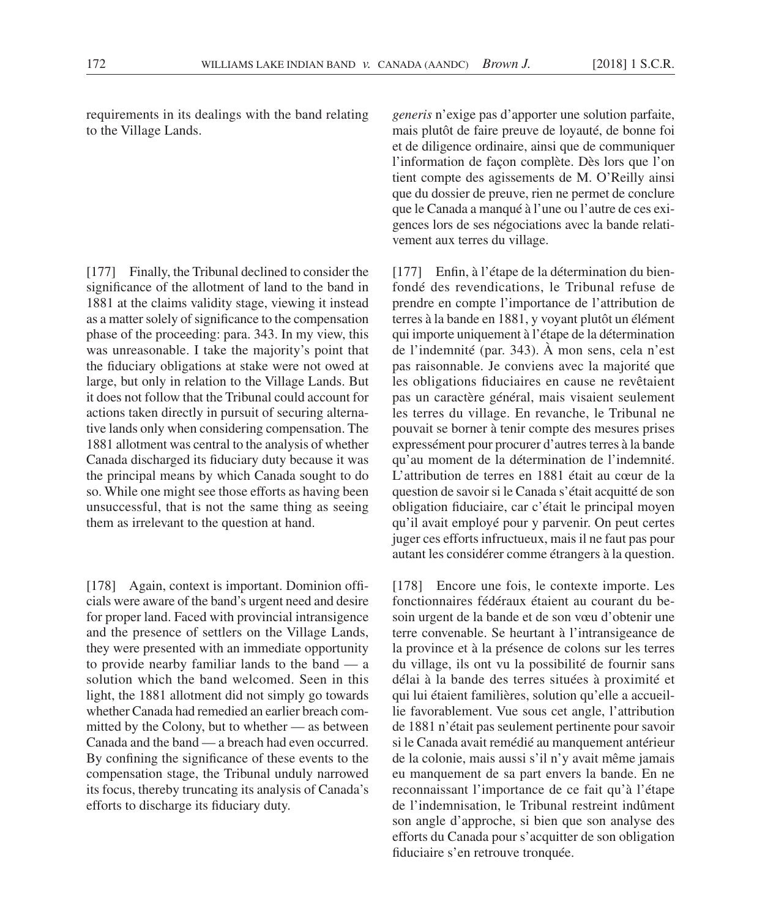requirements in its dealings with the band relating to the Village Lands.

[177] Finally, the Tribunal declined to consider the significance of the allotment of land to the band in 1881 at the claims validity stage, viewing it instead as a matter solely of significance to the compensation phase of the proceeding: para. 343. In my view, this was unreasonable. I take the majority's point that the fiduciary obligations at stake were not owed at large, but only in relation to the Village Lands. But it does not follow that the Tribunal could account for actions taken directly in pursuit of securing alternative lands only when considering compensation. The 1881 allotment was central to the analysis of whether Canada discharged its fiduciary duty because it was the principal means by which Canada sought to do so. While one might see those efforts as having been unsuccessful, that is not the same thing as seeing them as irrelevant to the question at hand.

[178] Again, context is important. Dominion officials were aware of the band's urgent need and desire for proper land. Faced with provincial intransigence and the presence of settlers on the Village Lands, they were presented with an immediate opportunity to provide nearby familiar lands to the band — a solution which the band welcomed. Seen in this light, the 1881 allotment did not simply go towards whether Canada had remedied an earlier breach committed by the Colony, but to whether — as between Canada and the band — a breach had even occurred. By confining the significance of these events to the compensation stage, the Tribunal unduly narrowed its focus, thereby truncating its analysis of Canada's efforts to discharge its fiduciary duty.

*generis* n'exige pas d'apporter une solution parfaite, mais plutôt de faire preuve de loyauté, de bonne foi et de diligence ordinaire, ainsi que de communiquer l'information de façon complète. Dès lors que l'on tient compte des agissements de M. O'Reilly ainsi que du dossier de preuve, rien ne permet de conclure que le Canada a manqué à l'une ou l'autre de ces exigences lors de ses négociations avec la bande relativement aux terres du village.

[177] Enfin, à l'étape de la détermination du bienfondé des revendications, le Tribunal refuse de prendre en compte l'importance de l'attribution de terres à la bande en 1881, y voyant plutôt un élément qui importe uniquement à l'étape de la détermination de l'indemnité (par. 343). À mon sens, cela n'est pas raisonnable. Je conviens avec la majorité que les obligations fiduciaires en cause ne revêtaient pas un caractère général, mais visaient seulement les terres du village. En revanche, le Tribunal ne pouvait se borner à tenir compte des mesures prises expressément pour procurer d'autres terres à la bande qu'au moment de la détermination de l'indemnité. L'attribution de terres en 1881 était au cœur de la question de savoir si le Canada s'était acquitté de son obligation fiduciaire, car c'était le principal moyen qu'il avait employé pour y parvenir. On peut certes juger ces efforts infructueux, mais il ne faut pas pour autant les considérer comme étrangers à la question.

[178] Encore une fois, le contexte importe. Les fonctionnaires fédéraux étaient au courant du besoin urgent de la bande et de son vœu d'obtenir une terre convenable. Se heurtant à l'intransigeance de la province et à la présence de colons sur les terres du village, ils ont vu la possibilité de fournir sans délai à la bande des terres situées à proximité et qui lui étaient familières, solution qu'elle a accueillie favorablement. Vue sous cet angle, l'attribution de 1881 n'était pas seulement pertinente pour savoir si le Canada avait remédié au manquement antérieur de la colonie, mais aussi s'il n'y avait même jamais eu manquement de sa part envers la bande. En ne reconnaissant l'importance de ce fait qu'à l'étape de l'indemnisation, le Tribunal restreint indûment son angle d'approche, si bien que son analyse des efforts du Canada pour s'acquitter de son obligation fiduciaire s'en retrouve tronquée.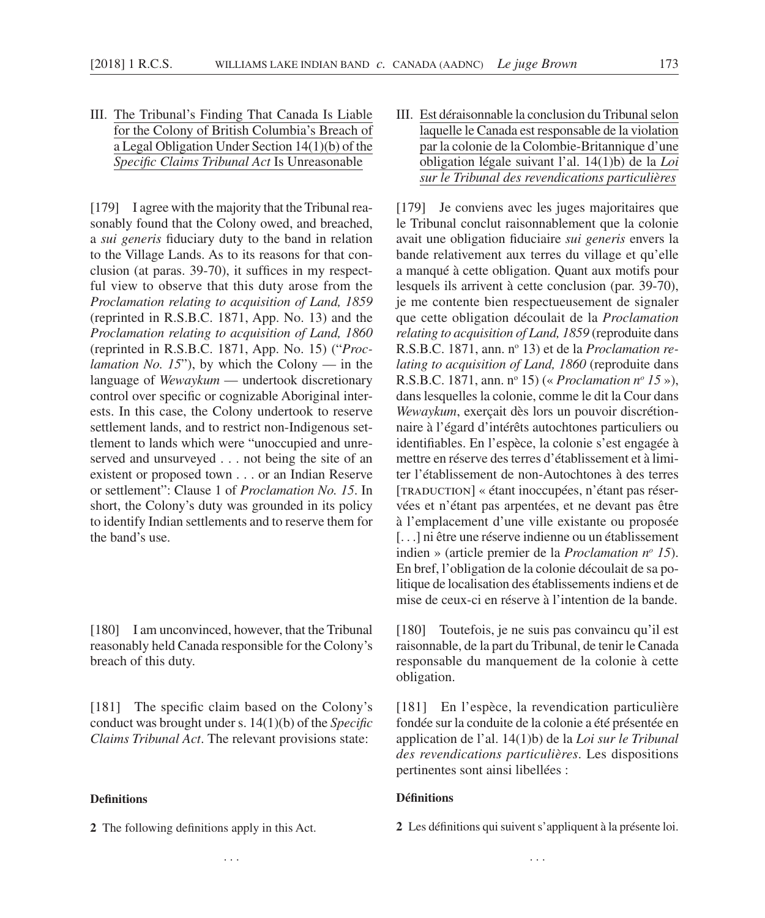# III. The Tribunal's Finding That Canada Is Liable for the Colony of British Columbia's Breach of a Legal Obligation Under Section 14(1)(b) of the Specific Claims Tribunal Act Is Unreasonable

[179] I agree with the majority that the Tribunal reasonably found that the Colony owed, and breached, a *sui generis* fiduciary duty to the band in relation to the Village Lands. As to its reasons for that conclusion (at paras.  $39-70$ ), it suffices in my respectful view to observe that this duty arose from the *Proclamation relating to acquisition of Land, 1859* (reprinted in R.S.B.C. 1871, App. No. 13) and the *Proclamation relating to acquisition of Land, 1860* (reprinted in R.S.B.C. 1871, App. No. 15) ("*Proclamation No. 15*"), by which the Colony — in the language of *Wewaykum* — undertook discretionary control over specific or cognizable Aboriginal interests. In this case, the Colony undertook to reserve settlement lands, and to restrict non-Indigenous settlement to lands which were "unoccupied and unreserved and unsurveyed . . . not being the site of an existent or proposed town . . . or an Indian Reserve or settlement": Clause 1 of *Proclamation No. 15*. In short, the Colony's duty was grounded in its policy to identify Indian settlements and to reserve them for the band's use.

[180] I am unconvinced, however, that the Tribunal reasonably held Canada responsible for the Colony's breach of this duty.

[181] The specific claim based on the Colony's conduct was brought under s. 14(1)(b) of the *Specific Claims Tribunal Act*. The relevant provisions state:

### **Definitions**

2 The following definitions apply in this Act.

III. Est déraisonnable la conclusion du Tribunal selon laquelle le Canada est responsable de la violation par la colonie de la Colombie- Britannique d'une obligation légale suivant l'al. 14(1)b) de la *Loi sur le Tribunal des revendications particulières*

[179] Je conviens avec les juges majoritaires que le Tribunal conclut raisonnablement que la colonie avait une obligation fiduciaire *sui generis* envers la bande relativement aux terres du village et qu'elle a manqué à cette obligation. Quant aux motifs pour lesquels ils arrivent à cette conclusion (par. 39-70), je me contente bien respectueusement de signaler que cette obligation découlait de la *Proclamation relating to acquisition of Land, 1859* (reproduite dans R.S.B.C. 1871, ann. nº 13) et de la *Proclamation relating to acquisition of Land, 1860* (reproduite dans R.S.B.C. 1871, ann. n<sup>o</sup> 15) (« *Proclamation n<sup>o</sup> 15* »), dans lesquelles la colonie, comme le dit la Cour dans *Wewaykum*, exerçait dès lors un pouvoir discrétionnaire à l'égard d'intérêts autochtones particuliers ou identifiables. En l'espèce, la colonie s'est engagée à mettre en réserve des terres d'établissement et à limiter l'établissement de non- Autochtones à des terres [TRADUCTION] « étant inoccupées, n'étant pas réservées et n'étant pas arpentées, et ne devant pas être à l'emplacement d'une ville existante ou proposée [...] ni être une réserve indienne ou un établissement indien » (article premier de la *Proclamation no 15*). En bref, l'obligation de la colonie découlait de sa politique de localisation des établissements indiens et de mise de ceux-ci en réserve à l'intention de la bande.

[180] Toutefois, je ne suis pas convaincu qu'il est raisonnable, de la part du Tribunal, de tenir le Canada responsable du manquement de la colonie à cette obligation.

[181] En l'espèce, la revendication particulière fondée sur la conduite de la colonie a été présentée en application de l'al. 14(1)b) de la *Loi sur le Tribunal des revendications particulières*. Les dispositions pertinentes sont ainsi libellées :

# **Définitions**

2 Les définitions qui suivent s'appliquent à la présente loi.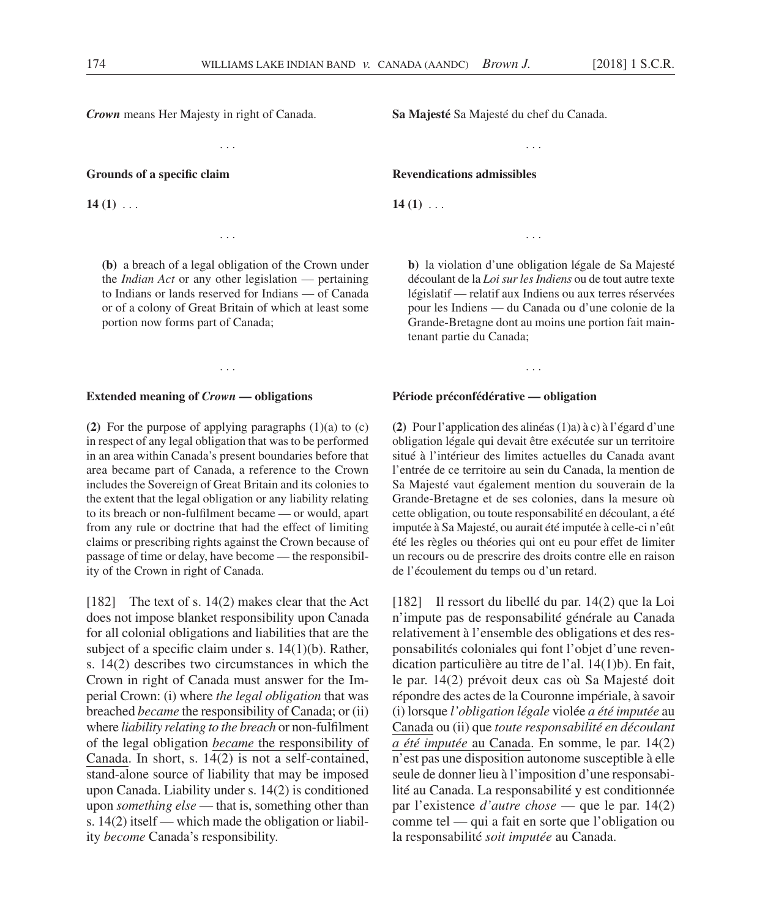*Crown* means Her Majesty in right of Canada.

. . .

. . .

**Grounds of a specific claim** 

 $14(1) \ldots$ 

**(b)** a breach of a legal obligation of the Crown under the *Indian Act* or any other legislation — pertaining to Indians or lands reserved for Indians — of Canada or of a colony of Great Britain of which at least some portion now forms part of Canada;

. . .

#### **Extended meaning of** *Crown* **— obligations**

**(2)** For the purpose of applying paragraphs (1)(a) to (c) in respect of any legal obligation that was to be performed in an area within Canada's present boundaries before that area became part of Canada, a reference to the Crown includes the Sovereign of Great Britain and its colonies to the extent that the legal obligation or any liability relating to its breach or non-fulfilment became — or would, apart from any rule or doctrine that had the effect of limiting claims or prescribing rights against the Crown because of passage of time or delay, have become — the responsibility of the Crown in right of Canada.

[182] The text of s. 14(2) makes clear that the Act does not impose blanket responsibility upon Canada for all colonial obligations and liabilities that are the subject of a specific claim under s.  $14(1)(b)$ . Rather, s. 14(2) describes two circumstances in which the Crown in right of Canada must answer for the Imperial Crown: (i) where *the legal obligation* that was breached *became* the responsibility of Canada; or (ii) where *liability relating to the breach* or non-fulfilment of the legal obligation *became* the responsibility of Canada. In short, s.  $14(2)$  is not a self-contained, stand-alone source of liability that may be imposed upon Canada. Liability under s. 14(2) is conditioned upon *something else* — that is, something other than s. 14(2) itself — which made the obligation or liability *become* Canada's responsibility.

**Sa Majesté** Sa Majesté du chef du Canada.

. . .

#### **Revendications admissibles**

 $14(1) \ldots$ 

**b)** la violation d'une obligation légale de Sa Majesté découlant de la *Loi sur les Indiens* ou de tout autre texte législatif — relatif aux Indiens ou aux terres réservées pour les Indiens — du Canada ou d'une colonie de la Grande- Bretagne dont au moins une portion fait maintenant partie du Canada;

. . .

. . .

### **Période préconfédérative — obligation**

**(2)** Pour l'application des alinéas (1)a) à c) à l'égard d'une obligation légale qui devait être exécutée sur un territoire situé à l'intérieur des limites actuelles du Canada avant l'entrée de ce territoire au sein du Canada, la mention de Sa Majesté vaut également mention du souverain de la Grande- Bretagne et de ses colonies, dans la mesure où cette obligation, ou toute responsabilité en découlant, a été imputée à Sa Majesté, ou aurait été imputée à celle-ci n'eût été les règles ou théories qui ont eu pour effet de limiter un recours ou de prescrire des droits contre elle en raison de l'écoulement du temps ou d'un retard.

[182] Il ressort du libellé du par. 14(2) que la Loi n'impute pas de responsabilité générale au Canada relativement à l'ensemble des obligations et des responsabilités coloniales qui font l'objet d'une revendication particulière au titre de l'al. 14(1)b). En fait, le par. 14(2) prévoit deux cas où Sa Majesté doit répondre des actes de la Couronne impériale, à savoir (i) lorsque *l'obligation légale* violée *a été imputée* au Canada ou (ii) que *toute responsabilité en découlant a été imputée* au Canada. En somme, le par. 14(2) n'est pas une disposition autonome susceptible à elle seule de donner lieu à l'imposition d'une responsabilité au Canada. La responsabilité y est conditionnée par l'existence *d'autre chose* — que le par. 14(2) comme tel — qui a fait en sorte que l'obligation ou la responsabilité *soit imputée* au Canada.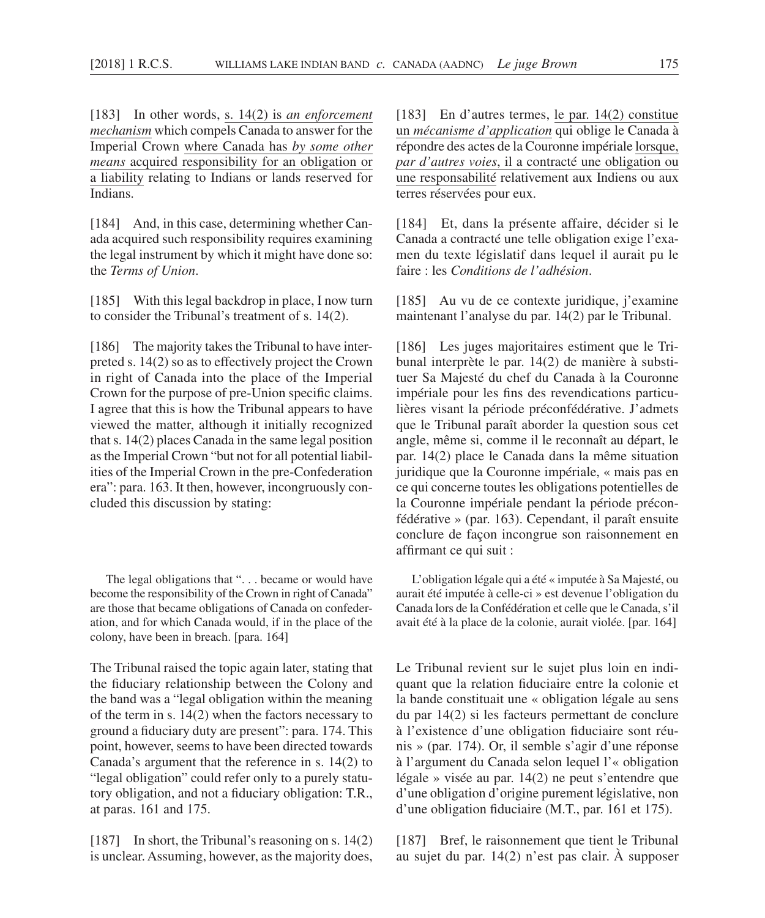[183] In other words, s. 14(2) is *an enforcement mechanism* which compels Canada to answer for the Imperial Crown where Canada has *by some other means* acquired responsibility for an obligation or a liability relating to Indians or lands reserved for Indians.

[184] And, in this case, determining whether Canada acquired such responsibility requires examining the legal instrument by which it might have done so: the *Terms of Union*.

[185] With this legal backdrop in place, I now turn to consider the Tribunal's treatment of s. 14(2).

[186] The majority takes the Tribunal to have interpreted s. 14(2) so as to effectively project the Crown in right of Canada into the place of the Imperial Crown for the purpose of pre-Union specific claims. I agree that this is how the Tribunal appears to have viewed the matter, although it initially recognized that s. 14(2) places Canada in the same legal position as the Imperial Crown "but not for all potential liabilities of the Imperial Crown in the pre-Confederation era": para. 163. It then, however, incongruously concluded this discussion by stating:

The legal obligations that ". . . became or would have become the responsibility of the Crown in right of Canada" are those that became obligations of Canada on confederation, and for which Canada would, if in the place of the colony, have been in breach. [para. 164]

The Tribunal raised the topic again later, stating that the fiduciary relationship between the Colony and the band was a "legal obligation within the meaning of the term in s. 14(2) when the factors necessary to ground a fiduciary duty are present": para. 174. This point, however, seems to have been directed towards Canada's argument that the reference in s. 14(2) to "legal obligation" could refer only to a purely statutory obligation, and not a fiduciary obligation: T.R., at paras. 161 and 175.

[187] In short, the Tribunal's reasoning on s. 14(2) is unclear. Assuming, however, as the majority does,

[183] En d'autres termes, le par. 14(2) constitue un *mécanisme d'application* qui oblige le Canada à répondre des actes de la Couronne impériale lorsque, *par d'autres voies*, il a contracté une obligation ou une responsabilité relativement aux Indiens ou aux terres réservées pour eux.

[184] Et, dans la présente affaire, décider si le Canada a contracté une telle obligation exige l'examen du texte législatif dans lequel il aurait pu le faire : les *Conditions de l'adhésion*.

[185] Au vu de ce contexte juridique, j'examine maintenant l'analyse du par. 14(2) par le Tribunal.

[186] Les juges majoritaires estiment que le Tribunal interprète le par. 14(2) de manière à substituer Sa Majesté du chef du Canada à la Couronne impériale pour les fins des revendications particulières visant la période préconfédérative. J'admets que le Tribunal paraît aborder la question sous cet angle, même si, comme il le reconnaît au départ, le par. 14(2) place le Canada dans la même situation juridique que la Couronne impériale, « mais pas en ce qui concerne toutes les obligations potentielles de la Couronne impériale pendant la période préconfédérative » (par. 163). Cependant, il paraît ensuite conclure de façon incongrue son raisonnement en affirmant ce qui suit :

L'obligation légale qui a été « imputée à Sa Majesté, ou aurait été imputée à celle-ci » est devenue l'obligation du Canada lors de la Confédération et celle que le Canada, s'il avait été à la place de la colonie, aurait violée. [par. 164]

Le Tribunal revient sur le sujet plus loin en indiquant que la relation fiduciaire entre la colonie et la bande constituait une « obligation légale au sens du par 14(2) si les facteurs permettant de conclure à l'existence d'une obligation fiduciaire sont réunis » (par. 174). Or, il semble s'agir d'une réponse à l'argument du Canada selon lequel l'« obligation légale » visée au par. 14(2) ne peut s'entendre que d'une obligation d'origine purement législative, non d'une obligation fiduciaire (M.T., par. 161 et 175).

[187] Bref, le raisonnement que tient le Tribunal au sujet du par. 14(2) n'est pas clair. À supposer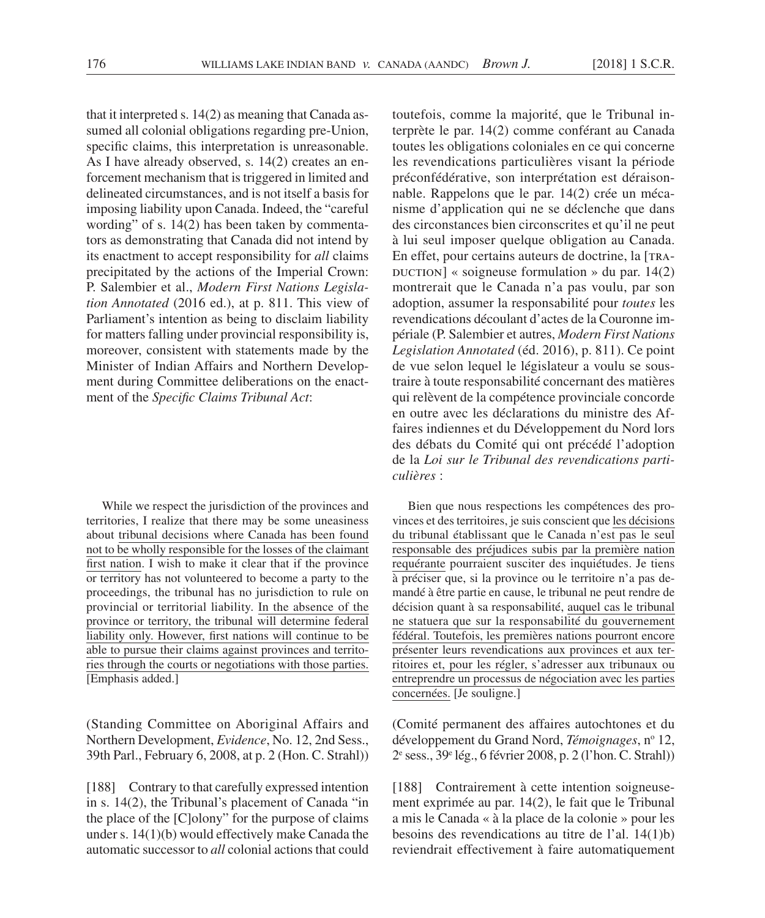that it interpreted s. 14(2) as meaning that Canada assumed all colonial obligations regarding pre-Union, specific claims, this interpretation is unreasonable. As I have already observed, s. 14(2) creates an enforcement mechanism that is triggered in limited and delineated circumstances, and is not itself a basis for imposing liability upon Canada. Indeed, the "careful wording" of s. 14(2) has been taken by commentators as demonstrating that Canada did not intend by its enactment to accept responsibility for *all* claims precipitated by the actions of the Imperial Crown: P. Salembier et al., *Modern First Nations Legislation Annotated* (2016 ed.), at p. 811. This view of Parliament's intention as being to disclaim liability for matters falling under provincial responsibility is, moreover, consistent with statements made by the Minister of Indian Affairs and Northern Development during Committee deliberations on the enactment of the *Specific Claims Tribunal Act*:

While we respect the jurisdiction of the provinces and territories, I realize that there may be some uneasiness about tribunal decisions where Canada has been found not to be wholly responsible for the losses of the claimant first nation. I wish to make it clear that if the province or territory has not volunteered to become a party to the proceedings, the tribunal has no jurisdiction to rule on provincial or territorial liability. In the absence of the province or territory, the tribunal will determine federal liability only. However, first nations will continue to be able to pursue their claims against provinces and territories through the courts or negotiations with those parties. [Emphasis added.]

(Standing Committee on Aboriginal Affairs and Northern Development, *Evidence*, No. 12, 2nd Sess., 39th Parl., February 6, 2008, at p. 2 (Hon. C. Strahl))

[188] Contrary to that carefully expressed intention in s. 14(2), the Tribunal's placement of Canada "in the place of the [C]olony" for the purpose of claims under s. 14(1)(b) would effectively make Canada the automatic successor to *all* colonial actions that could toutefois, comme la majorité, que le Tribunal interprète le par. 14(2) comme conférant au Canada toutes les obligations coloniales en ce qui concerne les revendications particulières visant la période préconfédérative, son interprétation est déraisonnable. Rappelons que le par. 14(2) crée un mécanisme d'application qui ne se déclenche que dans des circonstances bien circonscrites et qu'il ne peut à lui seul imposer quelque obligation au Canada. En effet, pour certains auteurs de doctrine, la [TRA- $\text{du}$  outrinon  $\frac{1}{4}$  « soigneuse formulation » du par. 14(2) montrerait que le Canada n'a pas voulu, par son adoption, assumer la responsabilité pour *toutes* les revendications découlant d'actes de la Couronne impériale (P. Salembier et autres, *Modern First Nations Legislation Annotated* (éd. 2016), p. 811). Ce point de vue selon lequel le législateur a voulu se soustraire à toute responsabilité concernant des matières qui relèvent de la compétence provinciale concorde en outre avec les déclarations du ministre des Affaires indiennes et du Développement du Nord lors des débats du Comité qui ont précédé l'adoption de la *Loi sur le Tribunal des revendications particulières* :

Bien que nous respections les compétences des provinces et des territoires, je suis conscient que les décisions du tribunal établissant que le Canada n'est pas le seul responsable des préjudices subis par la première nation requérante pourraient susciter des inquiétudes. Je tiens à préciser que, si la province ou le territoire n'a pas demandé à être partie en cause, le tribunal ne peut rendre de décision quant à sa responsabilité, auquel cas le tribunal ne statuera que sur la responsabilité du gouvernement fédéral. Toutefois, les premières nations pourront encore présenter leurs revendications aux provinces et aux territoires et, pour les régler, s'adresser aux tribunaux ou entreprendre un processus de négociation avec les parties concernées. [Je souligne.]

(Comité permanent des affaires autochtones et du développement du Grand Nord, *Témoignages*, nº 12, 2e sess., 39e lég., 6 février 2008, p. 2 (l'hon. C. Strahl))

[188] Contrairement à cette intention soigneusement exprimée au par. 14(2), le fait que le Tribunal a mis le Canada « à la place de la colonie » pour les besoins des revendications au titre de l'al. 14(1)b) reviendrait effectivement à faire automatiquement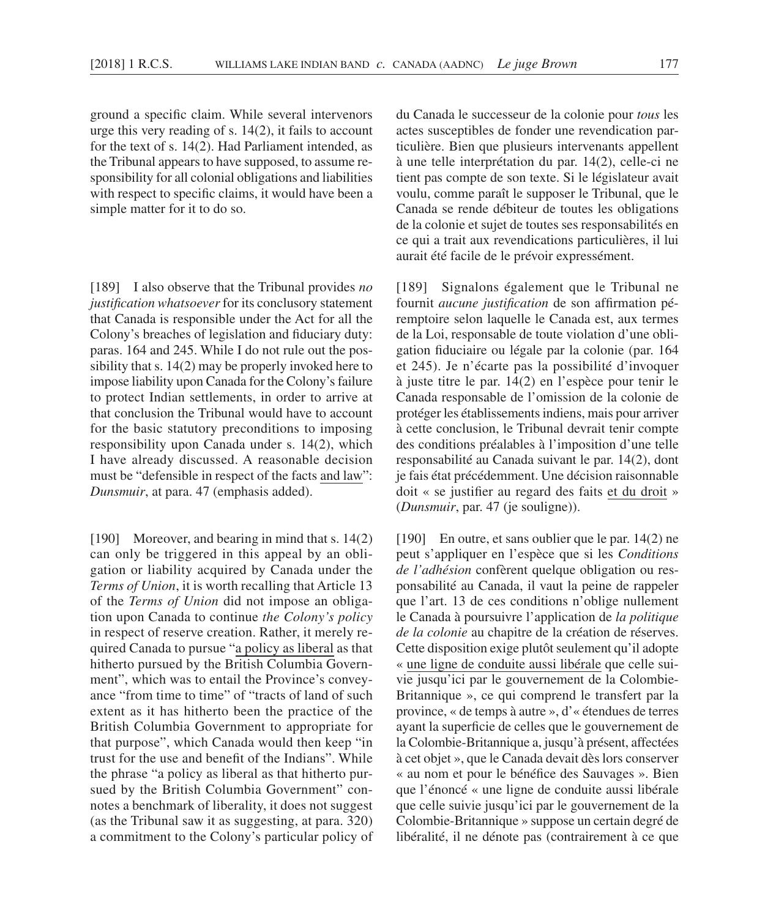ground a specific claim. While several intervenors urge this very reading of s. 14(2), it fails to account for the text of s. 14(2). Had Parliament intended, as the Tribunal appears to have supposed, to assume responsibility for all colonial obligations and liabilities with respect to specific claims, it would have been a simple matter for it to do so.

[189] I also observe that the Tribunal provides *no justification whatsoever* for its conclusory statement that Canada is responsible under the Act for all the Colony's breaches of legislation and fiduciary duty: paras. 164 and 245. While I do not rule out the possibility that s. 14(2) may be properly invoked here to impose liability upon Canada for the Colony's failure to protect Indian settlements, in order to arrive at that conclusion the Tribunal would have to account for the basic statutory preconditions to imposing responsibility upon Canada under s. 14(2), which I have already discussed. A reasonable decision must be "defensible in respect of the facts and law": *Dunsmuir*, at para. 47 (emphasis added).

[190] Moreover, and bearing in mind that s. 14(2) can only be triggered in this appeal by an obligation or liability acquired by Canada under the *Terms of Union*, it is worth recalling that Article 13 of the *Terms of Union* did not impose an obligation upon Canada to continue *the Colony's policy* in respect of reserve creation. Rather, it merely required Canada to pursue "a policy as liberal as that hitherto pursued by the British Columbia Government", which was to entail the Province's conveyance "from time to time" of "tracts of land of such extent as it has hitherto been the practice of the British Columbia Government to appropriate for that purpose", which Canada would then keep "in trust for the use and benefit of the Indians". While the phrase "a policy as liberal as that hitherto pursued by the British Columbia Government" connotes a benchmark of liberality, it does not suggest (as the Tribunal saw it as suggesting, at para. 320) a commitment to the Colony's particular policy of

du Canada le successeur de la colonie pour *tous* les actes susceptibles de fonder une revendication particulière. Bien que plusieurs intervenants appellent à une telle interprétation du par. 14(2), celle-ci ne tient pas compte de son texte. Si le législateur avait voulu, comme paraît le supposer le Tribunal, que le Canada se rende débiteur de toutes les obligations de la colonie et sujet de toutes ses responsabilités en ce qui a trait aux revendications particulières, il lui aurait été facile de le prévoir expressément.

[189] Signalons également que le Tribunal ne fournit *aucune justification* de son affirmation péremptoire selon laquelle le Canada est, aux termes de la Loi, responsable de toute violation d'une obligation fiduciaire ou légale par la colonie (par. 164 et 245). Je n'écarte pas la possibilité d'invoquer à juste titre le par. 14(2) en l'espèce pour tenir le Canada responsable de l'omission de la colonie de protéger les établissements indiens, mais pour arriver à cette conclusion, le Tribunal devrait tenir compte des conditions préalables à l'imposition d'une telle responsabilité au Canada suivant le par. 14(2), dont je fais état précédemment. Une décision raisonnable doit « se justifier au regard des faits et du droit » (*Dunsmuir*, par. 47 (je souligne)).

[190] En outre, et sans oublier que le par. 14(2) ne peut s'appliquer en l'espèce que si les *Conditions de l'adhésion* confèrent quelque obligation ou responsabilité au Canada, il vaut la peine de rappeler que l'art. 13 de ces conditions n'oblige nullement le Canada à poursuivre l'application de *la politique de la colonie* au chapitre de la création de réserves. Cette disposition exige plutôt seulement qu'il adopte « une ligne de conduite aussi libérale que celle suivie jusqu'ici par le gouvernement de la Colombie-Britannique », ce qui comprend le transfert par la province, « de temps à autre », d'« étendues de terres ayant la superficie de celles que le gouvernement de la Colombie-Britannique a, jusqu'à présent, affectées à cet objet », que le Canada devait dès lors conserver « au nom et pour le bénéfice des Sauvages ». Bien que l'énoncé « une ligne de conduite aussi libérale que celle suivie jusqu'ici par le gouvernement de la Colombie- Britannique » suppose un certain degré de libéralité, il ne dénote pas (contrairement à ce que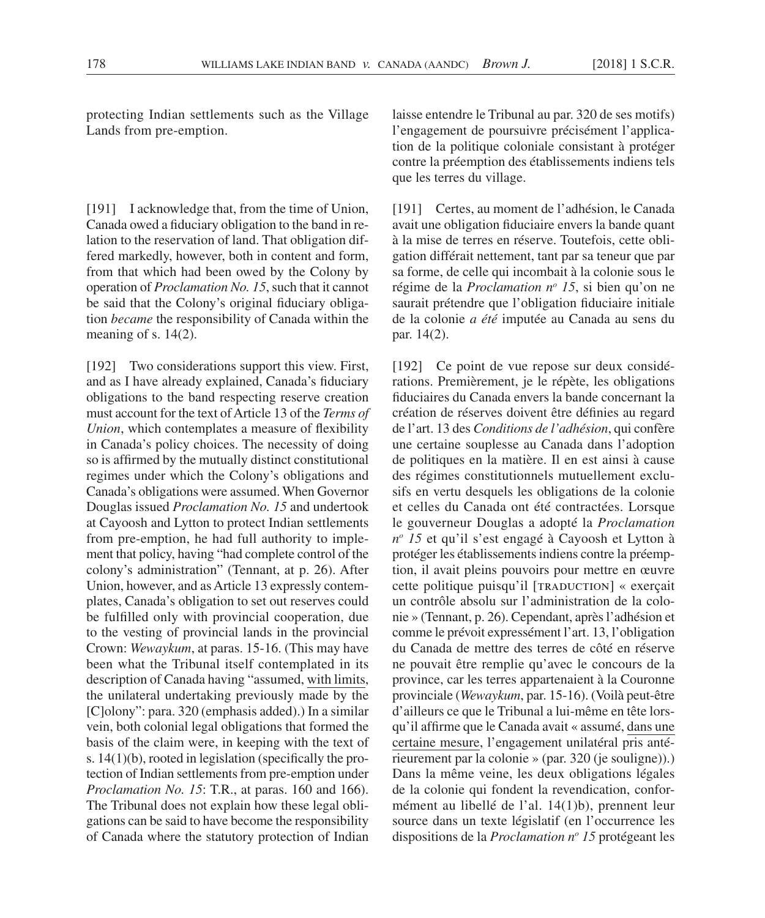protecting Indian settlements such as the Village Lands from pre-emption.

[191] I acknowledge that, from the time of Union, Canada owed a fiduciary obligation to the band in relation to the reservation of land. That obligation differed markedly, however, both in content and form, from that which had been owed by the Colony by operation of *Proclamation No. 15*, such that it cannot be said that the Colony's original fiduciary obligation *became* the responsibility of Canada within the meaning of s. 14(2).

[192] Two considerations support this view. First, and as I have already explained, Canada's fiduciary obligations to the band respecting reserve creation must account for the text of Article 13 of the *Terms of Union*, which contemplates a measure of flexibility in Canada's policy choices. The necessity of doing so is affirmed by the mutually distinct constitutional regimes under which the Colony's obligations and Canada's obligations were assumed. When Governor Douglas issued *Proclamation No. 15* and undertook at Cayoosh and Lytton to protect Indian settlements from pre-emption, he had full authority to implement that policy, having "had complete control of the colony's administration" (Tennant, at p. 26). After Union, however, and as Article 13 expressly contemplates, Canada's obligation to set out reserves could be fulfilled only with provincial cooperation, due to the vesting of provincial lands in the provincial Crown: *Wewaykum*, at paras. 15-16. (This may have been what the Tribunal itself contemplated in its description of Canada having "assumed, with limits, the unilateral undertaking previously made by the [C]olony": para. 320 (emphasis added).) In a similar vein, both colonial legal obligations that formed the basis of the claim were, in keeping with the text of s.  $14(1)(b)$ , rooted in legislation (specifically the protection of Indian settlements from pre- emption under *Proclamation No. 15*: T.R., at paras. 160 and 166). The Tribunal does not explain how these legal obligations can be said to have become the responsibility of Canada where the statutory protection of Indian

laisse entendre le Tribunal au par. 320 de ses motifs) l'engagement de poursuivre précisément l'application de la politique coloniale consistant à protéger contre la préemption des établissements indiens tels que les terres du village.

[191] Certes, au moment de l'adhésion, le Canada avait une obligation fiduciaire envers la bande quant à la mise de terres en réserve. Toutefois, cette obligation différait nettement, tant par sa teneur que par sa forme, de celle qui incombait à la colonie sous le régime de la *Proclamation nº 15*, si bien qu'on ne saurait prétendre que l'obligation fiduciaire initiale de la colonie *a été* imputée au Canada au sens du par. 14(2).

[192] Ce point de vue repose sur deux considérations. Premièrement, je le répète, les obligations fiduciaires du Canada envers la bande concernant la création de réserves doivent être définies au regard de l'art. 13 des *Conditions de l'adhésion*, qui confère une certaine souplesse au Canada dans l'adoption de politiques en la matière. Il en est ainsi à cause des régimes constitutionnels mutuellement exclusifs en vertu desquels les obligations de la colonie et celles du Canada ont été contractées. Lorsque le gouverneur Douglas a adopté la *Proclamation no 15* et qu'il s'est engagé à Cayoosh et Lytton à protéger les établissements indiens contre la préemption, il avait pleins pouvoirs pour mettre en œuvre cette politique puisqu'il [TRADUCTION] « exerçait un contrôle absolu sur l'administration de la colonie » (Tennant, p. 26). Cependant, après l'adhésion et comme le prévoit expressément l'art. 13, l'obligation du Canada de mettre des terres de côté en réserve ne pouvait être remplie qu'avec le concours de la province, car les terres appartenaient à la Couronne provinciale (*Wewaykum*, par. 15-16). (Voilà peut-être d'ailleurs ce que le Tribunal a lui- même en tête lorsqu'il affirme que le Canada avait « assumé, dans une certaine mesure, l'engagement unilatéral pris antérieurement par la colonie » (par. 320 (je souligne)).) Dans la même veine, les deux obligations légales de la colonie qui fondent la revendication, conformément au libellé de l'al. 14(1)b), prennent leur source dans un texte législatif (en l'occurrence les dispositions de la *Proclamation no 15* protégeant les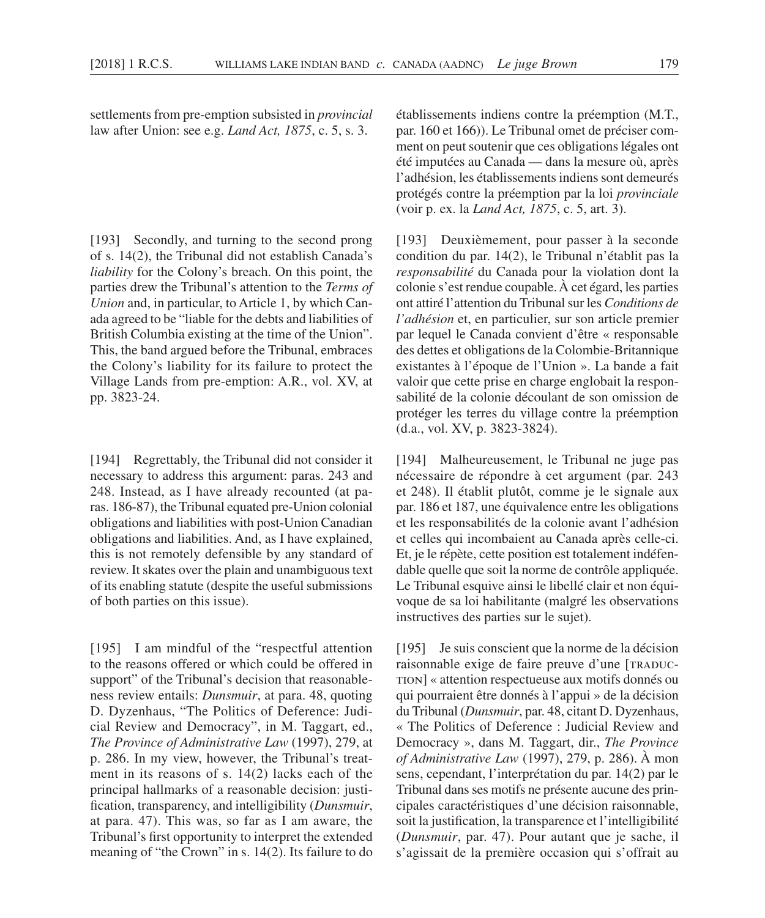settlements from pre- emption subsisted in *provincial* law after Union: see e.g. *Land Act, 1875*, c. 5, s. 3.

[193] Secondly, and turning to the second prong of s. 14(2), the Tribunal did not establish Canada's *liability* for the Colony's breach. On this point, the parties drew the Tribunal's attention to the *Terms of Union* and, in particular, to Article 1, by which Canada agreed to be "liable for the debts and liabilities of British Columbia existing at the time of the Union". This, the band argued before the Tribunal, embraces the Colony's liability for its failure to protect the Village Lands from pre-emption: A.R., vol. XV, at pp. 3823-24.

[194] Regrettably, the Tribunal did not consider it necessary to address this argument: paras. 243 and 248. Instead, as I have already recounted (at paras. 186-87), the Tribunal equated pre- Union colonial obligations and liabilities with post-Union Canadian obligations and liabilities. And, as I have explained, this is not remotely defensible by any standard of review. It skates over the plain and unambiguous text of its enabling statute (despite the useful submissions of both parties on this issue).

[195] I am mindful of the "respectful attention to the reasons offered or which could be offered in support" of the Tribunal's decision that reasonableness review entails: *Dunsmuir*, at para. 48, quoting D. Dyzenhaus, "The Politics of Deference: Judicial Review and Democracy", in M. Taggart, ed., *The Province of Administrative Law* (1997), 279, at p. 286. In my view, however, the Tribunal's treatment in its reasons of s. 14(2) lacks each of the principal hallmarks of a reasonable decision: justification, transparency, and intelligibility (*Dunsmuir*, at para. 47). This was, so far as I am aware, the Tribunal's first opportunity to interpret the extended meaning of "the Crown" in s. 14(2). Its failure to do établissements indiens contre la préemption (M.T., par. 160 et 166)). Le Tribunal omet de préciser comment on peut soutenir que ces obligations légales ont été imputées au Canada — dans la mesure où, après l'adhésion, les établissements indiens sont demeurés protégés contre la préemption par la loi *provinciale* (voir p. ex. la *Land Act, 1875*, c. 5, art. 3).

[193] Deuxièmement, pour passer à la seconde condition du par. 14(2), le Tribunal n'établit pas la *responsabilité* du Canada pour la violation dont la colonie s'est rendue coupable. À cet égard, les parties ont attiré l'attention du Tribunal sur les *Conditions de l'adhésion* et, en particulier, sur son article premier par lequel le Canada convient d'être « responsable des dettes et obligations de la Colombie- Britannique existantes à l'époque de l'Union ». La bande a fait valoir que cette prise en charge englobait la responsabilité de la colonie découlant de son omission de protéger les terres du village contre la préemption (d.a., vol. XV, p. 3823-3824).

[194] Malheureusement, le Tribunal ne juge pas nécessaire de répondre à cet argument (par. 243 et 248). Il établit plutôt, comme je le signale aux par. 186 et 187, une équivalence entre les obligations et les responsabilités de la colonie avant l'adhésion et celles qui incombaient au Canada après celle-ci. Et, je le répète, cette position est totalement indéfendable quelle que soit la norme de contrôle appliquée. Le Tribunal esquive ainsi le libellé clair et non équivoque de sa loi habilitante (malgré les observations instructives des parties sur le sujet).

[195] Je suis conscient que la norme de la décision raisonnable exige de faire preuve d'une [TRADUCtion] « attention respectueuse aux motifs donnés ou qui pourraient être donnés à l'appui » de la décision du Tribunal (*Dunsmuir*, par. 48, citant D. Dyzenhaus, « The Politics of Deference : Judicial Review and Democracy », dans M. Taggart, dir., *The Province of Administrative Law* (1997), 279, p. 286). À mon sens, cependant, l'interprétation du par. 14(2) par le Tribunal dans ses motifs ne présente aucune des principales caractéristiques d'une décision raisonnable, soit la justification, la transparence et l'intelligibilité (*Dunsmuir*, par. 47). Pour autant que je sache, il s'agissait de la première occasion qui s'offrait au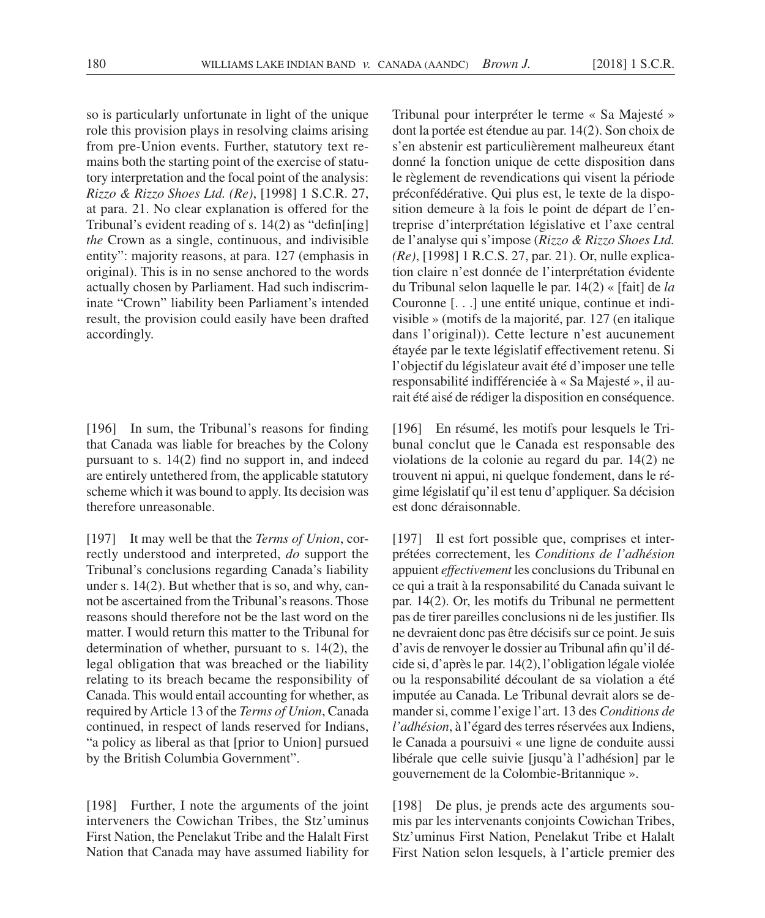so is particularly unfortunate in light of the unique role this provision plays in resolving claims arising from pre-Union events. Further, statutory text remains both the starting point of the exercise of statutory interpretation and the focal point of the analysis: *Rizzo & Rizzo Shoes Ltd. (Re)*, [1998] 1 S.C.R. 27, at para. 21. No clear explanation is offered for the Tribunal's evident reading of s.  $14(2)$  as "defin[ing] *the* Crown as a single, continuous, and indivisible entity": majority reasons, at para. 127 (emphasis in original). This is in no sense anchored to the words actually chosen by Parliament. Had such indiscriminate "Crown" liability been Parliament's intended result, the provision could easily have been drafted accordingly.

[196] In sum, the Tribunal's reasons for finding that Canada was liable for breaches by the Colony pursuant to s.  $14(2)$  find no support in, and indeed are entirely untethered from, the applicable statutory scheme which it was bound to apply. Its decision was therefore unreasonable.

[197] It may well be that the *Terms of Union*, correctly understood and interpreted, *do* support the Tribunal's conclusions regarding Canada's liability under s. 14(2). But whether that is so, and why, cannot be ascertained from the Tribunal's reasons. Those reasons should therefore not be the last word on the matter. I would return this matter to the Tribunal for determination of whether, pursuant to s. 14(2), the legal obligation that was breached or the liability relating to its breach became the responsibility of Canada. This would entail accounting for whether, as required by Article 13 of the *Terms of Union*, Canada continued, in respect of lands reserved for Indians, "a policy as liberal as that [prior to Union] pursued by the British Columbia Government".

[198] Further, I note the arguments of the joint interveners the Cowichan Tribes, the Stz'uminus First Nation, the Penelakut Tribe and the Halalt First Nation that Canada may have assumed liability for

Tribunal pour interpréter le terme « Sa Majesté » dont la portée est étendue au par. 14(2). Son choix de s'en abstenir est particulièrement malheureux étant donné la fonction unique de cette disposition dans le règlement de revendications qui visent la période préconfédérative. Qui plus est, le texte de la disposition demeure à la fois le point de départ de l'entreprise d'interprétation législative et l'axe central de l'analyse qui s'impose (*Rizzo & Rizzo Shoes Ltd. (Re)*, [1998] 1 R.C.S. 27, par. 21). Or, nulle explication claire n'est donnée de l'interprétation évidente du Tribunal selon laquelle le par. 14(2) « [fait] de *la* Couronne [. . .] une entité unique, continue et indivisible » (motifs de la majorité, par. 127 (en italique dans l'original)). Cette lecture n'est aucunement étayée par le texte législatif effectivement retenu. Si l'objectif du législateur avait été d'imposer une telle responsabilité indifférenciée à « Sa Majesté », il aurait été aisé de rédiger la disposition en conséquence.

[196] En résumé, les motifs pour lesquels le Tribunal conclut que le Canada est responsable des violations de la colonie au regard du par. 14(2) ne trouvent ni appui, ni quelque fondement, dans le régime législatif qu'il est tenu d'appliquer. Sa décision est donc déraisonnable.

[197] Il est fort possible que, comprises et interprétées correctement, les *Conditions de l'adhésion* appuient *effectivement* les conclusions du Tribunal en ce qui a trait à la responsabilité du Canada suivant le par. 14(2). Or, les motifs du Tribunal ne permettent pas de tirer pareilles conclusions ni de les justifier. Ils ne devraient donc pas être décisifs sur ce point. Je suis d'avis de renvoyer le dossier au Tribunal afin qu'il décide si, d'après le par. 14(2), l'obligation légale violée ou la responsabilité découlant de sa violation a été imputée au Canada. Le Tribunal devrait alors se demander si, comme l'exige l'art. 13 des *Conditions de l'adhésion*, à l'égard des terres réservées aux Indiens, le Canada a poursuivi « une ligne de conduite aussi libérale que celle suivie [jusqu'à l'adhésion] par le gouvernement de la Colombie- Britannique ».

[198] De plus, je prends acte des arguments soumis par les intervenants conjoints Cowichan Tribes, Stz'uminus First Nation, Penelakut Tribe et Halalt First Nation selon lesquels, à l'article premier des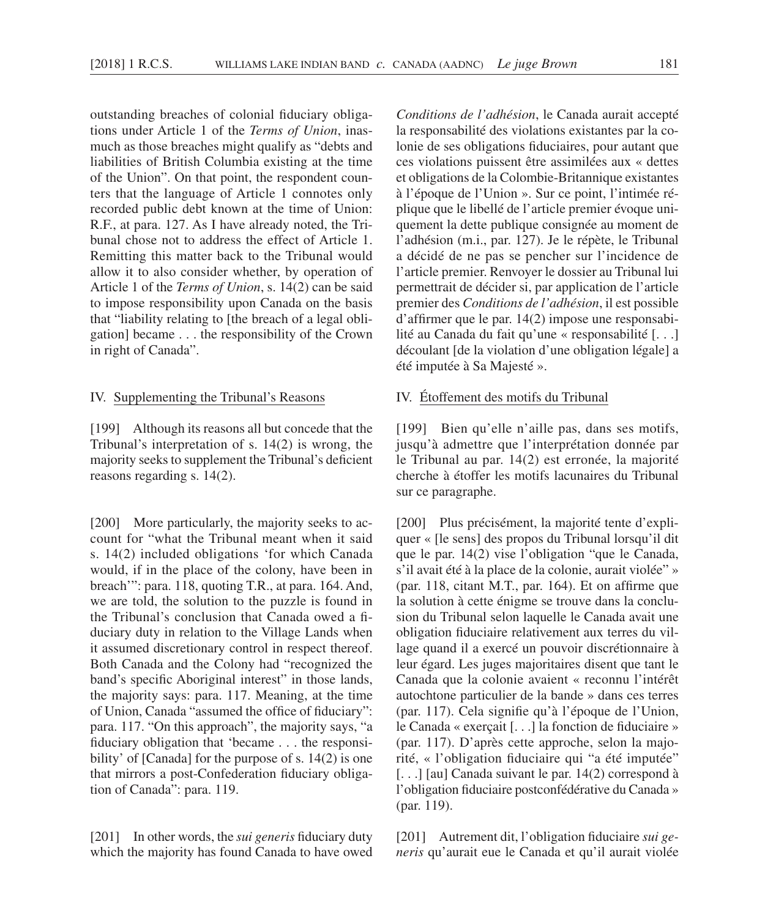outstanding breaches of colonial fiduciary obligations under Article 1 of the *Terms of Union*, inasmuch as those breaches might qualify as "debts and liabilities of British Columbia existing at the time of the Union". On that point, the respondent counters that the language of Article 1 connotes only recorded public debt known at the time of Union: R.F., at para. 127. As I have already noted, the Tribunal chose not to address the effect of Article 1. Remitting this matter back to the Tribunal would allow it to also consider whether, by operation of Article 1 of the *Terms of Union*, s. 14(2) can be said to impose responsibility upon Canada on the basis that "liability relating to [the breach of a legal obligation] became . . . the responsibility of the Crown in right of Canada".

# IV. Supplementing the Tribunal's Reasons

[199] Although its reasons all but concede that the Tribunal's interpretation of s. 14(2) is wrong, the majority seeks to supplement the Tribunal's deficient reasons regarding s. 14(2).

[200] More particularly, the majority seeks to account for "what the Tribunal meant when it said s. 14(2) included obligations 'for which Canada would, if in the place of the colony, have been in breach'": para. 118, quoting T.R., at para. 164. And, we are told, the solution to the puzzle is found in the Tribunal's conclusion that Canada owed a fiduciary duty in relation to the Village Lands when it assumed discretionary control in respect thereof. Both Canada and the Colony had "recognized the band's specific Aboriginal interest" in those lands, the majority says: para. 117. Meaning, at the time of Union, Canada "assumed the office of fiduciary": para. 117. "On this approach", the majority says, "a fiduciary obligation that 'became . . . the responsibility' of [Canada] for the purpose of s. 14(2) is one that mirrors a post-Confederation fiduciary obligation of Canada": para. 119.

[201] In other words, the *sui generis* fiduciary duty which the majority has found Canada to have owed

*Conditions de l'adhésion*, le Canada aurait accepté la responsabilité des violations existantes par la colonie de ses obligations fiduciaires, pour autant que ces violations puissent être assimilées aux « dettes et obligations de la Colombie- Britannique existantes à l'époque de l'Union ». Sur ce point, l'intimée réplique que le libellé de l'article premier évoque uniquement la dette publique consignée au moment de l'adhésion (m.i., par. 127). Je le répète, le Tribunal a décidé de ne pas se pencher sur l'incidence de l'article premier. Renvoyer le dossier au Tribunal lui permettrait de décider si, par application de l'article premier des *Conditions de l'adhésion*, il est possible d'affirmer que le par.  $14(2)$  impose une responsabilité au Canada du fait qu'une « responsabilité [. . .] découlant [de la violation d'une obligation légale] a été imputée à Sa Majesté ».

# IV. Étoffement des motifs du Tribunal

[199] Bien qu'elle n'aille pas, dans ses motifs, jusqu'à admettre que l'interprétation donnée par le Tribunal au par. 14(2) est erronée, la majorité cherche à étoffer les motifs lacunaires du Tribunal sur ce paragraphe.

[200] Plus précisément, la majorité tente d'expliquer « [le sens] des propos du Tribunal lorsqu'il dit que le par. 14(2) vise l'obligation "que le Canada, s'il avait été à la place de la colonie, aurait violée" » (par.  $118$ , citant M.T., par.  $164$ ). Et on affirme que la solution à cette énigme se trouve dans la conclusion du Tribunal selon laquelle le Canada avait une obligation fiduciaire relativement aux terres du village quand il a exercé un pouvoir discrétionnaire à leur égard. Les juges majoritaires disent que tant le Canada que la colonie avaient « reconnu l'intérêt autochtone particulier de la bande » dans ces terres (par. 117). Cela signifie qu'à l'époque de l'Union, le Canada « exerçait [...] la fonction de fiduciaire » (par. 117). D'après cette approche, selon la majorité, « l'obligation fiduciaire qui "a été imputée" [...] [au] Canada suivant le par. 14(2) correspond à l'obligation fiduciaire postconfédérative du Canada » (par. 119).

[201] Autrement dit, l'obligation fiduciaire *sui generis* qu'aurait eue le Canada et qu'il aurait violée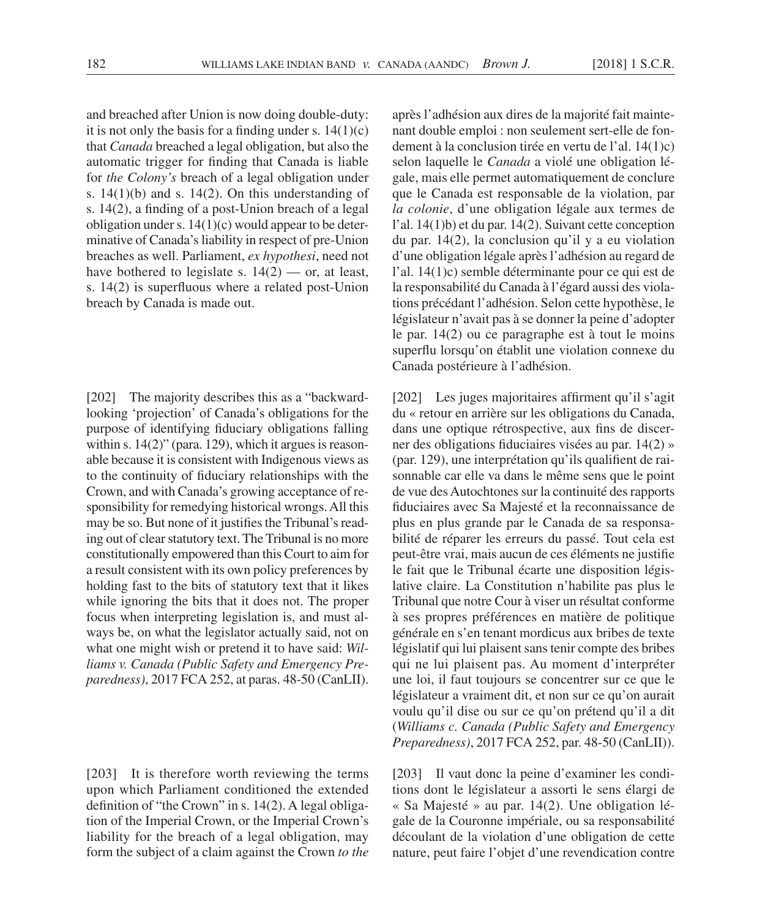and breached after Union is now doing double-duty: it is not only the basis for a finding under s.  $14(1)(c)$ that *Canada* breached a legal obligation, but also the automatic trigger for finding that Canada is liable for *the Colony's* breach of a legal obligation under s.  $14(1)(b)$  and s.  $14(2)$ . On this understanding of s.  $14(2)$ , a finding of a post-Union breach of a legal obligation under s.  $14(1)(c)$  would appear to be determinative of Canada's liability in respect of pre- Union breaches as well. Parliament, *ex hypothesi*, need not have bothered to legislate s.  $14(2)$  — or, at least, s.  $14(2)$  is superfluous where a related post-Union breach by Canada is made out.

[202] The majority describes this as a "backwardlooking 'projection' of Canada's obligations for the purpose of identifying fiduciary obligations falling within s. 14(2)" (para. 129), which it argues is reasonable because it is consistent with Indigenous views as to the continuity of fiduciary relationships with the Crown, and with Canada's growing acceptance of responsibility for remedying historical wrongs. All this may be so. But none of it justifies the Tribunal's reading out of clear statutory text. The Tribunal is no more constitutionally empowered than this Court to aim for a result consistent with its own policy preferences by holding fast to the bits of statutory text that it likes while ignoring the bits that it does not. The proper focus when interpreting legislation is, and must always be, on what the legislator actually said, not on what one might wish or pretend it to have said: *Williams v. Canada (Public Safety and Emergency Preparedness)*, 2017 FCA 252, at paras. 48-50 (CanLII).

[203] It is therefore worth reviewing the terms upon which Parliament conditioned the extended definition of "the Crown" in s. 14(2). A legal obligation of the Imperial Crown, or the Imperial Crown's liability for the breach of a legal obligation, may form the subject of a claim against the Crown *to the* 

après l'adhésion aux dires de la majorité fait maintenant double emploi : non seulement sert-elle de fondement à la conclusion tirée en vertu de l'al. 14(1)c) selon laquelle le *Canada* a violé une obligation légale, mais elle permet automatiquement de conclure que le Canada est responsable de la violation, par *la colonie*, d'une obligation légale aux termes de l'al. 14(1)b) et du par. 14(2). Suivant cette conception du par. 14(2), la conclusion qu'il y a eu violation d'une obligation légale après l'adhésion au regard de l'al. 14(1)c) semble déterminante pour ce qui est de la responsabilité du Canada à l'égard aussi des violations précédant l'adhésion. Selon cette hypothèse, le législateur n'avait pas à se donner la peine d'adopter le par. 14(2) ou ce paragraphe est à tout le moins superflu lorsqu'on établit une violation connexe du Canada postérieure à l'adhésion.

[202] Les juges majoritaires affirment qu'il s'agit du « retour en arrière sur les obligations du Canada, dans une optique rétrospective, aux fins de discerner des obligations fiduciaires visées au par. 14(2) » (par. 129), une interprétation qu'ils qualifient de raisonnable car elle va dans le même sens que le point de vue des Autochtones sur la continuité des rapports fi duciaires avec Sa Majesté et la reconnaissance de plus en plus grande par le Canada de sa responsabilité de réparer les erreurs du passé. Tout cela est peut-être vrai, mais aucun de ces éléments ne justifie le fait que le Tribunal écarte une disposition législative claire. La Constitution n'habilite pas plus le Tribunal que notre Cour à viser un résultat conforme à ses propres préférences en matière de politique générale en s'en tenant mordicus aux bribes de texte législatif qui lui plaisent sans tenir compte des bribes qui ne lui plaisent pas. Au moment d'interpréter une loi, il faut toujours se concentrer sur ce que le législateur a vraiment dit, et non sur ce qu'on aurait voulu qu'il dise ou sur ce qu'on prétend qu'il a dit (*Williams c. Canada (Public Safety and Emergency Preparedness)*, 2017 FCA 252, par. 48-50 (CanLII)).

[203] Il vaut donc la peine d'examiner les conditions dont le législateur a assorti le sens élargi de « Sa Majesté » au par. 14(2). Une obligation légale de la Couronne impériale, ou sa responsabilité découlant de la violation d'une obligation de cette nature, peut faire l'objet d'une revendication contre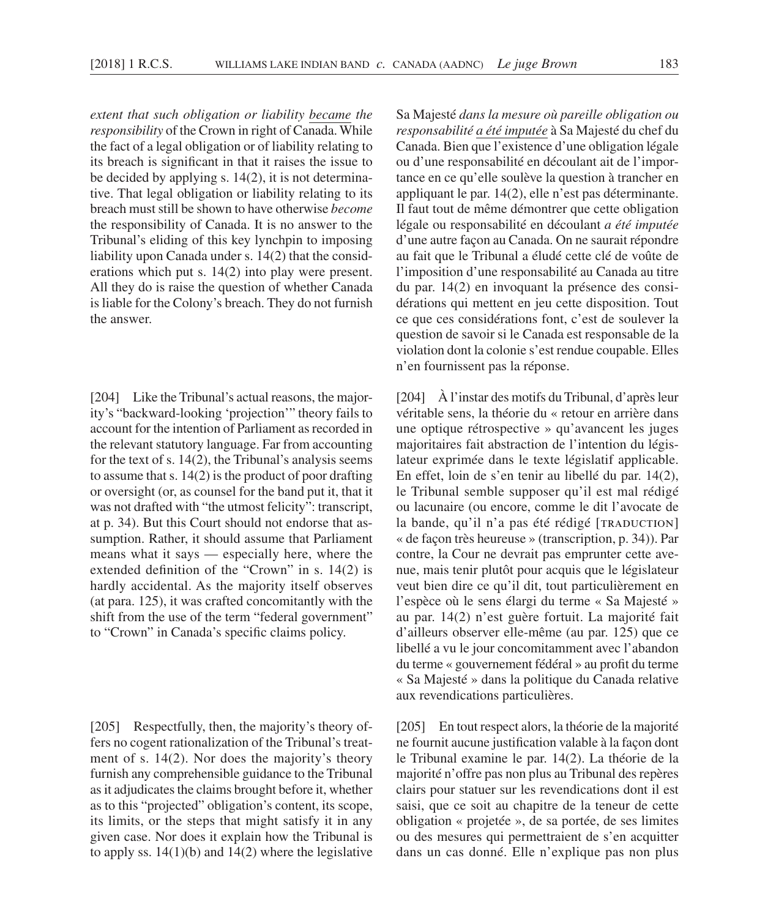*extent that such obligation or liability became the responsibility* of the Crown in right of Canada. While the fact of a legal obligation or of liability relating to its breach is significant in that it raises the issue to be decided by applying s. 14(2), it is not determinative. That legal obligation or liability relating to its breach must still be shown to have otherwise *become* the responsibility of Canada. It is no answer to the Tribunal's eliding of this key lynchpin to imposing liability upon Canada under s. 14(2) that the considerations which put s. 14(2) into play were present. All they do is raise the question of whether Canada is liable for the Colony's breach. They do not furnish the answer.

[204] Like the Tribunal's actual reasons, the majority's "backward- looking 'projection'" theory fails to account for the intention of Parliament as recorded in the relevant statutory language. Far from accounting for the text of s. 14(2), the Tribunal's analysis seems to assume that s. 14(2) is the product of poor drafting or oversight (or, as counsel for the band put it, that it was not drafted with "the utmost felicity": transcript, at p. 34). But this Court should not endorse that assumption. Rather, it should assume that Parliament means what it says — especially here, where the extended definition of the "Crown" in s.  $14(2)$  is hardly accidental. As the majority itself observes (at para. 125), it was crafted concomitantly with the shift from the use of the term "federal government" to "Crown" in Canada's specific claims policy.

[205] Respectfully, then, the majority's theory offers no cogent rationalization of the Tribunal's treatment of s. 14(2). Nor does the majority's theory furnish any comprehensible guidance to the Tribunal as it adjudicates the claims brought before it, whether as to this "projected" obligation's content, its scope, its limits, or the steps that might satisfy it in any given case. Nor does it explain how the Tribunal is to apply ss.  $14(1)(b)$  and  $14(2)$  where the legislative

Sa Majesté *dans la mesure où pareille obligation ou responsabilité a été imputée* à Sa Majesté du chef du Canada. Bien que l'existence d'une obligation légale ou d'une responsabilité en découlant ait de l'importance en ce qu'elle soulève la question à trancher en appliquant le par. 14(2), elle n'est pas déterminante. Il faut tout de même démontrer que cette obligation légale ou responsabilité en découlant *a été imputée* d'une autre façon au Canada. On ne saurait répondre au fait que le Tribunal a éludé cette clé de voûte de l'imposition d'une responsabilité au Canada au titre du par. 14(2) en invoquant la présence des considérations qui mettent en jeu cette disposition. Tout ce que ces considérations font, c'est de soulever la question de savoir si le Canada est responsable de la violation dont la colonie s'est rendue coupable. Elles n'en fournissent pas la réponse.

[204] À l'instar des motifs du Tribunal, d'après leur véritable sens, la théorie du « retour en arrière dans une optique rétrospective » qu'avancent les juges majoritaires fait abstraction de l'intention du législateur exprimée dans le texte législatif applicable. En effet, loin de s'en tenir au libellé du par. 14(2), le Tribunal semble supposer qu'il est mal rédigé ou lacunaire (ou encore, comme le dit l'avocate de la bande, qu'il n'a pas été rédigé [TRADUCTION] « de façon très heureuse » (transcription, p. 34)). Par contre, la Cour ne devrait pas emprunter cette avenue, mais tenir plutôt pour acquis que le législateur veut bien dire ce qu'il dit, tout particulièrement en l'espèce où le sens élargi du terme « Sa Majesté » au par. 14(2) n'est guère fortuit. La majorité fait d'ailleurs observer elle-même (au par. 125) que ce libellé a vu le jour concomitamment avec l'abandon du terme « gouvernement fédéral » au profit du terme « Sa Majesté » dans la politique du Canada relative aux revendications particulières.

[205] En tout respect alors, la théorie de la majorité ne fournit aucune justification valable à la façon dont le Tribunal examine le par. 14(2). La théorie de la majorité n'offre pas non plus au Tribunal des repères clairs pour statuer sur les revendications dont il est saisi, que ce soit au chapitre de la teneur de cette obligation « projetée », de sa portée, de ses limites ou des mesures qui permettraient de s'en acquitter dans un cas donné. Elle n'explique pas non plus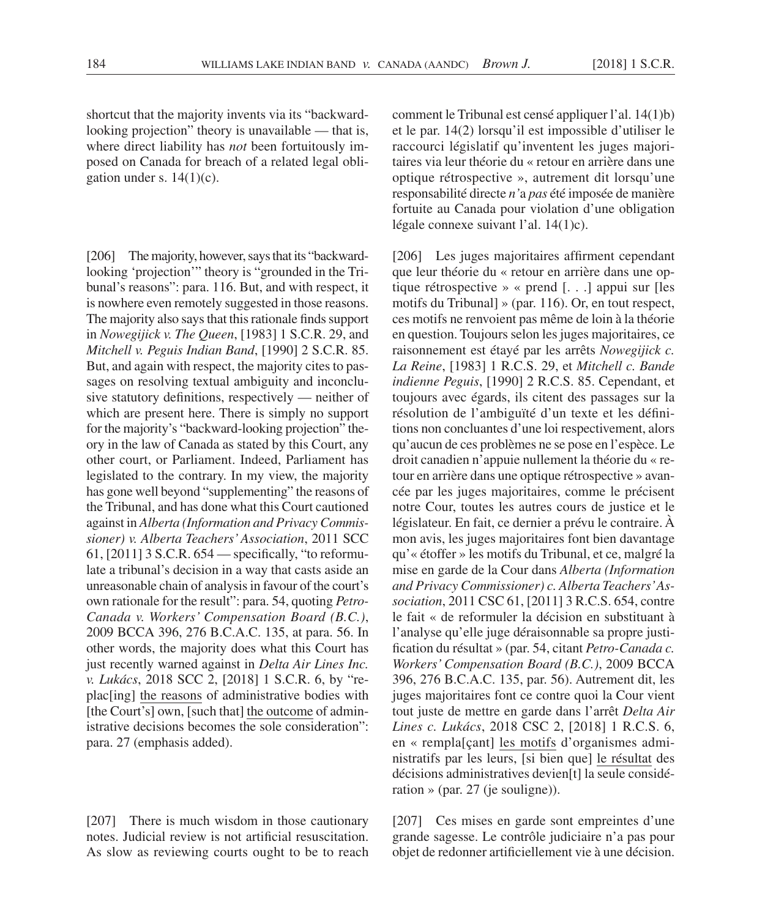shortcut that the majority invents via its "backwardlooking projection" theory is unavailable — that is, where direct liability has *not* been fortuitously imposed on Canada for breach of a related legal obligation under s.  $14(1)(c)$ .

[206] The majority, however, says that its "backwardlooking 'projection'" theory is "grounded in the Tribunal's reasons": para. 116. But, and with respect, it is nowhere even remotely suggested in those reasons. The majority also says that this rationale finds support in *Nowegijick v. The Queen*, [1983] 1 S.C.R. 29, and *Mitchell v. Peguis Indian Band*, [1990] 2 S.C.R. 85. But, and again with respect, the majority cites to passages on resolving textual ambiguity and inconclusive statutory definitions, respectively — neither of which are present here. There is simply no support for the majority's "backward-looking projection" theory in the law of Canada as stated by this Court, any other court, or Parliament. Indeed, Parliament has legislated to the contrary. In my view, the majority has gone well beyond "supplementing" the reasons of the Tribunal, and has done what this Court cautioned against in *Alberta (Information and Privacy Commissioner) v. Alberta Teachers' Association*, 2011 SCC 61,  $[2011]$  3 S.C.R. 654 — specifically, "to reformulate a tribunal's decision in a way that casts aside an unreasonable chain of analysis in favour of the court's own rationale for the result": para. 54, quoting *Petro-Canada v. Workers' Compensation Board (B.C.)*, 2009 BCCA 396, 276 B.C.A.C. 135, at para. 56. In other words, the majority does what this Court has just recently warned against in *Delta Air Lines Inc. v. Lukács*, 2018 SCC 2, [2018] 1 S.C.R. 6, by "replac[ing] the reasons of administrative bodies with [the Court's] own, [such that] the outcome of administrative decisions becomes the sole consideration": para. 27 (emphasis added).

[207] There is much wisdom in those cautionary notes. Judicial review is not artificial resuscitation. As slow as reviewing courts ought to be to reach comment le Tribunal est censé appliquer l'al. 14(1)b) et le par. 14(2) lorsqu'il est impossible d'utiliser le raccourci législatif qu'inventent les juges majoritaires via leur théorie du « retour en arrière dans une optique rétrospective », autrement dit lorsqu'une responsabilité directe *n'*a *pas* été imposée de manière fortuite au Canada pour violation d'une obligation légale connexe suivant l'al. 14(1)c).

[206] Les juges majoritaires affirment cependant que leur théorie du « retour en arrière dans une optique rétrospective » « prend [. . .] appui sur [les motifs du Tribunal] » (par. 116). Or, en tout respect, ces motifs ne renvoient pas même de loin à la théorie en question. Toujours selon les juges majoritaires, ce raisonnement est étayé par les arrêts *Nowegijick c. La Reine*, [1983] 1 R.C.S. 29, et *Mitchell c. Bande indienne Peguis*, [1990] 2 R.C.S. 85. Cependant, et toujours avec égards, ils citent des passages sur la résolution de l'ambiguïté d'un texte et les définitions non concluantes d'une loi respectivement, alors qu'aucun de ces problèmes ne se pose en l'espèce. Le droit canadien n'appuie nullement la théorie du « retour en arrière dans une optique rétrospective » avancée par les juges majoritaires, comme le précisent notre Cour, toutes les autres cours de justice et le législateur. En fait, ce dernier a prévu le contraire. À mon avis, les juges majoritaires font bien davantage qu'« étoffer » les motifs du Tribunal, et ce, malgré la mise en garde de la Cour dans *Alberta (Information and Privacy Commissioner) c. Alberta Teachers' Association*, 2011 CSC 61, [2011] 3 R.C.S. 654, contre le fait « de reformuler la décision en substituant à l'analyse qu'elle juge déraisonnable sa propre justification du résultat » (par. 54, citant Petro-Canada c. *Workers' Compensation Board (B.C.)*, 2009 BCCA 396, 276 B.C.A.C. 135, par. 56). Autrement dit, les juges majoritaires font ce contre quoi la Cour vient tout juste de mettre en garde dans l'arrêt *Delta Air Lines c. Lukács*, 2018 CSC 2, [2018] 1 R.C.S. 6, en « rempla[çant] les motifs d'organismes administratifs par les leurs, [si bien que] le résultat des décisions administratives devien[t] la seule considération » (par. 27 (je souligne)).

[207] Ces mises en garde sont empreintes d'une grande sagesse. Le contrôle judiciaire n'a pas pour objet de redonner artificiellement vie à une décision.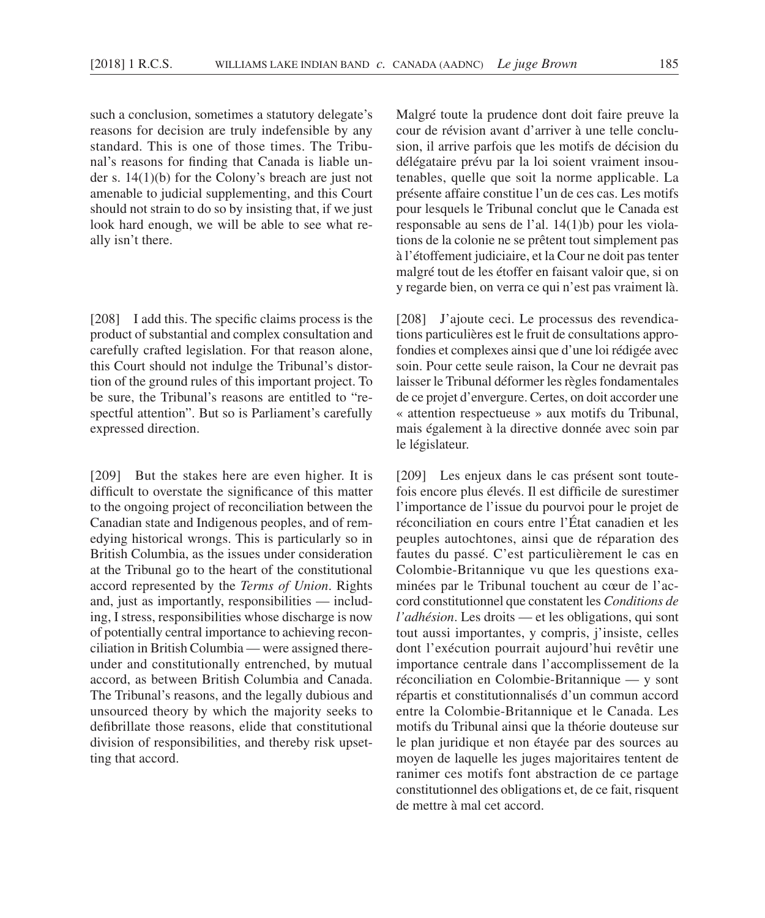such a conclusion, sometimes a statutory delegate's reasons for decision are truly indefensible by any standard. This is one of those times. The Tribunal's reasons for finding that Canada is liable under s. 14(1)(b) for the Colony's breach are just not amenable to judicial supplementing, and this Court should not strain to do so by insisting that, if we just look hard enough, we will be able to see what really isn't there.

[208] I add this. The specific claims process is the product of substantial and complex consultation and carefully crafted legislation. For that reason alone, this Court should not indulge the Tribunal's distortion of the ground rules of this important project. To be sure, the Tribunal's reasons are entitled to "respectful attention". But so is Parliament's carefully expressed direction.

[209] But the stakes here are even higher. It is difficult to overstate the significance of this matter to the ongoing project of reconciliation between the Canadian state and Indigenous peoples, and of remedying historical wrongs. This is particularly so in British Columbia, as the issues under consideration at the Tribunal go to the heart of the constitutional accord represented by the *Terms of Union*. Rights and, just as importantly, responsibilities — including, I stress, responsibilities whose discharge is now of potentially central importance to achieving reconciliation in British Columbia — were assigned thereunder and constitutionally entrenched, by mutual accord, as between British Columbia and Canada. The Tribunal's reasons, and the legally dubious and unsourced theory by which the majority seeks to defibrillate those reasons, elide that constitutional division of responsibilities, and thereby risk upsetting that accord.

Malgré toute la prudence dont doit faire preuve la cour de révision avant d'arriver à une telle conclusion, il arrive parfois que les motifs de décision du délégataire prévu par la loi soient vraiment insoutenables, quelle que soit la norme applicable. La présente affaire constitue l'un de ces cas. Les motifs pour lesquels le Tribunal conclut que le Canada est responsable au sens de l'al. 14(1)b) pour les violations de la colonie ne se prêtent tout simplement pas à l'étoffement judiciaire, et la Cour ne doit pas tenter malgré tout de les étoffer en faisant valoir que, si on y regarde bien, on verra ce qui n'est pas vraiment là.

[208] J'ajoute ceci. Le processus des revendications particulières est le fruit de consultations approfondies et complexes ainsi que d'une loi rédigée avec soin. Pour cette seule raison, la Cour ne devrait pas laisser le Tribunal déformer les règles fondamentales de ce projet d'envergure. Certes, on doit accorder une « attention respectueuse » aux motifs du Tribunal, mais également à la directive donnée avec soin par le législateur.

[209] Les enjeux dans le cas présent sont toutefois encore plus élevés. Il est difficile de surestimer l'importance de l'issue du pourvoi pour le projet de réconciliation en cours entre l'État canadien et les peuples autochtones, ainsi que de réparation des fautes du passé. C'est particulièrement le cas en Colombie- Britannique vu que les questions examinées par le Tribunal touchent au cœur de l'accord constitutionnel que constatent les *Conditions de l'adhés ion*. Les droits — et les obligations, qui sont tout aussi importantes, y compris, j'insiste, celles dont l'exécution pourrait aujourd'hui revêtir une importance centrale dans l'accomplissement de la réconciliation en Colombie- Britannique — y sont répartis et constitutionnalisés d'un commun accord entre la Colombie- Britannique et le Canada. Les motifs du Tribunal ainsi que la théorie douteuse sur le plan juridique et non étayée par des sources au moyen de laquelle les juges majoritaires tentent de ranimer ces motifs font abstraction de ce partage constitutionnel des obligations et, de ce fait, risquent de mettre à mal cet accord.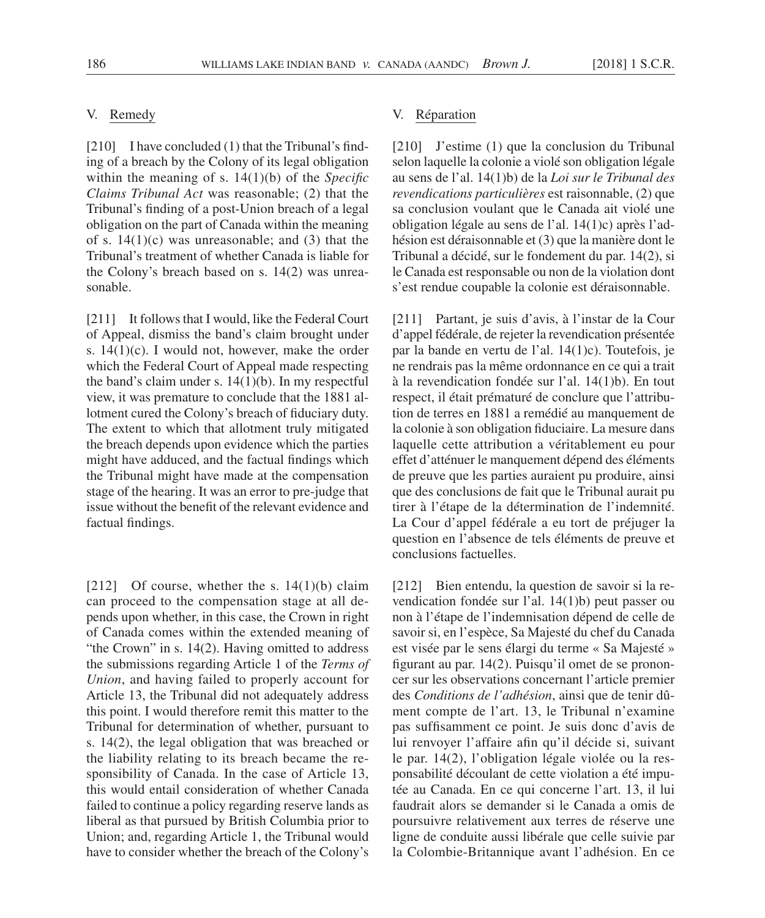### V. Remedy

 $[210]$  I have concluded  $(1)$  that the Tribunal's finding of a breach by the Colony of its legal obligation within the meaning of s.  $14(1)(b)$  of the *Specific Claims Tribunal Act* was reasonable; (2) that the Tribunal's finding of a post-Union breach of a legal obligation on the part of Canada within the meaning of s.  $14(1)(c)$  was unreasonable; and (3) that the Tribunal's treatment of whether Canada is liable for the Colony's breach based on s. 14(2) was unreasonable.

[211] It follows that I would, like the Federal Court of Appeal, dismiss the band's claim brought under s.  $14(1)(c)$ . I would not, however, make the order which the Federal Court of Appeal made respecting the band's claim under s.  $14(1)(b)$ . In my respectful view, it was premature to conclude that the 1881 allotment cured the Colony's breach of fiduciary duty. The extent to which that allotment truly mitigated the breach depends upon evidence which the parties might have adduced, and the factual findings which the Tribunal might have made at the compensation stage of the hearing. It was an error to pre- judge that issue without the benefit of the relevant evidence and factual findings.

[212] Of course, whether the s.  $14(1)(b)$  claim can proceed to the compensation stage at all depends upon whether, in this case, the Crown in right of Canada comes within the extended meaning of "the Crown" in s. 14(2). Having omitted to address the submissions regarding Article 1 of the *Terms of Union*, and having failed to properly account for Article 13, the Tribunal did not adequately address this point. I would therefore remit this matter to the Tribunal for determination of whether, pursuant to s. 14(2), the legal obligation that was breached or the liability relating to its breach became the responsibility of Canada. In the case of Article 13, this would entail consideration of whether Canada failed to continue a policy regarding reserve lands as liberal as that pursued by British Columbia prior to Union; and, regarding Article 1, the Tribunal would have to consider whether the breach of the Colony's

### V. Réparation

[210] J'estime (1) que la conclusion du Tribunal selon laquelle la colonie a violé son obligation légale au sens de l'al. 14(1)b) de la *Loi sur le Tribunal des revendications particulières* est raisonnable, (2) que sa conclusion voulant que le Canada ait violé une obligation légale au sens de l'al. 14(1)c) après l'adhésion est déraisonnable et (3) que la manière dont le Tribunal a décidé, sur le fondement du par. 14(2), si le Canada est responsable ou non de la violation dont s'est rendue coupable la colonie est déraisonnable.

[211] Partant, je suis d'avis, à l'instar de la Cour d'appel fédérale, de rejeter la revendication présentée par la bande en vertu de l'al. 14(1)c). Toutefois, je ne rendrais pas la même ordonnance en ce qui a trait à la revendication fondée sur l'al. 14(1)b). En tout respect, il était prématuré de conclure que l'attribution de terres en 1881 a remédié au manquement de la colonie à son obligation fiduciaire. La mesure dans laquelle cette attribution a véritablement eu pour effet d'atténuer le manquement dépend des éléments de preuve que les parties auraient pu produire, ainsi que des conclusions de fait que le Tribunal aurait pu tirer à l'étape de la détermination de l'indemnité. La Cour d'appel fédérale a eu tort de préjuger la question en l'absence de tels éléments de preuve et conclusions factuelles.

[212] Bien entendu, la question de savoir si la revendication fondée sur l'al. 14(1)b) peut passer ou non à l'étape de l'indemnisation dépend de celle de savoir si, en l'espèce, Sa Majesté du chef du Canada est visée par le sens élargi du terme « Sa Majesté » figurant au par. 14(2). Puisqu'il omet de se prononcer sur les observations concernant l'article premier des *Conditions de l'adhésion*, ainsi que de tenir dûment compte de l'art. 13, le Tribunal n'examine pas suffisamment ce point. Je suis donc d'avis de lui renvoyer l'affaire afin qu'il décide si, suivant le par. 14(2), l'obligation légale violée ou la responsabilité découlant de cette violation a été imputée au Canada. En ce qui concerne l'art. 13, il lui faudrait alors se demander si le Canada a omis de poursuivre relativement aux terres de réserve une ligne de conduite aussi libérale que celle suivie par la Colombie-Britannique avant l'adhésion. En ce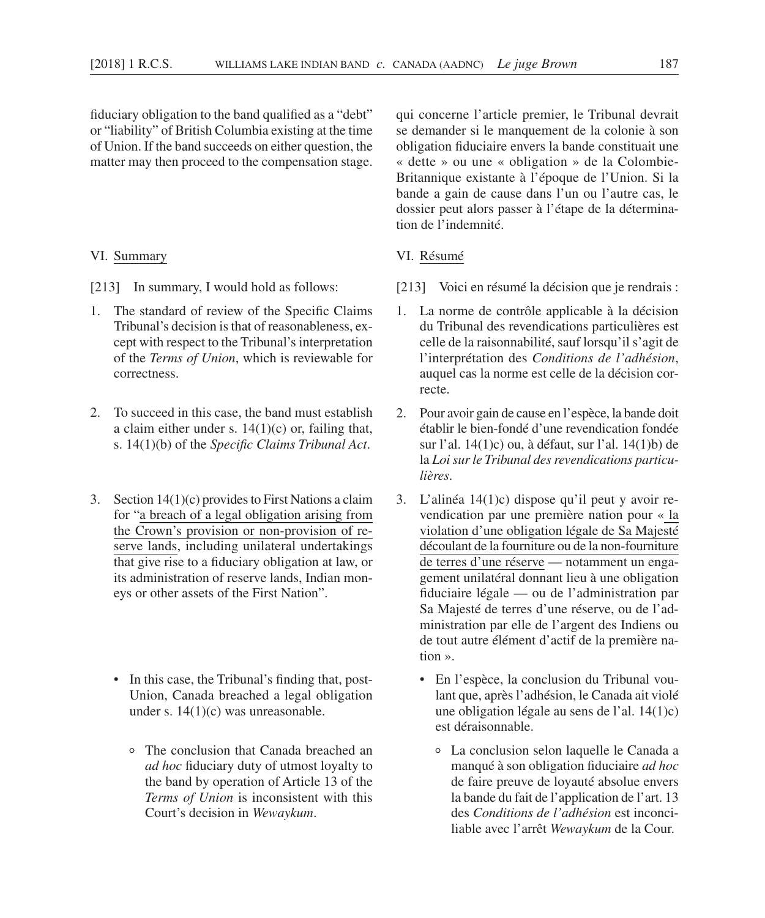fiduciary obligation to the band qualified as a "debt" or "liability" of British Columbia existing at the time of Union. If the band succeeds on either question, the matter may then proceed to the compensation stage.

# VI. Summary

- [213] In summary, I would hold as follows:
- 1. The standard of review of the Specific Claims Tribunal's decision is that of reasonableness, except with respect to the Tribunal's interpretation of the *Terms of Union*, which is reviewable for correctness.
- 2. To succeed in this case, the band must establish a claim either under s.  $14(1)(c)$  or, failing that, s. 14(1)(b) of the *Specific Claims Tribunal Act*.
- 3. Section 14(1)(c) provides to First Nations a claim for "a breach of a legal obligation arising from the Crown's provision or non- provision of reserve lands, including unilateral undertakings that give rise to a fiduciary obligation at law, or its administration of reserve lands, Indian moneys or other assets of the First Nation".
	- In this case, the Tribunal's finding that, post-Union, Canada breached a legal obligation under s. 14(1)(c) was unreasonable.
		- The conclusion that Canada breached an *ad hoc* fiduciary duty of utmost loyalty to the band by operation of Article 13 of the *Terms of Union* is inconsistent with this Court's decision in *Wewaykum*.

qui concerne l'article premier, le Tribunal devrait se demander si le manquement de la colonie à son obligation fiduciaire envers la bande constituait une « dette » ou une « obligation » de la Colombie-Britannique existante à l'époque de l'Union. Si la bande a gain de cause dans l'un ou l'autre cas, le dossier peut alors passer à l'étape de la détermination de l'indemnité.

# VI. Résumé

- [213] Voici en résumé la décision que je rendrais :
- 1. La norme de contrôle applicable à la décision du Tribunal des revendications particulières est celle de la raisonnabilité, sauf lorsqu'il s'agit de l'interprétation des *Conditions de l'adhésion*, auquel cas la norme est celle de la décision correcte.
- 2. Pour avoir gain de cause en l'espèce, la bande doit établir le bien- fondé d'une revendication fondée sur l'al. 14(1)c) ou, à défaut, sur l'al. 14(1)b) de la *Loi sur le Tribunal des revendications particulières*.
- 3. L'alinéa 14(1)c) dispose qu'il peut y avoir revendication par une première nation pour « la violation d'une obligation légale de Sa Majesté découlant de la fourniture ou de la non- fourniture de terres d'une réserve — notamment un engagement unilatéral donnant lieu à une obligation fiduciaire légale — ou de l'administration par Sa Majesté de terres d'une réserve, ou de l'administration par elle de l'argent des Indiens ou de tout autre élément d'actif de la première nation ».
	- En l'espèce, la conclusion du Tribunal voulant que, après l'adhésion, le Canada ait violé une obligation légale au sens de l'al. 14(1)c) est déraisonnable.
		- La conclusion selon laquelle le Canada a manqué à son obligation fiduciaire *ad hoc* de faire preuve de loyauté absolue envers la bande du fait de l'application de l'art. 13 des *Conditions de l'adhésion* est inconciliable avec l'arrêt *Wewaykum* de la Cour.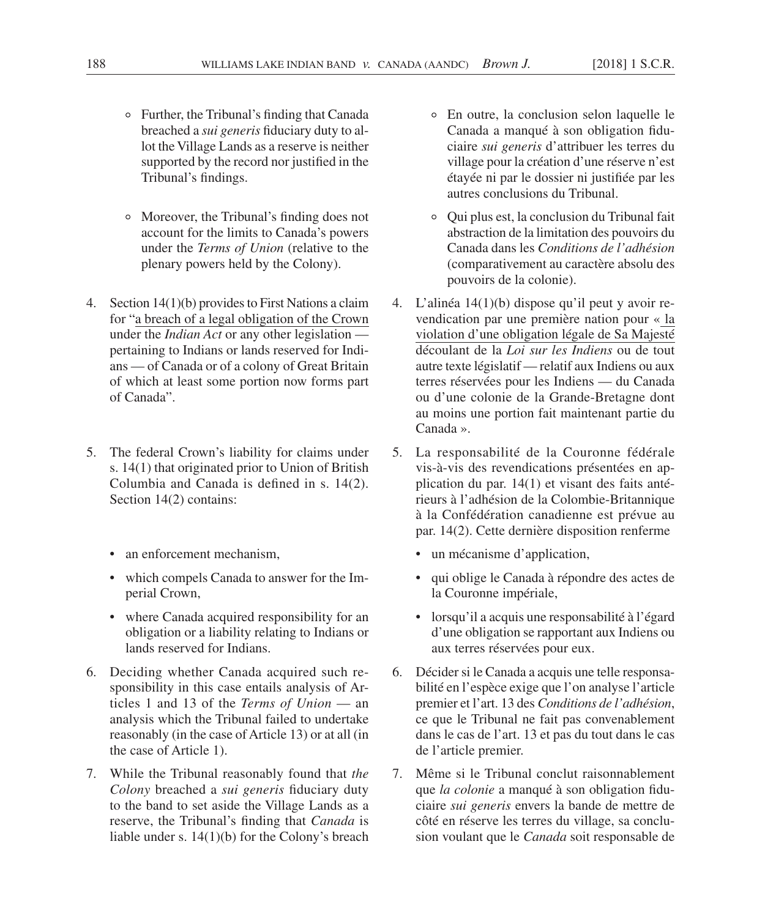- $\circ$  Further, the Tribunal's finding that Canada breached a *sui generis* fiduciary duty to allot the Village Lands as a reserve is neither supported by the record nor justified in the Tribunal's findings.
- Moreover, the Tribunal's finding does not account for the limits to Canada's powers under the *Terms of Union* (relative to the plenary powers held by the Colony).
- 4. Section 14(1)(b) provides to First Nations a claim for "a breach of a legal obligation of the Crown under the *Indian Act* or any other legislation pertaining to Indians or lands reserved for Indians — of Canada or of a colony of Great Britain of which at least some portion now forms part of Canada".
- 5. The federal Crown's liability for claims under s. 14(1) that originated prior to Union of British Columbia and Canada is defined in s.  $14(2)$ . Section 14(2) contains:
	- an enforcement mechanism,
	- which compels Canada to answer for the Imperial Crown,
	- where Canada acquired responsibility for an obligation or a liability relating to Indians or lands reserved for Indians.
- 6. Deciding whether Canada acquired such responsibility in this case entails analysis of Articles 1 and 13 of the *Terms of Union* — an analysis which the Tribunal failed to undertake reasonably (in the case of Article 13) or at all (in the case of Article 1).
- 7. While the Tribunal reasonably found that *the Colony* breached a *sui generis* fiduciary duty to the band to set aside the Village Lands as a reserve, the Tribunal's finding that *Canada* is liable under s. 14(1)(b) for the Colony's breach
- En outre, la conclusion selon laquelle le Canada a manqué à son obligation fiduciaire *sui generis* d'attribuer les terres du village pour la création d'une réserve n'est étayée ni par le dossier ni justifiée par les autres conclusions du Tribunal.
- Qui plus est, la conclusion du Tribunal fait abstraction de la limitation des pouvoirs du Canada dans les *Conditions de l'adhésion* (comparativement au caractère absolu des pouvoirs de la colonie).
- 4. L'alinéa 14(1)(b) dispose qu'il peut y avoir revendication par une première nation pour « la violation d'une obligation légale de Sa Majesté découlant de la *Loi sur les Indiens* ou de tout autre texte législatif — relatif aux Indiens ou aux terres réservées pour les Indiens — du Canada ou d'une colonie de la Grande- Bretagne dont au moins une portion fait maintenant partie du Canada ».
- 5. La responsabilité de la Couronne fédérale vis-à-vis des revendications présentées en application du par. 14(1) et visant des faits antérieurs à l'adhésion de la Colombie- Britannique à la Confédération canadienne est prévue au par. 14(2). Cette dernière disposition renferme
	- un mécanisme d'application,
	- qui oblige le Canada à répondre des actes de la Couronne impériale,
	- lorsqu'il a acquis une responsabilité à l'égard d'une obligation se rapportant aux Indiens ou aux terres réservées pour eux.
- 6. Décider si le Canada a acquis une telle responsabilité en l'espèce exige que l'on analyse l'article premier et l'art. 13 des *Conditions de l'adhésion*, ce que le Tribunal ne fait pas convenablement dans le cas de l'art. 13 et pas du tout dans le cas de l'article premier.
- 7. Même si le Tribunal conclut raisonnablement que *la colonie* a manqué à son obligation fiduciaire *sui generis* envers la bande de mettre de côté en réserve les terres du village, sa conclusion voulant que le *Canada* soit responsable de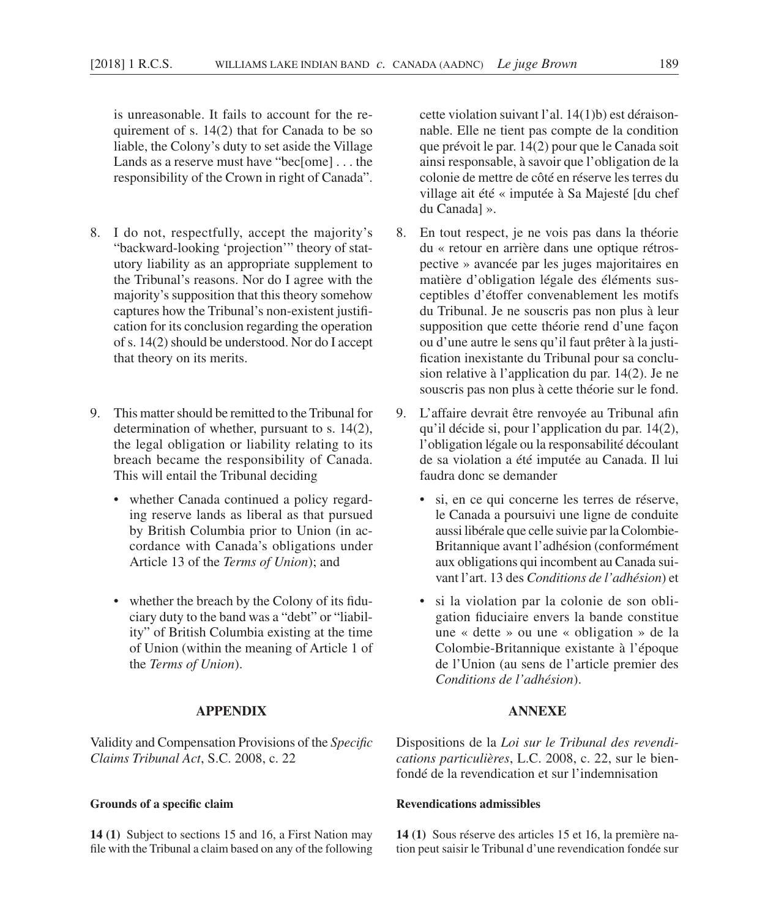is unreasonable. It fails to account for the requirement of s. 14(2) that for Canada to be so liable, the Colony's duty to set aside the Village Lands as a reserve must have "bec[ome] . . . the responsibility of the Crown in right of Canada".

- 8. I do not, respectfully, accept the majority's "backward- looking 'projection'" theory of statutory liability as an appropriate supplement to the Tribunal's reasons. Nor do I agree with the majority's supposition that this theory somehow captures how the Tribunal's non-existent justification for its conclusion regarding the operation of s. 14(2) should be understood. Nor do I accept that theory on its merits.
- 9. This matter should be remitted to the Tribunal for determination of whether, pursuant to s. 14(2), the legal obligation or liability relating to its breach became the responsibility of Canada. This will entail the Tribunal deciding
	- whether Canada continued a policy regarding reserve lands as liberal as that pursued by British Columbia prior to Union (in accordance with Canada's obligations under Article 13 of the *Terms of Union*); and
	- whether the breach by the Colony of its fiduciary duty to the band was a "debt" or "liability" of British Columbia existing at the time of Union (within the meaning of Article 1 of the *Terms of Union*).

# **APPENDIX**

Validity and Compensation Provisions of the *Specific Claims Tribunal Act*, S.C. 2008, c. 22

### **Grounds of a specific claim**

**14 (1)** Subject to sections 15 and 16, a First Nation may file with the Tribunal a claim based on any of the following

cette violation suivant l'al. 14(1)b) est déraisonnable. Elle ne tient pas compte de la condition que prévoit le par. 14(2) pour que le Canada soit ainsi responsable, à savoir que l'obligation de la colonie de mettre de côté en réserve les terres du village ait été « imputée à Sa Majesté [du chef du Canada] ».

- 8. En tout respect, je ne vois pas dans la théorie du « retour en arrière dans une optique rétrospective » avancée par les juges majoritaires en matière d'obligation légale des éléments susceptibles d'étoffer convenablement les motifs du Tribunal. Je ne souscris pas non plus à leur supposition que cette théorie rend d'une façon ou d'une autre le sens qu'il faut prêter à la justification inexistante du Tribunal pour sa conclusion relative à l'application du par. 14(2). Je ne souscris pas non plus à cette théorie sur le fond.
- 9. L'affaire devrait être renvoyée au Tribunal afin qu'il décide si, pour l'application du par. 14(2), l'obligation légale ou la responsabilité découlant de sa violation a été imputée au Canada. Il lui faudra donc se demander
	- si, en ce qui concerne les terres de réserve, le Canada a poursuivi une ligne de conduite aussi libérale que celle suivie par la Colombie-Britannique avant l'adhésion (conformément aux obligations qui incombent au Canada suivant l'art. 13 des *Conditions de l'adhésion*) et
	- si la violation par la colonie de son obligation fiduciaire envers la bande constitue une « dette » ou une « obligation » de la Colombie- Britannique existante à l'époque de l'Union (au sens de l'article premier des *Conditions de l'adhésion*).

# **ANNEXE**

Dispositions de la *Loi sur le Tribunal des revendications particulières*, L.C. 2008, c. 22, sur le bienfondé de la revendication et sur l'indemnisation

# **Revendications admissibles**

**14 (1)** Sous réserve des articles 15 et 16, la première nation peut saisir le Tribunal d'une revendication fondée sur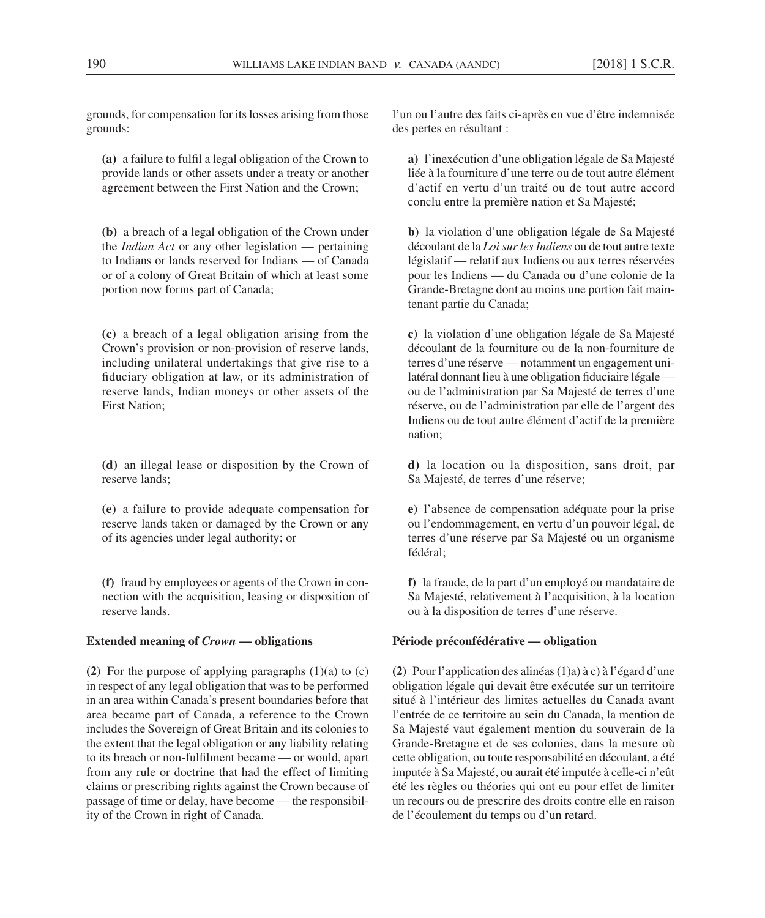grounds, for compensation for its losses arising from those grounds:

(a) a failure to fulfil a legal obligation of the Crown to provide lands or other assets under a treaty or another agreement between the First Nation and the Crown;

**(b)** a breach of a legal obligation of the Crown under the *Indian Act* or any other legislation — pertaining to Indians or lands reserved for Indians — of Canada or of a colony of Great Britain of which at least some portion now forms part of Canada;

**(c)** a breach of a legal obligation arising from the Crown's provision or non-provision of reserve lands, including unilateral undertakings that give rise to a fiduciary obligation at law, or its administration of reserve lands, Indian moneys or other assets of the First Nation;

**(d)** an illegal lease or disposition by the Crown of reserve lands;

**(e)** a failure to provide adequate compensation for reserve lands taken or damaged by the Crown or any of its agencies under legal authority; or

**(f)** fraud by employees or agents of the Crown in connection with the acquisition, leasing or disposition of reserve lands.

# **Extended meaning of** *Crown* **— obligations**

**(2)** For the purpose of applying paragraphs (1)(a) to (c) in respect of any legal obligation that was to be performed in an area within Canada's present boundaries before that area became part of Canada, a reference to the Crown includes the Sovereign of Great Britain and its colonies to the extent that the legal obligation or any liability relating to its breach or non-fulfilment became — or would, apart from any rule or doctrine that had the effect of limiting claims or prescribing rights against the Crown because of passage of time or delay, have become — the responsibility of the Crown in right of Canada.

l'un ou l'autre des faits ci- après en vue d'être indemnisée des pertes en résultant :

**a)** l'inexécution d'une obligation légale de Sa Majesté liée à la fourniture d'une terre ou de tout autre élément d'actif en vertu d'un traité ou de tout autre accord conclu entre la première nation et Sa Majesté;

**b)** la violation d'une obligation légale de Sa Majesté découlant de la *Loi sur les Indiens* ou de tout autre texte législatif — relatif aux Indiens ou aux terres réservées pour les Indiens — du Canada ou d'une colonie de la Grande- Bretagne dont au moins une portion fait maintenant partie du Canada;

**c)** la violation d'une obligation légale de Sa Majesté découlant de la fourniture ou de la non- fourniture de terres d'une réserve — notamment un engagement unilatéral donnant lieu à une obligation fiduciaire légale ou de l'administration par Sa Majesté de terres d'une réserve, ou de l'administration par elle de l'argent des Indiens ou de tout autre élément d'actif de la première nation;

**d)** la location ou la disposition, sans droit, par Sa Majesté, de terres d'une réserve;

**e)** l'absence de compensation adéquate pour la prise ou l'endommagement, en vertu d'un pouvoir légal, de terres d'une réserve par Sa Majesté ou un organisme fédéral;

**f)** la fraude, de la part d'un employé ou mandataire de Sa Majesté, relativement à l'acquisition, à la location ou à la disposition de terres d'une réserve.

### **Période préconfédérative — obligation**

**(2)** Pour l'application des alinéas (1)a) à c) à l'égard d'une obligation légale qui devait être exécutée sur un territoire situé à l'intérieur des limites actuelles du Canada avant l'entrée de ce territoire au sein du Canada, la mention de Sa Majesté vaut également mention du souverain de la Grande- Bretagne et de ses colonies, dans la mesure où cette obligation, ou toute responsabilité en découlant, a été imputée à Sa Majesté, ou aurait été imputée à celle-ci n'eût été les règles ou théories qui ont eu pour effet de limiter un recours ou de prescrire des droits contre elle en raison de l'écoulement du temps ou d'un retard.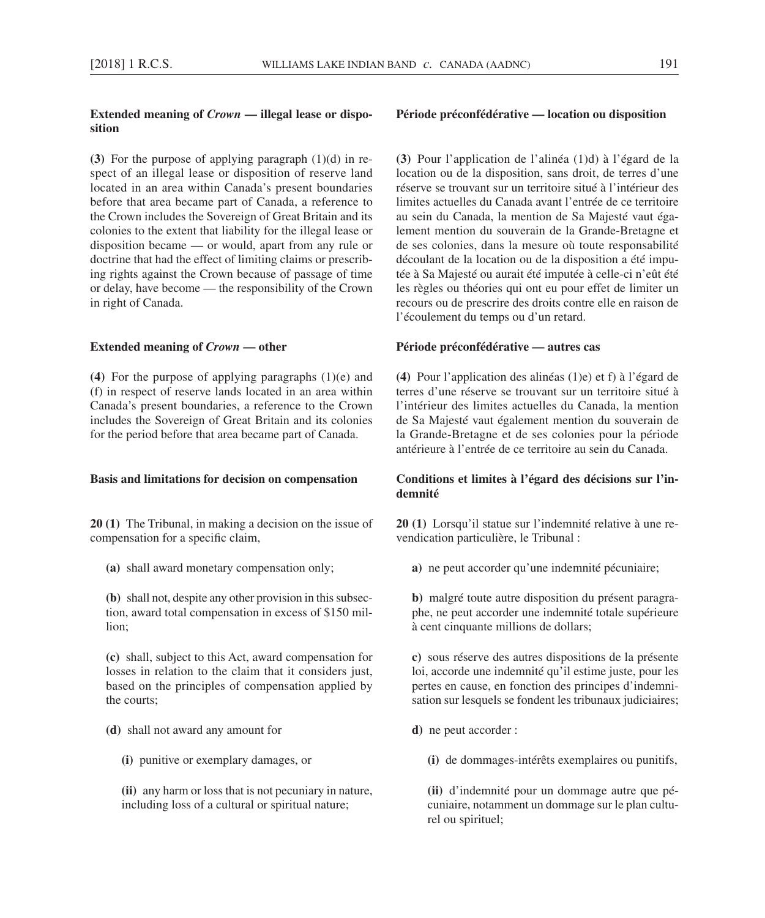# **Extended meaning of** *Crown* **— illegal lease or disposition**

**(3)** For the purpose of applying paragraph (1)(d) in respect of an illegal lease or disposition of reserve land located in an area within Canada's present boundaries before that area became part of Canada, a reference to the Crown includes the Sovereign of Great Britain and its colonies to the extent that liability for the illegal lease or disposition became — or would, apart from any rule or doctrine that had the effect of limiting claims or prescribing rights against the Crown because of passage of time or delay, have become — the responsibility of the Crown in right of Canada.

### **Extended meaning of** *Crown* **— other**

**(4)** For the purpose of applying paragraphs (1)(e) and (f) in respect of reserve lands located in an area within Canada's present boundaries, a reference to the Crown includes the Sovereign of Great Britain and its colonies for the period before that area became part of Canada.

#### **Basis and limitations for decision on compensation**

**20 (1)** The Tribunal, in making a decision on the issue of compensation for a specific claim,

**(a)** shall award monetary compensation only;

**(b)** shall not, despite any other provision in this subsection, award total compensation in excess of \$150 million;

**(c)** shall, subject to this Act, award compensation for losses in relation to the claim that it considers just, based on the principles of compensation applied by the courts;

**(d)** shall not award any amount for

**(i)** punitive or exemplary damages, or

**(ii)** any harm or loss that is not pecuniary in nature, including loss of a cultural or spiritual nature;

### **Période préconfédérative — location ou disposition**

**(3)** Pour l'application de l'alinéa (1)d) à l'égard de la location ou de la disposition, sans droit, de terres d'une réserve se trouvant sur un territoire situé à l'intérieur des limites actuelles du Canada avant l'entrée de ce territoire au sein du Canada, la mention de Sa Majesté vaut également mention du souverain de la Grande- Bretagne et de ses colonies, dans la mesure où toute responsabilité découlant de la location ou de la disposition a été imputée à Sa Majesté ou aurait été imputée à celle-ci n'eût été les règles ou théories qui ont eu pour effet de limiter un recours ou de prescrire des droits contre elle en raison de l'écoulement du temps ou d'un retard.

#### **Période préconfédérative — autres cas**

**(4)** Pour l'application des alinéas (1)e) et f) à l'égard de terres d'une réserve se trouvant sur un territoire situé à l'intérieur des limites actuelles du Canada, la mention de Sa Majesté vaut également mention du souverain de la Grande- Bretagne et de ses colonies pour la période antérieure à l'entrée de ce territoire au sein du Canada.

## **Conditions et limites à l'égard des décisions sur l'indemnité**

**20 (1)** Lorsqu'il statue sur l'indemnité relative à une revendication particulière, le Tribunal :

**a)** ne peut accorder qu'une indemnité pécuniaire;

**b)** malgré toute autre disposition du présent paragraphe, ne peut accorder une indemnité totale supérieure à cent cinquante millions de dollars;

**c)** sous réserve des autres dispositions de la présente loi, accorde une indemnité qu'il estime juste, pour les pertes en cause, en fonction des principes d'indemnisation sur lesquels se fondent les tribunaux judiciaires;

- **d)** ne peut accorder :
	- **(i)** de dommages- intérêts exemplaires ou punitifs,

**(ii)** d'indemnité pour un dommage autre que pécuniaire, notamment un dommage sur le plan culturel ou spirituel;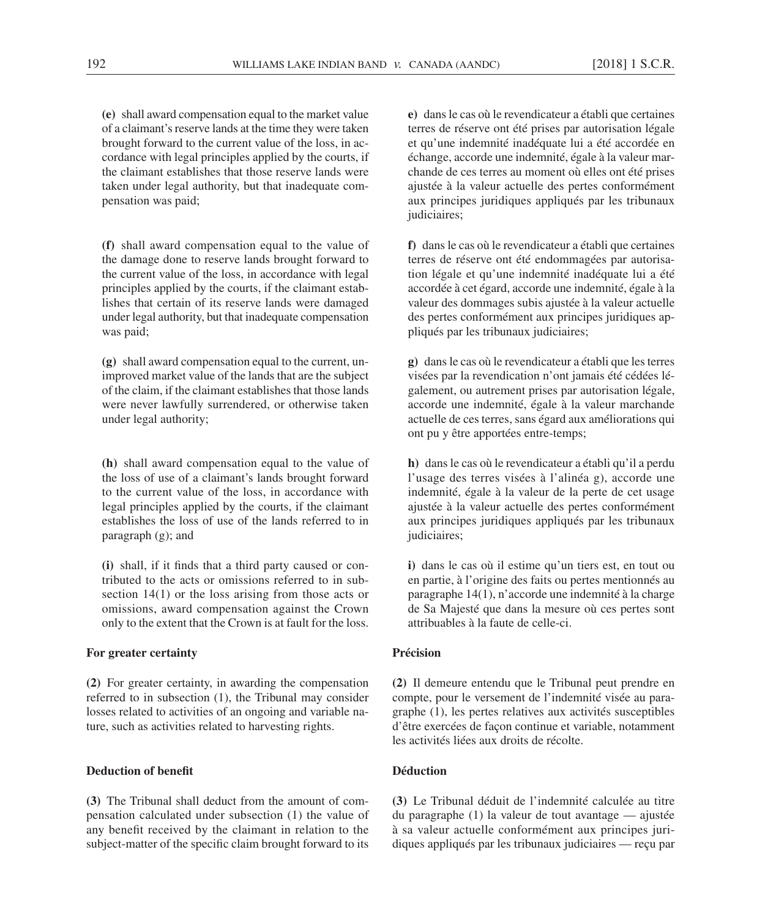**(e)** shall award compensation equal to the market value of a claimant's reserve lands at the time they were taken brought forward to the current value of the loss, in accordance with legal principles applied by the courts, if the claimant establishes that those reserve lands were taken under legal authority, but that inadequate compensation was paid;

**(f)** shall award compensation equal to the value of the damage done to reserve lands brought forward to the current value of the loss, in accordance with legal principles applied by the courts, if the claimant establishes that certain of its reserve lands were damaged under legal authority, but that inadequate compensation was paid;

**(g)** shall award compensation equal to the current, unimproved market value of the lands that are the subject of the claim, if the claimant establishes that those lands were never lawfully surrendered, or otherwise taken under legal authority;

**(h)** shall award compensation equal to the value of the loss of use of a claimant's lands brought forward to the current value of the loss, in accordance with legal principles applied by the courts, if the claimant establishes the loss of use of the lands referred to in paragraph (g); and

(i) shall, if it finds that a third party caused or contributed to the acts or omissions referred to in subsection 14(1) or the loss arising from those acts or omissions, award compensation against the Crown only to the extent that the Crown is at fault for the loss.

# **For greater certainty**

**(2)** For greater certainty, in awarding the compensation referred to in subsection (1), the Tribunal may consider losses related to activities of an ongoing and variable nature, such as activities related to harvesting rights.

# **Deduction of benefit**

**(3)** The Tribunal shall deduct from the amount of compensation calculated under subsection (1) the value of any benefit received by the claimant in relation to the subject-matter of the specific claim brought forward to its

**e)** dans le cas où le revendicateur a établi que certaines terres de réserve ont été prises par autorisation légale et qu'une indemnité inadéquate lui a été accordée en échange, accorde une indemnité, égale à la valeur marchande de ces terres au moment où elles ont été prises ajustée à la valeur actuelle des pertes conformément aux principes juridiques appliqués par les tribunaux judiciaires:

**f)** dans le cas où le revendicateur a établi que certaines terres de réserve ont été endommagées par autorisation légale et qu'une indemnité inadéquate lui a été accordée à cet égard, accorde une indemnité, égale à la valeur des dommages subis ajustée à la valeur actuelle des pertes conformément aux principes juridiques appliqués par les tribunaux judiciaires;

**g)** dans le cas où le revendicateur a établi que les terres visées par la revendication n'ont jamais été cédées légalement, ou autrement prises par autorisation légale, accorde une indemnité, égale à la valeur marchande actuelle de ces terres, sans égard aux améliorations qui ont pu y être apportées entre- temps;

**h)** dans le cas où le revendicateur a établi qu'il a perdu l'usage des terres visées à l'alinéa g), accorde une indemnité, égale à la valeur de la perte de cet usage ajustée à la valeur actuelle des pertes conformément aux principes juridiques appliqués par les tribunaux judiciaires;

**i)** dans le cas où il estime qu'un tiers est, en tout ou en partie, à l'origine des faits ou pertes mentionnés au paragraphe 14(1), n'accorde une indemnité à la charge de Sa Majesté que dans la mesure où ces pertes sont attribuables à la faute de celle-ci.

# **Précision**

**(2)** Il demeure entendu que le Tribunal peut prendre en compte, pour le versement de l'indemnité visée au paragraphe (1), les pertes relatives aux activités susceptibles d'être exercées de façon continue et variable, notamment les activités liées aux droits de récolte.

### **Déduction**

**(3)** Le Tribunal déduit de l'indemnité calculée au titre du paragraphe (1) la valeur de tout avantage — ajustée à sa valeur actuelle conformément aux principes juridiques appliqués par les tribunaux judiciaires — reçu par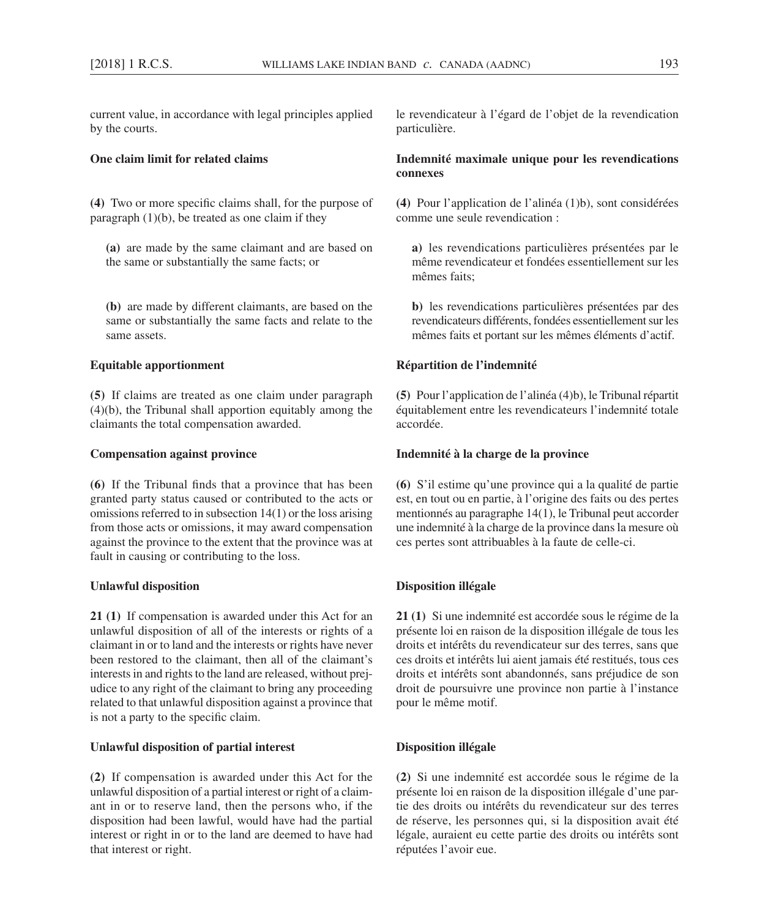current value, in accordance with legal principles applied by the courts.

### **One claim limit for related claims**

**(4)** Two or more specific claims shall, for the purpose of paragraph  $(1)(b)$ , be treated as one claim if they

**(a)** are made by the same claimant and are based on the same or substantially the same facts; or

**(b)** are made by different claimants, are based on the same or substantially the same facts and relate to the same assets.

### **Equitable apportionment**

**(5)** If claims are treated as one claim under paragraph (4)(b), the Tribunal shall apportion equitably among the claimants the total compensation awarded.

### **Compensation against province**

**(6)** If the Tribunal finds that a province that has been granted party status caused or contributed to the acts or omissions referred to in subsection 14(1) or the loss arising from those acts or omissions, it may award compensation against the province to the extent that the province was at fault in causing or contributing to the loss.

## **Unlawful disposition**

**21 (1)** If compensation is awarded under this Act for an unlawful disposition of all of the interests or rights of a claimant in or to land and the interests or rights have never been restored to the claimant, then all of the claimant's interests in and rights to the land are released, without prejudice to any right of the claimant to bring any proceeding related to that unlawful disposition against a province that is not a party to the specific claim.

# **Unlawful disposition of partial interest**

**(2)** If compensation is awarded under this Act for the unlawful disposition of a partial interest or right of a claimant in or to reserve land, then the persons who, if the disposition had been lawful, would have had the partial interest or right in or to the land are deemed to have had that interest or right.

le revendicateur à l'égard de l'objet de la revendication particulière.

# **Indemnité maximale unique pour les revendications connexes**

**(4)** Pour l'application de l'alinéa (1)b), sont considérées comme une seule revendication :

**a)** les revendications particulières présentées par le même revendicateur et fondées essentiellement sur les mêmes faits;

**b)** les revendications particulières présentées par des revendicateurs différents, fondées essentiellement sur les mêmes faits et portant sur les mêmes éléments d'actif.

### **Répartition de l'indemnité**

**(5)** Pour l'application de l'alinéa (4)b), le Tribunal répartit équitablement entre les revendicateurs l'indemnité totale accordée.

# **Indemnité à la charge de la province**

**(6)** S'il estime qu'une province qui a la qualité de partie est, en tout ou en partie, à l'origine des faits ou des pertes mentionnés au paragraphe 14(1), le Tribunal peut accorder une indemnité à la charge de la province dans la mesure où ces pertes sont attribuables à la faute de celle-ci.

## **Disposition illégale**

**21 (1)** Si une indemnité est accordée sous le régime de la présente loi en raison de la disposition illégale de tous les droits et intérêts du revendicateur sur des terres, sans que ces droits et intérêts lui aient jamais été restitués, tous ces droits et intérêts sont abandonnés, sans préjudice de son droit de poursuivre une province non partie à l'instance pour le même motif.

# **Disposition illégale**

**(2)** Si une indemnité est accordée sous le régime de la présente loi en raison de la disposition illégale d'une partie des droits ou intérêts du revendicateur sur des terres de réserve, les personnes qui, si la disposition avait été légale, auraient eu cette partie des droits ou intérêts sont réputées l'avoir eue.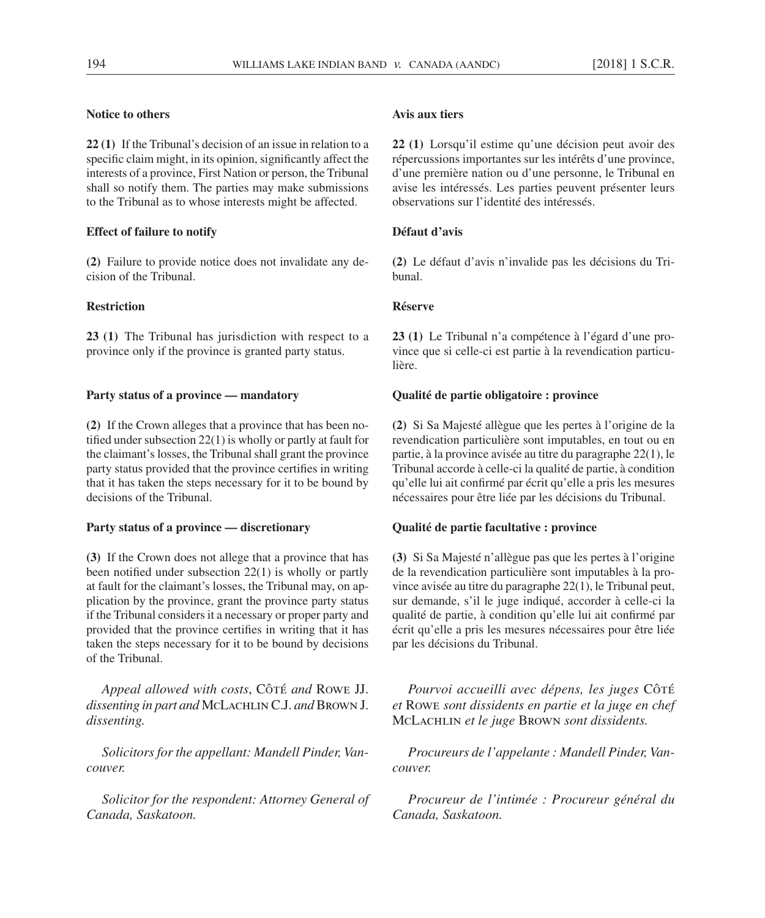# **Notice to others**

**22 (1)** If the Tribunal's decision of an issue in relation to a specific claim might, in its opinion, significantly affect the interests of a province, First Nation or person, the Tribunal shall so notify them. The parties may make submissions to the Tribunal as to whose interests might be affected.

#### **Effect of failure to notify**

**(2)** Failure to provide notice does not invalidate any decision of the Tribunal.

#### **Restriction**

**23 (1)** The Tribunal has jurisdiction with respect to a province only if the province is granted party status.

# **Party status of a province — mandatory**

**(2)** If the Crown alleges that a province that has been notified under subsection  $22(1)$  is wholly or partly at fault for the claimant's losses, the Tribunal shall grant the province party status provided that the province certifies in writing that it has taken the steps necessary for it to be bound by decisions of the Tribunal.

# **Party status of a province — discretionary**

**(3)** If the Crown does not allege that a province that has been notified under subsection  $22(1)$  is wholly or partly at fault for the claimant's losses, the Tribunal may, on application by the province, grant the province party status if the Tribunal considers it a necessary or proper party and provided that the province certifies in writing that it has taken the steps necessary for it to be bound by decisions of the Tribunal.

*Appeal allowed with costs*, Côté *and* Rowe JJ. *dissenting in part and* McLachlin C.J. *and* Brown J. *dissenting.*

*Solicitors for the appellant: Mandell Pinder, Vancouver.*

*Solicitor for the respondent: Attorney General of Canada, Saskatoon.*

# **Avis aux tiers**

**22 (1)** Lorsqu'il estime qu'une décision peut avoir des répercussions importantes sur les intérêts d'une province, d'une première nation ou d'une personne, le Tribunal en avise les intéressés. Les parties peuvent présenter leurs observations sur l'identité des intéressés.

### **Défaut d'avis**

**(2)** Le défaut d'avis n'invalide pas les décisions du Tribunal.

### **Réserve**

**23 (1)** Le Tribunal n'a compétence à l'égard d'une province que si celle-ci est partie à la revendication particulière.

# **Qualité de partie obligatoire : province**

**(2)** Si Sa Majesté allègue que les pertes à l'origine de la revendication particulière sont imputables, en tout ou en partie, à la province avisée au titre du paragraphe 22(1), le Tribunal accorde à celle-ci la qualité de partie, à condition qu'elle lui ait confirmé par écrit qu'elle a pris les mesures nécessaires pour être liée par les décisions du Tribunal.

# **Qualité de partie facultative : province**

**(3)** Si Sa Majesté n'allègue pas que les pertes à l'origine de la revendication particulière sont imputables à la province avisée au titre du paragraphe 22(1), le Tribunal peut, sur demande, s'il le juge indiqué, accorder à celle-ci la qualité de partie, à condition qu'elle lui ait confirmé par écrit qu'elle a pris les mesures nécessaires pour être liée par les décisions du Tribunal.

*Pourvoi accueilli avec dépens, les juges* Côté *et* Rowe *sont dissidents en partie et la juge en chef* McLachlin *et le juge* Brown *sont dissidents.*

*Procureurs de l'appelante : Mandell Pinder, Vancouver.*

*Procureur de l'intimée : Procureur général du Canada, Saskatoon.*